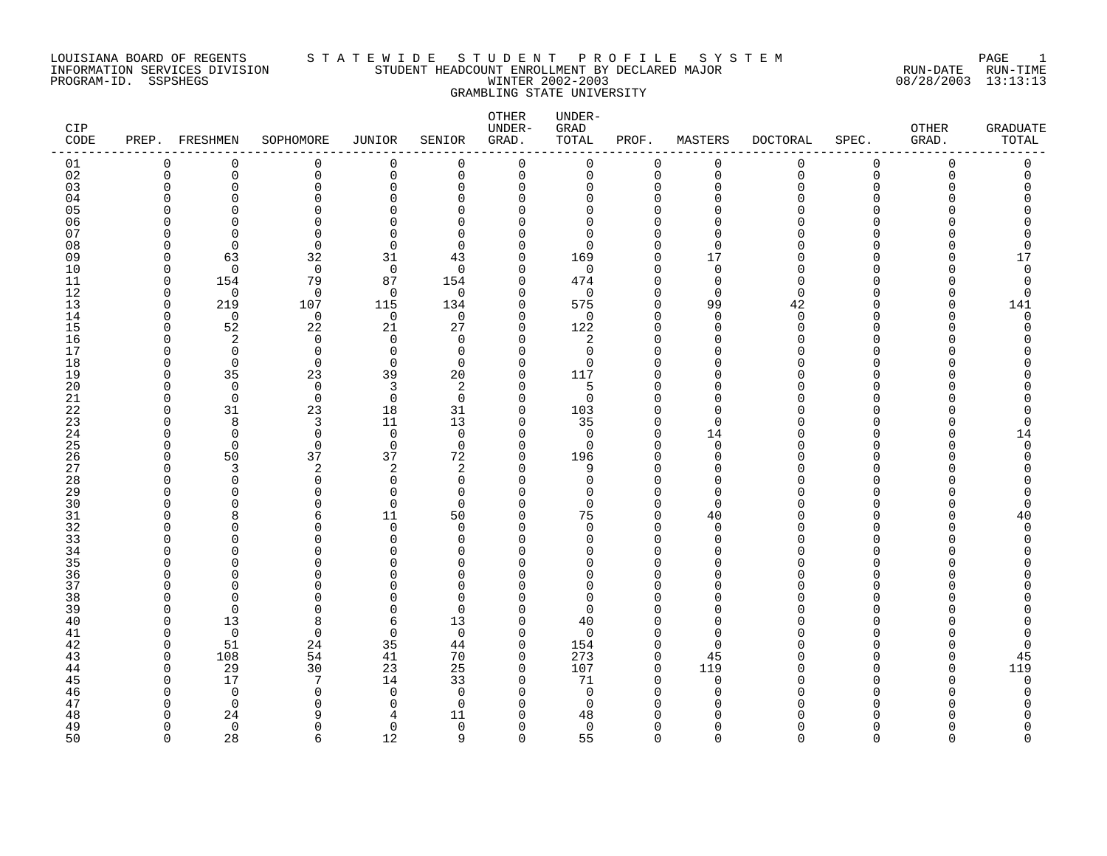#### LOUISIANA BOARD OF REGENTS S T A T E W I D E S T U D E N T P R O F I L E S Y S T E M PAGE 1 INFORMATION SERVICES DIVISION STUDENT HEADCOUNT ENROLLMENT BY DECLARED MAJOR RUN-DATE RUN-TIME PROGRAM-ID. SSPSHEGS WINTER 2002-2003 08/28/2003 13:13:13 GRAMBLING STATE UNIVERSITY

| CIP.<br>CODE |               | PREP. FRESHMEN     | SOPHOMORE            | JUNIOR         | SENIOR               | OTHER<br>UNDER-<br>GRAD.   | UNDER-<br>GRAD<br>TOTAL | PROF.                | MASTERS                 | <b>DOCTORAL</b> | SPEC.                    | OTHER<br>GRAD. | GRADUATE<br>TOTAL |
|--------------|---------------|--------------------|----------------------|----------------|----------------------|----------------------------|-------------------------|----------------------|-------------------------|-----------------|--------------------------|----------------|-------------------|
| 01           | 0             | $\Omega$           | $\mathbf 0$          | $\Omega$       | $\mathbf 0$          | $\mathbf 0$                | 0                       | 0                    | $\mathbf 0$             | 0               | 0                        | $\Omega$       | 0                 |
| 02           | $\mathbf 0$   | 0                  | $\mathbf 0$          | $\mathbf 0$    | $\mathbf 0$          | $\mathsf 0$                | 0                       | $\mathbf 0$          | $\mathbf 0$             | $\mathbf 0$     | $\mathbf 0$              | 0              | 0                 |
| 03           | O<br>C        | $\Omega$<br>∩      | $\Omega$<br>$\Omega$ | 0<br>N         | $\Omega$<br>$\Omega$ | 0<br>$\Omega$              | 0<br><sup>0</sup>       | U                    | $\mathbf 0$<br>$\Omega$ | 0<br>U          | $\Omega$<br>∩            |                | ∩                 |
| 04<br>05     |               |                    | $\Omega$             |                | ∩                    | $\Omega$                   | <sup>0</sup>            |                      | n                       |                 | ∩                        |                |                   |
| 06           |               | ∩                  | $\Omega$             |                | $\Omega$             | $\Omega$                   | $\Omega$                |                      | $\cap$                  |                 |                          |                |                   |
| 07           |               |                    | $\Omega$             |                | $\Omega$             | $\Omega$                   | $\Omega$                |                      | $\Omega$                | ∩               |                          |                |                   |
| 08           | U             | $\Omega$           | $\Omega$             | $\Omega$       | $\Omega$             | $\Omega$                   | $\Omega$                | O                    | $\Omega$                | U               | ∩                        |                | O                 |
| 09           | O             | 63                 | 32                   | 31             | 43                   | 0                          | 169                     | $\cap$               | 17                      | O               | <sup>0</sup>             |                | 17                |
| 10           | O             | $\Omega$           | $\mathbf 0$          | $\overline{0}$ | $\Omega$             | $\mathbf 0$                | 0                       | $\cap$               | $\mathbf 0$             | O               | $\Omega$                 |                | $\Omega$          |
| 11           | $\Omega$      | 154                | 79                   | 87             | 154                  | $\mathbf 0$                | 474                     | $\cap$               | $\mathbf 0$             | $\Omega$        | $\Omega$                 |                | 0                 |
| 12           | $\Omega$      | $\Omega$           | $\Omega$             | $\Omega$       | $\Omega$             | $\Omega$                   | $\Omega$                | $\cap$               | $\Omega$                | $\Omega$        | $\Omega$                 |                | 0                 |
| 13<br>14     | $\Omega$<br>n | 219<br>$\mathbf 0$ | 107<br>0             | 115<br>0       | 134<br>$\Omega$      | $\mathbf 0$<br>0           | 575<br>$\mathbf 0$      | $\Omega$<br>$\Omega$ | 99<br>0                 | 42<br>0         | $\Omega$<br>$\Omega$     | O              | 141<br>0          |
| 15           | O             | 52                 | 22                   | 21             | 27                   | 0                          | 122                     | $\cap$               | $\Omega$                | $\Omega$        | $\Omega$                 |                | O                 |
| 16           | U             | 2                  | $\mathbf 0$          | $\Omega$       | $\Omega$             | 0                          | 2                       | $\cap$               | $\Omega$                | U               | ∩                        |                |                   |
| 17           |               | $\Omega$           | $\Omega$             | $\Omega$       | $\Omega$             | $\Omega$                   | $\Omega$                | n                    | $\Omega$                |                 | $\Omega$                 |                |                   |
| 18           | O             | $\mathbf 0$        | $\mathbf 0$          | $\mathbf 0$    | $\mathbf 0$          | 0                          | 0                       | O                    | $\Omega$                | N               | $\Omega$                 |                |                   |
| 19           | n             | 35                 | 23                   | 39             | 20                   | 0                          | 117                     |                      | $\Omega$                | U               | <sup>0</sup>             |                |                   |
| 20           | U             | $\Omega$           | $\mathbf 0$          | 3              | 2                    | 0                          | 5                       |                      | $\Omega$                | U               | $\Omega$                 |                |                   |
| 21           | n             | $\Omega$           | $\Omega$             | $\Omega$       | $\Omega$             | $\mathbf 0$                | $\Omega$                |                      | $\Omega$                | ∩               | ∩                        |                |                   |
| 22<br>23     | n<br>ſ        | 31                 | 23                   | 18<br>11       | 31<br>13             | $\mathbf 0$<br>$\mathbf 0$ | 103<br>35               | O<br>$\cap$          | $\Omega$<br>$\Omega$    | U               | <sup>0</sup><br>$\Omega$ |                | O                 |
| 24           | U             | 8<br>$\mathbf 0$   | 3<br>$\mathbf 0$     | $\overline{0}$ | 0                    | 0                          | 0                       | $\Omega$             | 14                      | U               | $\Omega$                 |                | 14                |
| 25           | U             | $\Omega$           | $\Omega$             | $\overline{0}$ | $\Omega$             | 0                          | 0                       | O                    | $\mathbf 0$             | U               | ∩                        |                | $\Omega$          |
| 26           | n             | 50                 | 37                   | 37             | 72                   | $\mathbf 0$                | 196                     | $\cap$               | $\Omega$                | U               | $\Omega$                 |                | O                 |
| 27           | U             | 3                  | $\overline{2}$       | 2              | 2                    | 0                          | 9                       | ∩                    | $\Omega$                | U               | ∩                        |                |                   |
| 28           | U             | $\Omega$           | $\Omega$             | $\Omega$       | $\Omega$             | $\Omega$                   | $\Omega$                |                      | $\Omega$                |                 |                          |                |                   |
| 29           | U             | $\Omega$           | $\Omega$             | $\Omega$       | $\mathbf 0$          | $\Omega$                   | $\Omega$                | O                    | $\mathbf 0$             |                 | $\Omega$                 |                | Ω                 |
| 30           |               |                    | ∩                    | $\Omega$       | $\Omega$             | $\Omega$                   | $\Omega$                | $\cap$               | $\Omega$                |                 | ∩                        |                | C                 |
| 31           | C             | 8                  | 6<br>∩               | 11<br>$\Omega$ | 50                   | 0                          | 75                      | $\Omega$<br>O        | 40                      | N               | $\Omega$<br>$\Omega$     |                | 40<br>$\Omega$    |
| 32<br>33     |               | $\cap$             | $\Omega$             | $\Omega$       | $\Omega$<br>$\Omega$ | 0<br>$\Omega$              | $\Omega$<br>$\Omega$    |                      | $\Omega$<br>$\Omega$    | U<br>U          | $\Omega$                 |                | O                 |
| 34           |               | ∩                  | ∩                    | ∩              | $\Omega$             | $\Omega$                   | U                       | n                    | $\Omega$                | U               | $\cap$                   |                |                   |
| 35           |               |                    | ∩                    |                | ∩                    | O                          | ∩                       |                      | $\Omega$                |                 | ∩                        |                |                   |
| 36           | C             | ∩                  | $\Omega$             |                | <sup>0</sup>         | $\Omega$                   | <sup>0</sup>            |                      | $\Omega$                | N               | ∩                        |                |                   |
| 37           |               | ∩                  | ∩                    |                | $\Omega$             | $\Omega$                   | $\Omega$                |                      | $\Omega$                | U               | $\Omega$                 |                |                   |
| 38           | U             | $\Omega$           | ∩                    |                | $\Omega$             | O                          | $\Omega$                |                      | $\Omega$                |                 | ∩                        |                |                   |
| 39           | n             | $\Omega$           | $\Omega$             | O              | $\Omega$             | $\Omega$                   | $\Omega$                |                      | $\Omega$                |                 | ∩                        |                |                   |
| 40           | O             | 13                 | 8                    | 6              | 13                   | 0                          | 40                      |                      | $\Omega$                |                 |                          |                |                   |
| 41<br>42     | O<br>O        | $\mathbf 0$<br>51  | $\mathbf 0$          | 0<br>35        | 0                    | $\mathbf 0$                | $\mathbf 0$             | $\Omega$             | 0<br>$\Omega$           | U               | ∩<br>$\Omega$            |                | 0                 |
| 43           | O             | 108                | 24<br>54             | 41             | 44<br>70             | 0<br>$\mathbf 0$           | 154<br>273              | $\Omega$             | 45                      | U               | ∩                        |                | 0<br>45           |
| 44           | U             | 29                 | 30                   | 23             | 25                   | $\mathbf 0$                | 107                     | $\Omega$             | 119                     | U               | $\Omega$                 | U              | 119               |
| 45           | C             | 17                 | 7                    | 14             | 33                   | $\mathbf 0$                | 71                      | $\cap$               | $\mathbf 0$             | O               | $\Omega$                 |                | 0                 |
| 46           |               | $\Omega$           | $\Omega$             | $\Omega$       | $\mathbf 0$          | $\Omega$                   | $\mathbf 0$             | U                    | $\Omega$                | O               | ∩                        |                | 0                 |
| 47           | U             | $\mathbf 0$        | ∩                    | ∩              | $\Omega$             | $\Omega$                   | 0                       |                      | ∩                       | U               | ∩                        |                |                   |
| 48           |               | 24                 | Q                    | 4              | 11                   | $\Omega$                   | 48                      |                      |                         |                 |                          |                |                   |
| 49           | U             | $\mathbf 0$        | $\Omega$             | $\Omega$       | $\mathbf 0$          | $\Omega$                   | $\mathbf 0$             | n                    | $\Omega$                | U               | $\Omega$                 |                | ი                 |
| 50           | $\cap$        | 28                 | 6                    | 12             | 9                    | $\Omega$                   | 55                      | $\Omega$             | $\Omega$                | $\cap$          | $\Omega$                 | ∩              | $\cap$            |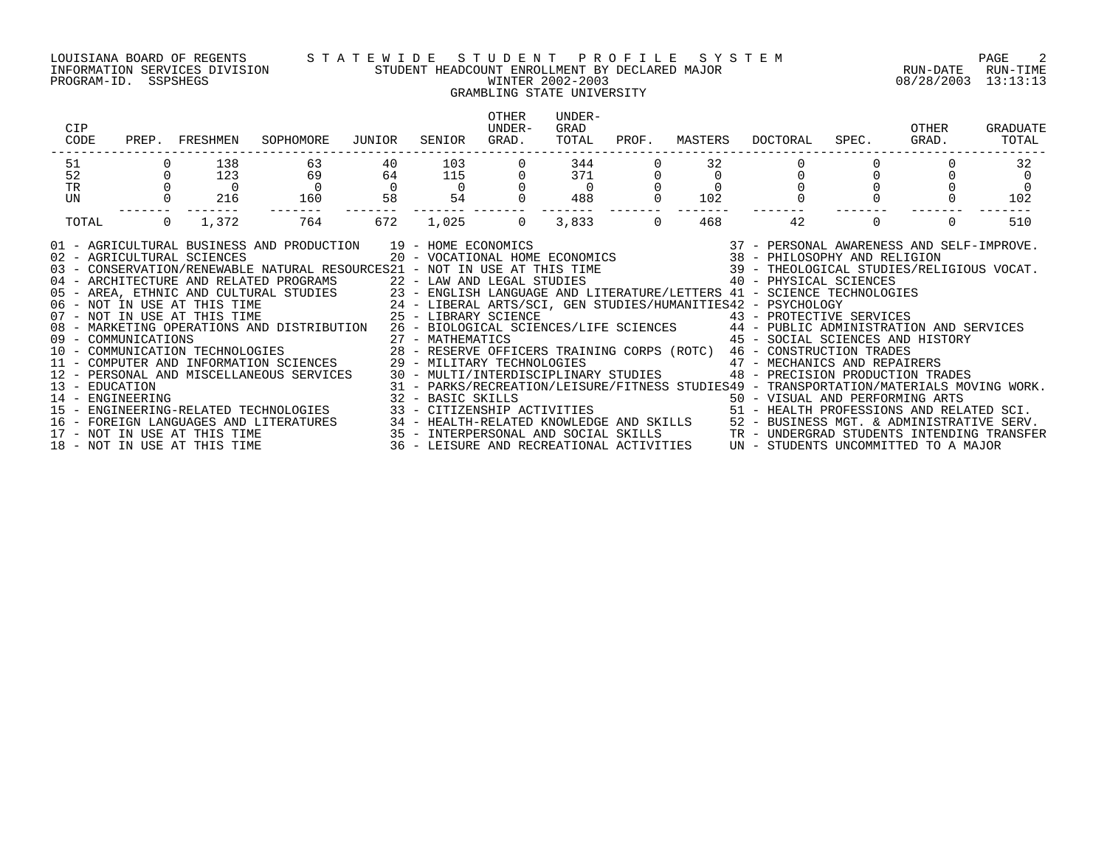### LOUISIANA BOARD OF REGENTS S T A T E W I D E S T U D E N T P R O F I L E S Y S T E M PAGE 2 INFORMATION SERVICES DIVISION STUDENT HEADCOUNT ENROLLMENT BY DECLARED MAJOR RUN-DATE RUN-TIME PROGRAM-ID. SSPSHEGS WINTER 2002-2003 08/28/2003 13:13:13

## GRAMBLING STATE UNIVERSITY

| CIP<br>CODE<br>PREP.                                                                                                                                                                                                                                                                                                                                                                                                                                                                                                                                                                                                                                                                                                                                                                                                                                                                                                                                      | FRESHMEN              | SOPHOMORE             | JUNIOR               | SENIOR          | <b>OTHER</b><br>UNDER-<br>GRAD. | UNDER-<br>GRAD<br>TOTAL | PROF.    | MASTERS | DOCTORAL                                                                                                                                                                                                                                                                                                                                                                                                                                                                                          | SPEC.    | OTHER<br>GRAD. | GRADUATE<br>TOTAL |
|-----------------------------------------------------------------------------------------------------------------------------------------------------------------------------------------------------------------------------------------------------------------------------------------------------------------------------------------------------------------------------------------------------------------------------------------------------------------------------------------------------------------------------------------------------------------------------------------------------------------------------------------------------------------------------------------------------------------------------------------------------------------------------------------------------------------------------------------------------------------------------------------------------------------------------------------------------------|-----------------------|-----------------------|----------------------|-----------------|---------------------------------|-------------------------|----------|---------|---------------------------------------------------------------------------------------------------------------------------------------------------------------------------------------------------------------------------------------------------------------------------------------------------------------------------------------------------------------------------------------------------------------------------------------------------------------------------------------------------|----------|----------------|-------------------|
| 51                                                                                                                                                                                                                                                                                                                                                                                                                                                                                                                                                                                                                                                                                                                                                                                                                                                                                                                                                        | 138                   | 63                    | 40                   | 103             |                                 | 344                     |          | 32      |                                                                                                                                                                                                                                                                                                                                                                                                                                                                                                   |          |                | 32                |
| 52                                                                                                                                                                                                                                                                                                                                                                                                                                                                                                                                                                                                                                                                                                                                                                                                                                                                                                                                                        | 123                   | 69                    | 64<br>$\overline{0}$ | 115<br>$\Omega$ |                                 | 371                     |          |         |                                                                                                                                                                                                                                                                                                                                                                                                                                                                                                   |          |                |                   |
| TR<br>UN                                                                                                                                                                                                                                                                                                                                                                                                                                                                                                                                                                                                                                                                                                                                                                                                                                                                                                                                                  | $\overline{0}$<br>216 | $\overline{0}$<br>160 | 58                   | 54              |                                 | $\overline{0}$<br>488   |          | 102     |                                                                                                                                                                                                                                                                                                                                                                                                                                                                                                   |          |                | $\Omega$<br>102   |
| TOTAL                                                                                                                                                                                                                                                                                                                                                                                                                                                                                                                                                                                                                                                                                                                                                                                                                                                                                                                                                     | $\Omega$<br>1,372     | 764                   | 672                  | 1,025           | $\Omega$                        | 3,833                   | $\Omega$ | 468     | 42                                                                                                                                                                                                                                                                                                                                                                                                                                                                                                | $\Omega$ | $\Omega$       | 510               |
| 01 - AGRICULTURAL BUSINESS AND PRODUCTION 19 - HOME ECONOMICS<br>02 - AGRICULTURAL SCIENCES<br>03 - CONSERVATION/RENEWABLE NATURAL RESOURCES21 - NOT IN USE AT THIS TIME 39 - THEOLOGICAL STUDIES/RELIGIOUS VOCAT.<br>04 - ARCHITECTURE AND RELATED PROGRAMS<br>22 - LAW AND LEGAL STUDIES<br>23 - ENGLISH LANGUAGE AND LITERATURE/LETTERS 41 - SCIENCE TECHNOLOGIES<br>24 - LIBERAL ARTS/SCI, GEN STUDIES/HUMANITIES42 - PSYCHOLOGY<br>25 - LIBERARY SCIENC<br>08 - MARKETING OPERATIONS AND DISTRIBUTION 26 - BIOLOGICAL SCIENCES/LIFE SCIENCES 44 - PUBLIC ADMINISTRATION AND SERVICES<br>12 - PERSONAL AND MISCELLANEOUS SERVICES<br>13 - EDUCATION<br>14 - ENGINEERING<br>15 - ENGINEERING-RELATED TECHNOLOGIES<br>16 – FOREIGN LANGUAGES AND LITERATURES 34 – HEALTH-RELATED KNOWLEDGE AND SKILLS 52 – BUSINESS MGT. & ADMINISTRATIVE SERV.<br>17 – NOT IN USE AT THIS TIME 35 – INTERPERSONAL AND SOCIAL SKILLS 3TR – UNDERGRAD STUDENTS INTENDING |                       |                       |                      |                 |                                 |                         |          |         | $\begin{array}{cccccc} 19 & -& \text{HOME ECONOMICS} & & & 37 & -& \text{PERSONAL AWARENESS AND SELF-IMPROVE.} \\ 20 & -& \text{VOCATIONAL HOME ECONOMICS} & & & 38 & -& \text{PHILOSOPHY AND RELIGION} \end{array}$<br>45 - SOCIAL SCIENCES AND HISTORY<br>29 - MILITARY TECHNOLOGIES<br>30 - MULTI/INTERDISCIPLINARY STUDIES<br>9 - PRECISION PRODUCTION TRA<br>48 - PRECISION PRODUCTION TRADES<br>31 - PARKS/RECREATION/LEISURE/FITNESS STUDIES49 - TRANSPORTATION/MATERIALS MOVING WORK.<br> |          |                |                   |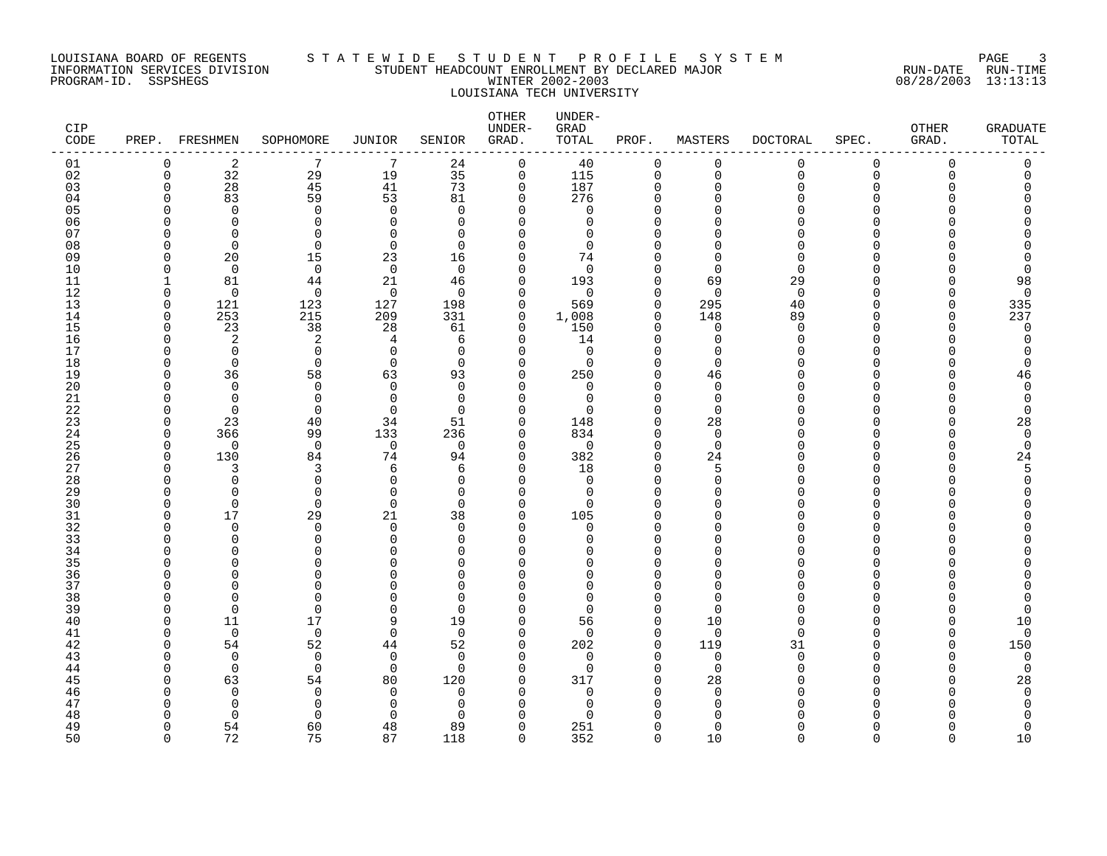#### LOUISIANA BOARD OF REGENTS S T A T E W I D E S T U D E N T P R O F I L E S Y S T E M PAGE 3 INFORMATION SERVICES DIVISION STUDENT HEADCOUNT ENROLLMENT BY DECLARED MAJOR RUN-DATE RUN-TIME PROGRAM-ID. SSPSHEGS WINTER 2002-2003 08/28/2003 13:13:13 LOUISIANA TECH UNIVERSITY

| CIP<br>CODE |               | PREP. FRESHMEN               | SOPHOMORE            | JUNIOR               | SENIOR               | OTHER<br>UNDER-<br>GRAD. | UNDER-<br>GRAD<br>TOTAL  | PROF.                | MASTERS                    | <b>DOCTORAL</b>  | SPEC.                    | OTHER<br>GRAD. | GRADUATE<br>TOTAL |
|-------------|---------------|------------------------------|----------------------|----------------------|----------------------|--------------------------|--------------------------|----------------------|----------------------------|------------------|--------------------------|----------------|-------------------|
| 01          | 0             | 2                            | 7                    | 7                    | 24                   | $\mathbf 0$              | 40                       | $\mathbf 0$          | 0                          | 0                | $\mathbf 0$              | 0              | 0                 |
| 02          | $\mathbf 0$   | 32                           | 29                   | 19                   | 35                   | $\mathsf{O}$             | 115                      | $\mathbf 0$          | $\mathbf 0$                | $\mathsf{O}$     | $\Omega$                 | $\Omega$       | $\Omega$          |
| 03          | $\Omega$<br>n | 28                           | 45<br>59             | 41                   | 73                   | 0                        | 187<br>276               | $\Omega$<br>$\Omega$ | $\mathbf 0$<br>$\Omega$    | $\mathbf 0$<br>O | $\Omega$                 | U              | C                 |
| 04<br>05    |               | 83<br>$\Omega$               | $\mathbf 0$          | 53<br>$\Omega$       | 81<br>$\Omega$       | 0<br>$\Omega$            | 0                        |                      | $\cap$                     | U                | <sup>0</sup><br>$\Omega$ |                | Ω                 |
| 06          | U             | $\Omega$                     | $\Omega$             | ∩                    | $\Omega$             | $\Omega$                 | $\Omega$                 | U                    | $\Omega$                   | U                | $\Omega$                 |                |                   |
| 07          | ∩             | $\Omega$                     | $\Omega$             | ∩                    | $\Omega$             | $\Omega$                 | $\Omega$                 |                      | $\Omega$                   | ∩                | ∩                        |                |                   |
| 08          | U             | $\Omega$                     | $\Omega$             | $\Omega$             | $\Omega$             | $\Omega$                 | $\Omega$                 |                      | $\Omega$                   | U                | $\Omega$                 |                |                   |
| 09          | n             | 20                           | 15                   | 23                   | 16                   | 0                        | 74                       | n                    | $\mathbf 0$                | 0                | ∩                        |                |                   |
| 10          | U             | $\Omega$                     | $\mathbf 0$          | $\overline{0}$       | $\Omega$             | $\Omega$                 | $\Omega$                 |                      | $\Omega$                   | $\Omega$         |                          |                | 0                 |
| 11          | -1            | 81                           | 44                   | 21                   | 46                   | $\mathbf 0$              | 193                      | $\cap$               | 69                         | 29               | $\Omega$                 |                | 98                |
| 12          | $\Omega$      | $\Omega$                     | $\Omega$             | $\Omega$             | $\Omega$             | $\Omega$                 | $\Omega$                 | $\cap$               | $\Omega$                   | $\Omega$         | $\Omega$                 |                | $\mathbf 0$       |
| 13          | O             | 121                          | 123                  | 127                  | 198                  | $\mathbf 0$              | 569                      | $\Omega$             | 295                        | 40               | $\Omega$                 | U              | 335               |
| 14          | $\Omega$      | 253                          | 215                  | 209                  | 331                  | 0                        | 1,008                    | $\Omega$             | 148                        | 89               | $\Omega$                 | U              | 237               |
| 15<br>16    | O<br>n        | 23<br>2                      | 38<br>2              | 28<br>4              | 61<br>6              | 0<br>$\mathbf 0$         | 150<br>14                | $\Omega$<br>$\cap$   | $\mathbf 0$<br>$\mathbf 0$ | 0<br>0           | $\Omega$<br>$\Omega$     | U              | 0<br>$\Omega$     |
| 17          | n             | $\Omega$                     | $\mathbf 0$          | $\Omega$             | $\Omega$             | 0                        | $\mathbf 0$              | U                    | $\Omega$                   | O                | $\Omega$                 |                | O                 |
| 18          | U             | $\Omega$                     | $\mathbf{0}$         | $\Omega$             | $\Omega$             | 0                        | $\Omega$                 | U                    | $\Omega$                   | U                | $\Omega$                 |                | $\Omega$          |
| 19          | U             | 36                           | 58                   | 63                   | 93                   | 0                        | 250                      | $\Omega$             | 46                         | U                | $\Omega$                 |                | 46                |
| 20          | U             | $\Omega$                     | $\Omega$             | $\Omega$             | $\Omega$             | $\Omega$                 | $\Omega$                 | n                    | $\Omega$                   | U                | $\Omega$                 |                | $\Omega$          |
| 21          | U             | $\Omega$                     | $\mathbf 0$          | $\Omega$             | $\Omega$             | $\Omega$                 | $\Omega$                 | $\cap$               | $\mathbf 0$                | U                | ∩                        |                | $\Omega$          |
| 22          | n             | $\Omega$                     | $\mathbf 0$          | $\Omega$             | $\Omega$             | $\Omega$                 | ∩                        | n                    | $\mathbf 0$                | O                | <sup>0</sup>             |                | $\Omega$          |
| 23          | U             | 23                           | 40                   | 34                   | 51                   | $\Omega$                 | 148                      | $\cap$               | 28                         | O                | $\Omega$                 |                | 28                |
| 24          | $\Omega$      | 366                          | 99                   | 133                  | 236                  | 0                        | 834                      | $\Omega$             | $\mathbf 0$                | O                | $\Omega$                 |                | $\mathbf 0$       |
| 25          | U             | $\Omega$                     | $\Omega$             | $\mathbf 0$          | $\Omega$             | $\Omega$                 | $\Omega$                 | $\cap$               | $\mathbf 0$                | $\Omega$         | $\cap$<br>$\Omega$       |                | $\mathbf 0$       |
| 26<br>27    | $\Omega$<br>n | 130<br>3                     | 84<br>3              | 74<br>6              | 94<br>6              | $\Omega$<br>0            | 382<br>18                | $\Omega$<br>$\Omega$ | 24<br>5                    | U<br>O           | $\Omega$                 |                | 24<br>5           |
| 28          | U             | $\Omega$                     | $\mathbf 0$          | $\Omega$             | $\Omega$             | $\Omega$                 | 0                        | U                    | $\Omega$                   | O                | $\Omega$                 |                | 0                 |
| 29          | U             | $\Omega$                     | $\mathbf 0$          | $\Omega$             | $\Omega$             | 0                        | 0                        | n                    | $\Omega$                   | O                | $\Omega$                 |                | ∩                 |
| 30          | n             | $\Omega$                     | $\Omega$             | $\Omega$             | $\Omega$             | $\Omega$                 | $\Omega$                 |                      | $\Omega$                   |                  | $\Omega$                 |                |                   |
| 31          | O             | 17                           | 29                   | 21                   | 38                   | $\mathbf 0$              | 105                      | U                    | $\Omega$                   | U                | $\Omega$                 |                |                   |
| 32          | n             | $\Omega$                     | $\Omega$             | $\Omega$             | $\Omega$             | $\Omega$                 | $\Omega$                 | $\cap$               | $\Omega$                   | U                | $\Omega$                 |                |                   |
| 33          | U             | 0                            | $\mathbf 0$          | $\Omega$             | $\Omega$             | $\Omega$                 | $\Omega$                 | U                    | $\Omega$                   | N                | $\Omega$                 |                |                   |
| 34          |               | $\Omega$                     | $\Omega$             | $\Omega$             | $\Omega$             | $\Omega$                 | U                        | $\cap$               | $\Omega$                   | U                | $\Omega$                 |                |                   |
| 35          |               | U                            | $\Omega$             |                      | $\Omega$             | $\Omega$                 | U                        |                      | $\Omega$                   |                  | $\Omega$                 |                |                   |
| 36<br>37    |               | <sup>n</sup><br><sup>n</sup> | $\Omega$<br>$\Omega$ | ∩                    | $\Omega$<br>$\Omega$ | $\Omega$<br>$\Omega$     | <sup>0</sup><br>$\Omega$ |                      | $\Omega$<br>$\Omega$       | O<br>O           | $\Omega$<br>$\Omega$     |                |                   |
| 38          | U             | $\Omega$                     | $\Omega$             | O                    | $\Omega$             | O                        | $\Omega$                 |                      | $\Omega$                   | U                | $\Omega$                 |                |                   |
| 39          | O             | $\Omega$                     | $\mathbf 0$          | $\Omega$             | $\Omega$             | $\Omega$                 | $\Omega$                 | $\Omega$             | $\mathbf 0$                | O                | $\Omega$                 |                | 0                 |
| 40          | O             | 11                           | 17                   | 9                    | 19                   | $\mathbf 0$              | 56                       | $\Omega$             | 10                         | O                | $\Omega$                 |                | 10                |
| 41          | U             | $\Omega$                     | $\mathbf 0$          | $\Omega$             | $\Omega$             | $\mathbf 0$              | $\Omega$                 | $\Omega$             | $\overline{0}$             | $\Omega$         | $\Omega$                 | ∩              | 0                 |
| 42          | U             | 54                           | 52                   | 44                   | 52                   | $\mathbf 0$              | 202                      | $\mathbf 0$          | 119                        | 31               | $\Omega$                 | O              | 150               |
| 43          | ∩             | $\Omega$                     | $\Omega$             | $\Omega$             | $\Omega$             | $\Omega$                 | $\Omega$                 | $\cap$               | $\mathbf 0$                | $\mathbf 0$      | $\cap$                   |                | $\mathbf 0$       |
| 44          | U             | $\Omega$                     | $\Omega$             | $\Omega$             | $\Omega$             | $\Omega$                 | $\Omega$                 | $\Omega$             | $\Omega$                   | U                | $\Omega$                 |                | $\mathbf 0$       |
| 45          | U             | 63                           | 54                   | 80                   | 120                  | 0                        | 317                      | O                    | 28                         | N                | <sup>0</sup>             |                | 28                |
| 46          |               | $\Omega$                     | $\mathbf 0$          | $\Omega$             | $\Omega$             | $\Omega$                 | 0                        | U                    | $\mathbf 0$                | O                | $\Omega$                 |                | $\Omega$          |
| 47          |               | $\Omega$<br><sup>n</sup>     | $\mathbf 0$<br>∩     | $\Omega$<br>$\Omega$ | $\Omega$<br>$\Omega$ | $\Omega$<br>$\Omega$     | 0<br>$\cap$              |                      | 0<br>$\Omega$              | U                | ∩                        |                | O<br>U            |
| 48<br>49    | O             | 54                           | 60                   | 48                   | 89                   | 0                        | 251                      | $\cap$               | $\Omega$                   | O                | $\Omega$                 |                | 0                 |
| 50          | $\Omega$      | 72                           | 75                   | 87                   | 118                  | $\Omega$                 | 352                      | $\Omega$             | 10                         | $\Omega$         | $\Omega$                 | <sup>n</sup>   | 10                |
|             |               |                              |                      |                      |                      |                          |                          |                      |                            |                  |                          |                |                   |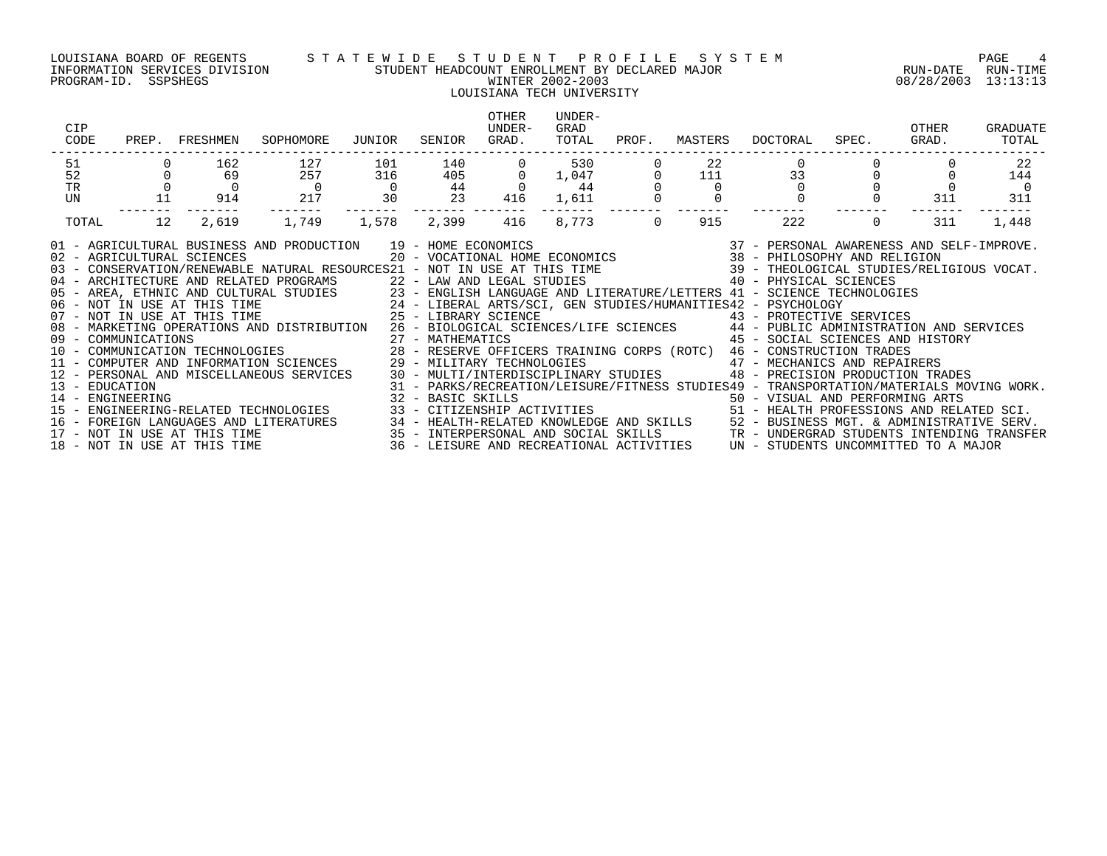### LOUISIANA BOARD OF REGENTS S T A T E W I D E S T U D E N T P R O F I L E S Y S T E M PAGE 4 INFORMATION SERVICES DIVISION STUDENT HEADCOUNT ENROLLMENT BY DECLARED MAJOR RUN-DATE RUN-TIME PROGRAM-ID. SSPSHEGS WINTER 2002-2003 08/28/2003 13:13:13

## LOUISIANA TECH UNIVERSITY

| CIP<br>CODE                                                                                                                                                                                                                                                                                                                                                                                                                                                                                                                                                                                                                                                                                                                                                                                                                                                                                                                                               | PREP. FRESHMEN              | SOPHOMORE       | JUNIOR               | SENIOR                    | <b>OTHER</b><br>UNDER-<br>GRAD. | UNDER-<br>GRAD<br>TOTAL | PROF.          | MASTERS  | DOCTORAL                                                                                                                                                                                                                                                                                                                                                                                                                                                                               | SPEC.    | OTHER<br>GRAD. | GRADUATE<br>TOTAL     |
|-----------------------------------------------------------------------------------------------------------------------------------------------------------------------------------------------------------------------------------------------------------------------------------------------------------------------------------------------------------------------------------------------------------------------------------------------------------------------------------------------------------------------------------------------------------------------------------------------------------------------------------------------------------------------------------------------------------------------------------------------------------------------------------------------------------------------------------------------------------------------------------------------------------------------------------------------------------|-----------------------------|-----------------|----------------------|---------------------------|---------------------------------|-------------------------|----------------|----------|----------------------------------------------------------------------------------------------------------------------------------------------------------------------------------------------------------------------------------------------------------------------------------------------------------------------------------------------------------------------------------------------------------------------------------------------------------------------------------------|----------|----------------|-----------------------|
| 51                                                                                                                                                                                                                                                                                                                                                                                                                                                                                                                                                                                                                                                                                                                                                                                                                                                                                                                                                        | 162                         | 127             | 101                  | 140                       |                                 | 530                     |                | 22       |                                                                                                                                                                                                                                                                                                                                                                                                                                                                                        |          |                | -22                   |
| 52                                                                                                                                                                                                                                                                                                                                                                                                                                                                                                                                                                                                                                                                                                                                                                                                                                                                                                                                                        | 69                          | 257             | 316                  | 405                       | $\Omega$<br>$\Omega$            | 1,047                   |                | 111      | 33                                                                                                                                                                                                                                                                                                                                                                                                                                                                                     |          |                | 144                   |
| <b>TR</b><br>UN                                                                                                                                                                                                                                                                                                                                                                                                                                                                                                                                                                                                                                                                                                                                                                                                                                                                                                                                           | $\overline{0}$<br>11<br>914 | $\sim$ 0<br>217 | $\overline{0}$<br>30 | 44<br>23                  | 416                             | 44<br>1,611             |                | $\Omega$ |                                                                                                                                                                                                                                                                                                                                                                                                                                                                                        |          | 311            | $\overline{0}$<br>311 |
| TOTAL                                                                                                                                                                                                                                                                                                                                                                                                                                                                                                                                                                                                                                                                                                                                                                                                                                                                                                                                                     | 12<br>2,619                 | 1,749           | 1,578                | -------- -------<br>2,399 | 416                             | 8,773                   | $\overline{0}$ | 915      | 222                                                                                                                                                                                                                                                                                                                                                                                                                                                                                    | $\Omega$ | 311            | 1,448                 |
| 01 - AGRICULTURAL BUSINESS AND PRODUCTION 19 - HOME ECONOMICS<br>02 - AGRICULTURAL SCIENCES<br>03 - CONSERVATION/RENEWABLE NATURAL RESOURCES21 - NOT IN USE AT THIS TIME 39 - THEOLOGICAL STUDIES/RELIGIOUS VOCAT.<br>04 - ARCHITECTURE AND RELATED PROGRAMS<br>05 - AREA, ETHNIC AND RELATED PROGRAMS<br>06 - AREA, ETHNIC AND RELATED PROGRAMS<br>06 - NOT IN USE AT THIS TIME 24 - LIBERAL ARTS/SCI, GEN STUDIES/HUMANITIES42 - PSYCHOLOGY<br>07 - NOT IN<br>08 - MARKETING OPERATIONS AND DISTRIBUTION 26 - BIOLOGICAL SCIENCES/LIFE SCIENCES 44 - PUBLIC ADMINISTRATION AND SERVICES<br>12 - PERSONAL AND MISCELLANEOUS SERVICES<br>13 - EDUCATION<br>14 - ENGINEERING<br>15 - ENGINEERING-RELATED TECHNOLOGIES<br>16 – FOREIGN LANGUAGES AND LITERATURES 24 – HEALTH-RELATED KNOWLEDGE AND SKILLS 25 – BUSINESS MGT. & ADMINISTRATIVE SERV.<br>17 – NOT IN USE AT THIS TIME 25 – INTERPERSONAL AND SOCIAL SKILLS 2 – TR – UNDERGRAD STUDENTS INTEND |                             |                 |                      |                           |                                 |                         |                |          | $\begin{array}{cccccc} 19 & -& \text{HOME ECONOMICS} & & & 37 & -& \text{PERSONAL AWARENESS AND SELF-IMPROVE.} \\ 20 & -& \text{VOCATIONAL HOME ECONOMICS} & & & 38 & -& \text{PHILOSOPHY AND RELIGION} \end{array}$<br>45 - SOCIAL SCIENCES AND HISTORY<br>29 - MILITARY TECHNOLOGIES<br>30 - MULTI/INTERDISCIPLINARY STUDIES<br>98 - PRECISION PRODUCTION TRADES<br>31 - PARKS/RECREATION/LEISURE/FITNESS STUDIES49 - TRANSPORTATION/MATERIALS MOVING WORK.<br>32 - BASIC SKILLS<br> |          |                |                       |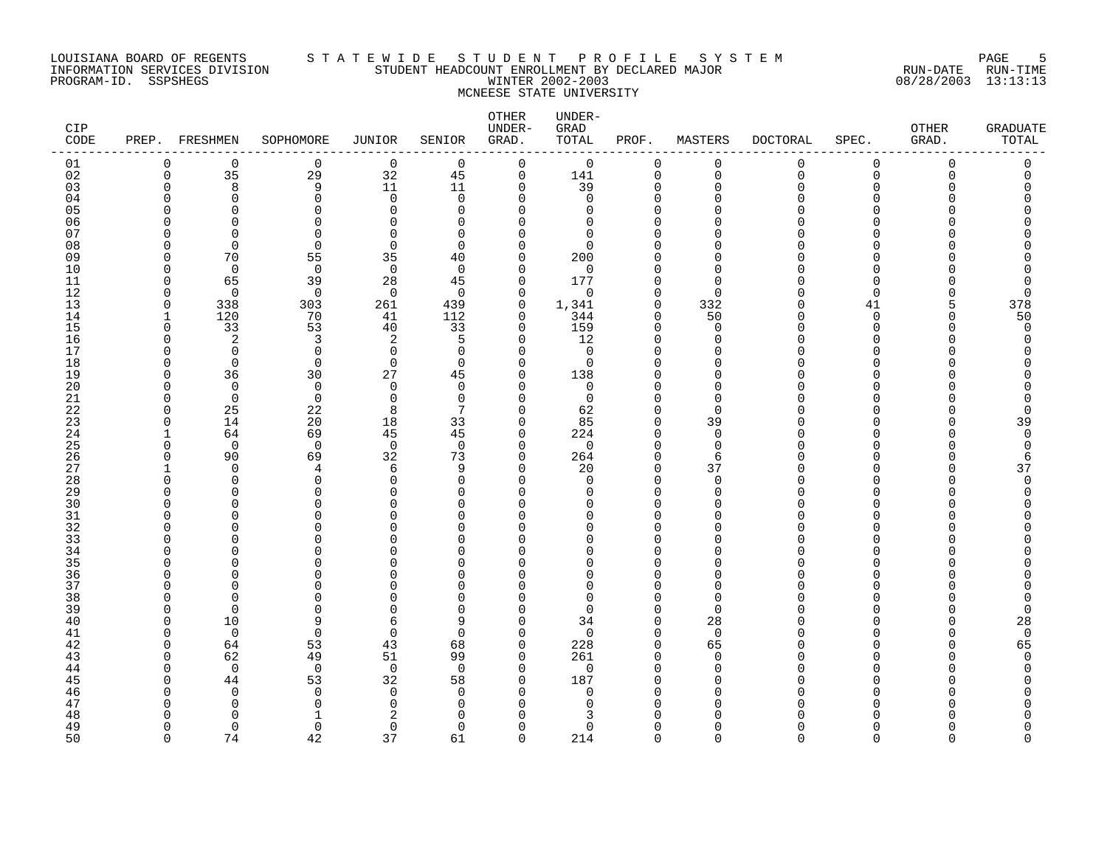#### LOUISIANA BOARD OF REGENTS S T A T E W I D E S T U D E N T P R O F I L E S Y S T E M PAGE 5 INFORMATION SERVICES DIVISION STUDENT HEADCOUNT ENROLLMENT BY DECLARED MAJOR RUN-DATE RUN-TIME PROGRAM-ID. SSPSHEGS WINTER 2002-2003 08/28/2003 13:13:13 MCNEESE STATE UNIVERSITY

| CIP<br>CODE |                             | PREP. FRESHMEN | SOPHOMORE                  | <b>JUNIOR</b>              | SENIOR               | OTHER<br>UNDER-<br>GRAD. | UNDER-<br>GRAD<br>TOTAL | PROF.                   | MASTERS                 | <b>DOCTORAL</b>      | SPEC.          | OTHER<br>GRAD. | GRADUATE<br>TOTAL |
|-------------|-----------------------------|----------------|----------------------------|----------------------------|----------------------|--------------------------|-------------------------|-------------------------|-------------------------|----------------------|----------------|----------------|-------------------|
| 01          | $\mathbf 0$                 | $\mathbf 0$    | $\mathbf 0$                | $\mathbf 0$                | $\Omega$             | $\mathbf 0$              | $\mathbf 0$             | $\mathbf 0$             | 0                       | 0                    | $\mathbf 0$    | 0              | 0                 |
| 02          | $\mathsf 0$                 | 35             | 29                         | 32                         | 45                   | $\mathbf 0$              | 141                     | $\mathbf 0$             | $\mathbf 0$             | $\mathsf{O}$         | $\Omega$       | $\Omega$       | $\Omega$          |
| 03          | $\Omega$                    | 8              | 9                          | 11                         | 11                   | $\mathbf 0$              | 39                      | $\Omega$                | $\mathbf 0$             | $\Omega$             | $\Omega$       | U              | C                 |
| 04<br>05    | ∩<br>$\cap$                 | 0<br>$\Omega$  | $\mathbf 0$<br>$\mathbf 0$ | $\mathbf 0$<br>$\mathbf 0$ | $\Omega$<br>$\Omega$ | 0<br>U                   | 0<br>0                  | $\Omega$<br>$\Omega$    | $\Omega$<br>$\cap$      | O                    | $\Omega$<br>∩  |                | O                 |
| 06          | $\Omega$                    | $\Omega$       | $\mathbf 0$                | $\Omega$                   | $\Omega$             | U                        | $\Omega$                | $\Omega$                | $\cap$                  |                      | ∩              |                | ∩                 |
| 07          | ∩                           | ∩              | $\Omega$                   | $\Omega$                   | $\Omega$             | ∩                        | $\Omega$                | ∩                       | $\Omega$                |                      | ∩              |                |                   |
| 08          | $\Omega$                    | $\Omega$       | $\Omega$                   | $\Omega$                   | $\Omega$             | $\Omega$                 | $\Omega$                | $\Omega$                | $\Omega$                |                      | ∩              |                |                   |
| 09          | $\Omega$                    | 70             | 55                         | 35                         | 40                   | 0                        | 200                     | <sup>0</sup>            | 0                       | O                    | $\Omega$       |                |                   |
| 10          | $\Omega$                    | $\Omega$       | $\mathbf 0$                | $\overline{0}$             | $\Omega$             | $\Omega$                 | $\Omega$                |                         | $\Omega$                | ∩                    | $\Omega$       |                |                   |
| 11          | $\Omega$                    | 65             | 39                         | 28                         | 45                   | $\Omega$                 | 177                     | $\Omega$                | $\mathbf 0$             | ∩                    | $\Omega$       |                | 0                 |
| 12          | $\Omega$                    | $\Omega$       | $\Omega$                   | $\Omega$                   | $\Omega$             | $\Omega$                 | $\Omega$                | $\Omega$                | $\Omega$                | U                    | $\Omega$       |                | $\Omega$          |
| 13<br>14    | $\mathbf 0$<br>$\mathbf{1}$ | 338<br>120     | 303<br>70                  | 261<br>41                  | 439<br>112           | 0<br>0                   | 1,341<br>344            | $\mathbf 0$<br>$\Omega$ | 332<br>50               | $\Omega$<br>$\Omega$ | 41<br>$\Omega$ | 5<br>U         | 378               |
| 15          | 0                           | 33             | 53                         | 40                         | 33                   | $\mathbf 0$              | 159                     | $\mathbf 0$             | $\mathbf 0$             | $\Omega$             | 0              | ∩              | 50<br>$\mathbf 0$ |
| 16          | $\Omega$                    | 2              | 3                          | 2                          | 5                    | $\Omega$                 | 12                      | $\Omega$                | $\Omega$                | $\Omega$             | $\Omega$       |                | $\Omega$          |
| 17          | $\Omega$                    | $\Omega$       | $\mathbf 0$                | 0                          | $\Omega$             | $\Omega$                 | 0                       | $\Omega$                | $\Omega$                | O                    | $\Omega$       |                | O                 |
| 18          | $\Omega$                    | $\Omega$       | $\mathbf 0$                | $\mathbf 0$                | $\Omega$             | $\Omega$                 | 0                       | $\Omega$                | $\Omega$                | U                    | $\Omega$       |                |                   |
| 19          | $\Omega$                    | 36             | 30                         | 27                         | 45                   | $\Omega$                 | 138                     | $\Omega$                | $\Omega$                | U                    | $\Omega$       |                |                   |
| 20          | $\Omega$                    | $\Omega$       | $\mathbf 0$                | $\Omega$                   | $\Omega$             | $\Omega$                 | $\Omega$                | ∩                       | $\Omega$                | ∩                    | ∩              |                | Λ                 |
| 21          | $\Omega$                    | $\mathbf 0$    | $\mathbf 0$                | $\mathbf 0$                | $\Omega$             | $\Omega$                 | 0                       | $\Omega$                | 0                       | ∩                    | O              |                | 0                 |
| 22          | $\Omega$                    | 25             | 22                         | 8                          | 7                    | 0                        | 62                      | 0                       | $\mathbf 0$             | O                    | O              |                | 0                 |
| 23<br>24    | $\Omega$<br>$\mathbf{1}$    | 14<br>64       | 20<br>69                   | 18<br>45                   | 33<br>45             | $\Omega$<br>$\mathbf 0$  | 85<br>224               | $\Omega$<br>$\Omega$    | 39<br>$\mathbf 0$       | O<br>O               | $\Omega$<br>∩  |                | 39<br>0           |
| 25          | $\Omega$                    | $\mathbf 0$    | $\mathbf 0$                | $\overline{0}$             | $\Omega$             | $\Omega$                 | $\mathbf 0$             | $\Omega$                | $\mathbf 0$             | U                    | ∩              |                | $\Omega$          |
| 26          | $\Omega$                    | 90             | 69                         | 32                         | 73                   | $\Omega$                 | 264                     | $\Omega$                | 6                       | O                    | ∩              |                | 6                 |
| 27          |                             | $\Omega$       | 4                          | 6                          | 9                    | 0                        | 20                      | $\mathbf 0$             | 37                      | O                    | $\Omega$       | O              | 37                |
| 28          | $\Omega$                    | $\Omega$       | $\mathbf 0$                | $\mathbf 0$                | $\Omega$             | $\Omega$                 | $\Omega$                | $\Omega$                | $\mathbf 0$             | O                    | $\Omega$       |                | $\Omega$          |
| 29          | $\Omega$                    | $\Omega$       | $\mathbf 0$                | $\Omega$                   | $\Omega$             | $\Omega$                 | 0                       | $\Omega$                | 0                       | O                    | ∩              |                | U                 |
| 30          | ∩                           | ∩              | $\Omega$                   | $\Omega$                   | ∩                    | U                        | <sup>n</sup>            | $\Omega$                | $\Omega$                |                      | ∩              |                |                   |
| 31          | $\Omega$                    | ∩              | $\Omega$                   | $\Omega$                   | $\Omega$             | O                        | U                       | $\Omega$                | $\Omega$                | ∩                    | $\Omega$       |                | ∩                 |
| 32          | ∩                           | U              | $\Omega$                   | $\Omega$                   | ∩                    | U                        | U                       | $\Omega$                | $\Omega$                |                      | $\Omega$       |                |                   |
| 33<br>34    | ∩<br>∩                      | O<br>O         | 0<br>$\Omega$              | $\Omega$<br>$\Omega$       | $\Omega$<br>∩        | O<br>$\Omega$            | O<br>U                  | $\Omega$                | $\Omega$<br>$\Omega$    | ∩                    | $\Omega$<br>∩  |                |                   |
| 35          | ∩                           | ∩              | $\Omega$                   | O                          | ∩                    | U                        | U                       |                         | $\Omega$                |                      | ∩              |                |                   |
| 36          | ∩                           | U              | $\mathbf 0$                | O                          | ∩                    | U                        | $\Omega$                | ∩                       | $\Omega$                | ∩                    | ∩              |                |                   |
| 37          | $\Omega$                    | ∩              | $\Omega$                   | $\Omega$                   | ∩                    | U                        | $\Omega$                |                         | $\Omega$                | U                    | $\Omega$       |                |                   |
| 38          | $\Omega$                    | ∩              | $\Omega$                   | $\Omega$                   | $\Omega$             | U                        | $\Omega$                | $\Omega$                | $\Omega$                | N                    | ∩              |                | C                 |
| 39          | $\Omega$                    | $\Omega$       | $\mathbf 0$                | $\Omega$                   | $\Omega$             | $\Omega$                 | $\Omega$                | $\Omega$                | $\mathbf 0$             | O                    | $\Omega$       |                | 0                 |
| 40          | $\Omega$                    | 10             | 9                          | 6                          | 9                    | $\Omega$                 | 34                      | $\Omega$                | 28                      | O                    | $\Omega$       |                | 28                |
| 41          | $\Omega$                    | $\overline{0}$ | $\mathbf 0$                | $\mathbf 0$                | $\Omega$             | $\Omega$                 | $\mathbf 0$             | $\Omega$                | $\overline{0}$          | O                    | $\Omega$       |                | $\mathbf 0$       |
| 42          | $\Omega$                    | 64             | 53                         | 43                         | 68                   | 0<br>$\Omega$            | 228                     | $\mathbf 0$<br>$\Omega$ | 65                      | O<br>U               | $\Omega$<br>∩  |                | 65<br>U           |
| 43<br>44    | $\Omega$<br>$\Omega$        | 62<br>$\Omega$ | 49<br>$\mathbf 0$          | 51<br>$\overline{0}$       | 99<br>$\Omega$       | $\Omega$                 | 261<br>$\Omega$         | $\Omega$                | $\mathbf 0$<br>$\Omega$ | U                    | ∩              |                | U                 |
| 45          | <sup>0</sup>                | 44             | 53                         | 32                         | 58                   | 0                        | 187                     | $\Omega$                | $\Omega$                | O                    | O              |                |                   |
| 46          | ∩                           | $\Omega$       | $\mathbf 0$                | $\mathbf 0$                | $\Omega$             | $\Omega$                 | 0                       | $\Omega$                | $\Omega$                | O                    | ∩              |                |                   |
| 47          | ∩                           | $\Omega$       | $\mathbf 0$                | $\Omega$                   | $\Omega$             | ∩                        | $\Omega$                | $\Omega$                | $\Omega$                | ∩                    | ∩              |                |                   |
| 48          | ∩                           | ∩              | $\mathbf{1}$               | 2                          | ∩                    |                          | 3                       |                         | $\cap$                  |                      |                |                |                   |
| 49          | $\Omega$                    | $\Omega$       | $\mathbf 0$                | $\mathbf 0$                | $\Omega$             | $\Omega$                 | $\Omega$                | $\Omega$                | $\Omega$                | O                    | $\Omega$       |                | O                 |
| 50          | $\Omega$                    | 74             | 42                         | 37                         | 61                   | $\Omega$                 | 214                     | $\Omega$                | $\Omega$                | $\Omega$             | $\Omega$       | $\Omega$       | $\Omega$          |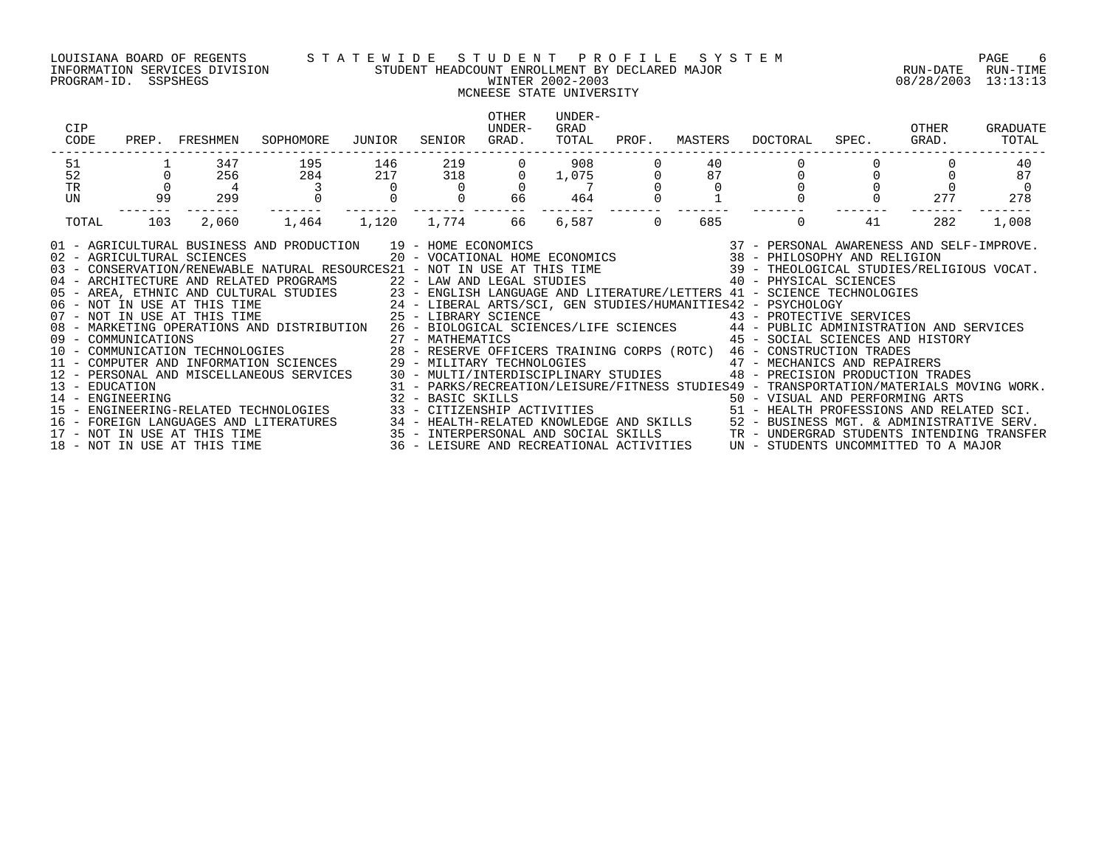### LOUISIANA BOARD OF REGENTS S T A T E W I D E S T U D E N T P R O F I L E S Y S T E M PAGE 6 INFORMATION SERVICES DIVISION STUDENT HEADCOUNT ENROLLMENT BY DECLARED MAJOR RUN-DATE RUN-TIME PROGRAM-ID. SSPSHEGS WINTER 2002-2003 08/28/2003 13:13:13

## MCNEESE STATE UNIVERSITY

| CIP<br>CODE<br>PREP.                                                                                                                                                                                                                                                                                                                                                                                                                                                                                                                                                                                                                                                                                                                                             | FRESHMEN                    | SOPHOMORE                         | JUNIOR                                                                                                                | SENIOR     | OTHER<br><b>UNDER-</b><br>GRAD.                                                                                | UNDER-<br>GRAD<br>TOTAL | PROF.    | MASTERS  | DOCTORAL                                                                                                                                                                                                                                                                                                                                                                                                                                                                                                                                                                                                                                                                                                                                                                                                                                                                | SPEC. | OTHER<br>GRAD. | GRADUATE<br>TOTAL |
|------------------------------------------------------------------------------------------------------------------------------------------------------------------------------------------------------------------------------------------------------------------------------------------------------------------------------------------------------------------------------------------------------------------------------------------------------------------------------------------------------------------------------------------------------------------------------------------------------------------------------------------------------------------------------------------------------------------------------------------------------------------|-----------------------------|-----------------------------------|-----------------------------------------------------------------------------------------------------------------------|------------|----------------------------------------------------------------------------------------------------------------|-------------------------|----------|----------|-------------------------------------------------------------------------------------------------------------------------------------------------------------------------------------------------------------------------------------------------------------------------------------------------------------------------------------------------------------------------------------------------------------------------------------------------------------------------------------------------------------------------------------------------------------------------------------------------------------------------------------------------------------------------------------------------------------------------------------------------------------------------------------------------------------------------------------------------------------------------|-------|----------------|-------------------|
| 51<br>52                                                                                                                                                                                                                                                                                                                                                                                                                                                                                                                                                                                                                                                                                                                                                         | 347<br>256                  | 195<br>284                        | 146<br>217                                                                                                            | 219<br>318 |                                                                                                                | 908<br>1,075            |          | 40<br>87 |                                                                                                                                                                                                                                                                                                                                                                                                                                                                                                                                                                                                                                                                                                                                                                                                                                                                         |       |                | 40<br>87          |
| TR<br>UN                                                                                                                                                                                                                                                                                                                                                                                                                                                                                                                                                                                                                                                                                                                                                         | $\overline{4}$<br>299<br>99 |                                   |                                                                                                                       |            | 66                                                                                                             | 464                     |          |          |                                                                                                                                                                                                                                                                                                                                                                                                                                                                                                                                                                                                                                                                                                                                                                                                                                                                         |       | 277            | $\Omega$<br>278   |
| TOTAL                                                                                                                                                                                                                                                                                                                                                                                                                                                                                                                                                                                                                                                                                                                                                            | 103<br>2,060                | 1,464                             | 1,120                                                                                                                 | 1,774      | 66                                                                                                             | 6,587                   | $\Omega$ | 685      | 0                                                                                                                                                                                                                                                                                                                                                                                                                                                                                                                                                                                                                                                                                                                                                                                                                                                                       | 41    | 282            | 1,008             |
| 01 - AGRICULTURAL BUSINESS AND PRODUCTION<br>02 - AGRICULTURAL SCIENCES<br>03 - CONSERVATION/RENEWABLE NATURAL RESOURCES21 - NOT IN USE AT THIS TIME<br>04 - ARCHITECTURE AND RELATED PROGRAMS<br>10 - PHYSICAL SUSAN COLTURAL STUDIES<br>105 - AREA, ETHNIC AND CULTURAL STUDIES<br>23 - ENGLISH LANGUAGE AND LITERATURE/LETTERS 41 - SCIENCE TE<br>24 - LIBERAL ARTS/SCI, GEN STUDIES/HUMANITIES42 - PSYCHOLOGY<br>25 - LIBERARY SCIEN<br>08 - MARKETING OPERATIONS AND DISTRIBUTION 26 - BIOLOGICAL SCIENCES/LIFE SCIENCES 44 - PUBLIC ADMINISTRATION AND SERVICES<br>12 - PERSONAL AND MISCELLANEOUS SERVICES<br>13 - EDUCATION<br>14 - ENGINEERING<br>15 - ENGINEERING-RELATED TECHNOLOGIES<br>17 - NOT IN USE AT THIS TIME<br>18 - NOT IN USE AT THIS TIME |                             | FOREIGN LANGUAGES AND LITERATURES | 35 - INTERPERSONAL AND SOCIAL SKILLS<br>35 - INTERPERSONAL AND SOCIAL SKILLS<br>36 - LEISURE AND RECREATIONAL ACTIVIT |            | 22 - LAW AND LEGAL STUDIES<br>30 - MULTI/INTERDISCIPLINARY STUDIES<br>36 - LEISURE AND RECREATIONAL ACTIVITIES |                         |          |          | 19 - HOME ECONOMICS                                 37 - PERSONAL AWARENESS AND SELF-IMPROVE.<br>20 - VOCATIONAL HOME ECONOMICS                 38 - PHILOSOPHY AND RELIGION<br>39 - THEOLOGICAL STUDIES/RELIGIOUS VOCAT.<br>40 - PHYSICAL SCIENCES<br>23 - ENGLISH LANGUAGE AND LITERATURE/LETTERS 41 - SCIENCE TECHNOLOGIES<br>43 - PROTECTIVE SERVICES<br>45 - SOCIAL SCIENCES AND HISTORY<br>47 - MECHANICS AND REPAIRERS<br>48 - PRECISION PRODUCTION TRADES<br>31 - PARKS/RECREATION/LEISURE/FITNESS STUDIES49 - TRANSPORTATION/MATERIALS MOVING WORK.<br>32 - BASIC SKILLS<br>33 - CITIZENSHIP ACTIVITIES                                   50 - HEALTH PROFESSIONS AND RELATED SCI.<br>34 - HEALTH-RELATED KNOWLEDGE AND SKILLS 52 - BUSINESS MGT. & ADMINISTRATIVE SERV.<br>TR - UNDERGRAD STUDENTS INTENDING TRANSFER<br>UN - STUDENTS UNCOMMITTED TO A MAJOR |       |                |                   |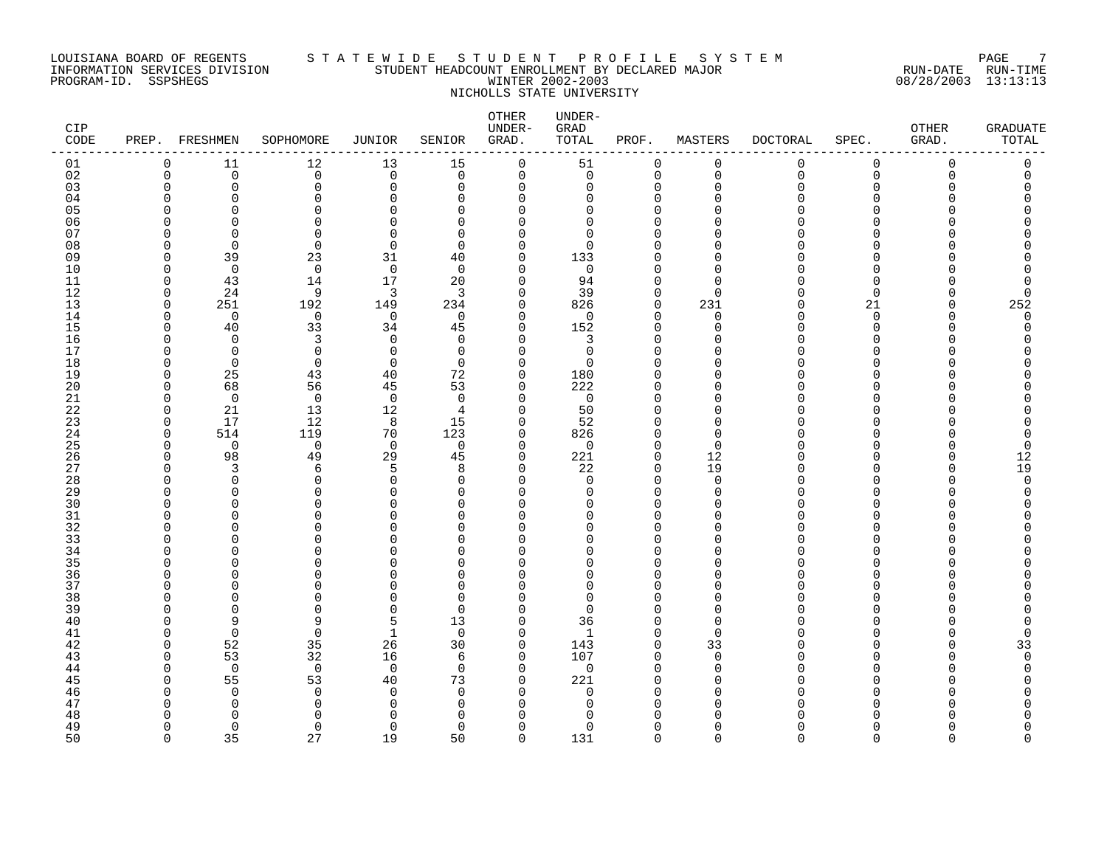### LOUISIANA BOARD OF REGENTS S T A T E W I D E S T U D E N T P R O F I L E S Y S T E M PAGE 7 INFORMATION SERVICES DIVISION STUDENT HEADCOUNT ENROLLMENT BY DECLARED MAJOR RUN-DATE RUN-TIME PROGRAM-ID. SSPSHEGS WINTER 2002-2003 08/28/2003 13:13:13 NICHOLLS STATE UNIVERSITY

| CIP<br>CODE | PREP. FRESHMEN       |                   | SOPHOMORE            | JUNIOR               | SENIOR         | OTHER<br>UNDER-<br>GRAD. | UNDER-<br>GRAD<br>TOTAL | PROF.                   | MASTERS              | <b>DOCTORAL</b> | SPEC.         | OTHER<br>GRAD. | GRADUATE<br>TOTAL |
|-------------|----------------------|-------------------|----------------------|----------------------|----------------|--------------------------|-------------------------|-------------------------|----------------------|-----------------|---------------|----------------|-------------------|
| 01          | $\mathbf 0$          | 11                | 12                   | 13                   | 15             | $\mathbf 0$              | 51                      | $\mathbf 0$             | $\mathbf 0$          | 0               | $\mathbf 0$   | 0              | 0                 |
| 02          | $\Omega$             | $\Omega$          | $\Omega$             | $\Omega$             | $\Omega$       | $\mathbf 0$              | $\Omega$                | $\Omega$                | $\mathbf 0$          | $\mathbf 0$     | $\Omega$      | $\Omega$       | $\Omega$          |
| 03          | $\mathbf 0$          | 0                 | $\mathbf 0$          | $\mathbf 0$          | $\Omega$       | $\Omega$                 | 0                       | $\Omega$                | $\mathbf 0$          | $\Omega$        | $\Omega$      |                | U                 |
| 04          | ∩                    | ∩<br>U            | $\Omega$<br>$\Omega$ | ∩                    | ∩<br>∩         | O<br>U                   | 0<br>U                  | ∩                       | ∩<br>$\cap$          | ∩               | ∩             |                | Λ                 |
| 05<br>06    | ∩                    | $\Omega$          | 0                    | $\Omega$             | $\Omega$       | O                        | $\Omega$                | $\Omega$                | ∩                    |                 | ∩             |                |                   |
| 07          |                      | ∩                 | $\Omega$             | ∩                    | $\Omega$       | O                        | $\Omega$                | $\Omega$                | ∩                    |                 |               |                |                   |
| 08          | $\Omega$             | $\Omega$          | $\mathbf 0$          | $\Omega$             | $\Omega$       | $\Omega$                 | $\Omega$                |                         | $\cap$               |                 | ∩             |                |                   |
| 09          | $\Omega$             | 39                | 23                   | 31                   | 40             | $\Omega$                 | 133                     |                         | $\cap$               |                 | ∩             |                |                   |
| 10          | $\Omega$             | $\mathbf 0$       | $\mathbf 0$          | $\overline{0}$       | $\Omega$       | $\Omega$                 | $\mathbf 0$             |                         | $\Omega$             |                 | $\Omega$      |                |                   |
| 11          | $\Omega$             | 43                | 14                   | 17                   | 20             | $\Omega$                 | 94                      | $\Omega$                | $\Omega$             | N               | ∩             |                | 0                 |
| 12          | $\Omega$             | 24                | 9                    | 3                    | 3              | $\Omega$                 | 39                      | $\Omega$                | $\Omega$             |                 | $\Omega$      |                | 0                 |
| 13          | 0                    | 251               | 192                  | 149                  | 234            | $\Omega$                 | 826                     | $\Omega$                | 231                  | $\Omega$        | 21            | O              | 252               |
| 14          | $\Omega$<br>$\Omega$ | $\mathbf 0$       | $\mathbf 0$          | $\mathbf 0$          | $\Omega$       | $\Omega$<br>$\Omega$     | $\Omega$                | $\Omega$<br>$\Omega$    | $\mathbf 0$          | O               | $\Omega$      |                | $\Omega$          |
| 15<br>16    | ∩                    | 40<br>$\Omega$    | 33<br>3              | 34<br>$\Omega$       | 45<br>$\Omega$ | U                        | 152<br>3                | $\Omega$                | $\Omega$<br>$\cap$   |                 | $\Omega$<br>∩ |                | O                 |
| 17          | $\Omega$             | $\Omega$          | $\mathbf 0$          | $\Omega$             | $\mathbf 0$    | $\Omega$                 | 0                       | $\Omega$                | $\Omega$             |                 | ∩             |                |                   |
| 18          | <sup>0</sup>         | $\Omega$          | $\mathbf 0$          | 0                    | $\Omega$       | $\Omega$                 | $\Omega$                |                         |                      |                 |               |                |                   |
| 19          | $\Omega$             | 25                | 43                   | 40                   | 72             | 0                        | 180                     |                         | $\cap$               |                 | ∩             |                |                   |
| 20          | ∩                    | 68                | 56                   | 45                   | 53             | $\Omega$                 | 222                     |                         | $\cap$               |                 |               |                |                   |
| 21          | $\Omega$             | $\Omega$          | $\overline{0}$       | $\Omega$             | $\Omega$       | $\Omega$                 | $\mathbf 0$             |                         | $\Omega$             |                 |               |                |                   |
| 22          | $\Omega$             | 21                | 13                   | 12                   | 4              | $\Omega$                 | 50                      | $\Omega$                | $\Omega$             |                 | ∩             |                |                   |
| 23          | $\Omega$             | 17                | 12                   | 8                    | 15             | $\Omega$                 | 52                      |                         | $\cap$               |                 |               |                |                   |
| 24          | 0                    | 514               | 119                  | 70                   | 123            | 0                        | 826                     | <sup>0</sup>            | 0                    |                 | ∩             |                | 0                 |
| 25<br>26    | $\Omega$<br>$\Omega$ | $\mathbf 0$<br>98 | $\mathbf 0$<br>49    | $\overline{0}$<br>29 | $\Omega$<br>45 | $\Omega$<br>0            | 0<br>221                | $\Omega$<br>$\mathbf 0$ | $\Omega$<br>12       |                 | $\Omega$      |                | $\Omega$<br>12    |
| 27          | ∩                    | 3                 | 6                    | 5                    | 8              | $\Omega$                 | 22                      | $\Omega$                | 19                   | ∩               | ∩             |                | 19                |
| 28          | $\Omega$             | ∩                 | $\Omega$             | $\Omega$             | $\Omega$       | U                        | $\Omega$                | $\Omega$                | $\Omega$             |                 |               |                | $\Omega$          |
| 29          | ∩                    | ∩                 | $\Omega$             | $\Omega$             | ∩              | O                        | $\Omega$                | $\Omega$                | $\Omega$             | ∩               | ∩             |                | U                 |
| 30          |                      | ∩                 | $\Omega$             | $\cap$               | ∩              | Λ                        | U                       |                         | $\cap$               |                 |               |                |                   |
| 31          | ∩                    | O                 | 0                    | O                    | O              | O                        | U                       | ∩                       | $\Omega$             |                 | O             |                |                   |
| 32          |                      | ∩                 | $\Omega$             | O                    | ∩              | U                        | U                       | ∩                       | $\Omega$             |                 | ∩             |                |                   |
| 33          | ∩                    | U                 | $\Omega$             | $\Omega$             | ∩              | U                        | U                       |                         | $\Omega$             |                 | ∩             |                |                   |
| 34          | ∩                    | ∩                 | $\Omega$             | $\cap$               | ∩              | O                        | U                       | $\Omega$                | $\Omega$             |                 | ∩             |                |                   |
| 35          | ∩                    | U<br>∩            | U                    | U                    | ∩<br>∩         | U<br>∩                   | U<br>U                  |                         | $\Omega$<br>$\Omega$ |                 | ∩             |                |                   |
| 36<br>37    | $\Omega$             |                   | $\Omega$<br>$\Omega$ | O                    | $\Omega$       | O                        | $\Omega$                |                         | $\Omega$             |                 |               |                |                   |
| 38          | ∩                    |                   | O                    | U                    | ∩              |                          | <sup>n</sup>            |                         | <sup>0</sup>         |                 |               |                |                   |
| 39          | ∩                    | ∩                 | $\Omega$             | $\Omega$             | $\Omega$       | $\Omega$                 | $\Omega$                |                         | $\Omega$             |                 |               |                |                   |
| 40          | ∩                    | 9                 | 9                    | 5                    | 13             | $\Omega$                 | 36                      | ∩                       | $\Omega$             |                 |               |                | O                 |
| 41          | $\Omega$             | $\Omega$          | $\mathbf 0$          | 1                    | $\Omega$       | $\Omega$                 | $\mathbf 1$             | $\Omega$                | $\Omega$             |                 |               |                | $\Omega$          |
| 42          | $\Omega$             | 52                | 35                   | 26                   | 30             | $\Omega$                 | 143                     | $\Omega$                | 33                   |                 | ∩             |                | 33                |
| 43          | $\Omega$             | 53                | 32                   | 16                   | 6              | $\Omega$                 | 107                     | $\Omega$                | $\mathbf 0$          |                 |               |                | U                 |
| 44          | $\Omega$             | $\mathbf 0$       | $\overline{0}$       | $\overline{0}$       | $\Omega$       | $\Omega$                 | $\mathbf 0$             | $\Omega$                | $\mathbf 0$          |                 |               |                |                   |
| 45          | ∩                    | 55                | 53                   | 40                   | 73             | 0                        | 221                     | <sup>0</sup>            | $\Omega$             |                 | n             |                |                   |
| 46          |                      | $\Omega$          | $\mathbf 0$          | $\Omega$             | $\Omega$       | $\Omega$                 | $\Omega$                |                         | $\Omega$             |                 |               |                |                   |
| 47          | ∩                    | O<br>∩            | 0<br>$\Omega$        | ∩<br>∩               | O<br>∩         | Λ                        | U                       |                         | $\Omega$             |                 |               |                |                   |
| 48<br>49    | $\Omega$             | $\Omega$          | $\Omega$             | $\Omega$             | $\Omega$       | O                        | $\Omega$                | $\Omega$                | $\Omega$             | U               | ∩             |                | O                 |
| 50          | $\Omega$             | 35                | 27                   | 19                   | 50             | $\Omega$                 | 131                     | $\cap$                  | $\cap$               | $\Omega$        | $\Omega$      | $\Omega$       | $\cap$            |
|             |                      |                   |                      |                      |                |                          |                         |                         |                      |                 |               |                |                   |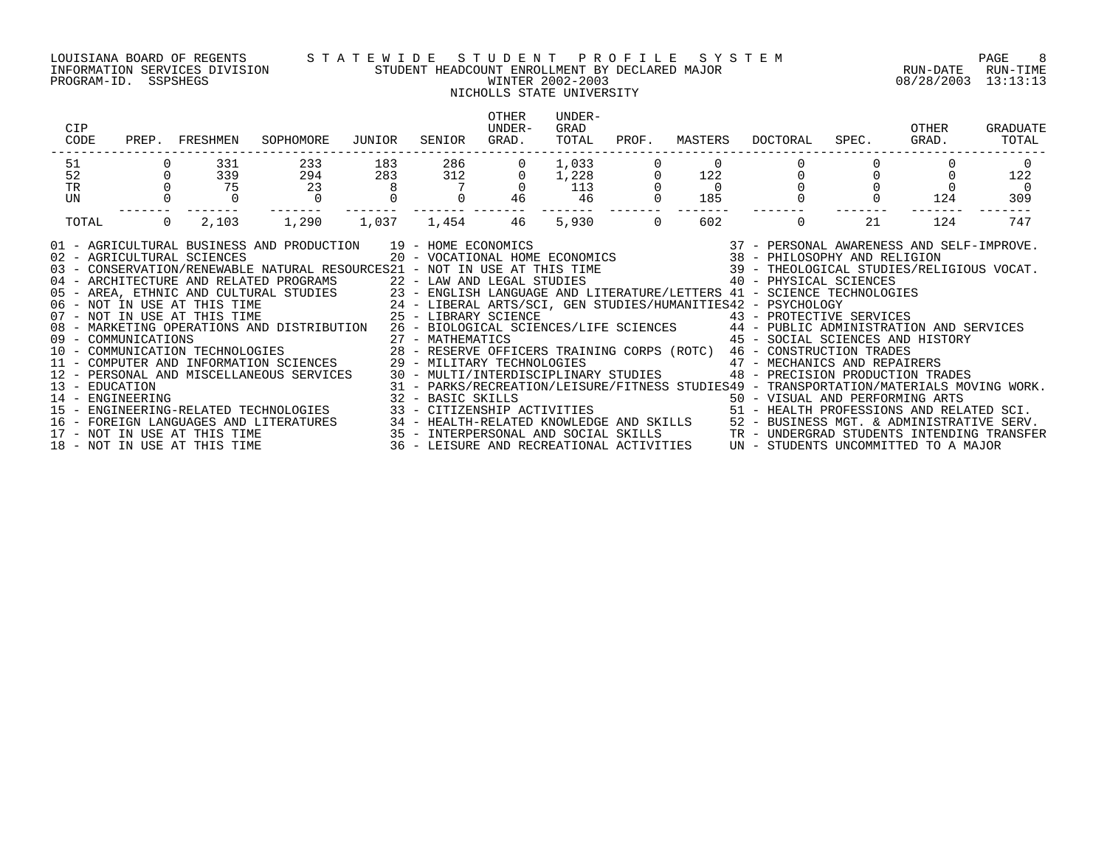### LOUISIANA BOARD OF REGENTS S T A T E W I D E S T U D E N T P R O F I L E S Y S T E M PAGE 8 INFORMATION SERVICES DIVISION STUDENT HEADCOUNT ENROLLMENT BY DECLARED MAJOR RUN-DATE RUN-TIME PROGRAM-ID. SSPSHEGS WINTER 2002-2003 08/28/2003 13:13:13

## NICHOLLS STATE UNIVERSITY

| CIP<br>CODE<br>PREP.                                                                                                                                                                                                                                                                                                                                                                                                                                                                                                                                                                                                                                                                                                                                    | FRESHMEN                | SOPHOMORE                                                                | JUNIOR   | SENIOR                                | OTHER<br><b>IJNDER-</b><br>GRAD.                                                                               | UNDER-<br>GRAD<br>TOTAL | PROF.    | MASTERS               | DOCTORAL                                                                                                                                                                                                                                                                                                                                                                                                                                                                                                                                                                                                                                                                                                                                                                                                                                                                                                                                                                                                                 | SPEC. | OTHER<br>GRAD. | GRADUATE<br>TOTAL     |
|---------------------------------------------------------------------------------------------------------------------------------------------------------------------------------------------------------------------------------------------------------------------------------------------------------------------------------------------------------------------------------------------------------------------------------------------------------------------------------------------------------------------------------------------------------------------------------------------------------------------------------------------------------------------------------------------------------------------------------------------------------|-------------------------|--------------------------------------------------------------------------|----------|---------------------------------------|----------------------------------------------------------------------------------------------------------------|-------------------------|----------|-----------------------|--------------------------------------------------------------------------------------------------------------------------------------------------------------------------------------------------------------------------------------------------------------------------------------------------------------------------------------------------------------------------------------------------------------------------------------------------------------------------------------------------------------------------------------------------------------------------------------------------------------------------------------------------------------------------------------------------------------------------------------------------------------------------------------------------------------------------------------------------------------------------------------------------------------------------------------------------------------------------------------------------------------------------|-------|----------------|-----------------------|
| 51<br>52                                                                                                                                                                                                                                                                                                                                                                                                                                                                                                                                                                                                                                                                                                                                                | 331                     | 233                                                                      | 183      | 286                                   | 0                                                                                                              | 1,033                   |          |                       |                                                                                                                                                                                                                                                                                                                                                                                                                                                                                                                                                                                                                                                                                                                                                                                                                                                                                                                                                                                                                          |       |                |                       |
| TR                                                                                                                                                                                                                                                                                                                                                                                                                                                                                                                                                                                                                                                                                                                                                      | 339<br>75               | 294<br>23                                                                | 283<br>8 | 312                                   | 0                                                                                                              | 1,228<br>113            |          | 122<br>$\overline{0}$ |                                                                                                                                                                                                                                                                                                                                                                                                                                                                                                                                                                                                                                                                                                                                                                                                                                                                                                                                                                                                                          |       |                | 122<br>$\overline{0}$ |
| UN                                                                                                                                                                                                                                                                                                                                                                                                                                                                                                                                                                                                                                                                                                                                                      |                         |                                                                          |          |                                       | 46                                                                                                             | 46                      |          | 185                   |                                                                                                                                                                                                                                                                                                                                                                                                                                                                                                                                                                                                                                                                                                                                                                                                                                                                                                                                                                                                                          |       | 124            | 309                   |
| TOTAL                                                                                                                                                                                                                                                                                                                                                                                                                                                                                                                                                                                                                                                                                                                                                   | $\overline{0}$<br>2,103 | 1,290                                                                    | 1,037    | 1,454                                 | 46                                                                                                             | 5,930                   | $\Omega$ | 602                   | $\Omega$                                                                                                                                                                                                                                                                                                                                                                                                                                                                                                                                                                                                                                                                                                                                                                                                                                                                                                                                                                                                                 | 21    | 124            | 747                   |
| 01 - AGRICULTURAL BUSINESS AND PRODUCTION 19 - HOME ECONOMICS<br>02 - AGRICULTURAL SCIENCES<br>03 - CONSERVATION/RENEWABLE NATURAL RESOURCES21 - NOT IN USE AT THIS TIME 39 - THEOLOGICAL STUDIES/RELIGIOUS VOCAT.<br>04 - ARCHITECTURE AND RELATED PROGRAMS<br>05 - AREA, ETHNIC AND CULTURAL STUDIES<br>06 - NOT IN USE AT THIS TIME 24 - LIBERAL ARTS/SCI, GEN STUDIES/HUMANITIES42 - PSYCHOLOGY<br>07 - NOT IN USE AT THIS TIME 25 - LIBERAL ARTS/SCI,<br>08 - MARKETING OPERATIONS AND DISTRIBUTION<br>09 - COMMUNICATIONS<br>10 - COMMUNICATION TECHNOLOGIES<br>11 - COMPUTER AND INFORMATION SCIENCES<br>$12 -$<br>13 - EDUCATION<br>14 - ENGINEERING<br>15 - ENGINEERING-RELATED TECHNOLOGIES<br>16 -<br>$17 -$<br>18 - NOT IN USE AT THIS TIME | NOT IN USE AT THIS TIME | PERSONAL AND MISCELLANEOUS SERVICES<br>FOREIGN LANGUAGES AND LITERATURES |          | 27 - MATHEMATICS<br>32 - BASIC SKILLS | 29 - MILITARY TECHNOLOGIES<br>30 - MULTI/INTERDISCIPLINARY STUDIES<br>36 - LEISURE AND RECREATIONAL ACTIVITIES |                         |          |                       | 19 - HOME ECONOMICS                               37 - PERSONAL AWARENESS AND SELF-IMPROVE.<br>20 - VOCATIONAL HOME ECONOMICS                 38 - PHILOSOPHY AND RELIGION<br>40 - PHYSICAL SCIENCES<br>23 - ENGLISH LANGUAGE AND LITERATURE/LETTERS 41 - SCIENCE TECHNOLOGIES<br>43 - PROTECTIVE SERVICES<br>26 - BIOLOGICAL SCIENCES/LIFE SCIENCES 44 - PUBLIC ADMINISTRATION AND SERVICES<br>45 - SOCIAL SCIENCES AND HISTORY<br>28 - RESERVE OFFICERS TRAINING CORPS (ROTC) 46 - CONSTRUCTION TRADES<br>47 - MECHANICS AND REPAIRERS<br>48 - PRECISION PRODUCTION TRADES<br>31 - PARKS/RECREATION/LEISURE/FITNESS STUDIES49 - TRANSPORTATION/MATERIALS MOVING WORK.<br>32 - BASIC SKILLS<br>33 - CITIZENSHIP ACTIVITIES                                 50 - HEALTH PROFESSIONS AND RELATED SCI.<br>34 - HEALTH-RELATED KNOWLEDGE AND SKILLS 52 - BUSINESS MGT. & ADMINISTRATIVE SERV.<br>35 - INTERPERSONAL AND SOCIAL SKILLS<br>TR - UNDERGRAD STUDENTS INTENDING TRANSFER<br>UN - STUDENTS UNCOMMITTED TO A MAJOR |       |                |                       |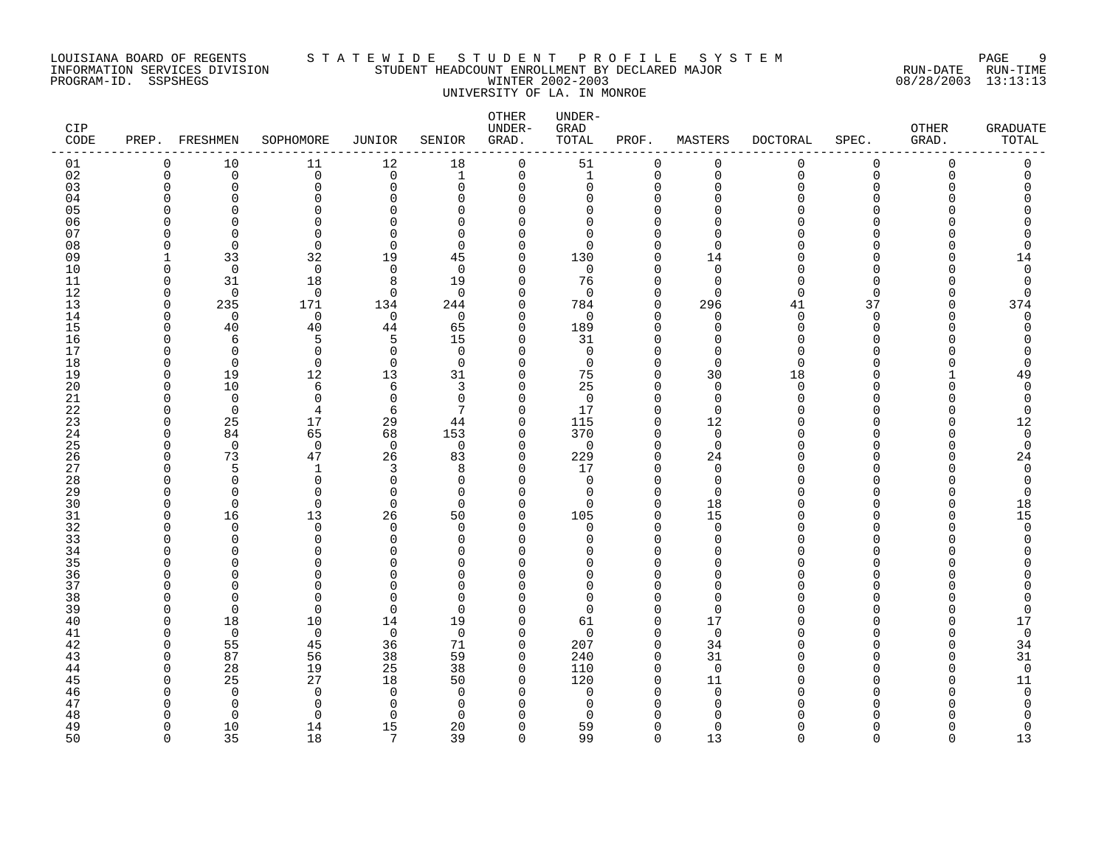### LOUISIANA BOARD OF REGENTS S T A T E W I D E S T U D E N T P R O F I L E S Y S T E M PAGE 9 INFORMATION SERVICES DIVISION STUDENT HEADCOUNT ENROLLMENT BY DECLARED MAJOR RUN-DATE RUN-TIME PROGRAM-ID. SSPSHEGS WINTER 2002-2003 08/28/2003 13:13:13 UNIVERSITY OF LA. IN MONROE

| CIP<br>CODE | PREP.    | FRESHMEN             | SOPHOMORE         | <b>JUNIOR</b>        | SENIOR               | OTHER<br>UNDER-<br>GRAD. | UNDER-<br>GRAD<br>TOTAL | PROF.                      | MASTERS                 | <b>DOCTORAL</b> | SPEC.         | OTHER<br>GRAD. | <b>GRADUATE</b><br>TOTAL   |
|-------------|----------|----------------------|-------------------|----------------------|----------------------|--------------------------|-------------------------|----------------------------|-------------------------|-----------------|---------------|----------------|----------------------------|
| 01          | 0        | 10                   | 11                | 12                   | 18                   | $\mathbf 0$              | 51                      | $\mathbf 0$                | 0                       | 0               | 0             | $\mathbf 0$    | $\mathsf 0$                |
| 02          | $\Omega$ | $\mathbf 0$          | 0                 | $\overline{0}$       | $\mathbf{1}$         | $\mathbf 0$              | $\mathbf{1}$            | $\mathbf 0$                | $\Omega$                | $\Omega$        | $\Omega$      | $\Omega$       | $\mathbf 0$                |
| 03          | O        | $\Omega$             | 0                 | $\Omega$             | $\Omega$             | 0                        | 0                       | $\Omega$                   | $\Omega$                | U               | $\Omega$      |                |                            |
| 04          |          | O                    | $\Omega$          | $\Omega$             | $\Omega$             | 0                        | 0                       | 0                          | ∩                       |                 | U             |                |                            |
| 05          |          |                      | $\Omega$          | $\sqrt{ }$           | $\Omega$             | $\Omega$                 | 0                       | $\Omega$                   |                         |                 | U             |                |                            |
| 06          |          | U                    | $\Omega$          | $\Omega$             | $\Omega$             | 0                        | 0                       | $\Omega$                   |                         |                 | U             |                |                            |
| 07          |          | $\cap$               | $\Omega$          | $\Omega$             | $\Omega$<br>$\Omega$ | $\Omega$                 | $\Omega$<br>$\Omega$    | $\Omega$<br>$\Omega$       | ∩<br>$\Omega$           |                 | U<br>$\Omega$ |                |                            |
| 08<br>09    |          | $\Omega$<br>33       | $\Omega$<br>32    | $\Omega$<br>19       | 45                   | $\Omega$<br>0            | 130                     | 0                          | 14                      |                 | O             |                |                            |
| 10          |          | $\overline{0}$       | $\mathbf 0$       | $\mathbf 0$          | $\Omega$             | $\Omega$                 | 0                       | $\Omega$                   | $\Omega$                |                 | U             |                | 14<br>$\mathbf 0$          |
| 11          | ∩        | 31                   | 18                | 8                    | 19                   | 0                        | 76                      | $\Omega$                   | $\Omega$                |                 | $\Omega$      |                | 0                          |
| 12          |          | $\Omega$             | $\Omega$          | $\Omega$             | $\Omega$             | $\Omega$                 | $\Omega$                | $\Omega$                   | $\Omega$                | U               | $\Omega$      |                | $\mathbf 0$                |
| 13          | O        | 235                  | 171               | 134                  | 244                  | $\Omega$                 | 784                     | $\mathbf 0$                | 296                     | 41              | 37            | O              | 374                        |
| 14          | ∩        | $\Omega$             | $\mathbf 0$       | $\overline{0}$       | $\Omega$             | $\Omega$                 | $\mathbf 0$             | $\Omega$                   | $\Omega$                | $\Omega$        | $\Omega$      | U              | $\Omega$                   |
| 15          |          | 40                   | 40                | 44                   | 65                   | 0                        | 189                     | $\Omega$                   | $\Omega$                | O               | $\Omega$      |                | 0                          |
| 16          |          | 6                    | 5                 | 5                    | 15                   | 0                        | 31                      | $\Omega$                   | $\Omega$                | U               | U             |                |                            |
| 17          |          | $\Omega$             | 0                 | $\mathbf 0$          | $\Omega$             | 0                        | $\mathbf 0$             | $\Omega$                   | $\Omega$                | U               | O             |                | O                          |
| 18          |          | 0                    | $\mathbf 0$       | $\mathbf 0$          | $\overline{0}$       | $\Omega$                 | $\mathbf 0$             | $\Omega$                   | $\Omega$                | U               | O             |                | $\Omega$                   |
| 19          |          | 19                   | 12                | 13                   | 31                   | 0                        | 75                      | $\Omega$                   | 30                      | 18              | $\Omega$      |                | 49                         |
| 20          |          | 10                   | 6                 | 6                    | 3                    | $\Omega$                 | 25                      | $\Omega$                   | $\Omega$                | $\Omega$        | U             |                | $\Omega$                   |
| 21          |          | $\Omega$             | $\mathbf 0$       | $\mathbf 0$          | $\Omega$             | $\Omega$                 | 0                       | $\Omega$                   | $\Omega$                | U               | U             |                | $\Omega$                   |
| 22          |          | 0                    | 4                 | 6                    | 7                    | 0                        | 17                      | 0                          | $\Omega$                |                 | O             |                | 0                          |
| 23          |          | 25                   | 17                | 29                   | 44                   | $\Omega$                 | 115                     | $\Omega$                   | 12                      |                 | U<br>U        |                | 12                         |
| 24          |          | 84<br>$\mathbf 0$    | 65<br>$\mathbf 0$ | 68<br>$\overline{0}$ | 153<br>$\Omega$      | 0<br>$\Omega$            | 370<br>$\mathbf 0$      | $\mathbf 0$<br>$\Omega$    | $\mathbf 0$<br>$\Omega$ |                 | U             |                | $\mathbf 0$<br>$\mathbf 0$ |
| 25<br>26    |          | 73                   | 47                | 26                   | 83                   | $\Omega$                 | 229                     | $\Omega$                   | 24                      |                 | $\Omega$      |                | 24                         |
| 27          |          | 5                    | 1                 | 3                    | 8                    | 0                        | 17                      | 0                          | 0                       |                 | U             |                | $\mathbf 0$                |
| 28          |          | $\Omega$             | 0                 | $\mathbf 0$          | $\Omega$             | $\Omega$                 | $\mathbf 0$             | $\Omega$                   | $\Omega$                |                 | U             |                | 0                          |
| 29          |          | $\Omega$             | 0                 | $\mathbf 0$          | 0                    | 0                        | 0                       | $\Omega$                   | $\Omega$                |                 | U             |                | 0                          |
| 30          |          | $\Omega$             | $\Omega$          | $\Omega$             | $\Omega$             | $\Omega$                 | $\Omega$                | $\Omega$                   | 18                      |                 | U             |                | 18                         |
| 31          |          | 16                   | 13                | 26                   | 50                   | $\Omega$                 | 105                     | $\Omega$                   | 15                      |                 | U             | U              | 15                         |
| 32          |          | $\Omega$             | $\Omega$          | $\Omega$             | $\Omega$             | $\Omega$                 | 0                       | $\Omega$                   | $\Omega$                |                 | U             |                | $\Omega$                   |
| 33          |          | $\Omega$             | 0                 | 0                    | $\Omega$             | $\Omega$                 | 0                       | $\Omega$                   | $\Omega$                |                 | U             |                | 0                          |
| 34          |          | O                    | $\Omega$          | $\Omega$             | 0                    | $\Omega$                 | O                       | $\Omega$                   | $\Omega$                |                 | U             |                |                            |
| 35          |          |                      | O                 | C                    | $\Omega$             | $\Omega$                 | O                       | $\Omega$                   |                         |                 | U             |                |                            |
| 36          |          | U                    | $\Omega$          | $\Omega$             | $\Omega$             | $\Omega$                 | 0                       | $\Omega$                   | ∩                       |                 | O             |                |                            |
| 37          |          | U                    | $\Omega$          | $\Omega$             | $\Omega$             | $\Omega$                 | $\Omega$                | $\Omega$                   | $\Omega$                |                 | $\cap$        |                |                            |
| 38          |          | $\cap$               | $\Omega$          | $\Omega$             | $\Omega$             | $\Omega$                 | $\Omega$                | $\Omega$                   | ∩                       |                 | U             |                |                            |
| 39          |          | 0                    | 0                 | $\mathbf 0$          | $\Omega$             | 0                        | 0                       | $\mathbf 0$                | $\Omega$                |                 | U<br>U        |                | $\Omega$                   |
| 40<br>41    |          | 18<br>$\overline{0}$ | 10<br>0           | 14<br>$\overline{0}$ | 19<br>$\overline{0}$ | 0<br>0                   | 61<br>$\mathbf 0$       | $\mathbf 0$<br>$\mathbf 0$ | 17<br>$\mathbf 0$       |                 | U             |                | 17<br>$\mathbf 0$          |
| 42          |          | 55                   | 45                | 36                   | 71                   | 0                        | 207                     | $\mathbf 0$                | 34                      |                 | U             |                | 34                         |
| 43          |          | 87                   | 56                | 38                   | 59                   | $\Omega$                 | 240                     | $\Omega$                   | 31                      |                 | U             |                | 31                         |
| 44          |          | 28                   | 19                | 25                   | 38                   | $\Omega$                 | 110                     | $\Omega$                   | $\Omega$                |                 | U             |                | $\overline{0}$             |
| 45          |          | 25                   | 27                | 18                   | 50                   | 0                        | 120                     | 0                          | 11                      |                 | O             |                | 11                         |
| 46          |          | $\Omega$             | $\mathbf 0$       | $\Omega$             | $\Omega$             | $\Omega$                 | 0                       | $\Omega$                   | $\mathbf 0$             |                 | U             |                | $\mathbf 0$                |
| 47          |          | $\Omega$             | 0                 | $\Omega$             | 0                    | $\Omega$                 | 0                       | $\Omega$                   | $\Omega$                |                 | U             |                | 0                          |
| 48          |          | $\Omega$             | $\Omega$          | $\Omega$             | $\Omega$             | ∩                        | ∩                       | U                          | ∩                       |                 |               |                |                            |
| 49          | ∩        | 10                   | 14                | 15                   | 20                   | $\Omega$                 | 59                      | $\Omega$                   | $\Omega$                |                 | O             |                | 0                          |
| 50          | $\cap$   | 35                   | 18                | 7                    | 39                   | $\Omega$                 | 99                      | $\Omega$                   | 13                      | $\cap$          | $\cap$        | $\cap$         | 13                         |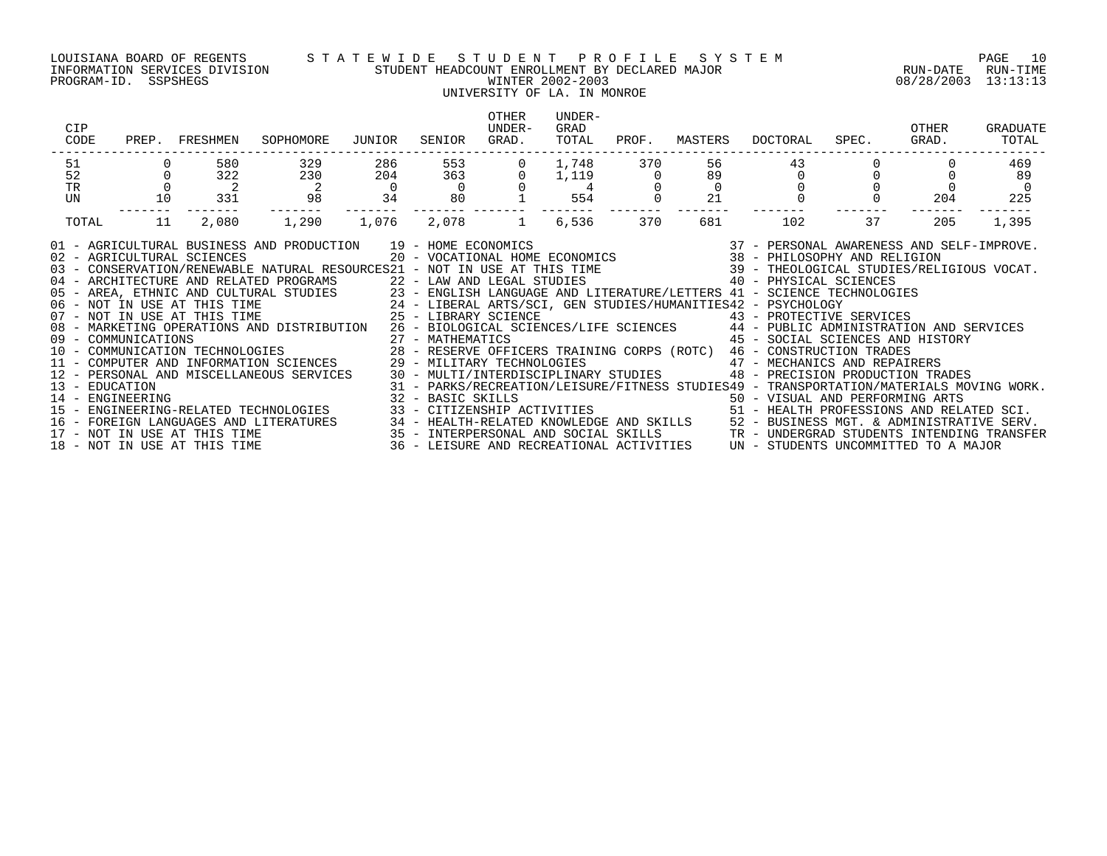### LOUISIANA BOARD OF REGENTS S T A T E W I D E S T U D E N T P R O F I L E S Y S T E M PAGE 10 INFORMATION SERVICES DIVISION STUDENT HEADCOUNT ENROLLMENT BY DECLARED MAJOR RUN-DATE RUN-TIME PROGRAM-ID. SSPSHEGS WINTER 2002-2003 08/28/2003 13:13:13

## UNIVERSITY OF LA. IN MONROE

| CIP<br>CODE<br>PREP.                                                                                                                                                                                                                                                                                                                                                                                                                                                                                                                                                                                                                                                                                                                                                                                                                                                                                                                                                                                                                                                                                                                                                                                                                                                                                                                                                                                                                                                                                                                                                                                                                                                                                                                                                       | FRESHMEN                   | SOPHOMORE                | JUNIOR         | SENIOR         | <b>OTHER</b><br>UNDER-<br>GRAD. | UNDER-<br>GRAD<br>TOTAL | PROF.                 | MASTERS  | DOCTORAL | SPEC. | OTHER<br>GRAD. | GRADUATE<br>TOTAL |
|----------------------------------------------------------------------------------------------------------------------------------------------------------------------------------------------------------------------------------------------------------------------------------------------------------------------------------------------------------------------------------------------------------------------------------------------------------------------------------------------------------------------------------------------------------------------------------------------------------------------------------------------------------------------------------------------------------------------------------------------------------------------------------------------------------------------------------------------------------------------------------------------------------------------------------------------------------------------------------------------------------------------------------------------------------------------------------------------------------------------------------------------------------------------------------------------------------------------------------------------------------------------------------------------------------------------------------------------------------------------------------------------------------------------------------------------------------------------------------------------------------------------------------------------------------------------------------------------------------------------------------------------------------------------------------------------------------------------------------------------------------------------------|----------------------------|--------------------------|----------------|----------------|---------------------------------|-------------------------|-----------------------|----------|----------|-------|----------------|-------------------|
| 51<br>52                                                                                                                                                                                                                                                                                                                                                                                                                                                                                                                                                                                                                                                                                                                                                                                                                                                                                                                                                                                                                                                                                                                                                                                                                                                                                                                                                                                                                                                                                                                                                                                                                                                                                                                                                                   | 580<br>322                 | 329<br>230               | 286<br>204     | 553<br>363     |                                 | 1,748<br>1,119          | 370<br>$\overline{0}$ | 56<br>89 | 43       |       |                | 469<br>89         |
| $\Omega$<br>TR                                                                                                                                                                                                                                                                                                                                                                                                                                                                                                                                                                                                                                                                                                                                                                                                                                                                                                                                                                                                                                                                                                                                                                                                                                                                                                                                                                                                                                                                                                                                                                                                                                                                                                                                                             | $\overline{\phantom{a}}^2$ | $\overline{\phantom{a}}$ | $\overline{0}$ | $\overline{0}$ |                                 | 4                       |                       | $\Omega$ |          |       |                | $\overline{0}$    |
| UN<br>10                                                                                                                                                                                                                                                                                                                                                                                                                                                                                                                                                                                                                                                                                                                                                                                                                                                                                                                                                                                                                                                                                                                                                                                                                                                                                                                                                                                                                                                                                                                                                                                                                                                                                                                                                                   | 331                        | 98                       | 34             | 80             |                                 | 554                     |                       | 21       |          |       | 204            | 225               |
| 11<br>TOTAL                                                                                                                                                                                                                                                                                                                                                                                                                                                                                                                                                                                                                                                                                                                                                                                                                                                                                                                                                                                                                                                                                                                                                                                                                                                                                                                                                                                                                                                                                                                                                                                                                                                                                                                                                                | 2,080                      | 1,290                    | 1,076          | 2,078          | 1 6,536                         |                         | 370                   | 681      | 102      | 37    | 205            | 1,395             |
| 19 - HOME ECONOMICS                                 37 - PERSONAL AWARENESS AND SELF-IMPROVE.<br>20 - VOCATIONAL HOME ECONOMICS                 38 - PHILOSOPHY AND RELIGION<br>01 - AGRICULTURAL BUSINESS AND PRODUCTION 19 - HOME ECONOMICS<br>02 - AGRICULTURAL SCIENCES<br>03 - CONSERVATION/RENEWABLE NATURAL RESOURCES21 - NOT IN USE AT THIS TIME 39 - THEOLOGICAL STUDIES/RELIGIOUS VOCAT.<br>04 - ARCHITECTURE AND RELATED PROGRAMS<br>22 - LAW AND LEGAL STUDIES<br>23 - ENGLISH LANGUAGE AND LITERATURE/LETTERS 41 - SCIENCE TECHNOLOGIES<br>24 - LIBERAL ARTS/SCI, GEN STUDIES/HUMANITIES42 - PSYCHOLOGY<br>25 - LIBERARY SCIENC<br>08 - MARKETING OPERATIONS AND DISTRIBUTION 26 - BIOLOGICAL SCIENCES/LIFE SCIENCES 44 - PUBLIC ADMINISTRATION AND SERVICES<br>45 - SOCIAL SCIENCES AND HISTORY<br>09 - COMMUNICATIONS<br>10 - COMMUNICATIONS 10 - COMMUNICATION TECHNOLOGIES<br>10 - COMMUNICATION TECHNOLOGIES 28 - RESERVE OFFICERS TRAINING CORPS (ROTC) 46 - CONSTRUCTION TRADES<br>11 - COMPUTER AND INFORMATION SCIENCES<br>47 - MECHANICS AND REPAIRERS<br>29 - MILITARY TECHNOLOGIES<br>30 - MULTI/INTERDISCIPLINARY STUDIES 48 - PRECISION PRODUCTION TRADES<br>12 - PERSONAL AND MISCELLANEOUS SERVICES<br>31 - PARKS/RECREATION/LEISURE/FITNESS STUDIES49 - TRANSPORTATION/MATERIALS MOVING WORK.<br>13 - EDUCATION<br>14 - ENGINEERING<br>32 - BASIC SKILLS<br>33 - CITIZENSHIP ACTIVITIES                                 50 - HEALTH PROFESSIONS AND RELATED SCI.<br>15 - ENGINEERING-RELATED TECHNOLOGIES<br>FOREIGN LANGUAGES AND LITERATURES<br>----- 1991)<br>35 - INTERPERSONAL AND SOCIAL SKILLS (SECTRE PUSINESS MGT. & ADMINISTRATIVE SERV.<br>36 - LEISURE AND RECREATIONAL ACTIVITIES (SECTRE PRESSONAL STUDENTS INTENDING TRANSFER |                            |                          |                |                |                                 |                         |                       |          |          |       |                |                   |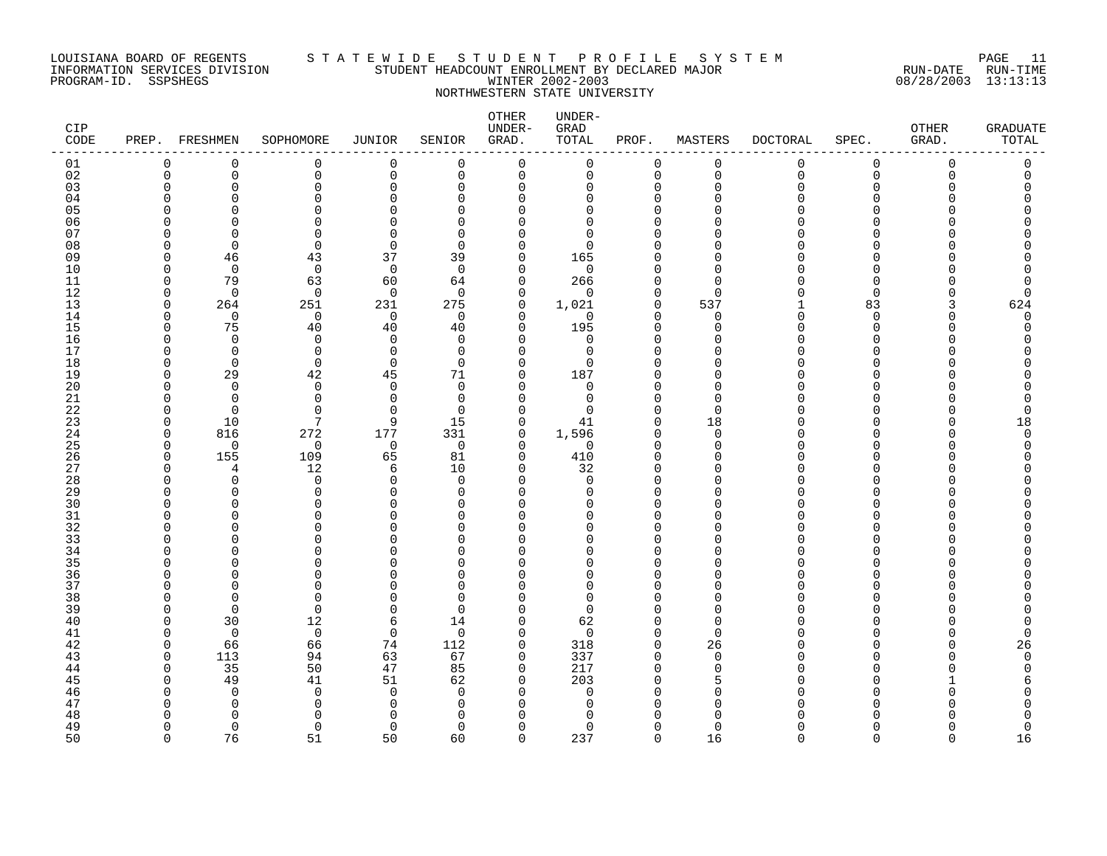### LOUISIANA BOARD OF REGENTS S T A T E W I D E S T U D E N T P R O F I L E S Y S T E M PAGE 11 INFORMATION SERVICES DIVISION STUDENT HEADCOUNT ENROLLMENT BY DECLARED MAJOR RUN-DATE RUN-TIME PROGRAM-ID. SSPSHEGS WINTER 2002-2003 08/28/2003 13:13:13 NORTHWESTERN STATE UNIVERSITY

| <b>CIP</b><br>CODE |                          | PREP. FRESHMEN       | SOPHOMORE            | <b>JUNIOR</b>   | SENIOR               | OTHER<br>UNDER-<br>GRAD. | UNDER-<br>GRAD<br>TOTAL | PROF.                   | MASTERS                 | <b>DOCTORAL</b> | SPEC.                   | OTHER<br>GRAD. | <b>GRADUATE</b><br>TOTAL |
|--------------------|--------------------------|----------------------|----------------------|-----------------|----------------------|--------------------------|-------------------------|-------------------------|-------------------------|-----------------|-------------------------|----------------|--------------------------|
| 01                 | $\Omega$                 | $\Omega$             | 0                    | $\Omega$        | $\overline{0}$       | $\mathbf 0$              | 0                       | $\mathbf 0$             | $\mathbf 0$             | 0               | $\mathbf 0$             | $\Omega$       | 0                        |
| 02                 | $\mathbf 0$              | $\mathbf 0$          | $\mathbf 0$          | 0               | $\mathsf 0$          | $\mathsf 0$              | 0                       | $\mathbf{0}$            | $\mathbf 0$             | $\mathbf 0$     | $\mathbf 0$<br>$\Omega$ | $\Omega$       | 0                        |
| 03<br>04           | $\Omega$                 | $\Omega$<br>O        | $\Omega$<br>$\Omega$ | 0<br>∩          | $\Omega$<br>$\Omega$ | 0<br>$\Omega$            | 0<br>U                  | $\Omega$<br>$\Omega$    | $\mathbf 0$<br>$\Omega$ | O               | ∩                       |                |                          |
| 05                 |                          | ∩                    | $\Omega$             |                 | $\cap$               | $\Omega$                 | O                       | ∩                       | ∩                       |                 | ∩                       |                |                          |
| 06                 |                          | ∩                    | $\Omega$             |                 | $\Omega$             | $\Omega$                 | $\Omega$                |                         | $\cap$                  |                 |                         |                |                          |
| 07                 |                          | ∩                    | $\Omega$             | ∩               | $\Omega$             | $\Omega$                 | $\Omega$                |                         | $\cap$                  |                 |                         |                |                          |
| 08                 |                          | $\Omega$             | $\Omega$             | $\Omega$        | $\Omega$             | 0                        | ∩                       |                         | ∩                       |                 | ∩                       |                |                          |
| 09                 | O                        | 46                   | 43                   | 37              | 39                   | 0                        | 165                     |                         | <sup>0</sup>            |                 | ∩                       |                |                          |
| 10                 | ∩                        | $\Omega$             | $\mathbf 0$          | $\mathbf 0$     | $\Omega$             | $\mathbf 0$              | $\mathbf 0$             |                         | $\Omega$                |                 | ∩                       |                |                          |
| 11                 | <sup>0</sup>             | 79                   | 63                   | 60              | 64                   | $\mathbf 0$              | 266                     | O                       | $\Omega$                |                 | ∩<br>∩                  |                | O                        |
| 12<br>13           | <sup>0</sup><br>$\Omega$ | $\Omega$<br>264      | $\Omega$<br>251      | $\Omega$<br>231 | $\Omega$<br>275      | $\Omega$<br>0            | $\Omega$<br>1,021       | $\Omega$<br>$\mathbf 0$ | $\Omega$<br>537         |                 | 83                      | 3              | O<br>624                 |
| 14                 | U                        | 0                    | 0                    | 0               | 0                    | $\mathbf 0$              | 0                       | $\Omega$                | 0                       | ∩               | $\Omega$                |                | $\Omega$                 |
| 15                 | O                        | 75                   | 40                   | 40              | 40                   | $\Omega$                 | 195                     | $\Omega$                | $\Omega$                |                 | $\Omega$                |                | O                        |
| 16                 | ∩                        | $\Omega$             | $\Omega$             | $\Omega$        | $\Omega$             | 0                        | 0                       | $\cap$                  | $\Omega$                |                 | ∩                       |                |                          |
| 17                 |                          | $\Omega$             | $\Omega$             | $\Omega$        | $\Omega$             | $\Omega$                 | $\Omega$                | $\Omega$                | $\Omega$                |                 | ∩                       |                |                          |
| 18                 | O                        | $\mathbf 0$          | $\mathbf 0$          | $\mathbf 0$     | $\Omega$             | 0                        | 0                       | O                       | $\Omega$                |                 | $\Omega$                |                |                          |
| 19                 | ∩                        | 29                   | 42                   | 45              | 71                   | 0                        | 187                     |                         | O                       |                 | ∩                       |                |                          |
| 20                 | N                        | $\Omega$             | $\mathbf 0$          | $\Omega$        | 0                    | 0                        | 0                       |                         | $\Omega$                |                 | ∩                       |                |                          |
| 21<br>22           | O<br>U                   | $\Omega$<br>$\Omega$ | $\Omega$<br>$\Omega$ | ∩<br>∩          | $\Omega$<br>$\Omega$ | $\Omega$<br>0            | $\Omega$<br>$\Omega$    | O<br>$\Omega$           | $\Omega$<br>$\Omega$    |                 | ∩<br>∩                  |                | O<br>$\Omega$            |
| 23                 | <sup>n</sup>             | 10                   | 7                    | 9               | 15                   | $\mathbf 0$              | 41                      | $\Omega$                | 18                      |                 | ∩                       |                | 18                       |
| 24                 | O                        | 816                  | 272                  | 177             | 331                  | 0                        | 1,596                   | $\Omega$                | $\mathbf 0$             |                 | ∩                       |                | $\Omega$                 |
| 25                 | O                        | $\Omega$             | 0                    | 0               | $\Omega$             | 0                        | 0                       | ∩                       | 0                       |                 | ∩                       |                | O                        |
| 26                 | $\Omega$                 | 155                  | 109                  | 65              | 81                   | $\mathbf 0$              | 410                     | $\Omega$                | $\Omega$                |                 | ∩                       |                |                          |
| 27                 | ∩                        | 4                    | 12                   | 6               | 10                   | $\mathbf 0$              | 32                      | $\Omega$                | $\Omega$                |                 | ∩                       |                |                          |
| 28                 | C                        | $\Omega$             | $\Omega$             | $\Omega$        | $\Omega$             | $\Omega$                 | $\Omega$                |                         | $\cap$                  |                 | ∩                       |                |                          |
| 29                 | ∩                        | $\Omega$             | $\mathbf 0$          | $\Omega$        | 0<br>$\cap$          | 0                        | 0                       | O                       | $\Omega$                |                 | ∩                       |                |                          |
| 30<br>31           | O                        | n<br>O               | ∩<br>$\Omega$        | ∩<br>U          | $\Omega$             | $\Omega$<br>$\Omega$     | U<br>O                  | O                       | ∩<br>$\Omega$           |                 | O                       |                |                          |
| 32                 |                          | ∩                    | $\Omega$             |                 | $\Omega$             | $\Omega$                 | U                       | ∩                       | $\Omega$                |                 | ∩                       |                |                          |
| 33                 |                          | ∩                    | $\Omega$             |                 | $\Omega$             | $\Omega$                 | U                       |                         | $\Omega$                |                 | ∩                       |                |                          |
| 34                 |                          | ∩                    | $\Omega$             |                 | $\cap$               | $\Omega$                 | U                       | $\cap$                  | $\Omega$                |                 | ∩                       |                |                          |
| 35                 |                          |                      | O                    |                 | ∩                    | $\Omega$                 | U                       |                         | $\Omega$                |                 | ∩                       |                |                          |
| 36                 | O                        | ∩                    | $\Omega$             |                 | ∩                    | $\Omega$                 | O                       | ∩                       | $\Omega$                |                 | O                       |                |                          |
| 37                 |                          |                      | $\Omega$             |                 | $\Omega$             | $\Omega$                 | $\Omega$                |                         | $\Omega$                |                 | ∩                       |                |                          |
| 38<br>39           | ∩<br>∩                   | ∩<br>$\Omega$        | $\Omega$<br>$\Omega$ | ∩               | $\Omega$<br>$\Omega$ | $\Omega$<br>0            | $\Omega$<br>$\Omega$    |                         | $\Omega$<br>$\Omega$    |                 | ∩<br>∩                  |                |                          |
| 40                 | O                        | 30                   | 12                   | 6               | 14                   | $\mathbf 0$              | 62                      | O                       | $\mathbf 0$             |                 |                         |                |                          |
| 41                 | ∩                        | $\Omega$             | 0                    | 0               | $\Omega$             | 0                        | $\mathbf 0$             | $\Omega$                | $\Omega$                |                 | ∩                       |                | $\Omega$                 |
| 42                 | O                        | 66                   | 66                   | 74              | 112                  | 0                        | 318                     | $\Omega$                | 26                      |                 | ∩                       |                | 26                       |
| 43                 | <sup>n</sup>             | 113                  | 94                   | 63              | 67                   | $\mathbf 0$              | 337                     | $\cap$                  | $\mathbf 0$             |                 |                         |                | $\Omega$                 |
| 44                 | O                        | 35                   | 50                   | 47              | 85                   | $\mathbf 0$              | 217                     | $\Omega$                | $\Omega$                |                 | ∩                       |                |                          |
| 45                 | ∩                        | 49                   | 41                   | 51              | 62                   | 0                        | 203                     |                         |                         |                 | ∩                       |                |                          |
| 46                 |                          | $\Omega$             | $\mathbf 0$          | $\Omega$        | $\Omega$             | 0                        | $\Omega$                |                         | O                       |                 | ∩                       |                |                          |
| 47<br>48           | n                        | O<br>∩               | $\Omega$<br>$\Omega$ |                 | $\Omega$<br>$\cap$   | $\Omega$<br>∩            | O<br>∩                  |                         | $\Omega$                |                 |                         |                |                          |
| 49                 | U                        | $\Omega$             | $\Omega$             | $\Omega$        | $\Omega$             | 0                        | $\Omega$                | $\Omega$                | $\Omega$                |                 | ∩                       |                | $\Omega$                 |
| 50                 | $\cap$                   | 76                   | 51                   | 50              | 60                   | $\Omega$                 | 237                     | $\Omega$                | 16                      | $\Omega$        | $\Omega$                | $\Omega$       | 16                       |
|                    |                          |                      |                      |                 |                      |                          |                         |                         |                         |                 |                         |                |                          |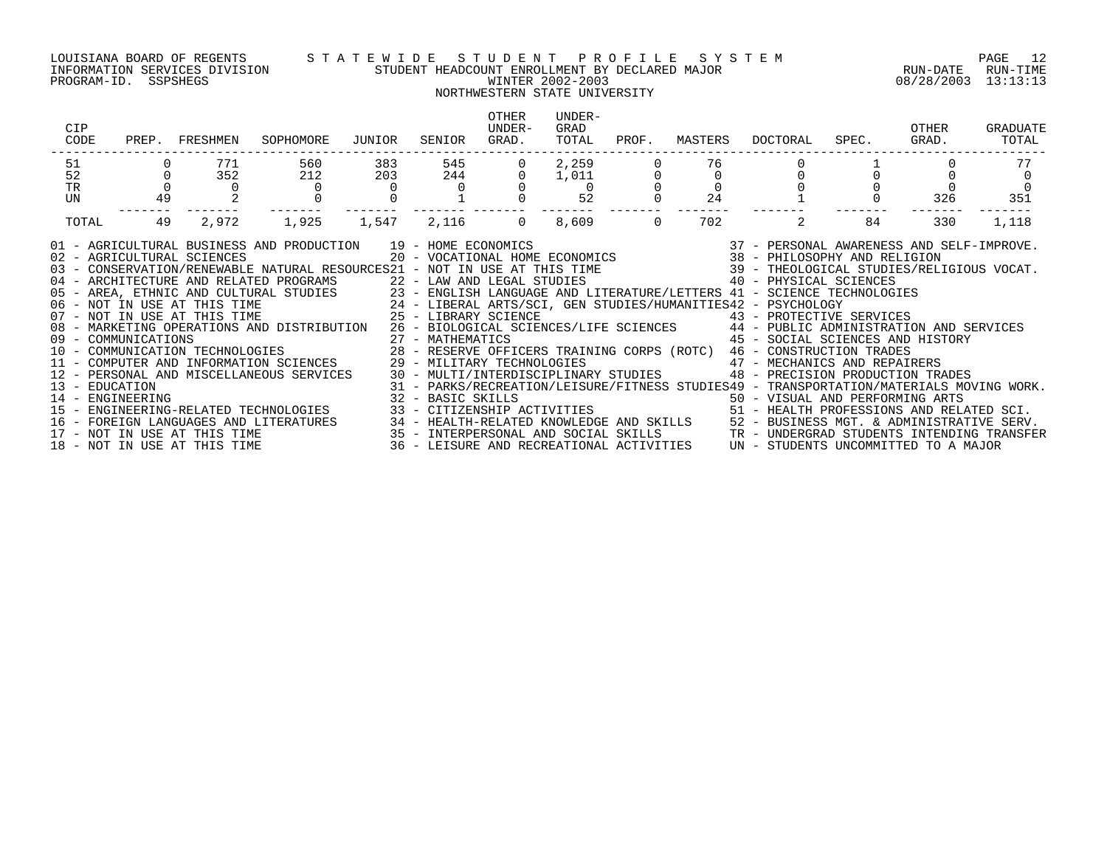PROGRAM-ID. SSPSHEGS WINTER 2002-2003 08/28/2003 13:13:13

### LOUISIANA BOARD OF REGENTS S T A T E W I D E S T U D E N T P R O F I L E S Y S T E M PAGE 12 INFORMATION SERVICES DIVISION STUDENT HEADCOUNT ENROLLMENT BY DECLARED MAJOR RUN-DATE RUN-TIME

## NORTHWESTERN STATE UNIVERSITY

| CIP<br>CODE                                                                                                                                                                                                                                                                                                                                                                                                                                                                                                                                                                                                                                                                                                                                                                                                                                                                                                                                                                                                                                                                                                                                                                                                              |    | PREP. FRESHMEN | SOPHOMORE | JUNIOR         | SENIOR | <b>OTHER</b><br>UNDER-<br>GRAD. | UNDER-<br>GRAD<br>TOTAL                                      | PROF.    | MASTERS     | DOCTORAL                                                                                                                                                                                                                                                                                                               | SPEC. | OTHER<br>GRAD. | GRADUATE<br>TOTAL |
|--------------------------------------------------------------------------------------------------------------------------------------------------------------------------------------------------------------------------------------------------------------------------------------------------------------------------------------------------------------------------------------------------------------------------------------------------------------------------------------------------------------------------------------------------------------------------------------------------------------------------------------------------------------------------------------------------------------------------------------------------------------------------------------------------------------------------------------------------------------------------------------------------------------------------------------------------------------------------------------------------------------------------------------------------------------------------------------------------------------------------------------------------------------------------------------------------------------------------|----|----------------|-----------|----------------|--------|---------------------------------|--------------------------------------------------------------|----------|-------------|------------------------------------------------------------------------------------------------------------------------------------------------------------------------------------------------------------------------------------------------------------------------------------------------------------------------|-------|----------------|-------------------|
| 51                                                                                                                                                                                                                                                                                                                                                                                                                                                                                                                                                                                                                                                                                                                                                                                                                                                                                                                                                                                                                                                                                                                                                                                                                       |    | 771            | 560       | 383            | 545    |                                 | 2,259                                                        |          | 76          |                                                                                                                                                                                                                                                                                                                        |       |                | 77                |
| 52                                                                                                                                                                                                                                                                                                                                                                                                                                                                                                                                                                                                                                                                                                                                                                                                                                                                                                                                                                                                                                                                                                                                                                                                                       |    | 352            | 212       | 203            | 244    | $\overline{0}$                  | $\begin{array}{c} 1 \, , \, 0 \, 1 \, 1 \\ \, 0 \end{array}$ |          | $\mathbf 0$ |                                                                                                                                                                                                                                                                                                                        |       |                |                   |
| TR                                                                                                                                                                                                                                                                                                                                                                                                                                                                                                                                                                                                                                                                                                                                                                                                                                                                                                                                                                                                                                                                                                                                                                                                                       |    | $\Omega$       | $\Omega$  | $\overline{0}$ |        |                                 |                                                              |          |             |                                                                                                                                                                                                                                                                                                                        |       |                |                   |
| <b>UN</b>                                                                                                                                                                                                                                                                                                                                                                                                                                                                                                                                                                                                                                                                                                                                                                                                                                                                                                                                                                                                                                                                                                                                                                                                                | 49 |                |           |                |        |                                 | 52                                                           |          | 24          |                                                                                                                                                                                                                                                                                                                        |       | 326            | 351               |
| TOTAL                                                                                                                                                                                                                                                                                                                                                                                                                                                                                                                                                                                                                                                                                                                                                                                                                                                                                                                                                                                                                                                                                                                                                                                                                    | 49 | 2,972          | 1,925     | 1,547          |        | 2,116 0 8,609                   |                                                              | $\Omega$ | 702         | 2                                                                                                                                                                                                                                                                                                                      | 84    | 330            | 1,118             |
| 01 - AGRICULTURAL BUSINESS AND PRODUCTION 19 - HOME ECONOMICS (2007) 19 - 2007 - PERSONAL AWARENESS AND SELF-IMPROVE<br>20 - VOCATIONAL HOME ECONOMICS (38 - PHILOSOPHY AND RELIGION 2007) 20 - VOCATIONAL HOME ECONOMICS (38 - P<br>04 - ARCHITECTURE AND RELATED PROGRAMS 22 - LAW AND LEGAL STUDIES<br>05 - AREA, ETHNIC AND CULTURAL STUDIES 23 - ENGLISH LANGUAGE AND LITERATURE/LETTERS 41 - SCIENCE TECHNOLOGIES<br>06 - NOT IN USE AT THIS TIME 24 - LIBERAL ARTS/SCI, GEN STUDIES/HUMANITIES42 - PSYCHOLOGY<br>07 - NOT IN USE AT THI<br>08 - MARKETING OPERATIONS AND DISTRIBUTION 26 - BIOLOGICAL SCIENCES/LIFE SCIENCES 44 - PUBLIC ADMINISTRATION AND SERVICES<br>08 - MARKETING OFBRAILONG AND DISTRICTED 10 - 27 - MATHEMATICS<br>10 - COMMUNICATION TECHNOLOGIES 28 - RESERVE OFFICERS TRAINING CORPS (ROTC) 46 - CONSTRUCTION TRADES<br>11 - COMPUTER AND INFORMATION SCIENCES 29 - MILITARY TECHN<br>14 - ENGINEERING<br>15 - ENGINEERING-RELATED TECHNOLOGIES<br>16 - FOREIGN LANGUAGES AND LITERATURES 34 - HEALTH-RELATED KNOWLEDGE AND SKILLS 52 - BUSINESS MGT. & ADMINISTRATIVE SERV.<br>17 - NOT IN USE AT THIS TIME 3ERV.<br>18 - NOT IN USE AT THIS TIME 36 - LEISURE AND RECREATIONAL ACTIVI |    |                |           |                |        |                                 |                                                              |          |             | 40 - PHYSICAL SCIENCES<br>45 - SOCIAL SCIENCES AND HISTORY<br>48 - PRECISION PRODUCTION TRADES<br>31 - PARKS/RECREATION/LEISURE/FITNESS STUDIES49 - TRANSPORTATION/MATERIALS MOVING WORK.<br>32 - BASIC SKILLS<br>33 - CITIZENSHIP ACTIVITIES                                 50 - HEALTH PROFESSIONS AND RELATED SCI. |       |                |                   |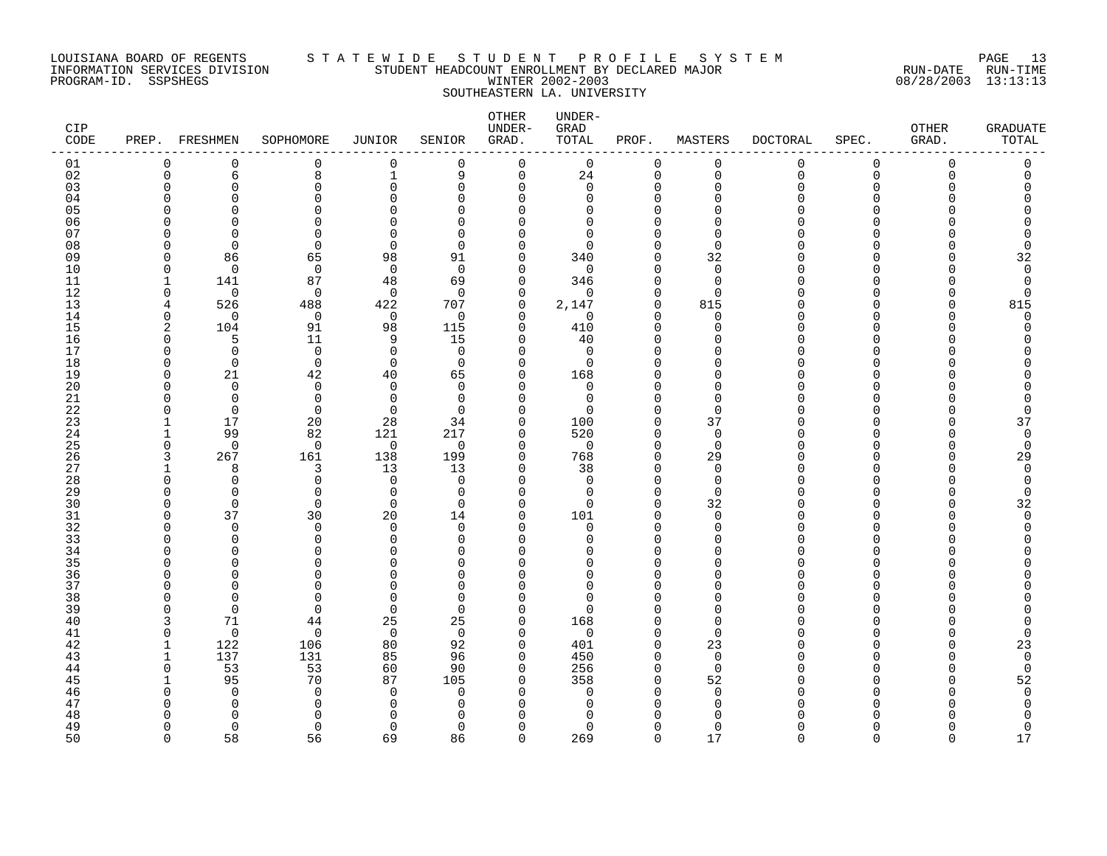### LOUISIANA BOARD OF REGENTS S T A T E W I D E S T U D E N T P R O F I L E S Y S T E M PAGE 13 INFORMATION SERVICES DIVISION STUDENT HEADCOUNT ENROLLMENT BY DECLARED MAJOR RUN-DATE RUN-TIME PROGRAM-ID. SSPSHEGS WINTER 2002-2003 08/28/2003 13:13:13 SOUTHEASTERN LA. UNIVERSITY

| <b>CIP</b><br>$\texttt{CODE}$ |              | PREP. FRESHMEN           | SOPHOMORE            | JUNIOR               | SENIOR                   | OTHER<br>UNDER-<br>GRAD. | UNDER-<br>GRAD<br>TOTAL | PROF.                   | MASTERS              | <b>DOCTORAL</b> | SPEC.    | <b>OTHER</b><br>GRAD. | <b>GRADUATE</b><br>TOTAL |
|-------------------------------|--------------|--------------------------|----------------------|----------------------|--------------------------|--------------------------|-------------------------|-------------------------|----------------------|-----------------|----------|-----------------------|--------------------------|
| 01                            | $\Omega$     | $\Omega$                 | 0                    | $\mathbf 0$          | $\Omega$                 | $\mathbf 0$              | $\mathbf 0$             | $\mathbf 0$             | $\mathbf 0$          | 0               | 0        | $\mathbf 0$           | $\mathbf 0$              |
| 02                            | $\mathbf 0$  | 6                        | 8                    | $\mathbf{1}$         | 9                        | $\mathbf 0$              | $2\sqrt{4}$             | 0                       | $\mathbf 0$          | 0               | 0        | $\Omega$              | $\Omega$                 |
| 03                            | $\Omega$     | $\Omega$                 | $\Omega$             | $\Omega$             | $\Omega$                 | 0                        | $\mathbf 0$             | $\mathbf 0$             | $\Omega$             | U               | 0        |                       |                          |
| 04                            | U            | ∩                        | $\Omega$<br>$\Omega$ | $\cap$<br>U          | $\Omega$                 | $\Omega$                 | $\Omega$                | $\Omega$                | $\Omega$<br>∩        |                 | U        |                       |                          |
| 05<br>06                      |              | ∩                        | $\Omega$             | $\cap$               | $\Omega$<br>$\Omega$     | $\Omega$<br>$\Omega$     | O<br>$\Omega$           | $\mathbf 0$<br>$\Omega$ | ∩                    |                 | ∩<br>N   |                       |                          |
| 07                            | U            | n                        | $\Omega$             | ∩                    | $\Omega$                 | ∩                        | $\Omega$                | $\Omega$                | ∩                    |                 | ∩        |                       |                          |
| 08                            | U            | $\Omega$                 | $\Omega$             | 0                    | $\Omega$                 | 0                        | $\Omega$                | $\Omega$                | $\Omega$             |                 | N        |                       |                          |
| 09                            | <sup>0</sup> | 86                       | 65                   | 98                   | 91                       | 0                        | 340                     | 0                       | 32                   |                 | O        |                       | 32                       |
| 10                            | $\Omega$     | $\Omega$                 | $\mathbf 0$          | $\mathbf 0$          | $\Omega$                 | $\Omega$                 | $\mathbf 0$             | $\Omega$                | $\Omega$             |                 | U        |                       | $\Omega$                 |
| 11                            | $\mathbf{1}$ | 141                      | 87                   | 48                   | 69                       | $\mathbf 0$              | 346                     | $\Omega$                | $\Omega$             |                 | U        |                       | $\Omega$                 |
| 12                            | $\Omega$     | $\Omega$                 | $\Omega$             | $\Omega$             | $\Omega$                 | $\Omega$                 | $\Omega$                | $\Omega$                | $\Omega$             |                 | ∩        |                       | n                        |
| 13                            | 4            | 526                      | 488                  | 422                  | 707                      | $\mathbf 0$              | 2,147                   | $\mathbf 0$             | 815                  |                 | $\Omega$ |                       | 815                      |
| 14                            | $\Omega$     | $\Omega$                 | 0                    | 0                    | $\Omega$                 | 0                        | $\mathbf 0$             | $\mathbf 0$             | $\Omega$             |                 | U        |                       | <sup>0</sup>             |
| 15                            | 2            | 104                      | 91                   | 98                   | 115                      | $\Omega$                 | 410                     | $\Omega$                | $\Omega$             |                 | N        |                       |                          |
| 16                            | $\Omega$     | 5                        | 11                   | 9                    | 15                       | 0                        | 40                      | $\mathbf 0$             | ∩                    |                 | U        |                       |                          |
| 17                            | ∩            | $\Omega$                 | $\Omega$             | $\Omega$             | $\Omega$                 | $\Omega$                 | $\Omega$                | $\Omega$                | ∩                    |                 | N        |                       |                          |
| 18                            | $\Omega$     | $\mathbf 0$              | $\mathbf 0$          | $\mathbf 0$          | $\Omega$                 | 0                        | $\mathbf 0$             | $\Omega$                | $\Omega$             |                 | O        |                       |                          |
| 19                            | O<br>U       | 21<br>$\Omega$           | 42                   | 40<br>$\Omega$       | 65<br>$\Omega$           | 0<br>$\Omega$            | 168<br>$\mathbf 0$      | 0<br>$\Omega$           | $\Omega$<br>$\Omega$ |                 | ი<br>U   |                       |                          |
| 20<br>21                      | U            | $\Omega$                 | 0<br>$\Omega$        | $\Omega$             | $\Omega$                 | $\Omega$                 | $\Omega$                | $\Omega$                | $\Omega$             |                 | ∩        |                       |                          |
| 22                            | ∩            | $\Omega$                 | $\Omega$             | $\Omega$             | $\Omega$                 | $\Omega$                 | $\Omega$                | $\Omega$                | $\Omega$             |                 | U        |                       | n                        |
| 23                            |              | 17                       | 20                   | 28                   | 34                       | $\Omega$                 | 100                     | $\mathbf 0$             | 37                   |                 | U        |                       | 37                       |
| 24                            |              | 99                       | 82                   | 121                  | 217                      | 0                        | 520                     | 0                       | 0                    |                 | O        |                       | $\mathbf 0$              |
| 25                            | <sup>0</sup> | $\Omega$                 | 0                    | $\mathbf 0$          | $\Omega$                 | 0                        | $\mathbf 0$             | $\mathbf 0$             | $\mathbf 0$          |                 | ∩        |                       | 0                        |
| 26                            | 3            | 267                      | 161                  | 138                  | 199                      | $\Omega$                 | 768                     | $\mathbf 0$             | 29                   |                 | U        |                       | 29                       |
| 27                            |              | 8                        | 3                    | 13                   | 13                       | 0                        | 38                      | $\mathbf 0$             | 0                    |                 | ∩        |                       | n                        |
| 28                            | $\Omega$     | $\Omega$                 | $\Omega$             | $\Omega$             | $\Omega$                 | $\Omega$                 | $\Omega$                | $\Omega$                | $\Omega$             |                 | U        |                       |                          |
| 29                            | $\Omega$     | $\Omega$                 | $\mathbf 0$          | $\mathbf 0$          | $\mathbf 0$              | 0                        | $\mathbf 0$             | $\mathbf 0$             | $\mathbf 0$          |                 | O        |                       | $\Omega$                 |
| 30                            | ∩            | $\Omega$                 | $\Omega$             | 0                    | $\Omega$                 | $\Omega$                 | $\Omega$                | $\Omega$                | 32                   |                 | U        |                       | 32                       |
| 31                            | <sup>0</sup> | 37                       | 30                   | 20                   | 14                       | 0                        | 101                     | $\mathbf 0$             | $\mathbf 0$          |                 | O        |                       | $\Omega$                 |
| 32                            | U<br>U       | $\Omega$                 | $\Omega$<br>$\Omega$ | $\Omega$<br>$\Omega$ | $\Omega$<br>$\Omega$     | $\Omega$<br>$\Omega$     | 0<br>$\Omega$           | $\Omega$<br>$\Omega$    | $\Omega$<br>$\Omega$ |                 | ∩<br>U   |                       |                          |
| 33<br>34                      | U            | $\Omega$<br><sup>n</sup> | $\Omega$             | $\cap$               | $\Omega$                 | ∩                        | U                       | $\mathbf 0$             | ∩                    |                 | ∩        |                       |                          |
| 35                            |              | n                        | ∩                    | O                    | U                        | O                        | N                       | $\Omega$                | ∩                    |                 | ∩        |                       |                          |
| 36                            | U            | ∩                        | 0                    | U                    | $\Omega$                 | O                        | 0                       | $\Omega$                | $\Omega$             |                 | O        |                       |                          |
| 37                            | U            | ∩                        | $\Omega$             | $\Omega$             | $\Omega$                 | $\Omega$                 | $\Omega$                | $\Omega$                | ∩                    |                 | N        |                       |                          |
| 38                            | ∩            | $\Omega$                 | $\Omega$             | $\cap$               | $\Omega$                 | $\Omega$                 | O                       | $\Omega$                | ∩                    |                 | U        |                       |                          |
| 39                            | $\Omega$     | $\Omega$                 | $\Omega$             | $\mathbf 0$          | $\Omega$                 | $\Omega$                 | $\Omega$                | $\Omega$                | ∩                    |                 | U        |                       |                          |
| 40                            | 3            | 71                       | 44                   | 25                   | 25                       | 0                        | 168                     | $\mathbf 0$             | $\Omega$             |                 | ი        |                       |                          |
| 41                            | 0            | $\Omega$                 | $\mathbf 0$          | $\overline{0}$       | $\Omega$                 | 0                        | 0                       | $\mathbf 0$             | $\Omega$             |                 | O        |                       |                          |
| 42                            | -1           | 122                      | 106                  | 80                   | 92                       | 0                        | 401                     | $\mathbf 0$             | 23                   |                 | O        |                       | 23                       |
| 43                            | -1           | 137                      | 131                  | 85                   | 96                       | $\Omega$                 | 450                     | $\Omega$                | $\Omega$             |                 | N        |                       | $\Omega$                 |
| 44                            | $\Omega$     | 53                       | 53                   | 60                   | 90                       | $\Omega$                 | 256                     | $\mathbf 0$             | $\Omega$             |                 | N        |                       | $\Omega$                 |
| 45                            |              | 95                       | 70                   | 87                   | 105                      | 0                        | 358                     | $\mathbf 0$             | 52                   |                 | ი        |                       | 52<br>$\cap$             |
| 46<br>47                      | U            | $\Omega$<br>O            | $\Omega$<br>$\Omega$ | $\Omega$<br>∩        | $\Omega$<br><sup>0</sup> | $\Omega$<br>O            | 0<br>O                  | $\Omega$<br>$\Omega$    | $\Omega$<br>$\Omega$ |                 | N<br>U   |                       |                          |
| 48                            | n            |                          | ∩                    | n                    |                          | ∩                        | U                       | ∩                       | ∩                    |                 |          |                       |                          |
| 49                            | ∩            | $\Omega$                 | $\Omega$             | $\Omega$             | $\Omega$                 | $\Omega$                 | $\Omega$                | $\Omega$                | $\Omega$             |                 | U        |                       | $\Omega$                 |
| 50                            | $\cap$       | 58                       | 56                   | 69                   | 86                       | $\Omega$                 | 269                     | $\Omega$                | 17                   | $\cap$          | $\Omega$ | $\Omega$              | 17                       |
|                               |              |                          |                      |                      |                          |                          |                         |                         |                      |                 |          |                       |                          |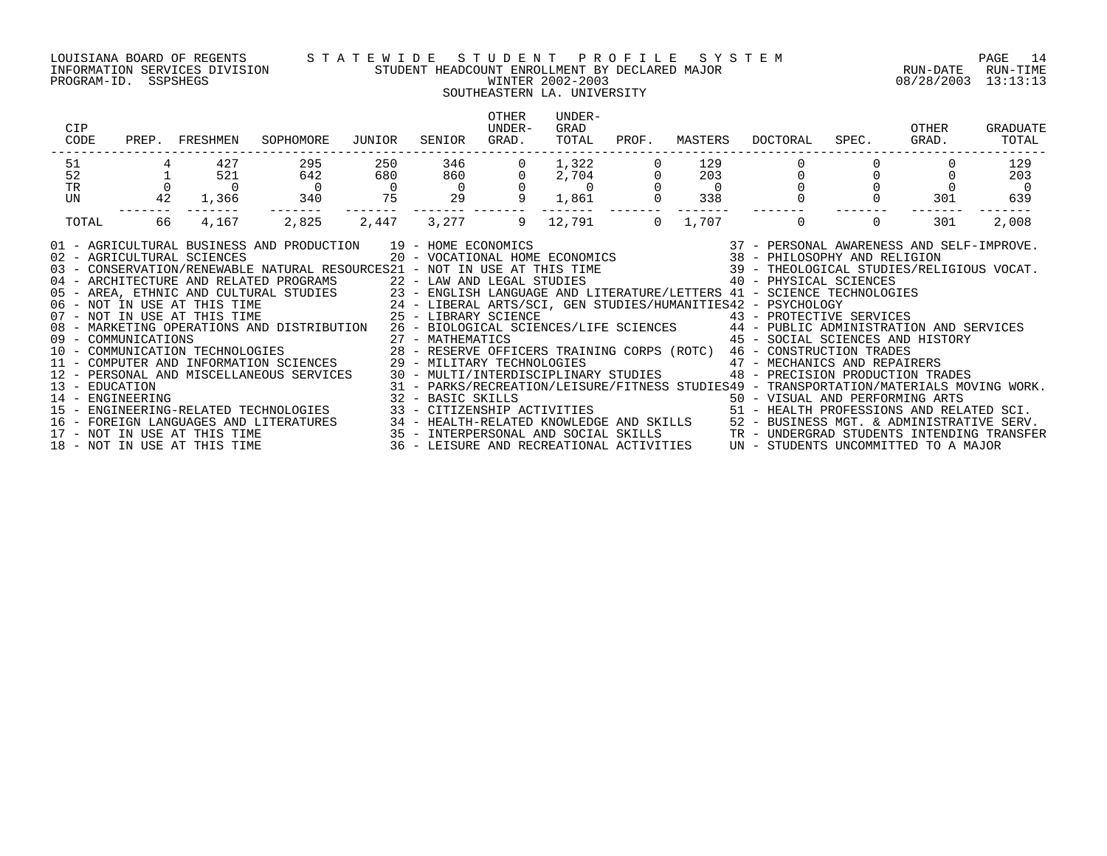### LOUISIANA BOARD OF REGENTS S T A T E W I D E S T U D E N T P R O F I L E S Y S T E M PAGE 14 INFORMATION SERVICES DIVISION STUDENT HEADCOUNT ENROLLMENT BY DECLARED MAJOR RUN-DATE RUN-TIME PROGRAM-ID. SSPSHEGS WINTER 2002-2003 08/28/2003 13:13:13

## SOUTHEASTERN LA. UNIVERSITY

| 51<br>52<br>$\Omega$<br>TR<br>42<br>UN<br>66<br>TOTAL                                                                                                                                                                                                                                                                                                                                                                                                                                                                                                                                                                                                                                                                                                                                                                                                                                                                                                                                                                                                                     | 427<br>521<br>$\overline{0}$<br>1,366 | 295<br>642<br>$\sim$ 0<br>340 | 250<br>680<br>$\overline{0}$ | 346                                                                                                                       |              |                                      |          | 129                   |                                                                                                                                                                                                                                                                                                                                                                                                                                                                                                           |     |       |
|---------------------------------------------------------------------------------------------------------------------------------------------------------------------------------------------------------------------------------------------------------------------------------------------------------------------------------------------------------------------------------------------------------------------------------------------------------------------------------------------------------------------------------------------------------------------------------------------------------------------------------------------------------------------------------------------------------------------------------------------------------------------------------------------------------------------------------------------------------------------------------------------------------------------------------------------------------------------------------------------------------------------------------------------------------------------------|---------------------------------------|-------------------------------|------------------------------|---------------------------------------------------------------------------------------------------------------------------|--------------|--------------------------------------|----------|-----------------------|-----------------------------------------------------------------------------------------------------------------------------------------------------------------------------------------------------------------------------------------------------------------------------------------------------------------------------------------------------------------------------------------------------------------------------------------------------------------------------------------------------------|-----|-------|
|                                                                                                                                                                                                                                                                                                                                                                                                                                                                                                                                                                                                                                                                                                                                                                                                                                                                                                                                                                                                                                                                           |                                       |                               |                              |                                                                                                                           |              |                                      |          |                       |                                                                                                                                                                                                                                                                                                                                                                                                                                                                                                           |     | 129   |
|                                                                                                                                                                                                                                                                                                                                                                                                                                                                                                                                                                                                                                                                                                                                                                                                                                                                                                                                                                                                                                                                           |                                       |                               |                              |                                                                                                                           | $\mathsf{O}$ |                                      |          | 203                   |                                                                                                                                                                                                                                                                                                                                                                                                                                                                                                           |     | 203   |
|                                                                                                                                                                                                                                                                                                                                                                                                                                                                                                                                                                                                                                                                                                                                                                                                                                                                                                                                                                                                                                                                           |                                       |                               | 75                           | $\begin{array}{c}\n 860 \\  \color{red}{0} \\  \color{red}{29}\n \end{array}$                                             | 9            | $1,322$<br>$2,704$<br>$0$<br>$1,861$ |          | $\overline{0}$<br>338 |                                                                                                                                                                                                                                                                                                                                                                                                                                                                                                           | 301 | 639   |
|                                                                                                                                                                                                                                                                                                                                                                                                                                                                                                                                                                                                                                                                                                                                                                                                                                                                                                                                                                                                                                                                           |                                       |                               |                              |                                                                                                                           |              |                                      |          |                       |                                                                                                                                                                                                                                                                                                                                                                                                                                                                                                           |     |       |
|                                                                                                                                                                                                                                                                                                                                                                                                                                                                                                                                                                                                                                                                                                                                                                                                                                                                                                                                                                                                                                                                           | 4,167                                 | 2,825                         | 2,447                        | 3,277                                                                                                                     |              | 9 12,791                             | $\Omega$ | 1,707                 | $\begin{array}{c} - - - - \\ 0 \end{array}$                                                                                                                                                                                                                                                                                                                                                                                                                                                               | 301 | 2,008 |
| 04 - ARCHITECTURE AND RELATED PROGRAMS 22 - LAW AND LEGAL STUDIES 40 - PHYSICAL SCIENCES<br>05 - AREA, ETHNIC AND CULTURAL STUDIES 23 - ENGLISH LANGUAGE AND LITERATURE/LETTERS 41 - SCIENCE TECHNOLOGIES<br>06 - NOT IN USE AT THIS TIME 24 - LIBERAL ARTS/SCI, GEN STUDIES/HUMANITIES42 - PSYCHOLOGY<br>07 - NOT IN USE AT THI<br>08 - MARKETING OPERATIONS AND DISTRIBUTION 26 - BIOLOGICAL SCIENCES/LIFE SCIENCES 44 - PUBLIC ADMINISTRATION AND SERVICES<br>09 - COMMUNICATIONS<br>10 - COMMUNICATIONS 10 - COMMUNICATION TECHNOLOGIES 28 - RESERVE OFFICERS TRAINING CORPS (ROTC) 46 - CONSTRUCTION TRADES<br>11 - COMPUTER AND INFORMATION SCIENCES 29 - MILITARY TECHNOLOGIES 47 - MECHANICS<br>12 - PERSONAL AND MISCELLANEOUS SERVICES<br>13 - EDUCATION<br>14 - ENGINEERING<br>ENGINEERING-RELATED TECHNOLOGIES<br>$15 -$<br>16 - FOREIGN LANGUAGES AND LITERATURES 34 - HEALTH-RELATED KNOWLEDGE AND SKILLS 52 - BUSINESS MGT. & ADMINISTRATIVE SERV.<br>17 - NOT IN USE AT THIS TIME 35 - INTERPERSONAL AND SOCIAL SKILLS 5 - TREE UNDERGRAD STUDENTS INTEND |                                       |                               |                              | 32 - BASIC SKILLS<br>33 - CITIZENSHIP ACTIVITIES                                 50 - HEALTH PROFESSIONS AND RELATED SCI. |              |                                      |          |                       | 91 - AGRICULTURAL BUSINESS AND PRODUCTION 19 - HOME ECONOMICS (2008) 19 - 2008 (37 - 2008 2008) 97 - 2008 2009<br>20 - VOCATIONAL HOME ECONOMICS (38 - PHILOSOPHY AND RELIGION 2008) 20 - VOCATIONAL HOME ECONOMICS (38 - 2008 -<br>45 - SOCIAL SCIENCES AND HISTORY<br>29 - MILITARY TECHNOLOGIES<br>30 - MULTI/INTERDISCIPLINARY STUDIES<br>9 - PRECISION PRODUCTION TRA<br>48 - PRECISION PRODUCTION TRADES<br>31 - PARKS/RECREATION/LEISURE/FITNESS STUDIES49 - TRANSPORTATION/MATERIALS MOVING WORK. |     |       |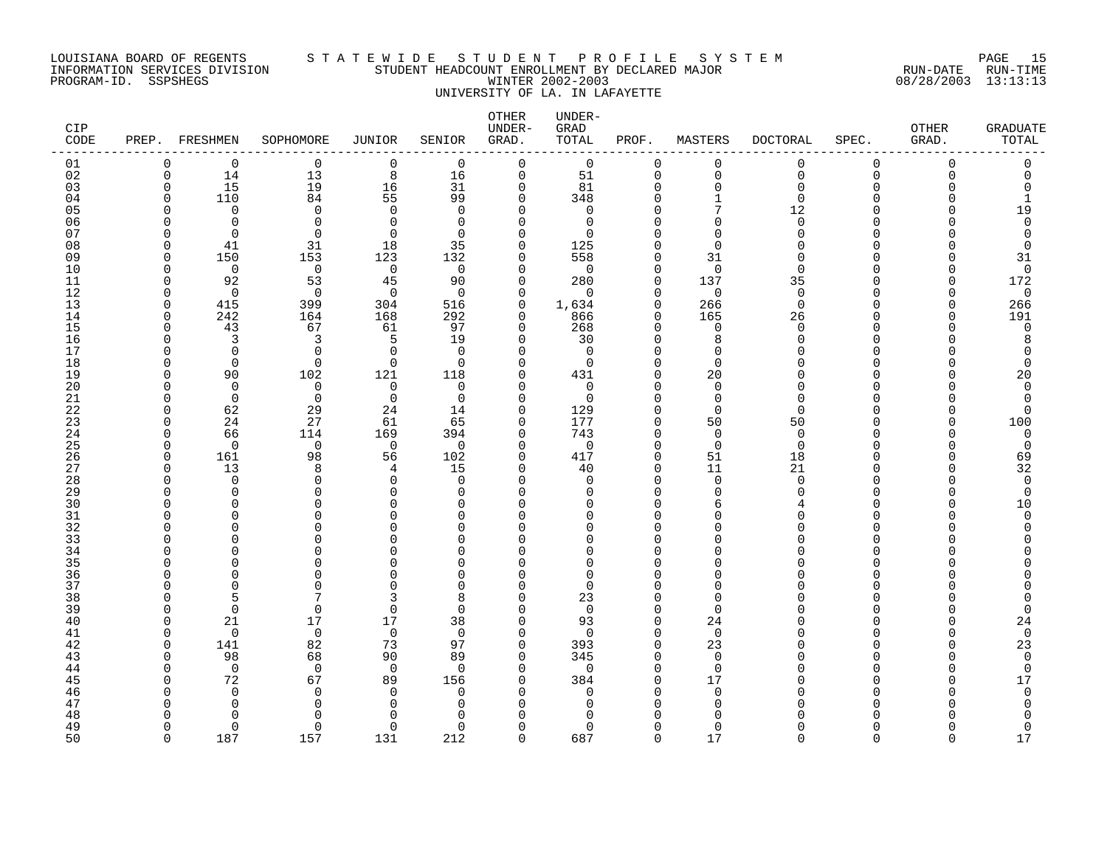### LOUISIANA BOARD OF REGENTS S T A T E W I D E S T U D E N T P R O F I L E S Y S T E M PAGE 15 INFORMATION SERVICES DIVISION STUDENT HEADCOUNT ENROLLMENT BY DECLARED MAJOR RUN-DATE RUN-TIME PROGRAM-ID. SSPSHEGS WINTER 2002-2003 08/28/2003 13:13:13 UNIVERSITY OF LA. IN LAFAYETTE

| CIP<br>CODE |                          | PREP. FRESHMEN | SOPHOMORE      | <b>JUNIOR</b>  | SENIOR             | OTHER<br>UNDER-<br>GRAD.   | UNDER-<br>GRAD<br>TOTAL | PROF.                | MASTERS                 | <b>DOCTORAL</b>  | SPEC.              | OTHER<br>GRAD.   | <b>GRADUATE</b><br>TOTAL |
|-------------|--------------------------|----------------|----------------|----------------|--------------------|----------------------------|-------------------------|----------------------|-------------------------|------------------|--------------------|------------------|--------------------------|
| 01          | $\Omega$                 | $\mathbf 0$    | $\mathbf 0$    | $\mathbf 0$    | $\mathbf 0$        | $\mathbf 0$                | $\Omega$                | $\mathbf 0$          | 0                       | 0                | $\mathbf 0$        | $\Omega$         | 0                        |
| 02          | $\Omega$                 | 14             | 13             | 8              | 16                 | $\mathbf 0$                | 51                      | $\Omega$             | $\mathbf 0$             | $\mathbf 0$      | $\Omega$           | $\Omega$         | $\mathbf 0$              |
| 03<br>04    | $\Omega$<br>O            | 15<br>110      | 19<br>84       | 16<br>55       | 31<br>99           | 0<br>0                     | 81<br>348               | $\Omega$<br>$\Omega$ | $\mathbf 0$<br>-1       | $\mathbf 0$<br>0 | $\Omega$<br>∩      |                  | 0<br>1                   |
| 05          | ∩                        | $\Omega$       | $\mathbf 0$    | $\Omega$       | $\mathbf 0$        | 0                          | 0                       |                      | 7                       | 12               |                    |                  | 19                       |
| 06          | ∩                        | $\Omega$       | $\mathbf 0$    | $\Omega$       | $\Omega$           | 0                          | 0                       | $\Omega$             | $\Omega$                | $\Omega$         | ∩                  |                  | $\mathbf 0$              |
| 07          | ∩                        | $\Omega$       | $\Omega$       | $\Omega$       | $\Omega$           | $\Omega$                   | $\Omega$                |                      | $\Omega$                | ∩                | ∩                  |                  | $\Omega$                 |
| 08          | O                        | 41             | 31             | 18             | 35                 | $\Omega$                   | 125                     | $\Omega$             | $\Omega$                |                  | ∩                  |                  | $\Omega$                 |
| 09          | O                        | 150            | 153            | 123            | 132                | 0                          | 558                     | $\Omega$             | 31                      | ∩                | ∩                  |                  | 31                       |
| 10          | O                        | $\mathbf 0$    | $\mathbf 0$    | $\overline{0}$ | $\Omega$           | $\mathbf 0$                | $\mathbf 0$             | $\Omega$             | $\mathbf 0$             | ∩                | ∩                  |                  | 0                        |
| 11          | $\Omega$                 | 92             | 53             | 45             | 90                 | 0                          | 280                     | $\mathbf 0$          | 137                     | 35               | ∩                  |                  | 172                      |
| 12          | ∩                        | $\Omega$       | $\Omega$       | $\Omega$       | $\Omega$           | $\Omega$                   | $\Omega$                | $\Omega$             | $\mathbf 0$             | $\Omega$         | ∩                  |                  | 0                        |
| 13<br>14    | $\Omega$<br>$\Omega$     | 415<br>242     | 399<br>164     | 304<br>168     | 516<br>292         | $\mathbf 0$<br>0           | 1,634<br>866            | $\Omega$<br>$\Omega$ | 266<br>165              | $\Omega$<br>26   | $\Omega$<br>$\cap$ | $\cap$<br>$\cap$ | 266<br>191               |
| 15          | $\Omega$                 | 43             | 67             | 61             | 97                 | $\mathbf 0$                | 268                     | $\Omega$             | 0                       | $\Omega$         | ∩                  |                  | 0                        |
| 16          | ∩                        | 3              | 3              | 5              | 19                 | $\mathbf 0$                | 30                      | $\Omega$             | 8                       | $\Omega$         | ∩                  |                  | 8                        |
| 17          | O                        | $\Omega$       | $\mathbf 0$    | $\Omega$       | $\Omega$           | 0                          | $\Omega$                | $\Omega$             | $\Omega$                |                  | ∩                  |                  | O                        |
| 18          | ∩                        | $\Omega$       | $\mathbf 0$    | 0              | $\Omega$           | $\mathbf 0$                | $\mathbf 0$             | $\Omega$             | $\mathbf 0$             |                  | ∩                  |                  | $\Omega$                 |
| 19          | O                        | 90             | 102            | 121            | 118                | $\mathbf 0$                | 431                     | $\Omega$             | 20                      | U                | ∩                  |                  | 20                       |
| 20          | ∩                        | $\Omega$       | $\Omega$       | $\Omega$       | $\Omega$           | $\Omega$                   | $\Omega$                | $\cap$               | $\Omega$                | ∩                | ∩                  |                  | $\Omega$                 |
| 21          | O                        | $\Omega$       | $\mathbf 0$    | $\overline{0}$ | $\Omega$           | $\mathbf 0$                | $\Omega$                | $\Omega$             | $\mathbf 0$             | $\Omega$         | ∩                  |                  | 0                        |
| 22          | O                        | 62             | 29             | 24             | 14                 | 0                          | 129                     | $\Omega$<br>$\Omega$ | $\mathbf 0$             | $\Omega$         | ∩                  |                  | 0                        |
| 23<br>24    | O<br><sup>0</sup>        | 24<br>66       | 27<br>114      | 61<br>169      | 65<br>394          | $\mathbf 0$<br>$\mathbf 0$ | 177<br>743              | $\Omega$             | 50<br>$\mathbf 0$       | 50<br>$\Omega$   | ∩<br>∩             |                  | 100<br>0                 |
| 25          | <sup>0</sup>             | $\Omega$       | $\mathbf 0$    | $\mathbf 0$    | $\Omega$           | 0                          | $\Omega$                | $\Omega$             | $\mathbf 0$             | $\Omega$         | ∩                  |                  | $\mathbf 0$              |
| 26          | $\Omega$                 | 161            | 98             | 56             | 102                | $\mathbf 0$                | 417                     | $\Omega$             | 51                      | 18               | $\Omega$           |                  | 69                       |
| 27          | O                        | 13             | 8              | 4              | 15                 | 0                          | 40                      | $\Omega$             | 11                      | 21               | ∩                  |                  | 32                       |
| 28          |                          | $\Omega$       | $\mathbf 0$    | $\Omega$       | $\Omega$           | $\Omega$                   | $\Omega$                | $\Omega$             | $\mathbf 0$             | $\Omega$         | ∩                  |                  | $\mathbf 0$              |
| 29          | ∩                        | $\Omega$       | $\Omega$       | $\Omega$       | $\Omega$           | 0                          | $\Omega$                | $\Omega$             | 0                       | ∩                | ∩                  |                  | 0                        |
| 30          |                          | ∩              | $\Omega$       | ∩              | $\Omega$           | $\Omega$                   | U                       |                      | 6                       |                  | ∩                  |                  | 10                       |
| 31          | ∩                        | ∩              | $\Omega$       | U              | $\Omega$           | $\Omega$                   | U                       | ∩                    | $\Omega$                |                  | ∩                  |                  | $\mathbf 0$              |
| 32          |                          | ∩              | $\Omega$       | U              | $\cap$             | $\Omega$                   | U                       |                      | $\Omega$                |                  | ∩                  |                  | $\Omega$                 |
| 33<br>34    |                          | O<br>∩         | $\Omega$<br>∩  | U              | $\Omega$<br>$\cap$ | $\Omega$<br>$\Omega$       | O<br>$\Omega$           | $\Omega$             | $\Omega$<br>$\Omega$    |                  | ∩<br>∩             |                  |                          |
| 35          |                          |                | $\Omega$       |                | $\cap$             | $\Omega$                   | O                       |                      | $\Omega$                |                  | ∩                  |                  |                          |
| 36          |                          | ∩              | $\Omega$       | U              | $\cap$             | $\Omega$                   | $\Omega$                | O                    | $\Omega$                |                  | ∩                  |                  |                          |
| 37          |                          |                | $\Omega$       |                | $\Omega$           | $\Omega$                   | $\Omega$                |                      | $\Omega$                |                  | ∩                  |                  |                          |
| 38          | ∩                        | 5              |                |                | 8                  | $\Omega$                   | 23                      |                      | $\Omega$                |                  | ∩                  |                  | Ω                        |
| 39          | O                        | $\mathbf 0$    | $\mathbf 0$    | $\mathbf 0$    | $\Omega$           | 0                          | $\mathbf 0$             | $\Omega$             | $\mathbf 0$             |                  | ∩                  |                  | $\Omega$                 |
| 40          | O                        | 21             | 17             | 17             | 38                 | $\mathbf 0$                | 93                      | $\Omega$             | 24                      |                  | ∩                  |                  | 24                       |
| 41          | $\Omega$                 | $\Omega$       | $\mathbf 0$    | $\Omega$       | $\Omega$           | $\mathbf 0$                | $\Omega$                | $\Omega$             | $\mathbf 0$             |                  | ∩                  |                  | $\mathbf 0$              |
| 42          | $\Omega$<br><sup>n</sup> | 141            | 82             | 73             | 97                 | $\mathbf 0$                | 393                     | $\Omega$<br>$\Omega$ | 23                      |                  | ∩                  |                  | 23                       |
| 43<br>44    | O                        | 98<br>$\Omega$ | 68<br>$\Omega$ | 90<br>$\Omega$ | 89<br>$\Omega$     | $\mathbf 0$<br>$\Omega$    | 345<br>$\Omega$         | $\Omega$             | $\mathbf 0$<br>$\Omega$ |                  | ∩                  |                  | $\Omega$<br>$\Omega$     |
| 45          | O                        | 72             | 67             | 89             | 156                | 0                          | 384                     | $\Omega$             | 17                      |                  | ∩                  |                  | 17                       |
| 46          |                          | $\Omega$       | $\Omega$       | $\Omega$       | $\Omega$           | $\Omega$                   | $\Omega$                | O                    | $\mathbf 0$             |                  | ∩                  |                  | $\mathbf 0$              |
| 47          |                          | O              | $\Omega$       | n              | $\cap$             | $\Omega$                   | O                       |                      | 0                       |                  |                    |                  | O                        |
| 48          |                          | ∩              | $\Omega$       |                |                    | U                          |                         |                      | $\cap$                  |                  |                    |                  |                          |
| 49          | U                        | $\Omega$       | $\mathbf 0$    | $\Omega$       | $\Omega$           | $\Omega$                   | $\Omega$                | ∩                    | $\Omega$                |                  | $\Omega$           |                  | $\mathbf 0$              |
| 50          | $\Omega$                 | 187            | 157            | 131            | 212                | $\Omega$                   | 687                     | $\Omega$             | 17                      | $\Omega$         | $\Omega$           | $\Omega$         | 17                       |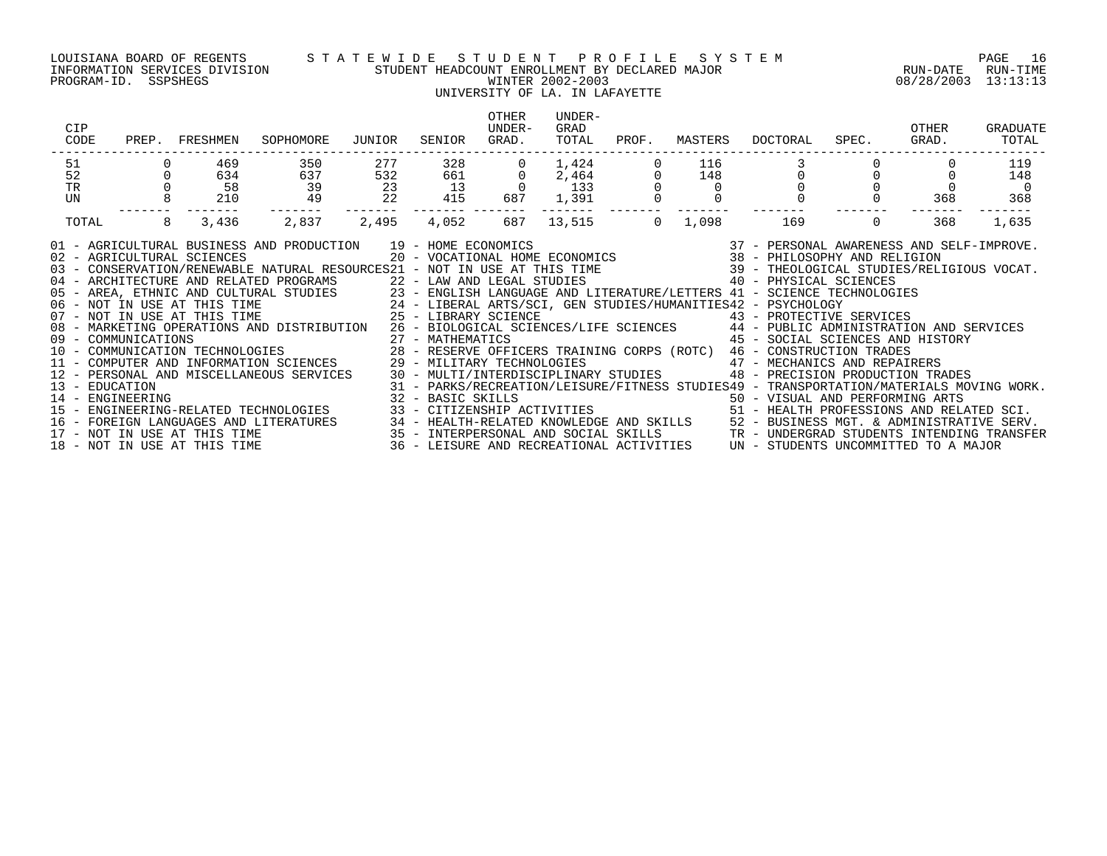PROGRAM-ID. SSPSHEGS WINTER 2002-2003 08/28/2003 13:13:13

### LOUISIANA BOARD OF REGENTS S T A T E W I D E S T U D E N T P R O F I L E S Y S T E M PAGE 16 INFORMATION SERVICES DIVISION STUDENT HEADCOUNT ENROLLMENT BY DECLARED MAJOR RUN-DATE RUN-TIME

### UNIVERSITY OF LA. IN LAFAYETTE

| CIP<br>CODE                |   | PREP. FRESHMEN | SOPHOMORE                                                                                                                                                                                                                                                                                                                                                                                                                                                                                                                                                                                                                                                                                                                                                                                                                                                                                                                                                                                                                                                                                                                                                                                                                                                                                                                                                              | JUNIOR                                  | SENIOR                | OTHER<br>UNDER-<br>GRAD. | UNDER-<br>GRAD<br>TOTAL                                             | PROF.          | MASTERS  | DOCTORAL                                                                                                                                                                                                             | SPEC.    | OTHER<br>GRAD. | GRADUATE<br>TOTAL |
|----------------------------|---|----------------|------------------------------------------------------------------------------------------------------------------------------------------------------------------------------------------------------------------------------------------------------------------------------------------------------------------------------------------------------------------------------------------------------------------------------------------------------------------------------------------------------------------------------------------------------------------------------------------------------------------------------------------------------------------------------------------------------------------------------------------------------------------------------------------------------------------------------------------------------------------------------------------------------------------------------------------------------------------------------------------------------------------------------------------------------------------------------------------------------------------------------------------------------------------------------------------------------------------------------------------------------------------------------------------------------------------------------------------------------------------------|-----------------------------------------|-----------------------|--------------------------|---------------------------------------------------------------------|----------------|----------|----------------------------------------------------------------------------------------------------------------------------------------------------------------------------------------------------------------------|----------|----------------|-------------------|
| 51                         |   | 469            | 350                                                                                                                                                                                                                                                                                                                                                                                                                                                                                                                                                                                                                                                                                                                                                                                                                                                                                                                                                                                                                                                                                                                                                                                                                                                                                                                                                                    | 277                                     | 328                   |                          | 1,424                                                               |                | 116      |                                                                                                                                                                                                                      |          |                | 119               |
| 52                         |   | 634            | 637                                                                                                                                                                                                                                                                                                                                                                                                                                                                                                                                                                                                                                                                                                                                                                                                                                                                                                                                                                                                                                                                                                                                                                                                                                                                                                                                                                    | 532                                     | $661$ 13              |                          |                                                                     |                | 148      |                                                                                                                                                                                                                      |          |                | 148               |
| TR<br>UN                   |   | 58<br>210      | $\begin{array}{c} 39 \\ 49 \end{array}$                                                                                                                                                                                                                                                                                                                                                                                                                                                                                                                                                                                                                                                                                                                                                                                                                                                                                                                                                                                                                                                                                                                                                                                                                                                                                                                                | $\begin{array}{c} 23 \\ 22 \end{array}$ | 13<br>415             | 687                      | $\begin{array}{ccc} 0 & 2,464 \\ 0 & 133 \\ 87 & 1,391 \end{array}$ |                | $\Omega$ |                                                                                                                                                                                                                      |          | 368            | 368               |
| TOTAL                      | 8 | 3,436          | 2,837                                                                                                                                                                                                                                                                                                                                                                                                                                                                                                                                                                                                                                                                                                                                                                                                                                                                                                                                                                                                                                                                                                                                                                                                                                                                                                                                                                  | 2,495                                   | -------- ---<br>4,052 | 687                      | --------                                                            | 13,515 0 1,098 |          | 169                                                                                                                                                                                                                  | $\Omega$ | 368            | 1,635             |
| 02 - AGRICULTURAL SCIENCES |   |                | AND PRODUCTION $19$ - HOME ECONOMICS $37$ - PERSONAL AWARENESS AND SELF-IMPROVE.<br>20 - VOCATIONAL HOME ECONOMICS $38$ - PHILOSOPHY AND RELIGION<br>01 - AGRICULTURAL BUSINESS AND PRODUCTION 19 - HOME ECONOMICS<br>03 - CONSERVATION/RENEWABLE NATURAL RESOURCES21 - NOT IN USE AT THIS TIME 39 - THEOLOGICAL STUDIES/RELIGIOUS VOCAT.<br>04 - ARCHITECTURE AND RELATED PROGRAMS 22 - LAW AND LEGAL STUDIES 40 - PHYSICAL SCIENCES<br>05 - AREA, ETHNIC AND CULTURAL STUDIES 23 - ENGLISH LANGUAGE AND LITERATURE/LETTERS 41 - SCIENCE TECHNOLOGIES<br>06 - NOT IN USE AT THIS TIME 24 - LIBERAL ARTS/SCI, GEN STUDIES/HUMANITIES42 - PSYCHOLOGY<br>07 - NOT IN USE AT THI<br>08 - MARKETING OPERATIONS AND DISTRIBUTION 26 - BIOLOGICAL SCIENCES/LIFE SCIENCES 44 - PUBLIC ADMINISTRATION AND SERVICES<br>08 - MARKETING OFERAILONS AND DISTRICTED (27 - MATHEMATICS (28 - RESERVE OFFICERS TRAINING CORPS (ROTC) 46 - COMMUNICATION TRADES<br>10 - COMMUNICATION TECHNOLOGIES 29 - MILITARY TECHNOLOGIES 47 - MECHANICS AND REPAIRERS<br>11 -<br>13 - EDUCATION<br>14 - ENGINEERING<br>15 - ENGINEERING-RELATED TECHNOLOGIES<br>16 - FOREIGN LANGUAGES AND LITERATURES 1994 - HEALTH-RELATED KNOWLEDGE AND SKILLS 152 - BUSINESS MGT. & ADMINISTRATIVE SERV.<br>17 - NOT IN USE AT THIS TIME 1995 - INTERPERSONAL AND SOCIAL SKILLS 1995 - INDERGRAD STUDENTS INT |                                         |                       |                          |                                                                     |                |          | 31 - PARKS/RECREATION/LEISURE/FITNESS STUDIES49 - TRANSPORTATION/MATERIALS MOVING WORK.<br>32 - BASIC SKILLS<br>33 - CITIZENSHIP ACTIVITIES                                 51 - HEALTH PROFESSIONS AND RELATED SCI. |          |                |                   |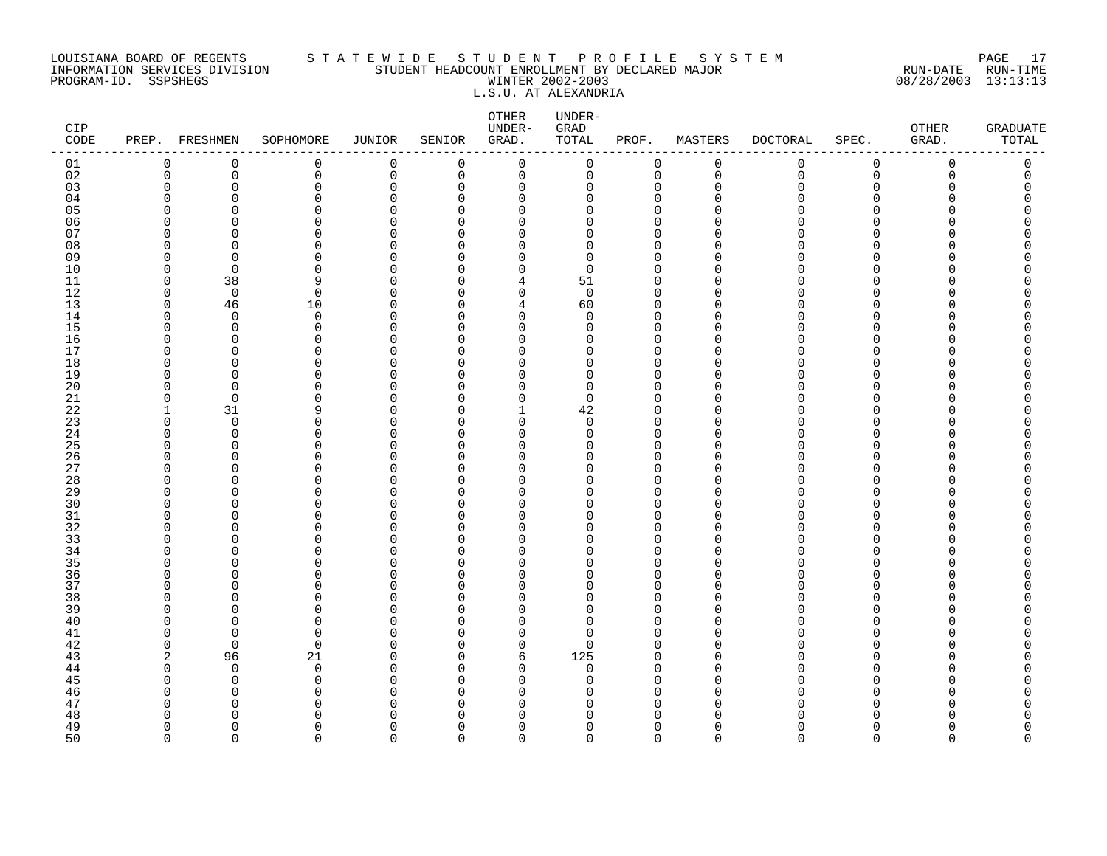### LOUISIANA BOARD OF REGENTS S T A T E W I D E S T U D E N T P R O F I L E S Y S T E M PAGE 17 INFORMATION SERVICES DIVISION STUDENT HEADCOUNT ENROLLMENT BY DECLARED MAJOR RUN-DATE RUN-TIME PROGRAM-ID. SSPSHEGS WINTER 2002-2003 08/28/2003 13:13:13 L.S.U. AT ALEXANDRIA

| CIP<br>$\texttt{CODE}$ |                      | PREP. FRESHMEN          | SOPHOMORE     | JUNIOR               | SENIOR               | OTHER<br>UNDER-<br>GRAD.   | UNDER-<br>GRAD<br>TOTAL | PROF.                      | MASTERS            | DOCTORAL | SPEC.         | OTHER<br>GRAD. | <b>GRADUATE</b><br>TOTAL |
|------------------------|----------------------|-------------------------|---------------|----------------------|----------------------|----------------------------|-------------------------|----------------------------|--------------------|----------|---------------|----------------|--------------------------|
| 01                     | $\mathbf 0$          | 0                       | 0             | $\mathsf 0$          | $\mathbf 0$          | $\mathbf 0$                | 0                       | 0                          | $\mathsf 0$        | 0        | $\mathsf 0$   | 0              | 0                        |
| 02                     | 0                    | 0                       | 0             | 0                    | 0                    | 0                          | 0                       | $\mathbf 0$                | $\mathbf 0$        | 0        | $\mathbf 0$   | 0              | 0                        |
| 03                     | O                    | $\Omega$                | 0             | $\Omega$             | $\mathbf 0$          | 0                          | 0                       | $\mathbf 0$                | $\Omega$           | O        | $\Omega$      | O              | $\Omega$                 |
| 04                     | ∩                    | $\cap$                  | $\Omega$      | $\cap$               | $\Omega$             | $\Omega$                   | O                       | $\Omega$                   | n                  |          | ∩             |                | Λ                        |
| 05                     | n                    | $\cap$                  | $\Omega$      | $\Omega$             | $\Omega$             | $\Omega$                   | 0                       | $\mathbf 0$                | n                  |          | $\Omega$      |                | C                        |
| 06                     |                      | $\cap$                  | $\Omega$      | $\cap$               | $\Omega$             | $\mathbf 0$                | 0                       | $\mathbf 0$                | ∩                  |          | $\cap$        |                | Λ                        |
| 07                     | ∩                    | ∩<br>U                  | 0<br>$\Omega$ | $\Omega$<br>$\Omega$ | $\Omega$<br>$\Omega$ | 0<br>$\Omega$              | 0<br>0                  | 0<br>$\mathbf 0$           | n                  |          | ∩<br>∩        |                | ∩                        |
| 08<br>09               | O                    | $\Omega$                | $\Omega$      | $\Omega$             | $\Omega$             | $\Omega$                   | 0                       | $\mathbf 0$                | ∩                  |          | $\Omega$      |                |                          |
| 10                     | ∩                    | $\Omega$                | $\Omega$      | $\Omega$             | $\Omega$             | $\mathbf 0$                | $\mathbf 0$             | $\Omega$                   | $\cap$             |          | $\Omega$      |                |                          |
| 11                     | $\Omega$             | 38                      | 9             | $\Omega$             | $\Omega$             | 4                          | 51                      | $\mathbf 0$                | $\Omega$           | ∩        | $\Omega$      |                | Λ                        |
| 12                     | $\Omega$             | $\mathbf 0$             | 0             | $\Omega$             | $\Omega$             | $\mathbf 0$                | $\mathbf 0$             | $\Omega$                   | $\Omega$           |          | ∩             |                |                          |
| 13                     | $\Omega$             | 46                      | 10            | $\Omega$             | $\Omega$             | 4                          | 60                      | $\Omega$                   | $\Omega$           |          | $\Omega$      |                |                          |
| 14                     | $\Omega$             | $\Omega$                | 0             | O                    | $\Omega$             | $\mathbf 0$                | 0                       | $\mathbf 0$                | $\Omega$           |          | $\Omega$      |                | ∩                        |
| 15                     | n                    | $\Omega$                | $\Omega$      | $\cap$               | $\Omega$             | $\Omega$                   | 0                       | $\Omega$                   |                    |          | $\Omega$      |                |                          |
| 16                     | U                    | $\Omega$                | 0             | $\Omega$             | $\Omega$             | $\mathbf 0$                | 0                       | $\mathbf 0$                | n                  |          | ∩             |                | Λ                        |
| 17                     |                      | ∩                       | $\Omega$      | O                    | $\Omega$             | $\Omega$                   | 0                       | $\Omega$                   | ∩                  |          | ∩             |                |                          |
| 18                     | U                    | $\Omega$                | $\Omega$      | O                    | $\Omega$             | 0                          | 0                       | $\mathbf 0$                | U                  |          | $\Omega$      |                |                          |
| 19                     |                      | n                       | $\Omega$      | U                    | $\Omega$             | $\Omega$                   | 0                       | $\mathbf 0$                | ∩                  |          | $\Omega$      |                |                          |
| 20                     |                      | n                       | $\Omega$      | $\cap$               | $\Omega$             | $\Omega$                   | $\Omega$                | $\Omega$                   | n                  |          | $\Omega$      |                | Λ                        |
| 21                     | $\Omega$             | $\mathbf 0$             | $\Omega$      | $\Omega$             | $\Omega$             | $\mathbf 0$                | 0                       | $\Omega$                   | $\cap$             |          | ∩             |                |                          |
| 22                     | -1                   | 31                      | 9             | O                    | $\Omega$             | 1                          | 42                      | $\Omega$                   | ∩                  |          | O             |                |                          |
| 23<br>24               | $\Omega$<br>$\Omega$ | $\mathbf 0$<br>$\Omega$ | 0<br>$\Omega$ | O<br>O               | $\Omega$<br>$\Omega$ | $\mathbf 0$<br>$\mathbf 0$ | 0<br>$\Omega$           | $\mathbf 0$<br>$\mathbf 0$ | $\cap$<br>$\Omega$ |          | $\Omega$<br>∩ |                |                          |
| 25                     | ∩                    | <sup>n</sup>            | U             | O                    | $\Omega$             | $\Omega$                   | 0                       | $\Omega$                   | n                  |          | ∩             |                | ∩                        |
| 26                     | U                    | $\Omega$                | $\Omega$      | $\Omega$             | $\Omega$             | $\mathbf 0$                | 0                       | $\mathbf 0$                | $\cap$             |          | $\Omega$      |                |                          |
| 27                     | ∩                    | U                       | $\Omega$      | O                    | $\Omega$             | 0                          | 0                       | 0                          | ∩                  |          | O             |                | Λ                        |
| 28                     | ∩                    | n                       | $\Omega$      | $\Omega$             | $\Omega$             | $\Omega$                   | 0                       | $\Omega$                   | n                  |          | ∩             |                |                          |
| 29                     | n                    | <sup>n</sup>            | $\Omega$      | O                    | $\Omega$             | $\mathbf 0$                | 0                       | $\mathbf 0$                | ∩                  |          | ∩             |                | ∩                        |
| 30                     | ∩                    | <sup>n</sup>            | ∩             | $\cap$               | $\Omega$             | $\Omega$                   | 0                       | $\Omega$                   | $\cap$             |          | ∩             |                |                          |
| $31\,$                 | U                    | $\Omega$                | $\Omega$      | $\Omega$             | $\Omega$             | $\mathbf 0$                | 0                       | $\mathbf 0$                | $\Omega$           |          | $\Omega$      |                |                          |
| 32                     |                      | U                       | 0             | O                    | U                    | 0                          | 0                       | $\mathbf 0$                | n                  |          | ∩             |                |                          |
| 33                     |                      | n                       | $\Omega$      | O                    | $\Omega$             | $\mathbf 0$                | 0                       | $\Omega$                   | $\cap$             |          | ∩             |                |                          |
| 34                     | n                    | <sup>n</sup>            | $\Omega$      | O                    | $\Omega$             | $\mathbf 0$                | 0                       | $\Omega$                   | $\Omega$           |          | ∩             |                |                          |
| 35                     |                      | ∩                       | $\Omega$      | U                    | $\Omega$             | $\Omega$                   | $\Omega$                | $\Omega$                   | ∩                  |          | ∩             |                |                          |
| 36                     | n                    | $\Omega$                | 0             | O                    | $\Omega$             | $\mathbf 0$                | 0                       | $\mathbf 0$                | U                  |          | $\Omega$      |                | Λ                        |
| 37                     |                      |                         | $\Omega$      | O                    | $\Omega$             | 0                          | 0                       | $\mathbf 0$                | n                  |          | ∩             |                |                          |
| 38                     |                      | Λ<br>∩                  | 0<br>$\Omega$ | O<br>$\Omega$        | $\Omega$<br>$\Omega$ | 0<br>$\Omega$              | 0                       | $\Omega$                   | ∩<br>n             |          | ∩<br>∩        |                | ∩                        |
| 39<br>40               |                      | n                       | $\Omega$      | U                    | $\Omega$             | $\Omega$                   | 0<br>0                  | $\mathbf 0$<br>$\Omega$    | n                  |          | ∩             |                |                          |
| 41                     | n                    | <sup>0</sup>            | 0             | $\Omega$             | $\Omega$             | $\mathbf 0$                | 0                       | $\Omega$                   | n                  |          | O             |                |                          |
| 42                     | ∩                    | 0                       | 0             | O                    | $\Omega$             | 0                          | 0                       | $\mathbf 0$                | $\Omega$           |          | ∩             |                | ∩                        |
| 43                     | 2                    | 96                      | 21            | $\Omega$             | $\Omega$             | 6                          | 125                     | $\Omega$                   | $\cap$             |          | ∩             |                |                          |
| 44                     | $\Omega$             | $\Omega$                | $\Omega$      | O                    | $\Omega$             | $\Omega$                   | $\mathbf 0$             | $\Omega$                   | $\Omega$           |          | ∩             |                |                          |
| 45                     |                      | $\Omega$                | $\Omega$      | U                    | $\Omega$             | $\Omega$                   | 0                       | $\Omega$                   | ∩                  |          | ∩             |                |                          |
| 46                     |                      | O                       | $\Omega$      | O                    | $\Omega$             | 0                          | 0                       | $\Omega$                   | ∩                  |          | ∩             |                |                          |
| 47                     |                      | <sup>0</sup>            | $\Omega$      | O                    | O                    | 0                          | 0                       | $\Omega$                   | $\Omega$           |          | ∩             |                | ∩                        |
| 48                     |                      | ∩                       | U             | C                    | U                    | $\Omega$                   | O                       | $\Omega$                   |                    |          |               |                | ∩                        |
| 49                     | n                    | <sup>n</sup>            | $\Omega$      | O                    | $\Omega$             | $\Omega$                   | 0                       | $\Omega$                   | $\Omega$           | N        | ∩             |                | O                        |
| 50                     | $\cap$               | $\Omega$                | $\Omega$      | $\Omega$             | $\cap$               | $\Omega$                   | $\Omega$                | $\Omega$                   | $\cap$             | $\Omega$ | $\Omega$      | $\Omega$       | $\Omega$                 |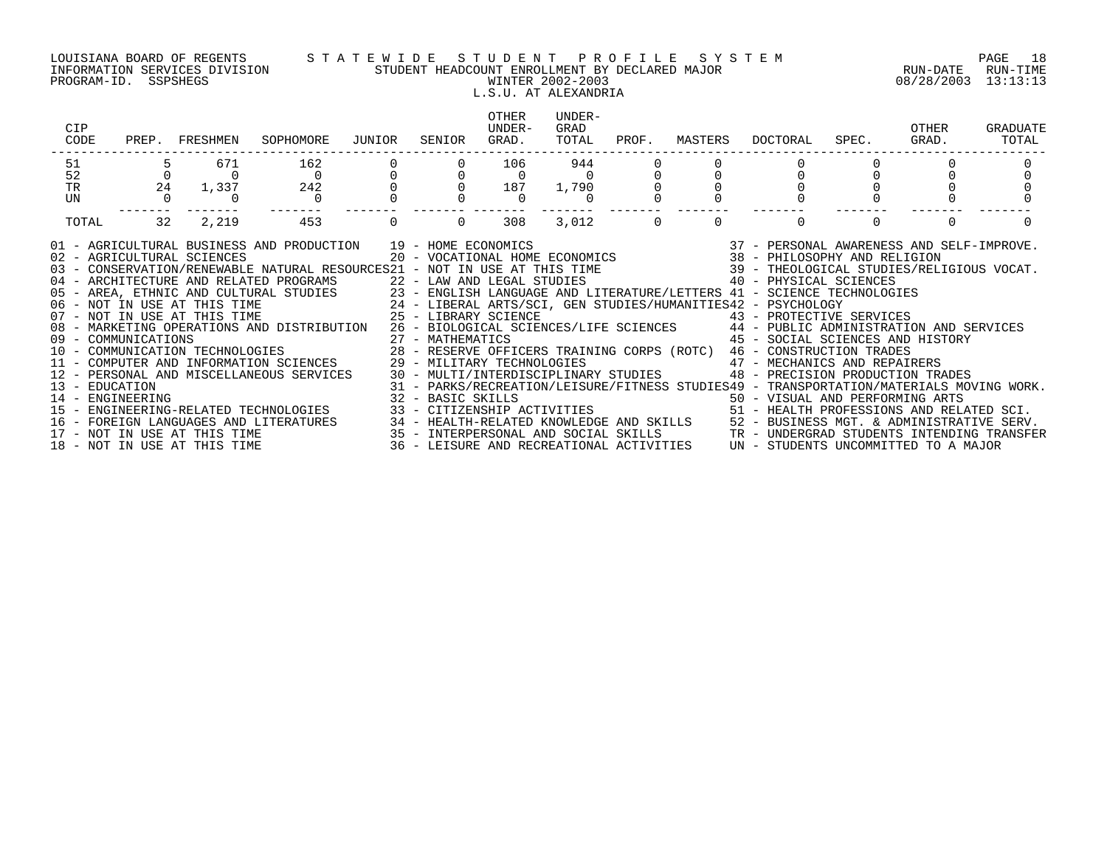### LOUISIANA BOARD OF REGENTS S T A T E W I D E S T U D E N T P R O F I L E S Y S T E M PAGE 18 INFORMATION SERVICES DIVISION STUDENT HEADCOUNT ENROLLMENT BY DECLARED MAJOR RUN-DATE RUN-TIME PROGRAM-ID. SSPSHEGS WINTER 2002-2003 08/28/2003 13:13:13 L.S.U. AT ALEXANDRIA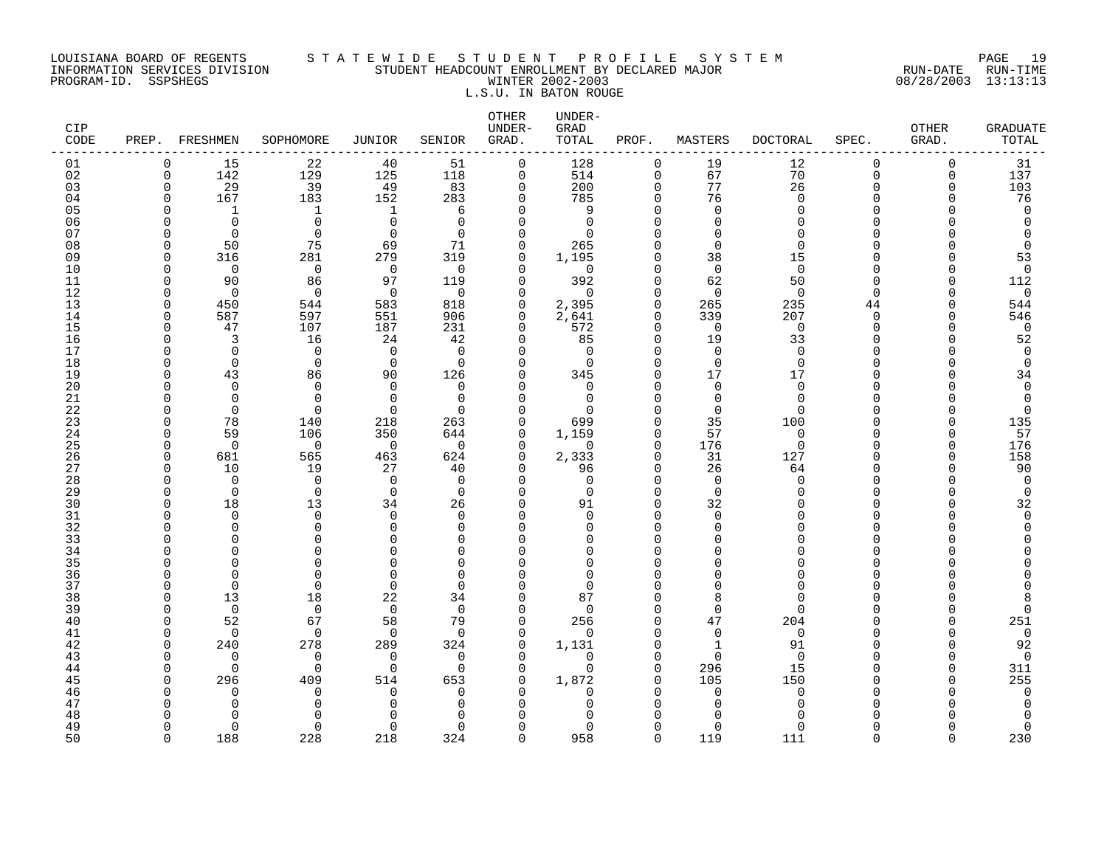### LOUISIANA BOARD OF REGENTS S T A T E W I D E S T U D E N T P R O F I L E S Y S T E M PAGE 19 INFORMATION SERVICES DIVISION STUDENT HEADCOUNT ENROLLMENT BY DECLARED MAJOR RUN-DATE RUN-TIME PROGRAM-ID. SSPSHEGS WINTER 2002-2003 08/28/2003 13:13:13 L.S.U. IN BATON ROUGE

| CIP<br>CODE |             | PREP. FRESHMEN  | SOPHOMORE                  | <b>JUNIOR</b>  | SENIOR               | OTHER<br>UNDER-<br>GRAD. | UNDER-<br>GRAD<br>TOTAL | PROF.                | MASTERS                 | <b>DOCTORAL</b> | SPEC.             | OTHER<br>GRAD. | <b>GRADUATE</b><br>TOTAL |
|-------------|-------------|-----------------|----------------------------|----------------|----------------------|--------------------------|-------------------------|----------------------|-------------------------|-----------------|-------------------|----------------|--------------------------|
| 01          | 0           | 15              | 22                         | 40             | 51                   | 0                        | 128                     | $\mathbf 0$          | 19                      | 12              | 0                 | $\Omega$       | 31                       |
| 02          | $\Omega$    | 142             | 129                        | 125            | 118                  | $\Omega$                 | 514                     | $\Omega$             | 67                      | 70              | $\Omega$          | $\Omega$       | 137                      |
| 03          | $\Omega$    | 29              | 39                         | 49             | 83                   | $\mathbf 0$              | 200                     | $\mathbf 0$          | 77                      | 26              | $\Omega$          | $\Omega$       | 103                      |
| 04          | $\Omega$    | 167             | 183                        | 152            | 283                  | 0                        | 785                     | 0                    | 76                      | $\Omega$        | <sup>n</sup>      | ∩              | 76                       |
| 05          | n           | $\mathbf{1}$    | 1                          | 1              | 6                    | $\Omega$                 | 9                       | $\Omega$             | $\Omega$                | $\Omega$        | $\cap$            |                | $\mathbf 0$              |
| 06          | ∩           | $\Omega$        | $\Omega$                   | $\Omega$       | $\Omega$             | $\Omega$                 | $\Omega$                | $\Omega$             | $\Omega$                | ∩               | U<br>$\cap$       |                | $\mathbf 0$              |
| 07          | U           | $\Omega$        | $\Omega$                   | $\Omega$       | $\Omega$             | $\Omega$                 | $\Omega$                | $\Omega$<br>$\Omega$ | $\Omega$<br>$\Omega$    | ∩<br>$\Omega$   | $\Omega$          |                | $\cap$<br>$\Omega$       |
| 08<br>09    | $\Omega$    | 50              | 75<br>281                  | 69<br>279      | 71<br>319            | $\Omega$<br>0            | 265<br>1,195            | $\Omega$             | 38                      | 15              | <sup>n</sup>      |                | 53                       |
| 10          | U           | 316<br>$\Omega$ | $\mathbf 0$                | $\overline{0}$ | $\Omega$             | $\Omega$                 | $\mathbf 0$             | $\Omega$             | $\mathbf 0$             | $\Omega$        | <sup>n</sup>      |                | 0                        |
| 11          | U           | 90              | 86                         | 97             | 119                  | $\Omega$                 | 392                     | $\Omega$             | 62                      | 50              | $\Omega$          | ∩              | 112                      |
| 12          | $\cap$      | $\Omega$        | $\Omega$                   | $\Omega$       | $\Omega$             | $\Omega$                 | $\Omega$                | $\Omega$             | $\Omega$                | $\Omega$        | $\Omega$          | n              | 0                        |
| 13          | O           | 450             | 544                        | 583            | 818                  | $\Omega$                 | 2,395                   | $\Omega$             | 265                     | 235             | 44                | n              | 544                      |
| 14          | $\cap$      | 587             | 597                        | 551            | 906                  | $\Omega$                 | 2,641                   | $\mathbf 0$          | 339                     | 207             | $\Omega$          | n              | 546                      |
| 15          | O           | 47              | 107                        | 187            | 231                  | $\Omega$                 | 572                     | $\mathbf 0$          | $\mathbf 0$             | $\mathbf 0$     | $\Omega$          | Λ              | $\overline{0}$           |
| 16          | n           | 3               | 16                         | 24             | 42                   | $\Omega$                 | 85                      | $\mathbf 0$          | 19                      | 33              | $\Omega$          |                | 52                       |
| 17          |             | $\Omega$        | $\Omega$                   | $\Omega$       | $\Omega$             | $\Omega$                 | $\Omega$                | $\Omega$             | $\Omega$                | $\Omega$        | <sup>n</sup>      |                | $\mathbf 0$              |
| 18          | C           | $\Omega$        | $\mathbf 0$                | $\Omega$       | $\Omega$             | $\Omega$                 | $\Omega$                | $\Omega$             | $\Omega$                | $\Omega$        | $\Omega$          |                | $\mathbf 0$              |
| 19          | n           | 43              | 86                         | 90             | 126                  | $\Omega$                 | 345                     | $\Omega$             | 17                      | 17              | $\cap$            |                | 34                       |
| 20          |             | $\Omega$        | $\Omega$                   | $\Omega$       | $\Omega$             | $\cap$                   | $\Omega$                | $\Omega$             | $\Omega$                | $\Omega$        | $\cap$            |                | $\Omega$                 |
| 21          |             | $\Omega$        | $\Omega$                   | $\Omega$       | $\Omega$             | $\Omega$                 | $\Omega$                | $\Omega$             | $\Omega$                | $\Omega$        | <sup>n</sup>      |                | 0                        |
| 22          | n           | $\Omega$        | $\Omega$                   | $\Omega$       | $\Omega$             | $\Omega$                 | U                       | $\Omega$             | $\Omega$                | $\Omega$        | <sup>n</sup>      |                | 0                        |
| 23          |             | 78              | 140                        | 218            | 263                  | $\Omega$                 | 699                     | $\Omega$             | 35                      | 100             | $\Omega$          |                | 135                      |
| 24          | U           | 59              | 106                        | 350            | 644                  | 0                        | 1,159                   | $\mathbf 0$          | 57                      | $\mathbf 0$     | $\Omega$          |                | 57                       |
| 25          | $\cap$      | $\Omega$        | $\Omega$                   | $\Omega$       | $\Omega$             | $\Omega$                 | $\Omega$                | $\Omega$             | 176                     | $\Omega$        | U                 | n              | 176                      |
| 26          | $\cap$      | 681             | 565                        | 463            | 624                  | $\Omega$                 | 2,333                   | $\Omega$             | 31                      | 127             | $\Omega$          | $\Omega$       | 158                      |
| 27          | $\cap$<br>U | 10<br>$\Omega$  | 19                         | 27<br>$\Omega$ | 40                   | O<br>$\Omega$            | 96<br>$\Omega$          | $\Omega$<br>$\Omega$ | 26                      | 64              | <sup>n</sup><br>U |                | 90                       |
| 28<br>29    | U           | $\mathbf 0$     | $\mathbf 0$<br>$\mathbf 0$ | $\mathbf 0$    | $\Omega$<br>$\Omega$ | $\Omega$                 | $\Omega$                | $\Omega$             | $\mathbf 0$<br>$\Omega$ | $\Omega$<br>∩   | <sup>n</sup>      |                | 0<br>0                   |
| 30          | $\cap$      | 18              | 13                         | 34             | 26                   | $\Omega$                 | 91                      | $\Omega$             | 32                      |                 | $\cap$            |                | 32                       |
| 31          | U           | $\Omega$        | $\Omega$                   | $\Omega$       | $\Omega$             | $\Omega$                 | $\Omega$                | $\Omega$             | $\Omega$                |                 | $\Omega$          |                | $\mathbf 0$              |
| 32          |             | $\Omega$        | $\Omega$                   | $\Omega$       | $\Omega$             | $\Omega$                 | $\Omega$                | $\Omega$             | $\Omega$                |                 | $\cap$            |                | $\Omega$                 |
| 33          |             | $\Omega$        | $\Omega$                   | O              | $\Omega$             | U                        | $\Omega$                | $\Omega$             | U                       |                 | <sup>n</sup>      |                |                          |
| 34          |             | $\Omega$        | $\Omega$                   | ∩              | $\Omega$             | $\Omega$                 | $\Omega$                | $\Omega$             | $\Omega$                |                 | <sup>n</sup>      |                |                          |
| 35          |             | $\Omega$        | $\Omega$                   |                | $\Omega$             | U                        | U                       | $\Omega$             | U                       |                 | U                 |                |                          |
| 36          |             | $\Omega$        | $\Omega$                   | O              | ∩                    | ∩                        | $\Omega$                | $\Omega$             | $\cap$                  |                 | <sup>n</sup>      |                |                          |
| 37          | n           | $\Omega$        | $\Omega$                   | $\Omega$       | ∩                    | $\Omega$                 | $\Omega$                | $\Omega$             | $\Omega$                |                 | U                 |                |                          |
| 38          | n           | 13              | 18                         | 22             | 34                   | $\Omega$                 | 87                      | $\Omega$             | 8                       |                 |                   |                | 8                        |
| 39          | n           | $\mathbf 0$     | $\mathbf 0$                | $\mathbf 0$    | $\Omega$             | $\Omega$                 | 0                       | $\Omega$             | $\Omega$                | ∩               | <sup>n</sup>      |                | 0                        |
| 40          | n           | 52              | 67                         | 58             | 79                   | 0                        | 256                     | $\Omega$             | 47                      | 204             | <sup>n</sup>      | O              | 251                      |
| 41          | $\cap$      | $\Omega$        | $\Omega$                   | $\Omega$       | $\Omega$             | $\Omega$                 | $\Omega$                | $\Omega$             | $\mathbf 0$             | $\mathbf 0$     | <sup>n</sup>      |                | $\mathbf 0$              |
| 42          | U           | 240             | 278                        | 289            | 324                  | 0                        | 1,131                   | $\Omega$             | $\mathbf{1}$            | 91              | $\cap$            |                | 92                       |
| 43          | n           | $\Omega$        | $\Omega$                   | $\Omega$       | ∩                    | $\cap$                   | $\Omega$                | $\Omega$             | $\Omega$                | $\Omega$        | $\cap$            |                | $\mathbf 0$              |
| 44          | U           | $\Omega$        | $\Omega$                   | $\Omega$       | $\Omega$             | $\Omega$                 | $\Omega$                | $\Omega$             | 296                     | 15              | $\cap$            | n              | 311                      |
| 45          | n           | 296             | 409                        | 514            | 653                  | $\Omega$                 | 1,872                   | $\Omega$             | 105                     | 150             |                   |                | 255                      |
| 46          |             | $\Omega$        | $\Omega$                   | $\Omega$       | $\Omega$             |                          | <sup>0</sup>            | $\Omega$             | $\Omega$<br>∩           | $\Omega$        | U                 |                | 0                        |
| 47          |             | ∩               | $\Omega$<br>∩              |                | O                    |                          | U                       | $\Omega$             |                         |                 |                   |                | $\Omega$<br>U            |
| 48<br>49    | U           | $\Omega$        | $\Omega$                   | $\Omega$       | ∩                    |                          | $\Omega$                | $\Omega$             | $\Omega$                | ∩               | <sup>n</sup>      |                | 0                        |
| 50          | $\cap$      | 188             | 228                        | 218            | 324                  | $\Omega$                 | 958                     | $\Omega$             | 119                     | 111             | $\Omega$          | $\cap$         | 230                      |
|             |             |                 |                            |                |                      |                          |                         |                      |                         |                 |                   |                |                          |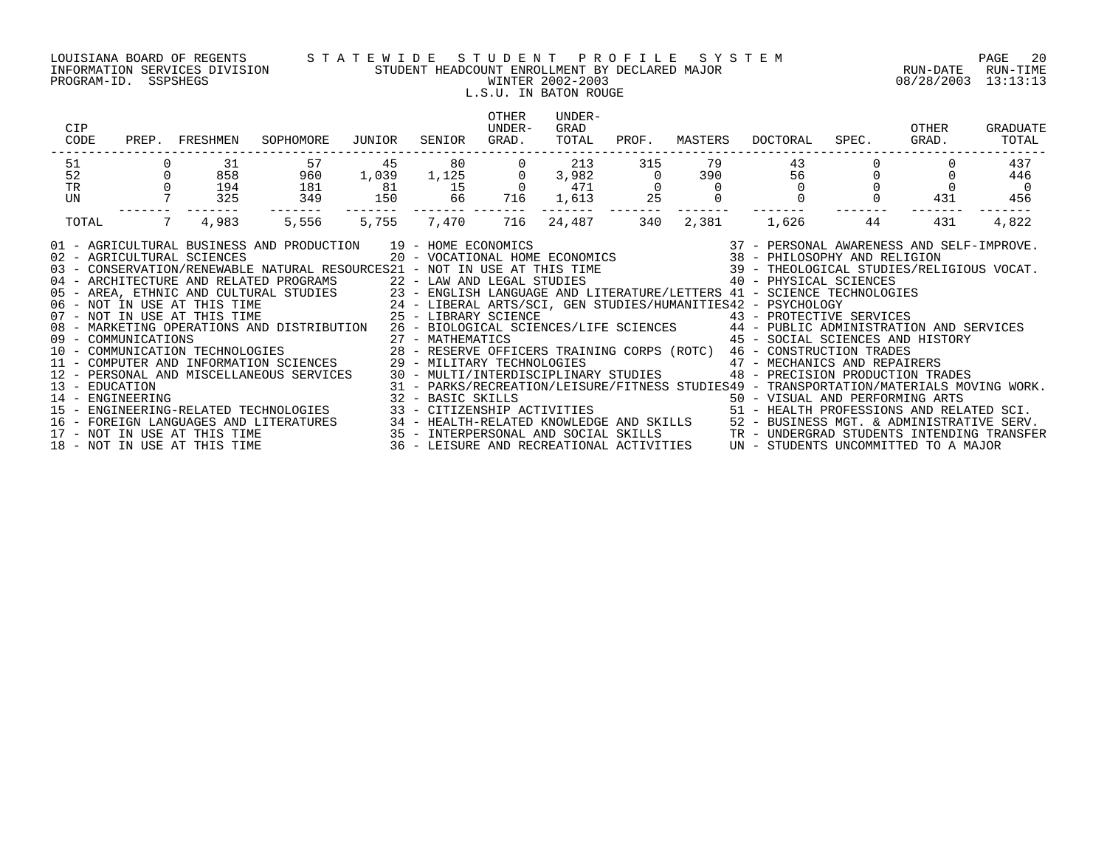### LOUISIANA BOARD OF REGENTS S T A T E W I D E S T U D E N T P R O F I L E S Y S T E M PAGE 20 INFORMATION SERVICES DIVISION STUDENT HEADCOUNT ENROLLMENT BY DECLARED MAJOR RUN-DATE RUN-TIME PROGRAM-ID. SSPSHEGS WINTER 2002-2003 08/28/2003 13:13:13 L.S.U. IN BATON ROUGE

| CIP<br>CODE    | PREP.            | FRESHMEN                   | SOPHOMORE                                                                                                                                                                                                                                                              | JUNIOR | SENIOR | OTHER<br>UNDER-<br>GRAD. | UNDER-<br>GRAD<br>TOTAL | PROF.    | MASTERS | DOCTORAL                                                                                                                                                                     | SPEC. | OTHER<br>GRAD. | <b>GRADUATE</b><br>TOTAL |
|----------------|------------------|----------------------------|------------------------------------------------------------------------------------------------------------------------------------------------------------------------------------------------------------------------------------------------------------------------|--------|--------|--------------------------|-------------------------|----------|---------|------------------------------------------------------------------------------------------------------------------------------------------------------------------------------|-------|----------------|--------------------------|
| 51             |                  | 31                         | 57                                                                                                                                                                                                                                                                     | 45     | 80     |                          | 213                     | 315      | 79      | 43                                                                                                                                                                           |       |                | 437                      |
| 52             |                  | 858                        | 960                                                                                                                                                                                                                                                                    | 1,039  | 1,125  |                          | 3,982                   | $\Omega$ | 390 390 | 56                                                                                                                                                                           |       |                | 446                      |
| TR             |                  | 194                        | 181                                                                                                                                                                                                                                                                    | 81     | 15     |                          | 471                     |          |         |                                                                                                                                                                              |       |                | $\overline{0}$           |
| UN             |                  | 325                        | 349                                                                                                                                                                                                                                                                    | 150    | 66     | 716                      | 1,613                   | 25       |         |                                                                                                                                                                              |       | 431            | 456                      |
| TOTAL          | 7                | 4,983                      | 5,556                                                                                                                                                                                                                                                                  | 5,755  | 7,470  | 716                      | 24,487                  | 340      | 2,381   | 1,626                                                                                                                                                                        | 44    | 431            | 4,822                    |
|                |                  | 02 - AGRICULTURAL SCIENCES | 01 - AGRICULTURAL BUSINESS AND PRODUCTION 19 - HOME ECONOMICS<br>02 - AGAILLOIDIONAL SCIERCES<br>03 - CONSERVATION/RENEWABLE NATURAL RESOURCES21 - NOT IN USE AT THIS TIME<br>04 - ARCHITECTURE AND RELATED PROGRAMS 22 - LAW AND LEGAL STUDIES 40 - PHYSICAL SCIENCES |        |        |                          |                         |          |         | 19 - HOME ECONOMICS                                 37 - PERSONAL AWARENESS AND SELF-IMPROVE.<br>20 - VOCATIONAL HOME ECONOMICS                 38 - PHILOSOPHY AND RELIGION |       |                |                          |
|                |                  |                            |                                                                                                                                                                                                                                                                        |        |        |                          |                         |          |         |                                                                                                                                                                              |       |                |                          |
|                |                  |                            | 05 - AREA, ETHNIC AND CULTURAL STUDIES<br>16 - AREA, ETHNIC AND CULTURAL STUDIES<br>16 - NOT IN USE AT THIS TIME 24 - LIBERAL ARTS/SCI, GEN STUDIES/HUMANITIES42 - PSYCHOLOGY<br>16 - NOT IN USE AT THIS TIME 25 - LIBRARY SCIENCE 29 -                                |        |        |                          |                         |          |         |                                                                                                                                                                              |       |                |                          |
|                |                  |                            |                                                                                                                                                                                                                                                                        |        |        |                          |                         |          |         |                                                                                                                                                                              |       |                |                          |
|                |                  |                            |                                                                                                                                                                                                                                                                        |        |        |                          |                         |          |         |                                                                                                                                                                              |       |                |                          |
|                |                  |                            | 08 - MARKETING OPERATIONS AND DISTRIBUTION                                                                                                                                                                                                                             |        |        |                          |                         |          |         | 26 - BIOLOGICAL SCIENCES/LIFE SCIENCES 44 - PUBLIC ADMINISTRATION AND SERVICES                                                                                               |       |                |                          |
|                |                  |                            |                                                                                                                                                                                                                                                                        |        |        |                          |                         |          |         | 45 - SOCIAL SCIENCES AND HISTORY                                                                                                                                             |       |                |                          |
|                |                  |                            |                                                                                                                                                                                                                                                                        |        |        |                          |                         |          |         |                                                                                                                                                                              |       |                |                          |
|                |                  |                            | 12 - PERSONAL AND MISCELLANEOUS SERVICES                                                                                                                                                                                                                               |        |        |                          |                         |          |         | 29 - MILITARY TECHNOLOGIES<br>30 - MULTI/INTERDISCIPLINARY STUDIES<br>90 - PRECISION PRODUCTION TRADES                                                                       |       |                |                          |
| 13 - EDUCATION |                  |                            |                                                                                                                                                                                                                                                                        |        |        |                          |                         |          |         | 31 - PARKS/RECREATION/LEISURE/FITNESS STUDIES49 - TRANSPORTATION/MATERIALS MOVING WORK.                                                                                      |       |                |                          |
|                | 14 - ENGINEERING |                            |                                                                                                                                                                                                                                                                        |        |        |                          |                         |          |         |                                                                                                                                                                              |       |                |                          |
|                |                  |                            | 15 - ENGINEERING-RELATED TECHNOLOGIES                                                                                                                                                                                                                                  |        |        |                          |                         |          |         | 32 - BASIC SKILLS<br>33 - CITIZENSHIP ACTIVITIES                                     51 - HEALTH PROFESSIONS AND RELATED SCI.                                                |       |                |                          |
|                |                  |                            |                                                                                                                                                                                                                                                                        |        |        |                          |                         |          |         |                                                                                                                                                                              |       |                |                          |
|                |                  |                            |                                                                                                                                                                                                                                                                        |        |        |                          |                         |          |         |                                                                                                                                                                              |       |                |                          |
|                |                  |                            | 16 - FOREIGN LANGUAGES AND LITERATURES 34 - HEALTH-RELATED KNOWLEDGE AND SKILLS 52 - BUSINESS MGT. & ADMINISTRATIVE SERV.<br>17 - NOT IN USE AT THIS TIME 3ERV.<br>18 - NOT IN USE AT THIS TIME 35 - 18 - LEISURE AND RECREATIONAL A                                   |        |        |                          |                         |          |         |                                                                                                                                                                              |       |                |                          |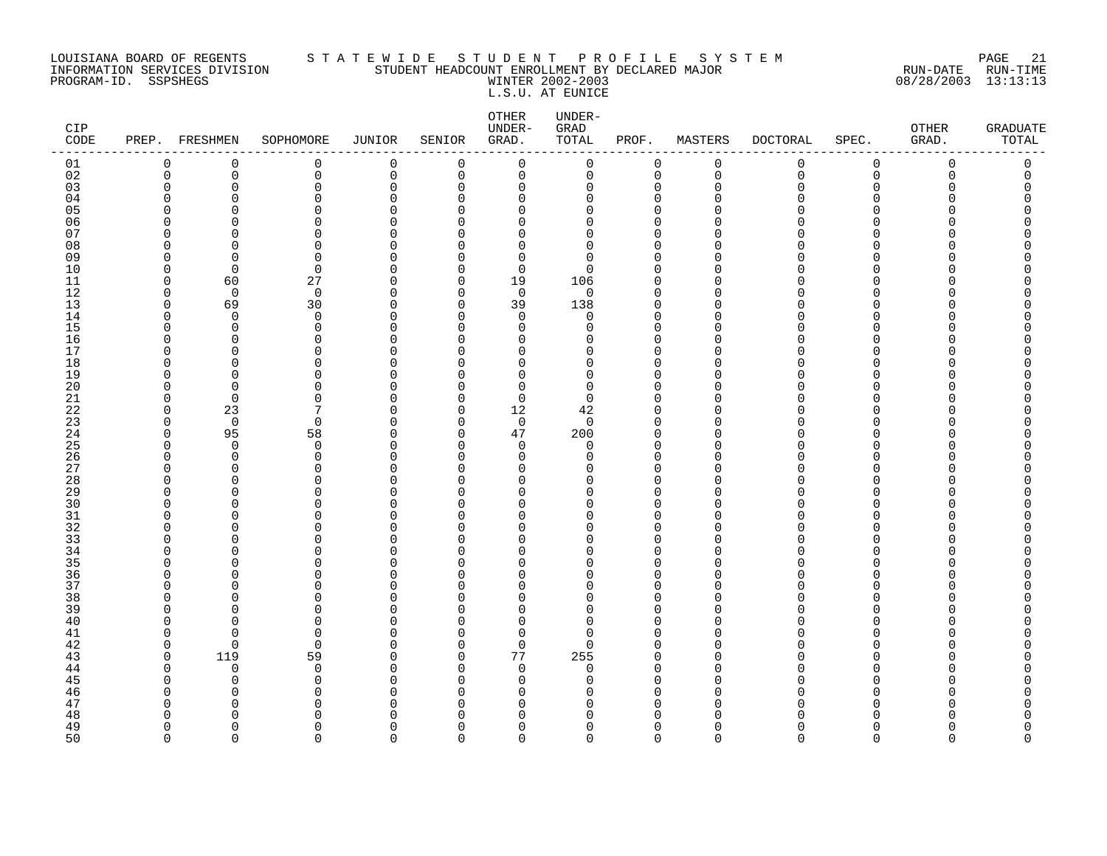### LOUISIANA BOARD OF REGENTS S T A T E W I D E S T U D E N T P R O F I L E S Y S T E M PAGE 21 INFORMATION SERVICES DIVISION STUDENT HEADCOUNT ENROLLMENT BY DECLARED MAJOR RUN-DATE RUN-TIME PROGRAM-ID. SSPSHEGS WINTER 2002-2003 08/28/2003 13:13:13 L.S.U. AT EUNICE

| CIP<br>$\texttt{CODE}$ |             | PREP. FRESHMEN           | SOPHOMORE            | <b>JUNIOR</b>      | SENIOR               | OTHER<br>UNDER-<br>GRAD.   | UNDER-<br>GRAD<br>TOTAL | PROF.                   | MASTERS            | <b>DOCTORAL</b> | SPEC.                | OTHER<br>GRAD. | <b>GRADUATE</b><br>TOTAL |
|------------------------|-------------|--------------------------|----------------------|--------------------|----------------------|----------------------------|-------------------------|-------------------------|--------------------|-----------------|----------------------|----------------|--------------------------|
| 01                     | $\mathbf 0$ | 0                        | 0                    | $\mathbf 0$        | 0                    | 0                          | 0                       | $\mathbf 0$             | 0                  | 0               | 0                    | 0              | 0                        |
| 02                     | $\mathbf 0$ | 0                        | 0                    | $\mathsf 0$        | 0                    | $\mathbf 0$                | 0                       | $\mathbf 0$             | $\mathbf 0$        | $\mathbf 0$     | $\mathbf 0$          | 0              | 0                        |
| 03                     | $\Omega$    | $\Omega$                 | 0                    | $\Omega$           | $\mathbf 0$          | $\mathbf 0$                | 0                       | $\mathbf 0$             | $\Omega$           | $\Omega$        | 0                    | O              | 0                        |
| 04                     | U<br>$\cap$ | <sup>n</sup><br>$\Omega$ | $\Omega$<br>$\Omega$ | $\cap$<br>$\Omega$ | $\Omega$<br>$\Omega$ | $\Omega$<br>$\Omega$       | 0<br>0                  | $\Omega$<br>$\Omega$    | n<br>$\cap$        | ∩<br>∩          | $\Omega$<br>$\Omega$ |                | U<br>Λ                   |
| 05<br>06               | n           | <sup>0</sup>             | 0                    | O                  | $\Omega$             | 0                          | 0                       | $\mathbf 0$             | ∩                  | O               | $\Omega$             |                | Λ                        |
| 07                     | ∩           | <sup>n</sup>             | $\Omega$             | O                  | $\Omega$             | $\mathbf 0$                | 0                       | $\mathbf 0$             | ∩                  | ∩               | ∩                    |                | ∩                        |
| 08                     | n           | $\Omega$                 | 0                    | O                  | $\Omega$             | $\mathbf 0$                | $\mathbf 0$             | $\mathbf 0$             | $\Omega$           | ∩               | ∩                    |                | ∩                        |
| 09                     | $\Omega$    | $\Omega$                 | $\Omega$             | $\Omega$           | $\Omega$             | $\Omega$                   | $\Omega$                | $\Omega$                | ∩                  |                 | ∩                    |                |                          |
| 10                     | $\Omega$    | $\mathbf 0$              | 0                    | $\Omega$           | $\mathbf 0$          | $\mathbf 0$                | 0                       | $\mathbf 0$             | U                  |                 | $\Omega$             |                |                          |
| 11                     | $\Omega$    | 60                       | 27                   | 0                  | $\Omega$             | 19                         | 106                     | $\mathbf 0$             | ∩                  |                 | $\Omega$             |                |                          |
| 12                     | $\Omega$    | $\mathbf 0$              | $\mathbf 0$          | $\Omega$           | 0                    | $\mathbf 0$                | 0                       | $\Omega$                | $\Omega$           |                 | ∩                    |                |                          |
| 13                     | $\Omega$    | 69                       | 30                   | $\Omega$           | $\Omega$             | 39                         | 138                     | $\mathbf 0$             | $\Omega$           |                 | $\Omega$             |                |                          |
| 14                     | $\Omega$    | $\Omega$                 | $\Omega$             | $\Omega$           | $\Omega$             | $\Omega$                   | $\Omega$                | $\mathbf 0$             | $\Omega$           | ∩               | $\Omega$             |                | Λ                        |
| 15                     | U           | 0                        | 0                    | $\Omega$           | $\Omega$             | $\mathbf 0$                | 0                       | $\overline{0}$          | U                  |                 | $\Omega$             |                | Λ                        |
| 16                     | U           | $\Omega$                 | 0                    | O                  | $\Omega$             | $\mathbf 0$                | 0                       | $\mathbf 0$             | ∩                  | N               | $\Omega$             |                | Λ                        |
| 17                     | ∩           | $\Omega$                 | $\Omega$             | $\Omega$           | $\Omega$             | $\Omega$                   | 0                       | $\Omega$                | U                  |                 | ∩                    |                |                          |
| 18                     | U           | $\Omega$                 | $\Omega$             | $\Omega$           | $\Omega$             | $\Omega$                   | 0                       | $\Omega$                | $\cap$             |                 | ∩                    |                |                          |
| 19                     | U           | $\Omega$                 | 0                    | O<br>$\Omega$      | O<br>$\Omega$        | $\mathbf 0$                | 0                       | $\mathbf 0$             | $\Omega$<br>$\cap$ | N               | $\Omega$<br>$\Omega$ |                | Λ                        |
| 20<br>21               | $\Omega$    | $\Omega$<br>$\mathbf 0$  | $\Omega$<br>$\Omega$ | $\Omega$           | 0                    | $\mathbf 0$<br>$\mathbf 0$ | 0<br>0                  | $\Omega$<br>$\mathbf 0$ | $\Omega$           | ∩               | ∩                    |                | ∩                        |
| 22                     | $\Omega$    | 23                       | 7                    | $\Omega$           | $\Omega$             | 12                         | 42                      | $\Omega$                | $\Omega$           |                 | ∩                    |                |                          |
| 23                     | $\Omega$    | $\mathbf 0$              | $\Omega$             | $\Omega$           | $\Omega$             | $\mathbf 0$                | $\mathbf 0$             | $\mathbf 0$             | $\Omega$           |                 | $\Omega$             |                |                          |
| 24                     | $\Omega$    | 95                       | 58                   | 0                  | $\Omega$             | 47                         | 200                     | $\mathbf 0$             | $\Omega$           | N               | $\Omega$             |                |                          |
| 25                     | ∩           | 0                        | 0                    | O                  | $\Omega$             | $\mathbf 0$                | 0                       | $\mathbf 0$             | n                  |                 | ∩                    |                | ∩                        |
| 26                     | $\Omega$    | $\Omega$                 | 0                    | $\Omega$           | $\Omega$             | $\mathbf 0$                | 0                       | $\mathbf 0$             | $\Omega$           |                 | ∩                    |                | ∩                        |
| 27                     | n           | <sup>n</sup>             | $\Omega$             | $\Omega$           | $\Omega$             | $\Omega$                   | 0                       | $\mathbf 0$             | ∩                  |                 | ∩                    |                |                          |
| 28                     | U           | $\Omega$                 | 0                    | $\Omega$           | $\Omega$             | $\mathbf 0$                | 0                       | $\overline{0}$          | U                  |                 | $\Omega$             |                |                          |
| 29                     | U           | $\Omega$                 | 0                    | 0                  | $\Omega$             | 0                          | 0                       | $\mathbf 0$             | ∩                  |                 | $\Omega$             |                |                          |
| 30                     | ∩           | <sup>n</sup>             | $\Omega$             | $\Omega$           | $\Omega$             | $\Omega$                   | 0                       | $\Omega$                | $\Omega$           |                 | ∩                    |                |                          |
| 31                     | n           | n                        | $\Omega$             | O                  | $\Omega$             | $\Omega$                   | 0                       | $\Omega$                | $\Omega$           |                 | ∩                    |                |                          |
| 32                     | ∩           | <sup>n</sup>             | $\Omega$             | U                  | U                    | $\Omega$                   | 0                       | $\mathbf 0$             | ∩                  |                 | ∩                    |                |                          |
| 33<br>34               | ∩           | $\Omega$<br>$\Omega$     | $\Omega$<br>$\Omega$ | O<br>0             | $\Omega$<br>$\Omega$ | $\mathbf 0$                | 0                       | $\Omega$<br>$\mathbf 0$ | $\cap$<br>$\Omega$ |                 | $\Omega$<br>$\Omega$ |                |                          |
| 35                     |             | n                        | $\Omega$             | O                  | $\Omega$             | 0<br>$\Omega$              | 0<br>0                  | $\Omega$                | n                  |                 | ∩                    |                |                          |
| 36                     | n           | <sup>n</sup>             | $\Omega$             | O                  | $\Omega$             | $\mathbf 0$                | 0                       | $\mathbf 0$             | $\Omega$           |                 | $\Omega$             |                | ∩                        |
| 37                     | O           | $\Omega$                 | 0                    | $\Omega$           | $\Omega$             | $\mathbf 0$                | 0                       | $\mathbf 0$             | $\Omega$           |                 | $\Omega$             |                |                          |
| 38                     | O           | n                        | $\Omega$             | 0                  | $\Omega$             | 0                          | 0                       | $\mathbf 0$             | n                  |                 | ∩                    |                | Λ                        |
| 39                     | ∩           | $\Omega$                 | $\Omega$             | $\Omega$           | $\Omega$             | $\mathbf 0$                | 0                       | $\mathbf 0$             | $\Omega$           |                 | ∩                    |                | ∩                        |
| 40                     | O           | n                        | $\Omega$             | O                  | $\Omega$             | $\Omega$                   | 0                       | $\Omega$                | $\Omega$           |                 | ∩                    |                |                          |
| 41                     | n           | <sup>n</sup>             | 0                    | $\Omega$           | $\Omega$             | $\Omega$                   | 0                       | $\Omega$                | n                  |                 | ∩                    |                |                          |
| 42                     | $\Omega$    | $\Omega$                 | 0                    | 0                  | 0                    | $\mathbf 0$                | 0                       | $\mathbf 0$             | $\Omega$           |                 | $\Omega$             |                |                          |
| 43                     | $\Omega$    | 119                      | 59                   | $\Omega$           | 0                    | 77                         | 255                     | $\mathbf 0$             | $\Omega$           |                 | ∩                    |                |                          |
| 44                     | O           | $\Omega$                 | $\mathbf 0$          | O                  | $\Omega$             | $\mathbf 0$                | $\mathbf 0$             | $\mathbf 0$             | $\Omega$           |                 | $\Omega$             |                |                          |
| 45                     |             | $\Omega$                 | $\Omega$             | O                  | $\Omega$             | $\mathbf 0$                | 0                       | $\mathbf 0$             | $\Omega$           |                 | $\Omega$             |                |                          |
| 46                     |             | $\Omega$                 | 0                    | $\Omega$           | $\Omega$             | $\mathbf 0$                | 0                       | $\mathbf 0$             | $\Omega$           | N               | $\Omega$             |                |                          |
| 47                     |             | <sup>0</sup>             | $\Omega$             | O                  | O                    | 0                          | 0                       | 0                       | $\Omega$           |                 | ∩                    |                | Λ                        |
| 48                     | ∩           | ∩<br>$\Omega$            | U<br>$\Omega$        | C<br>O             | U<br>$\Omega$        | $\Omega$<br>$\Omega$       | 0<br>0                  | $\Omega$<br>$\mathbf 0$ | n<br>$\Omega$      | N               | $\Omega$             | U              | ∩<br>O                   |
| 49<br>50               | $\cap$      | $\Omega$                 | $\Omega$             | $\Omega$           | $\cap$               | $\Omega$                   | 0                       | $\Omega$                | $\cap$             | $\Omega$        | $\Omega$             | $\Omega$       | $\Omega$                 |
|                        |             |                          |                      |                    |                      |                            |                         |                         |                    |                 |                      |                |                          |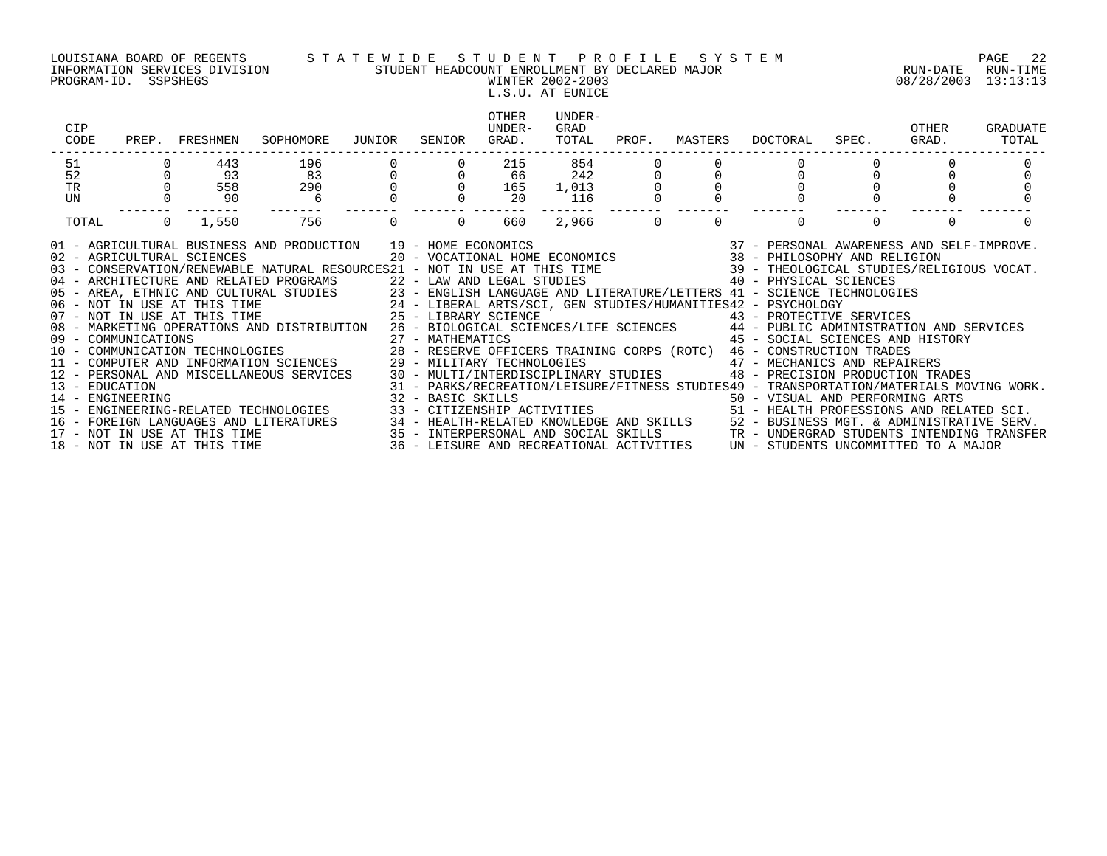PROGRAM-ID. SSPSHEGS WINTER 2002-2003 08/28/2003 13:13:13

### LOUISIANA BOARD OF REGENTS S T A T E W I D E S T U D E N T P R O F I L E S Y S T E M PAGE 22 INFORMATION SERVICES DIVISION STUDENT HEADCOUNT ENROLLMENT BY DECLARED MAJOR RUN-DATE RUN-TIME

# L.S.U. AT EUNICE

| CIP<br>CODE | PREP. FRESHMEN                                                                                                             | SOPHOMORE JUNIOR                                                                                                                                                                                                                                                                                                                                                                                                                                                                                                                                                                                                                                                                                                                                                                                                                                                                                                                                                                                                                                                                                                                                                                                                                                                                                                                                   | SENIOR                              | OTHER<br>UNDER-<br>GRAD. | UNDER-<br>GRAD<br>TOTAL |          | PROF. MASTERS |                                  | DOCTORAL SPEC. GRAD. | OTHER    | GRADUATE<br>TOTAL |
|-------------|----------------------------------------------------------------------------------------------------------------------------|----------------------------------------------------------------------------------------------------------------------------------------------------------------------------------------------------------------------------------------------------------------------------------------------------------------------------------------------------------------------------------------------------------------------------------------------------------------------------------------------------------------------------------------------------------------------------------------------------------------------------------------------------------------------------------------------------------------------------------------------------------------------------------------------------------------------------------------------------------------------------------------------------------------------------------------------------------------------------------------------------------------------------------------------------------------------------------------------------------------------------------------------------------------------------------------------------------------------------------------------------------------------------------------------------------------------------------------------------|-------------------------------------|--------------------------|-------------------------|----------|---------------|----------------------------------|----------------------|----------|-------------------|
| 51          | 443                                                                                                                        |                                                                                                                                                                                                                                                                                                                                                                                                                                                                                                                                                                                                                                                                                                                                                                                                                                                                                                                                                                                                                                                                                                                                                                                                                                                                                                                                                    |                                     |                          |                         |          |               |                                  |                      |          |                   |
| 52          |                                                                                                                            |                                                                                                                                                                                                                                                                                                                                                                                                                                                                                                                                                                                                                                                                                                                                                                                                                                                                                                                                                                                                                                                                                                                                                                                                                                                                                                                                                    |                                     |                          |                         |          |               |                                  |                      |          |                   |
| TR          |                                                                                                                            |                                                                                                                                                                                                                                                                                                                                                                                                                                                                                                                                                                                                                                                                                                                                                                                                                                                                                                                                                                                                                                                                                                                                                                                                                                                                                                                                                    |                                     |                          |                         |          |               |                                  |                      |          |                   |
| UN          | $\begin{bmatrix} 0 & 1 \\ 0 & 93 \\ 0 & 558 \\ 0 & 90 \end{bmatrix}$<br>$\begin{array}{ccc} 0 & 558 \\ 0 & 90 \end{array}$ |                                                                                                                                                                                                                                                                                                                                                                                                                                                                                                                                                                                                                                                                                                                                                                                                                                                                                                                                                                                                                                                                                                                                                                                                                                                                                                                                                    |                                     |                          |                         |          |               |                                  |                      |          |                   |
| TOTAL       | $0 \t1,550$                                                                                                                | 756                                                                                                                                                                                                                                                                                                                                                                                                                                                                                                                                                                                                                                                                                                                                                                                                                                                                                                                                                                                                                                                                                                                                                                                                                                                                                                                                                | $\begin{matrix} 0 & 0 \end{matrix}$ | 660 - 1                  | 2,966                   | $\Omega$ | $\Omega$      | $\Omega$                         |                      | $\Omega$ |                   |
|             |                                                                                                                            | 01 - AGRICULTURAL BUSINESS AND PRODUCTION 19 - HOME ECONOMICS 37 - PERSONAL AWARENESS AND SELF-IMPROVE.<br>20 - VOCATIONAL HOME ECONOMICS 38 - PHILOSOPHY AND RELIGION<br>20 - VOCATIONAL HOME ECONOMICS 38 - PHILOSOPHY AND RELIG<br>05 - AREA, ETHNIC AND CULTURAL STUDIES<br>23 - ENGLISH LANGUAGE AND LITERATURE/LETTERS 41 - SCIENCE TECHNOLOGIES<br>24 - LIBERAL ARTS/SCI, GEN STUDIES/HUMANITIES42 - PSYCHOLOGY<br>25 - LIBRARY SCIENCE<br>26 - MARKETING OPERATIONS<br>09 - COMMUNICATIONS 27 - MATHEMATICS 45 - SOCIAL SCIENCES AND 30 - COMMUNICATION TECHNOLOGIES 28 - RESERVE OFFICERS TRAINING CORPS (ROTC) 46 - CONSTRUCTION TRADES<br>11 - COMPUTER AND INFORMATION SCIENCES 29 - MILITARY TECHNOLOGIES 47 - MECHANICS AND REPAIRERS<br>12 - PERSONAL AND MISCELLANEOUS SERVICES 30 - MULTI/INTERDISCIPLINARY STUDIES 48 - PRECISION PRODUCTION TRADES<br>- EDUCATION INFORMATION SERVICES 31 - PARKS/RECREATION/LEISURE/FITNESS STUDIES49 - TRANSPORTATION/MATERIALS MOVING WORK.<br>14 - ENGINEERING 32 - BASIC SKILLS 50 - VISUAL AND PERFORMING ARTS<br>15 - ENGINEERING-RELATED TECHNOLOG<br>16 – FOREIGN LANGUAGES AND LITERATURES 34 – HEALTH-RELATED KNOWLEDGE AND SKILLS 52 – BUSINESS MGT. & ADMINISTRATIVE SERV.<br>17 – NOT IN USE AT THIS TIME 35 – INTERPERSONAL AND SOCIAL SKILLS 3TR – UNDERGRAD STUDENTS INTENDING |                                     |                          |                         |          |               | 45 - SOCIAL SCIENCES AND HISTORY |                      |          |                   |
|             |                                                                                                                            |                                                                                                                                                                                                                                                                                                                                                                                                                                                                                                                                                                                                                                                                                                                                                                                                                                                                                                                                                                                                                                                                                                                                                                                                                                                                                                                                                    |                                     |                          |                         |          |               |                                  |                      |          |                   |
|             |                                                                                                                            |                                                                                                                                                                                                                                                                                                                                                                                                                                                                                                                                                                                                                                                                                                                                                                                                                                                                                                                                                                                                                                                                                                                                                                                                                                                                                                                                                    |                                     |                          |                         |          |               |                                  |                      |          |                   |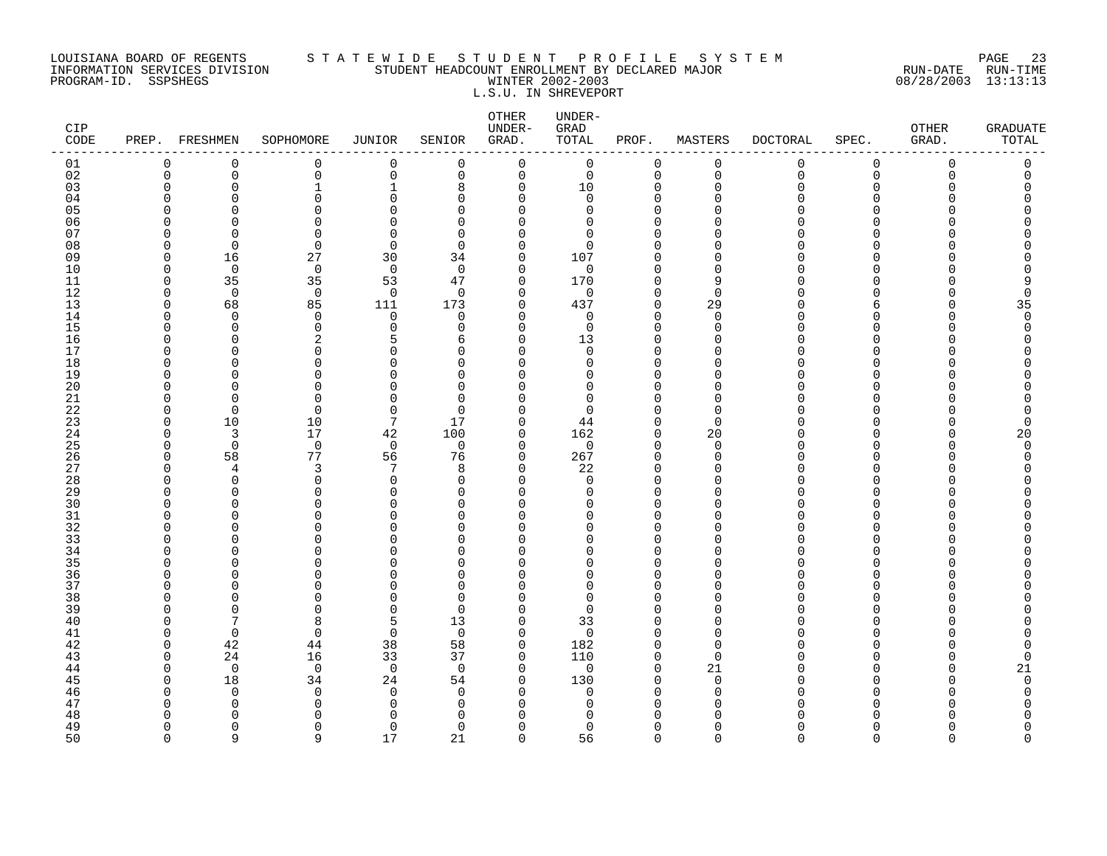### LOUISIANA BOARD OF REGENTS S T A T E W I D E S T U D E N T P R O F I L E S Y S T E M PAGE 23 INFORMATION SERVICES DIVISION STUDENT HEADCOUNT ENROLLMENT BY DECLARED MAJOR RUN-DATE RUN-TIME PROGRAM-ID. SSPSHEGS WINTER 2002-2003 08/28/2003 13:13:13 L.S.U. IN SHREVEPORT

| <b>CIP</b><br>CODE |                          | PREP. FRESHMEN | SOPHOMORE                | JUNIOR               | SENIOR               | OTHER<br>UNDER-<br>GRAD.   | UNDER-<br>GRAD<br>TOTAL | PROF.                   | MASTERS        | <b>DOCTORAL</b> | SPEC.                        | OTHER<br>GRAD. | <b>GRADUATE</b><br>TOTAL |
|--------------------|--------------------------|----------------|--------------------------|----------------------|----------------------|----------------------------|-------------------------|-------------------------|----------------|-----------------|------------------------------|----------------|--------------------------|
| 01                 | 0                        | 0              | 0                        | 0                    | 0                    | 0                          | $\mathbf 0$             | 0                       | 0              | 0               | $\mathbf 0$                  | $\mathbf 0$    | 0                        |
| 02                 | $\mathbf 0$              | 0              | 0                        | $\mathbf 0$          | $\mathbf 0$          | $\mathbf 0$                | $\mathbf 0$             | $\mathbf 0$             | $\mathbf{0}$   | $\mathbf 0$     | $\mathbf 0$                  | 0              | 0                        |
| 03<br>04           | 0<br>∩                   | 0<br>O         | $\mathbf{1}$<br>$\Omega$ | 1<br>$\Omega$        | 8<br>$\Omega$        | 0<br>$\Omega$              | 10<br>0                 | 0<br>$\Omega$           | $\Omega$<br>∩  | N               | $\Omega$<br>U                |                |                          |
| 05                 | $\Omega$                 |                | $\Omega$                 | U                    | $\Omega$             | $\Omega$                   | 0                       | $\Omega$                |                |                 | <sup>n</sup>                 |                |                          |
| 06                 | $\Omega$                 | U              | $\Omega$                 | $\cap$               | $\Omega$             | $\Omega$                   | $\Omega$                | $\Omega$                |                |                 | U                            |                |                          |
| 07                 | $\Omega$                 | ∩              | $\Omega$                 | ∩                    | $\Omega$             | $\cap$                     | 0                       | $\Omega$                |                |                 | U                            |                |                          |
| 08                 | $\Omega$                 | $\Omega$       | 0                        | $\Omega$             | $\Omega$             | $\Omega$                   | 0                       | $\Omega$                |                |                 | <sup>n</sup>                 |                |                          |
| 09                 | 0                        | 16<br>$\Omega$ | 27                       | 30                   | 34<br>$\Omega$       | 0                          | 107                     | $\Omega$                | ∩              |                 | U<br><sup>n</sup>            |                |                          |
| 10<br>11           | $\Omega$<br>$\Omega$     | 35             | 0<br>35                  | $\overline{0}$<br>53 | 47                   | $\mathbf 0$<br>$\mathbf 0$ | 0<br>170                | $\Omega$<br>$\mathbf 0$ | q              |                 | <sup>n</sup>                 |                |                          |
| 12                 | $\Omega$                 | $\Omega$       | $\mathbf 0$              | $\overline{0}$       | $\Omega$             | $\Omega$                   | $\mathbf 0$             | $\Omega$                | $\cap$         |                 | n                            |                | $\Omega$                 |
| 13                 | $\mathbf 0$              | 68             | 85                       | 111                  | 173                  | $\mathbf 0$                | 437                     | $\mathbf 0$             | 29             |                 | 6                            |                | 35                       |
| 14                 | $\Omega$                 | $\Omega$       | $\mathbf 0$              | $\Omega$             | $\Omega$             | 0                          | 0                       | $\mathbf 0$             | $\Omega$       |                 | <sup>n</sup>                 |                | $\Omega$                 |
| 15                 | $\Omega$                 | $\Omega$       | 0                        | $\mathbf 0$          | $\Omega$             | $\mathbf 0$                | $\mathbf 0$             | $\Omega$                | $\Omega$       |                 | U                            |                | O                        |
| 16<br>17           | $\Omega$<br>∩            | $\Omega$<br>∩  | 2<br>$\Omega$            | 5<br>U               | 6<br>$\Omega$        | $\Omega$<br>$\Omega$       | 13<br>$\Omega$          | $\Omega$<br>$\Omega$    | $\cap$<br>∩    |                 | U<br>U                       |                |                          |
| 18                 | $\Omega$                 | O              | 0                        | O                    | $\mathbf 0$          | 0                          | 0                       | $\Omega$                | O              |                 | $\Omega$                     |                |                          |
| 19                 | <sup>0</sup>             |                | $\Omega$                 | C                    | $\Omega$             | $\Omega$                   | 0                       | $\Omega$                |                |                 | <sup>n</sup>                 |                |                          |
| 20                 | ∩                        | U              | O                        | U                    | $\Omega$             | O                          | 0                       | $\Omega$                |                |                 | <sup>n</sup>                 |                |                          |
| 21                 | ∩                        | ∩              | $\Omega$                 | $\cap$               | $\Omega$             | $\Omega$                   | 0                       | $\Omega$                | ∩              |                 | U                            |                |                          |
| 22                 | $\Omega$                 | $\Omega$       | $\Omega$                 | $\Omega$             | $\Omega$             | $\Omega$                   | 0                       | $\Omega$                | $\Omega$       |                 | <sup>n</sup>                 |                |                          |
| 23<br>24           | $\Omega$<br>$\Omega$     | 10<br>3        | 10<br>17                 | 7<br>42              | 17<br>100            | $\Omega$<br>0              | 44<br>162               | $\mathbf 0$<br>0        | $\Omega$<br>20 |                 | <sup>n</sup><br><sup>n</sup> |                | $\Omega$                 |
| 25                 | $\Omega$                 | 0              | $\mathbf 0$              | $\overline{0}$       | 0                    | $\mathbf 0$                | $\mathbf 0$             | $\mathbf 0$             | $\Omega$       |                 | U                            |                | 20<br>$\Omega$           |
| 26                 | $\Omega$                 | 58             | 77                       | 56                   | 76                   | $\mathbf 0$                | 267                     | $\mathbf 0$             | $\Omega$       |                 | <sup>n</sup>                 |                | O                        |
| 27                 | $\Omega$                 | 4              | 3                        | 7                    | 8                    | 0                          | 22                      | $\Omega$                | ∩              |                 | <sup>n</sup>                 |                |                          |
| 28                 | $\Omega$                 | $\Omega$       | $\Omega$                 | $\Omega$             | $\Omega$             | $\Omega$                   | $\mathbf 0$             | $\Omega$                |                |                 | U                            |                |                          |
| 29                 | $\Omega$                 | O              | 0                        | 0                    | $\Omega$             | $\mathbf 0$                | 0                       | $\Omega$                |                |                 | <sup>n</sup>                 |                |                          |
| 30<br>31           | ∩<br>$\Omega$            | ∩<br>O         | 0<br>$\Omega$            | ∩<br>$\Omega$        | U<br>$\Omega$        | $\Omega$<br>$\Omega$       | 0<br>0                  | $\Omega$<br>$\Omega$    |                |                 | U<br>$\Omega$                |                |                          |
| 32                 | ∩                        | ∩              | O                        | U                    | U                    | $\Omega$                   | 0                       | $\Omega$                |                |                 | U                            |                |                          |
| 33                 | $\Omega$                 | U              | U                        | U                    | $\Omega$             | $\Omega$                   | 0                       | $\Omega$                |                |                 | $\cap$                       |                |                          |
| 34                 | $\Omega$                 | U              | U                        | U                    | $\Omega$             | $\Omega$                   | 0                       | $\Omega$                | ∩              |                 | U                            |                |                          |
| 35                 | ∩                        | O              | 0                        | C                    | U                    | $\Omega$                   | O                       | $\Omega$                |                |                 | U                            |                |                          |
| 36<br>37           | <sup>0</sup><br>$\Omega$ | O              | 0<br>$\Omega$            | U<br>U               | $\Omega$<br>$\Omega$ | $\Omega$<br>$\Omega$       | 0<br>0                  | $\Omega$<br>$\Omega$    | ∩              |                 | $\Omega$<br><sup>n</sup>     |                |                          |
| 38                 | $\Omega$                 | U              | O                        | O                    | $\Omega$             | $\Omega$                   | 0                       | $\Omega$                |                |                 | <sup>n</sup>                 |                |                          |
| 39                 | $\Omega$                 | ∩              | $\Omega$                 | $\Omega$             | $\Omega$             | $\Omega$                   | $\mathbf 0$             | $\Omega$                | ∩              |                 | U                            |                |                          |
| 40                 | <sup>0</sup>             | 7              | 8                        | 5                    | 13                   | $\mathbf 0$                | 33                      | $\Omega$                | $\Omega$       |                 | $\Omega$                     |                |                          |
| 41                 | $\Omega$                 | $\Omega$       | 0                        | $\mathbf 0$          | $\Omega$             | $\mathbf 0$                | $\mathbf 0$             | $\Omega$                | ∩              |                 | U                            |                |                          |
| 42                 | $\Omega$                 | 42             | 44                       | 38                   | 58                   | 0                          | 182                     | 0                       | $\Omega$       |                 | <sup>n</sup>                 |                |                          |
| 43                 | $\Omega$<br>$\Omega$     | 24<br>$\Omega$ | 16<br>$\mathbf 0$        | 33<br>$\overline{0}$ | 37<br>$\Omega$       | $\Omega$<br>$\Omega$       | 110<br>$\mathbf 0$      | $\Omega$<br>$\Omega$    | $\Omega$<br>21 |                 | U<br><sup>n</sup>            |                | O                        |
| 44<br>45           | $\Omega$                 | 18             | 34                       | 24                   | 54                   | 0                          | 130                     | $\mathbf 0$             | $\Omega$       |                 | $\Omega$                     |                | 21<br>$\Omega$           |
| 46                 | ∩                        | $\Omega$       | 0                        | $\Omega$             | $\Omega$             | 0                          | 0                       | $\Omega$                | $\Omega$       |                 | <sup>n</sup>                 |                | O                        |
| 47                 | ∩                        | O              | 0                        | O                    | $\Omega$             | $\Omega$                   | 0                       | $\Omega$                | ∩              |                 | U                            |                |                          |
| 48                 | ∩                        | U              | U                        | ∩                    | n                    | U                          | O                       | $\Omega$                |                |                 |                              |                |                          |
| 49                 | $\Omega$                 | $\Omega$       | $\Omega$                 | 0                    | $\Omega$             | $\Omega$                   | $\Omega$                | $\Omega$                | O              |                 | <sup>n</sup>                 |                | Λ                        |
| 50                 | $\Omega$                 | q              | q                        | 17                   | 21                   | $\Omega$                   | 56                      | $\Omega$                | $\Omega$       | $\cap$          | $\Omega$                     | $\cap$         | $\cap$                   |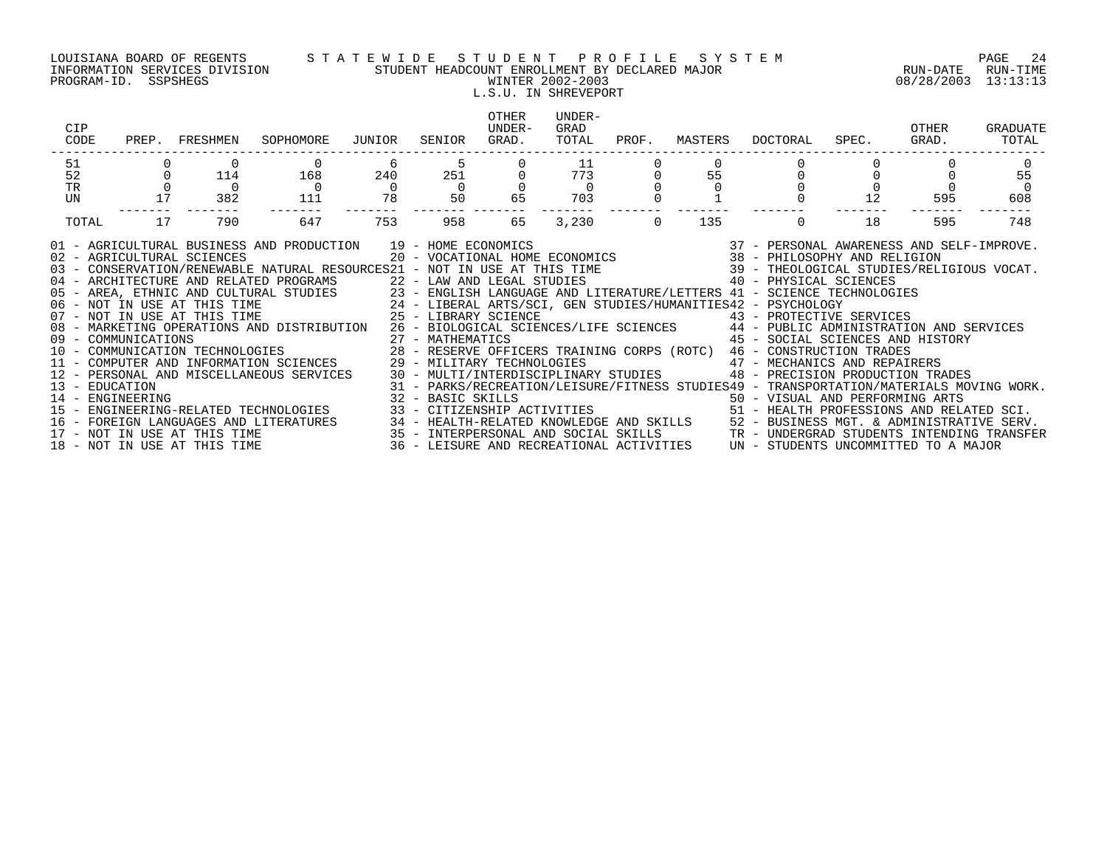### LOUISIANA BOARD OF REGENTS S T A T E W I D E S T U D E N T P R O F I L E S Y S T E M PAGE 24 INFORMATION SERVICES DIVISION STUDENT HEADCOUNT ENROLLMENT BY DECLARED MAJOR RUN-DATE RUN-TIME PROGRAM-ID. SSPSHEGS WINTER 2002-2003 08/28/2003 13:13:13 L.S.U. IN SHREVEPORT

| 51<br>11<br>6<br>251<br>52<br>55<br>240<br>$\begin{array}{c} 773 \\ 0 \end{array}$<br>168<br>114<br>$\overline{0}$<br>$\overline{0}$<br>$\operatorname{TR}$<br>$\overline{0}$<br>$\overline{0}$<br>$\overline{0}$<br>17<br>65<br>78<br>50 0<br>12<br>382<br>703<br>UN<br>111<br>595<br>17<br>647<br>753<br>958<br>$\Omega$<br>135<br>18<br>595<br>790<br>65<br>3,230<br>$\Omega$<br>TOTAL<br>01 - AGRICULTURAL BUSINESS AND PRODUCTION 19 - HOME ECONOMICS<br>02 - AGRICULTURAL SCIENCES 20 - VOCATIONAL HOME ECONOMICS 38 - PHILOSOPHY AND RELIGION<br>03 - CONSERVATION/RENEWABLE NATURAL RESOURCES21 - NOT IN USE AT THIS TIME 66 09 - THEOLOGICAL STUDIES/RELIGIOUS VOCAT.<br>04 - ARCHITECTURE AND RELATED PROGRAMS 622 - LAW AND LEGAL STUDIES 66 06 06 06 06 06 PHYSICAL SCIENCES<br>05 - AREA, ETHNIC AND CULTURAL STUDIES 23 - ENGLISH LANGUAGE AND LITERATURE/LETTERS 41 - SCIENCE TECHNOLOGIES<br>06 - NOT IN USE AT THIS TIME 24 - LIBERAL ARTS/SCI, GEN STUDIES/HUMANITIES42 - PSYCHOLOGY<br>07 - NOT IN USE AT THI<br>07 - NOT IN USE AT THIS TIME 25 - LIBRARY SCIENCE (1998) 43 - PROTECTIVE SERVICES<br>08 - MARKETING OPERATIONS AND DISTRIBUTION 26 - BIOLOGICAL SCIENCES/LIFE SCIENCES (1994) 44 - PUBLIC ADMINISTRATION AND SERVICES<br>09 - COMMUN<br>09 - COMMUNICATIONS<br>10 - COMMUNICATIONS 10 - COMMUNICATION TECHNOLOGIES 18 - 27 - MATHEMATICS<br>10 - COMMUNICATION TECHNOLOGIES 28 - RESERVE OFFICERS TRAINING CORPS (ROTC) 46 - CONSTRUCTION TRADES<br>11 - COMPUTER AND INFORMATION SCIENCES 29 - MILITARY TECHNOLOGIES 47 - MECHANICS AND REPAIRERS<br>30 - MULTI/INTERDISCIPLINARY STUDIES 48 - PRECISION PRODUCTION TRADES<br>12 - PERSONAL AND MISCELLANEOUS SERVICES<br>31 - PARKS/RECREATION/LEISURE/FITNESS STUDIES49 - TRANSPORTATION/MATERIALS MOVING WORK.<br>13 - EDUCATION<br>14 - ENGINEERING<br>15 - ENGINEERING-RELATED TECHNOLOGIES<br>32 - BASIC SKILLS<br>33 - CITIZENSHIP ACTIVITIES                                     51 - HEALTH PROFESSIONS AND RELATED SCI.<br>16 - FOREIGN LANGUAGES AND LITERATURES 34 - HEALTH-RELATED KNOWLEDGE AND SKILLS 52 - BUSINESS MGT. & ADMINISTRATIVE SERV. | CIP<br>CODE | PREP. FRESHMEN | SOPHOMORE | JUNIOR | SENIOR | <b>OTHER</b><br>UNDER-<br>GRAD. | UNDER-<br>GRAD<br>TOTAL | PROF. | MASTERS | DOCTORAL | SPEC. | OTHER<br>GRAD. | GRADUATE<br>TOTAL |
|-----------------------------------------------------------------------------------------------------------------------------------------------------------------------------------------------------------------------------------------------------------------------------------------------------------------------------------------------------------------------------------------------------------------------------------------------------------------------------------------------------------------------------------------------------------------------------------------------------------------------------------------------------------------------------------------------------------------------------------------------------------------------------------------------------------------------------------------------------------------------------------------------------------------------------------------------------------------------------------------------------------------------------------------------------------------------------------------------------------------------------------------------------------------------------------------------------------------------------------------------------------------------------------------------------------------------------------------------------------------------------------------------------------------------------------------------------------------------------------------------------------------------------------------------------------------------------------------------------------------------------------------------------------------------------------------------------------------------------------------------------------------------------------------------------------------------------------------------------------------------------------------------------------------------------------------------------------------------------------------------------------------------------------------------------------------------------------------------------------------------------------------------------|-------------|----------------|-----------|--------|--------|---------------------------------|-------------------------|-------|---------|----------|-------|----------------|-------------------|
|                                                                                                                                                                                                                                                                                                                                                                                                                                                                                                                                                                                                                                                                                                                                                                                                                                                                                                                                                                                                                                                                                                                                                                                                                                                                                                                                                                                                                                                                                                                                                                                                                                                                                                                                                                                                                                                                                                                                                                                                                                                                                                                                                     |             |                |           |        |        |                                 |                         |       |         |          |       |                | $\Omega$          |
|                                                                                                                                                                                                                                                                                                                                                                                                                                                                                                                                                                                                                                                                                                                                                                                                                                                                                                                                                                                                                                                                                                                                                                                                                                                                                                                                                                                                                                                                                                                                                                                                                                                                                                                                                                                                                                                                                                                                                                                                                                                                                                                                                     |             |                |           |        |        |                                 |                         |       |         |          |       |                | 55                |
|                                                                                                                                                                                                                                                                                                                                                                                                                                                                                                                                                                                                                                                                                                                                                                                                                                                                                                                                                                                                                                                                                                                                                                                                                                                                                                                                                                                                                                                                                                                                                                                                                                                                                                                                                                                                                                                                                                                                                                                                                                                                                                                                                     |             |                |           |        |        |                                 |                         |       |         |          |       |                | $\overline{0}$    |
|                                                                                                                                                                                                                                                                                                                                                                                                                                                                                                                                                                                                                                                                                                                                                                                                                                                                                                                                                                                                                                                                                                                                                                                                                                                                                                                                                                                                                                                                                                                                                                                                                                                                                                                                                                                                                                                                                                                                                                                                                                                                                                                                                     |             |                |           |        |        |                                 |                         |       |         |          |       |                | 608               |
|                                                                                                                                                                                                                                                                                                                                                                                                                                                                                                                                                                                                                                                                                                                                                                                                                                                                                                                                                                                                                                                                                                                                                                                                                                                                                                                                                                                                                                                                                                                                                                                                                                                                                                                                                                                                                                                                                                                                                                                                                                                                                                                                                     |             |                |           |        |        |                                 |                         |       |         |          |       |                | 748               |
| 17 - NOT IN USE AT THIS TIME                                                                                                                                                                                                                                                                                                                                                                                                                                                                                                                                                                                                                                                                                                                                                                                                                                                                                                                                                                                                                                                                                                                                                                                                                                                                                                                                                                                                                                                                                                                                                                                                                                                                                                                                                                                                                                                                                                                                                                                                                                                                                                                        |             |                |           |        |        |                                 |                         |       |         |          |       |                |                   |

- 
- 
-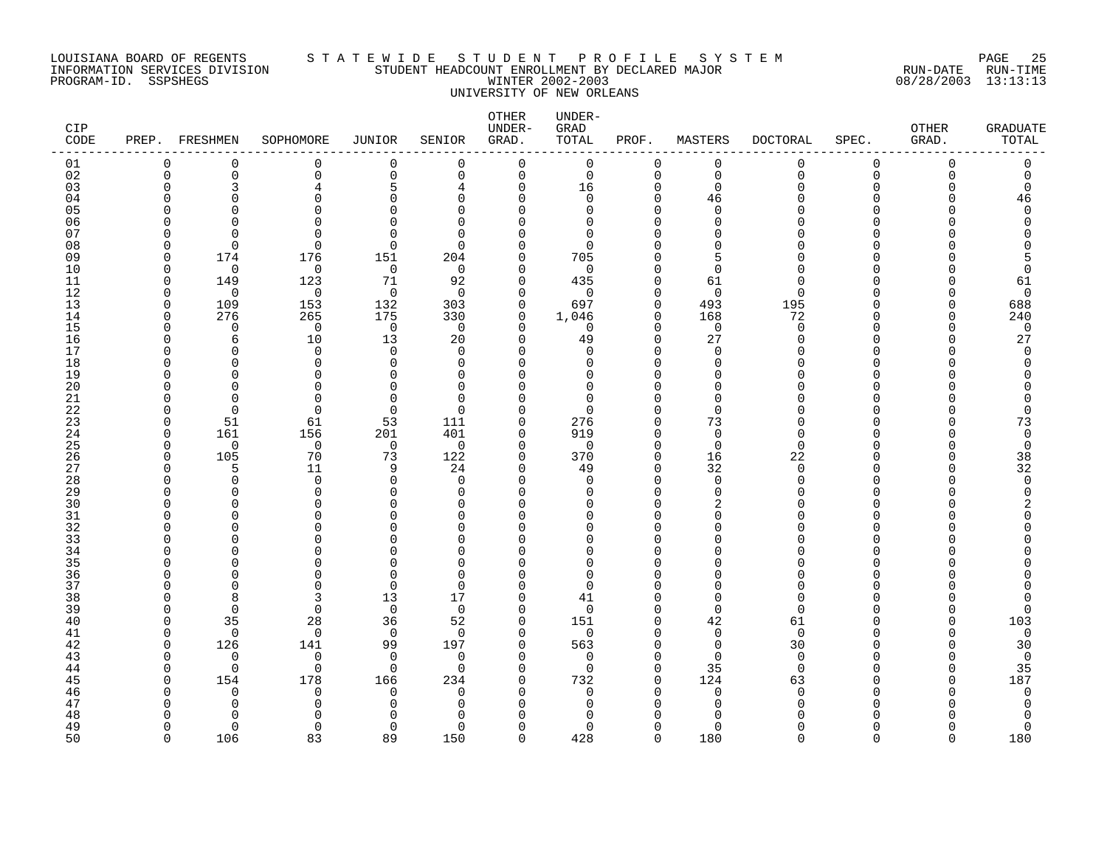### LOUISIANA BOARD OF REGENTS S T A T E W I D E S T U D E N T P R O F I L E S Y S T E M PAGE 25 INFORMATION SERVICES DIVISION STUDENT HEADCOUNT ENROLLMENT BY DECLARED MAJOR RUN-DATE RUN-TIME PROGRAM-ID. SSPSHEGS WINTER 2002-2003 08/28/2003 13:13:13 UNIVERSITY OF NEW ORLEANS

| CIP<br>CODE | PREP.                | FRESHMEN        | SOPHOMORE          | <b>JUNIOR</b>         | SENIOR               | OTHER<br>UNDER-<br>GRAD. | UNDER-<br>GRAD<br>TOTAL | PROF.                   | MASTERS                 | <b>DOCTORAL</b>          | SPEC.                        | OTHER<br>GRAD. | <b>GRADUATE</b><br>$\mathtt{TOTAL}$ |
|-------------|----------------------|-----------------|--------------------|-----------------------|----------------------|--------------------------|-------------------------|-------------------------|-------------------------|--------------------------|------------------------------|----------------|-------------------------------------|
| 01          | $\mathbf 0$          | 0               | $\mathbf 0$        | $\mathbf 0$           | $\mathbf 0$          | $\mathbf 0$              | 0                       | $\mathbf 0$             | $\mathbf 0$             | $\mathbf 0$              | $\mathbf 0$                  | $\Omega$       | 0                                   |
| 02          | $\mathbf 0$          | 0               | 0                  | $\mathbf 0$           | 0                    | 0                        | 0                       | 0                       | $\mathbf 0$             | $\mathbf 0$              | 0                            | 0              | 0                                   |
| 03          | 0                    | 3               | 4                  | 5                     | 4                    | $\mathbf 0$              | 16                      | 0                       | $\Omega$                |                          | $\Omega$                     | U              | 0                                   |
| 04          | $\cap$<br>$\cap$     | ∩<br>U          | 0<br>$\Omega$      | $\cap$<br>U           | $\Omega$<br>$\Omega$ | $\Omega$                 | $\Omega$                | $\Omega$<br>$\Omega$    | 46<br>$\Omega$          |                          | <sup>n</sup><br><sup>n</sup> |                | 46<br>$\mathbf 0$                   |
| 05<br>06    | ∩                    | ∩               | $\Omega$           | $\cap$                | $\Omega$             | $\Omega$<br>$\Omega$     | 0<br>0                  | $\Omega$                | $\cap$                  |                          | U                            |                | $\Omega$                            |
| 07          | ∩                    | ∩               | $\Omega$           | ∩                     | $\Omega$             | O                        | 0                       | $\Omega$                | ∩                       |                          |                              |                |                                     |
| 08          | $\Omega$             | $\Omega$        | 0                  | $\mathbf 0$           | $\Omega$             | $\Omega$                 | 0                       | $\Omega$                | $\Omega$                |                          | U                            |                |                                     |
| 09          | $\Omega$             | 174             | 176                | 151                   | 204                  | $\mathbf 0$              | 705                     | $\Omega$                | 5                       |                          | <sup>n</sup>                 |                |                                     |
| 10          | $\Omega$             | $\mathbf 0$     | $\mathbf 0$        | $\mathbf 0$           | $\Omega$             | $\Omega$                 | $\mathbf 0$             | $\Omega$                | $\Omega$                |                          | U                            |                | $\Omega$                            |
| 11          | $\mathbf 0$          | 149             | 123                | 71                    | 92                   | $\mathbf 0$              | 435                     | $\mathbf 0$             | 61                      | ∩                        | $\cap$                       |                | 61                                  |
| 12          | 0                    | $\mathbf 0$     | 0                  | $\mathbf 0$           | $\Omega$             | $\Omega$                 | $\mathbf 0$             | $\Omega$                | $\Omega$                | <sup>n</sup>             |                              |                | 0                                   |
| 13          | $\mathbf 0$          | 109             | 153                | 132                   | 303                  | $\mathbf 0$              | 697                     | $\mathbf 0$             | 493                     | 195                      | <sup>n</sup><br><sup>n</sup> |                | 688                                 |
| 14<br>15    | 0<br>$\Omega$        | 276<br>$\Omega$ | 265<br>$\mathbf 0$ | 175<br>$\overline{0}$ | 330<br>$\Omega$      | 0<br>$\Omega$            | 1,046<br>$\mathbf 0$    | $\mathbf 0$<br>$\Omega$ | 168<br>$\Omega$         | 72<br>$\Omega$           | $\cap$                       | U              | 240<br>$\mathbf 0$                  |
| 16          | $\Omega$             | 6               | 10                 | 13                    | 20                   | $\mathbf 0$              | 49                      | 0                       | 27                      | Ω                        | $\Omega$                     |                | 27                                  |
| 17          | ∩                    | ∩               | $\Omega$           | $\Omega$              | U                    | $\Omega$                 | $\Omega$                | $\Omega$                | $\Omega$                |                          | U                            |                | $\Omega$                            |
| 18          | ∩                    | U               | 0                  | $\Omega$              | $\Omega$             | O                        | 0                       | $\Omega$                | $\Omega$                |                          | <sup>n</sup>                 |                | O                                   |
| 19          |                      | ∩               | $\Omega$           | $\cap$                | $\Omega$             | U                        | 0                       | $\Omega$                | $\cap$                  |                          | U                            |                |                                     |
| 20          | $\Omega$             | $\cap$          | $\Omega$           | $\cap$                | $\Omega$             | $\Omega$                 | $\Omega$                | $\Omega$                | $\Omega$                |                          | $\cap$                       |                |                                     |
| 21          | $\Omega$             | $\Omega$        | 0                  | $\Omega$              | $\Omega$             | $\Omega$                 | 0                       | $\Omega$                | $\Omega$                |                          | <sup>n</sup>                 |                | 0                                   |
| 22          | <sup>0</sup>         | $\Omega$        | $\Omega$           | 0                     | $\Omega$             | $\Omega$                 | 0                       | $\Omega$                | $\Omega$                |                          | U                            |                | 0                                   |
| 23          | 0                    | 51              | 61                 | 53                    | 111                  | $\mathbf 0$              | 276                     | $\Omega$                | 73                      |                          | $\Omega$                     |                | 73                                  |
| 24<br>25    | $\Omega$<br>$\Omega$ | 161<br>$\Omega$ | 156<br>$\mathbf 0$ | 201<br>$\mathbf 0$    | 401<br>$\Omega$      | $\mathbf 0$<br>$\Omega$  | 919<br>$\mathbf 0$      | $\mathbf 0$<br>$\Omega$ | $\mathbf 0$<br>$\Omega$ | <sup>n</sup><br>$\Omega$ | U<br>U                       |                | $\mathbf 0$<br>$\mathbf 0$          |
| 26          | $\Omega$             | 105             | 70                 | 73                    | 122                  | $\mathbf 0$              | 370                     | $\mathbf 0$             | 16                      | 22                       | <sup>n</sup>                 |                | 38                                  |
| 27          | $\Omega$             | 5               | 11                 | 9                     | 24                   | 0                        | 49                      | $\mathbf 0$             | 32                      | $\Omega$                 | $\Omega$                     |                | 32                                  |
| 28          | $\Omega$             | $\Omega$        | 0                  | $\Omega$              | $\Omega$             | $\Omega$                 | $\mathbf 0$             | $\Omega$                | $\Omega$                | <sup>n</sup>             | U                            |                | $\mathbf 0$                         |
| 29          | $\Omega$             | ∩               | $\Omega$           | $\Omega$              | $\Omega$             | $\Omega$                 | 0                       | $\Omega$                | $\Omega$                |                          | U                            |                | $\Omega$                            |
| 30          | ∩                    | ∩               | U                  | ∩                     | <sup>n</sup>         | ∩                        | O                       | $\Omega$                | $\mathcal{D}$           |                          | U                            |                |                                     |
| 31          | $\Omega$             | O               | 0                  | O                     | $\Omega$             | $\Omega$                 | 0                       | $\Omega$                | $\Omega$                |                          | $\Omega$                     |                |                                     |
| 32          | ∩                    | ∩               | O                  | U                     | U                    | O                        | 0                       | $\Omega$                | ∩                       |                          | <sup>n</sup>                 |                |                                     |
| 33          | ∩                    |                 | U                  |                       | $\Omega$             |                          | 0                       | $\Omega$                |                         |                          | U                            |                |                                     |
| 34<br>35    | ∩                    | U               | U<br>$\Omega$      | U<br>$\cap$           | $\Omega$<br>$\Omega$ | U<br>U                   | 0<br>$\Omega$           | $\Omega$<br>$\Omega$    | ∩                       |                          | U<br>U                       |                |                                     |
| 36          | $\Omega$             | U               | 0                  | $\Omega$              | $\Omega$             | $\Omega$                 | 0                       | $\Omega$                | O                       |                          | $\Omega$                     |                |                                     |
| 37          | ∩                    |                 | $\Omega$           | $\mathbf 0$           | $\Omega$             | $\Omega$                 | $\mathbf 0$             | $\Omega$                | $\Omega$                |                          | U                            |                |                                     |
| 38          | $\Omega$             | 8               | 3                  | 13                    | 17                   | $\Omega$                 | 41                      | $\Omega$                | $\Omega$                |                          | U                            |                | O                                   |
| 39          | $\Omega$             | $\Omega$        | $\mathbf 0$        | $\mathbf 0$           | $\Omega$             | $\Omega$                 | $\mathbf 0$             | $\mathbf 0$             | $\Omega$                | <sup>n</sup>             | U                            |                | $\mathbf 0$                         |
| 40          | $\Omega$             | 35              | 28                 | 36                    | 52                   | $\Omega$                 | 151                     | $\Omega$                | 42                      | 61                       | U                            |                | 103                                 |
| 41          | $\mathbf 0$          | $\mathbf 0$     | 0                  | $\overline{0}$        | $\Omega$             | $\mathbf 0$              | $\mathbf 0$             | $\Omega$                | $\mathbf 0$             | $\Omega$                 | $\Omega$                     |                | $\mathsf 0$                         |
| 42          | $\Omega$             | 126             | 141                | 99                    | 197                  | 0                        | 563                     | $\mathbf 0$             | $\mathbf 0$             | 30                       | <sup>n</sup>                 |                | 30                                  |
| 43          | $\Omega$             | $\Omega$        | 0                  | $\Omega$              | $\Omega$             | $\Omega$                 | 0                       | $\Omega$                | $\Omega$                | $\Omega$                 | U                            |                | $\mathbf 0$                         |
| 44          | $\Omega$<br>$\Omega$ | $\Omega$<br>154 | $\mathbf 0$<br>178 | $\mathbf 0$           | $\Omega$<br>234      | $\Omega$<br>$\Omega$     | $\Omega$<br>732         | $\Omega$<br>$\Omega$    | 35<br>124               | $\Omega$                 | <sup>n</sup><br><sup>n</sup> |                | 35<br>187                           |
| 45<br>46    | ∩                    | $\Omega$        | 0                  | 166<br>$\Omega$       | $\Omega$             | $\Omega$                 | 0                       | $\Omega$                | $\Omega$                | 63<br>$\Omega$           | <sup>n</sup>                 |                | 0                                   |
| 47          | ∩                    |                 | 0                  | ∩                     | $\Omega$             | $\Omega$                 | 0                       | $\Omega$                | ∩                       |                          | n                            |                |                                     |
| 48          |                      |                 | U                  |                       | n                    |                          | U                       | ∩                       |                         |                          |                              |                |                                     |
| 49          | $\Omega$             | $\Omega$        | $\Omega$           | 0                     | $\Omega$             | $\Omega$                 | $\Omega$                | $\Omega$                | $\Omega$                |                          | <sup>n</sup>                 |                | 0                                   |
| 50          | $\Omega$             | 106             | 83                 | 89                    | 150                  | $\Omega$                 | 428                     | $\Omega$                | 180                     | $\Omega$                 | $\cap$                       | $\cap$         | 180                                 |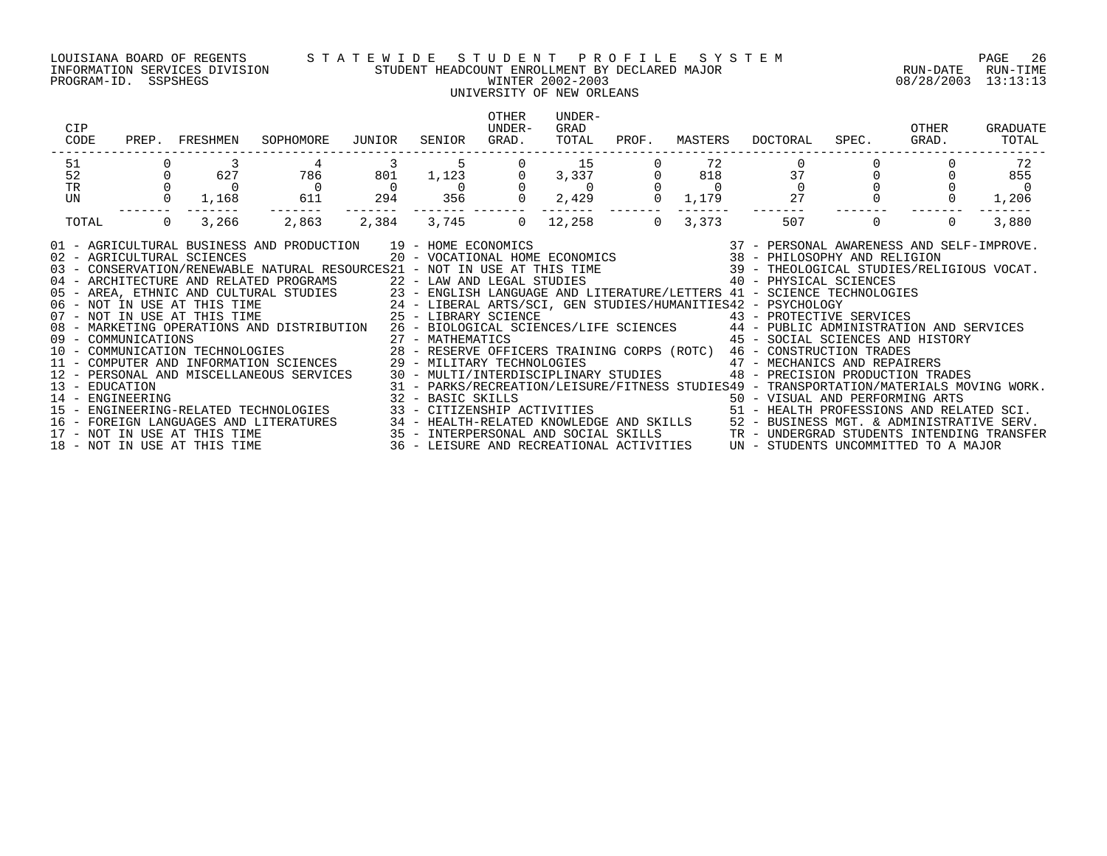### LOUISIANA BOARD OF REGENTS S T A T E W I D E S T U D E N T P R O F I L E S Y S T E M PAGE 26 INFORMATION SERVICES DIVISION STUDENT HEADCOUNT ENROLLMENT BY DECLARED MAJOR RUN-DATE RUN-TIME PROGRAM-ID. SSPSHEGS WINTER 2002-2003 08/28/2003 13:13:13

## UNIVERSITY OF NEW ORLEANS

| CIP<br>CODE                                                                                                                                                                                                                                                                                                                                                                                                                                                                                                                                                                                                                                                                                                                                                                                                                                                                                                                                                                                                                                                                                                                                                                                                                                                                                                                                                                                                                                                                                                                                                                                   |  | PREP. FRESHMEN                                     | SOPHOMORE                           | JUNIOR                                                                                      | SENIOR      | OTHER<br>UNDER-<br>GRAD. | UNDER-<br>GRAD<br>TOTAL                                                                                                                                 | PROF. | MASTERS | DOCTORAL                                                                                                                                                          | SPEC. GRAD.    | OTHER    | GRADUATE<br>TOTAL |
|-----------------------------------------------------------------------------------------------------------------------------------------------------------------------------------------------------------------------------------------------------------------------------------------------------------------------------------------------------------------------------------------------------------------------------------------------------------------------------------------------------------------------------------------------------------------------------------------------------------------------------------------------------------------------------------------------------------------------------------------------------------------------------------------------------------------------------------------------------------------------------------------------------------------------------------------------------------------------------------------------------------------------------------------------------------------------------------------------------------------------------------------------------------------------------------------------------------------------------------------------------------------------------------------------------------------------------------------------------------------------------------------------------------------------------------------------------------------------------------------------------------------------------------------------------------------------------------------------|--|----------------------------------------------------|-------------------------------------|---------------------------------------------------------------------------------------------|-------------|--------------------------|---------------------------------------------------------------------------------------------------------------------------------------------------------|-------|---------|-------------------------------------------------------------------------------------------------------------------------------------------------------------------|----------------|----------|-------------------|
| 51                                                                                                                                                                                                                                                                                                                                                                                                                                                                                                                                                                                                                                                                                                                                                                                                                                                                                                                                                                                                                                                                                                                                                                                                                                                                                                                                                                                                                                                                                                                                                                                            |  |                                                    | 4                                   | $\begin{array}{ccc} & 3 & & 5 \ 801 & & 1\ 1.123 & & \ & 0 & & 0 \ 294 & & 356 \end{array}$ |             |                          | 15                                                                                                                                                      |       | 72      | $\begin{matrix} & & & & 0 & & & & & \cr & & & & 37 & & & 0 & & & \cr 0 & & & & 0 & & & 0 & & \cr 9 & & & 27 & & & 0 & & & \cr & & & & & & & & & \cr \end{matrix}$ |                |          | 72                |
| 52                                                                                                                                                                                                                                                                                                                                                                                                                                                                                                                                                                                                                                                                                                                                                                                                                                                                                                                                                                                                                                                                                                                                                                                                                                                                                                                                                                                                                                                                                                                                                                                            |  | $\begin{array}{c}\n 3 \\  627 \\  0\n \end{array}$ | 786                                 |                                                                                             |             |                          | $\begin{matrix}0&&3\ 3&3\ \end{matrix}$<br>$\begin{matrix}0&&3\ 0&&0\ 0&&0\ 0&2\ 429&&0\ \end{matrix}$<br>$\begin{matrix}0&&6\ 1\ 1\ 179\ \end{matrix}$ |       |         |                                                                                                                                                                   |                |          | 855               |
| TR                                                                                                                                                                                                                                                                                                                                                                                                                                                                                                                                                                                                                                                                                                                                                                                                                                                                                                                                                                                                                                                                                                                                                                                                                                                                                                                                                                                                                                                                                                                                                                                            |  |                                                    | $\begin{array}{c}0\\611\end{array}$ | $\overline{0}$                                                                              |             |                          |                                                                                                                                                         |       |         |                                                                                                                                                                   |                |          |                   |
| UN                                                                                                                                                                                                                                                                                                                                                                                                                                                                                                                                                                                                                                                                                                                                                                                                                                                                                                                                                                                                                                                                                                                                                                                                                                                                                                                                                                                                                                                                                                                                                                                            |  | $0 \t 1,168$                                       |                                     |                                                                                             |             |                          |                                                                                                                                                         |       |         |                                                                                                                                                                   |                |          | 1,206             |
| TOTAL                                                                                                                                                                                                                                                                                                                                                                                                                                                                                                                                                                                                                                                                                                                                                                                                                                                                                                                                                                                                                                                                                                                                                                                                                                                                                                                                                                                                                                                                                                                                                                                         |  | $\overline{0}$<br>3,266                            | 2,863                               |                                                                                             | 2,384 3,745 | $\Omega$                 |                                                                                                                                                         |       |         | $3,373$ $507$                                                                                                                                                     | $\overline{0}$ | $\Omega$ | 3,880             |
| 01 - AGRICULTURAL BUSINESS AND PRODUCTION 19 - HOME ECONOMICS 37 - PERSONAL AWARENESS AND SELF-IMPROVE.<br>20 - VOCATIONAL HOME ECONOMICS 38 - PHILOSOPHY AND RELIGION 39 - CONSERVATION/RENEWABLE NATURAL RESOURCES 21 - NOT IN<br>05 - AREA, ETHNIC AND CULTURAL STUDIES 23 - ENGLISH LANGUAGE AND LITERATURE/LETTERS 41 - SCIENCE TECHNOLOGIES<br>06 - NOT IN USE AT THIS TIME 24 - LIBERAL ARTS/SCI, GEN STUDIES/HUMANITIES42 - PSYCHOLOGY<br>07 - NOT IN USE AT THI<br>08 - MARKETING OPERATIONS AND DISTRIBUTION 26 - BIOLOGICAL SCIENCES/LIFE SCIENCES 44 - PUBLIC ADMINISTRATION AND SERVICES<br>45 - SOCIAL SCIENCES AND HISTORY<br>09 - COMMUNICATIONS<br>10 - COMMUNICATIONS 10 - COMMUNICATION TECHNOLOGIES 128 - RESERVE OFFICERS TRAINING CORPS (ROTC) 46 - CONSTRUCTION<br>10 - COMMUNICATION TECHNOLOGIES 28 - RESERVE OFFICERS TRAINING CORPS (ROTC) 46 - CONSTR<br>11 - COMPUTER AND INFORMATION SCIENCES (29 - MILITARY TECHNOLOGIES ) (47 - MECHANICS AND REPAIRERS<br>12 - PERSONAL AND MISCELLANEOUS SERVICES (30 - MULTI/INTERDISCIPLINARY STUDIES ) (48 - PRECISION PRODUCTION TRADES<br>31 - PARKS/RECREATION/LEISURE/FITNESS STUDIES49 - TRANSPORTATION/MATERIALS MOVING WORK.<br>14 - ENGINEERING ARTS 32 - BASIC SKILLS 50 - VISUAL AND PERFORMING ARTS<br>15 - ENGINEERING-RELATED TECHNOLOGIES 33 - CITIZENSHIP ACTIVIT<br>16 - FOREIGN LANGUAGES AND LITERATURES 34 - HEALTH-RELATED KNOWLEDGE AND SKILLS 52 - BUSINESS MGT. & ADMINISTRATIVE SERV.<br>17 - NOT IN USE AT THIS TIME 3ERV.<br>18 - NOT IN USE AT THIS TIME 36 - LEISURE AND RECREATIONAL ACTIVI |  |                                                    |                                     |                                                                                             |             |                          |                                                                                                                                                         |       |         |                                                                                                                                                                   |                |          |                   |
|                                                                                                                                                                                                                                                                                                                                                                                                                                                                                                                                                                                                                                                                                                                                                                                                                                                                                                                                                                                                                                                                                                                                                                                                                                                                                                                                                                                                                                                                                                                                                                                               |  |                                                    |                                     |                                                                                             |             |                          |                                                                                                                                                         |       |         |                                                                                                                                                                   |                |          |                   |
|                                                                                                                                                                                                                                                                                                                                                                                                                                                                                                                                                                                                                                                                                                                                                                                                                                                                                                                                                                                                                                                                                                                                                                                                                                                                                                                                                                                                                                                                                                                                                                                               |  |                                                    |                                     |                                                                                             |             |                          |                                                                                                                                                         |       |         |                                                                                                                                                                   |                |          |                   |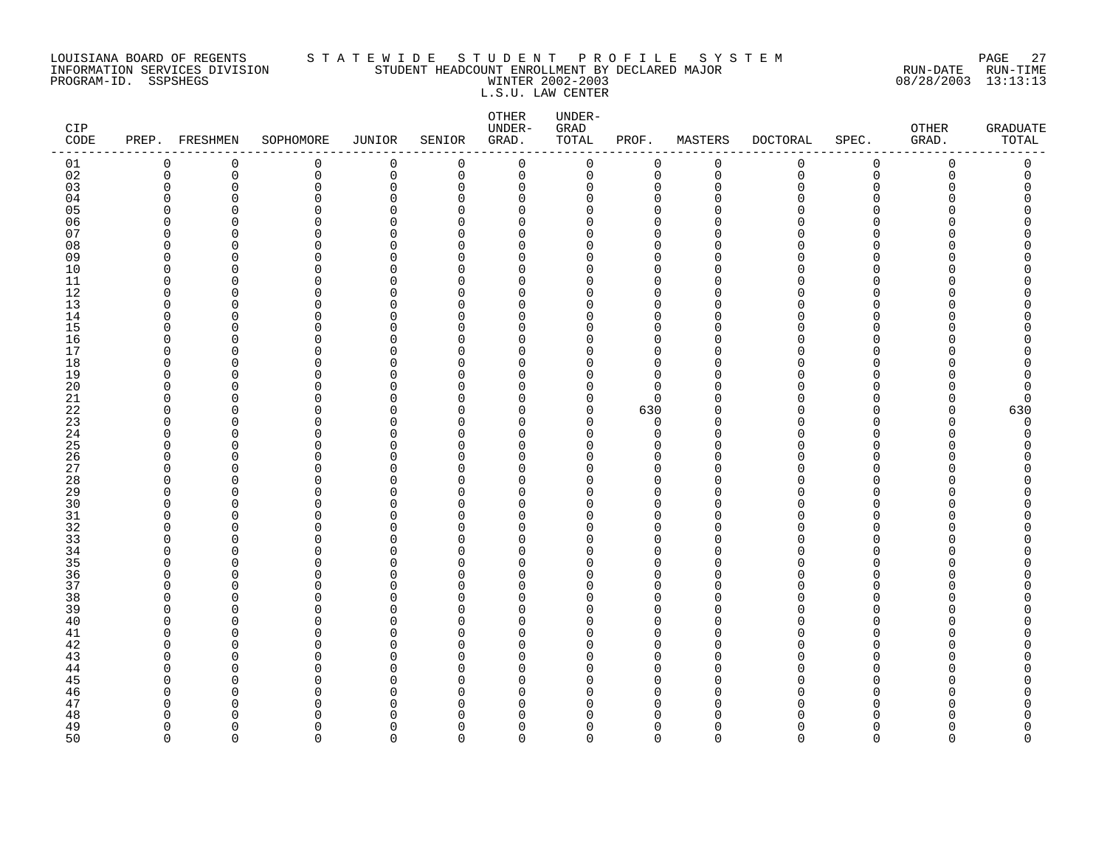### LOUISIANA BOARD OF REGENTS S T A T E W I D E S T U D E N T P R O F I L E S Y S T E M PAGE 27 INFORMATION SERVICES DIVISION STUDENT HEADCOUNT ENROLLMENT BY DECLARED MAJOR RUN-DATE RUN-TIME PROGRAM-ID. SSPSHEGS WINTER 2002-2003 08/28/2003 13:13:13 L.S.U. LAW CENTER

| CIP<br>$\texttt{CODE}$ |          | PREP. FRESHMEN    | SOPHOMORE     | <b>JUNIOR</b>    | SENIOR               | OTHER<br>UNDER-<br>GRAD. | UNDER-<br>GRAD<br>TOTAL | PROF.                      | MASTERS              | DOCTORAL     | SPEC.                | OTHER<br>GRAD. | <b>GRADUATE</b><br>TOTAL |
|------------------------|----------|-------------------|---------------|------------------|----------------------|--------------------------|-------------------------|----------------------------|----------------------|--------------|----------------------|----------------|--------------------------|
| 01                     | 0        | 0                 | 0             | $\mathsf 0$      | 0                    | $\mathbf 0$              | 0                       | 0                          | $\mathsf 0$          | $\mathsf{O}$ | $\mathsf 0$          | $\mathbf 0$    | 0                        |
| 02                     | 0        | 0                 | 0             | $\mathbf 0$      | 0                    | 0                        | 0                       | $\mathbf 0$                | $\mathbf 0$          | $\mathbf 0$  | $\mathbf 0$          | 0              | 0                        |
| 03                     | $\Omega$ | $\Omega$          | 0             | $\Omega$         | $\mathbf 0$          | $\mathbf 0$              | 0                       | $\mathbf 0$                | $\Omega$             | O            | $\Omega$             | O              | $\Omega$                 |
| 04                     | n        | n                 | $\Omega$      | $\cap$           | $\Omega$             | $\Omega$                 | 0                       | $\Omega$                   | ∩                    | ∩            | ∩                    |                | Λ                        |
| 05                     | U        | $\Omega$          | 0             | $\Omega$         | $\Omega$             | $\mathbf 0$              | 0                       | $\mathbf 0$                | U                    |              | $\Omega$             |                | C                        |
| 06                     |          |                   | 0             | O                | $\Omega$             | $\mathbf 0$              | 0                       | $\mathbf 0$                | ∩                    |              | ∩                    |                | ∩                        |
| 07                     | ∩<br>n   | n<br>n            | U<br>$\Omega$ | $\cap$<br>$\cap$ | $\Omega$             | $\Omega$                 | 0                       | $\Omega$<br>$\Omega$       | ∩<br>n               |              | ∩<br>∩               |                | ∩                        |
| 08<br>09               | U        | $\Omega$          | $\Omega$      | O                | $\Omega$<br>$\Omega$ | $\Omega$<br>$\mathbf 0$  | 0<br>0                  | $\mathbf 0$                | ∩                    |              | $\Omega$             |                | Λ                        |
| 10                     | n        | O                 | 0             | $\Omega$         | $\Omega$             | $\mathbf 0$              | 0                       | $\Omega$                   | $\cap$               |              | $\Omega$             |                |                          |
| 11                     | ∩        | <sup>n</sup>      | $\Omega$      | $\Omega$         | $\Omega$             | $\mathbf 0$              | 0                       | $\mathbf 0$                | $\cap$               |              | $\Omega$             |                | ∩                        |
| 12                     | ∩        | <sup>n</sup>      | $\Omega$      | $\cap$           | $\Omega$             | $\Omega$                 | 0                       | $\Omega$                   | n                    |              | ∩                    |                |                          |
| 13                     | O        | $\Omega$          | 0             | $\Omega$         | $\Omega$             | $\mathbf 0$              | 0                       | $\mathbf 0$                | $\Omega$             |              | $\Omega$             |                | Λ                        |
| 14                     | n        | U                 | 0             | O                | $\Omega$             | $\mathbf 0$              | 0                       | $\mathbf 0$                | $\Omega$             |              | ∩                    |                | ∩                        |
| 15                     | U        | n                 | $\Omega$      | $\Omega$         | $\Omega$             | $\mathbf 0$              | 0                       | $\Omega$                   | $\cap$               |              | ∩                    |                |                          |
| 16                     | n        | <sup>n</sup>      | $\Omega$      | $\Omega$         | $\Omega$             | $\Omega$                 | 0                       | $\mathbf 0$                | $\cap$               |              | ∩                    |                | Λ                        |
| 17                     | n        | n                 | $\Omega$      | U                | $\Omega$             | $\mathbf 0$              | 0                       | $\mathbf 0$                | $\Omega$             |              | ∩                    |                |                          |
| 18                     | n        | O                 | 0             | O                | O                    | 0                        | 0                       | $\mathbf 0$                | U                    |              | $\Omega$             |                | Ω                        |
| 19                     | n        | ∩                 | 0             | O                | $\Omega$             | $\mathbf 0$              | 0                       | $\mathbf 0$                | U                    |              | $\Omega$             |                | Λ                        |
| 20                     | n        | n                 | U             | U                | $\Omega$             | $\mathbf 0$              | 0                       | $\Omega$                   | n                    |              | ∩                    |                | C                        |
| $21\,$                 | n        | n                 | $\Omega$      | $\cap$           | $\Omega$             | $\Omega$                 | $\mathbf 0$             | $\Omega$                   | ∩                    |              | ∩                    |                | C                        |
| 22                     | ∩        | U                 | 0             | O                | $\Omega$             | 0                        | 0                       | 630                        | n                    |              | 0                    | O              | 630                      |
| 23                     |          | ∩                 | 0             | $\Omega$         | $\Omega$             | $\mathbf 0$              | 0                       | $\mathbf 0$                | U                    |              | $\Omega$             | ∩              | 0                        |
| 24                     | n        | <sup>n</sup>      | $\Omega$      | O                | $\Omega$             | $\mathbf 0$              | 0                       | $\mathbf 0$                | $\cap$               | ∩            | $\Omega$             | U              | O                        |
| 25                     | ∩        | <sup>n</sup>      | U             | U                | $\Omega$             | $\Omega$                 | 0                       | $\Omega$                   | n                    |              | ∩                    |                | ∩                        |
| 26<br>27               | n<br>n   | <sup>0</sup><br>U | 0<br>$\Omega$ | 0<br>O           | $\Omega$<br>$\Omega$ | 0<br>$\mathbf 0$         | 0                       | $\mathbf 0$<br>$\mathbf 0$ | $\Omega$<br>$\Omega$ |              | $\Omega$<br>$\Omega$ |                | Ω<br>Λ                   |
| 28                     | O        | n                 | $\Omega$      | $\Omega$         | $\Omega$             | $\mathbf 0$              | 0<br>0                  | $\Omega$                   | $\cap$               |              | ∩                    |                | Λ                        |
| 29                     | n        | <sup>n</sup>      | $\Omega$      | $\Omega$         | $\Omega$             | $\Omega$                 | 0                       | $\Omega$                   | $\cap$               |              | ∩                    |                | ∩                        |
| 30                     |          | $\Omega$          | $\Omega$      | $\Omega$         | $\Omega$             | $\Omega$                 | $\Omega$                | $\Omega$                   | $\Omega$             |              | ∩                    |                |                          |
| 31                     | n        | O                 | 0             | O                | $\Omega$             | 0                        | 0                       | $\mathbf 0$                | $\Omega$             |              | 0                    |                | Ω                        |
| 32                     | n        | n                 | 0             | O                | $\Omega$             | $\mathbf 0$              | 0                       | $\mathbf 0$                | $\Omega$             |              | $\Omega$             |                |                          |
| 33                     | n        | n                 | U             | $\cap$           | $\Omega$             | $\Omega$                 | 0                       | $\Omega$                   | ∩                    |              | ∩                    |                | ∩                        |
| 34                     | U        | $\Omega$          | $\Omega$      | $\Omega$         | $\Omega$             | $\mathbf 0$              | 0                       | $\mathbf 0$                | $\Omega$             |              | $\Omega$             |                |                          |
| 35                     | n        | O                 | $\Omega$      | O                | $\Omega$             | 0                        | 0                       | $\mathbf 0$                | ∩                    |              | $\Omega$             |                |                          |
| 36                     | n        | $\cap$            | $\Omega$      | $\Omega$         | $\Omega$             | $\mathbf 0$              | 0                       | $\mathbf 0$                | $\Omega$             |              | $\Omega$             |                | Λ                        |
| 37                     | n        | <sup>n</sup>      | $\Omega$      | $\Omega$         | $\Omega$             | $\mathbf 0$              | 0                       | $\mathbf 0$                | $\Omega$             | ∩            | $\Omega$             |                | N                        |
| 38                     | n        | $\Omega$          | $\Omega$      | $\Omega$         | $\Omega$             | $\Omega$                 | 0                       | $\Omega$                   | U                    |              | ∩                    |                |                          |
| 39                     | n        | $\Omega$          | $\Omega$      | O                | $\Omega$             | 0                        | 0                       | $\mathbf 0$                | $\Omega$             |              | $\Omega$             |                | Ω                        |
| 40                     | ∩        | U                 | $\Omega$      | O                | O                    | $\Omega$                 | 0                       | $\mathbf 0$                | $\Omega$             | ∩            | ∩                    |                | Ω                        |
| 41                     | n        | $\cap$            | $\Omega$      | $\Omega$         | $\Omega$             | $\Omega$                 | 0                       | $\Omega$                   | $\cap$               |              | ∩                    |                | Λ                        |
| 42                     | n        | <sup>n</sup>      | 0             | $\cap$           | $\Omega$             | $\mathbf 0$              | 0                       | $\Omega$                   | $\Omega$             |              | ∩                    |                | ∩                        |
| 43                     | ∩        | O                 | $\Omega$      | O                | $\Omega$             | $\Omega$                 | O                       | $\Omega$                   | $\Omega$<br>U        |              | ∩                    |                |                          |
| 44                     |          | ∩                 | 0             | O<br>U           | $\Omega$             | 0                        | 0                       | $\mathbf 0$                | $\cap$               |              | $\Omega$<br>$\Omega$ |                | ∩<br>Λ                   |
| 45<br>46               |          | ∩<br>∩            | $\Omega$<br>U | U                | $\Omega$<br>$\Omega$ | $\Omega$<br>$\Omega$     | 0<br>0                  | $\mathbf 0$<br>$\Omega$    | ∩                    |              | ∩                    |                | U                        |
| 47                     |          | O                 | $\Omega$      | O                | U                    | $\Omega$                 | 0                       | $\Omega$                   | $\Omega$             |              | ∩                    |                | Ω                        |
| 48                     |          | ∩                 | 0             | O                | $\Omega$             | 0                        | 0                       | $\Omega$                   | $\Omega$             |              | O                    |                | ი                        |
| 49                     | ∩        | <sup>n</sup>      | $\Omega$      | $\Omega$         | $\Omega$             | $\mathbf 0$              | 0                       | $\mathbf 0$                | $\Omega$             | U            | $\Omega$             |                | 0                        |
| 50                     | $\Omega$ | $\Omega$          | $\Omega$      | $\Omega$         | $\Omega$             | $\Omega$                 | $\Omega$                | $\Omega$                   | $\Omega$             | $\Omega$     | $\Omega$             | $\Omega$       | $\Omega$                 |
|                        |          |                   |               |                  |                      |                          |                         |                            |                      |              |                      |                |                          |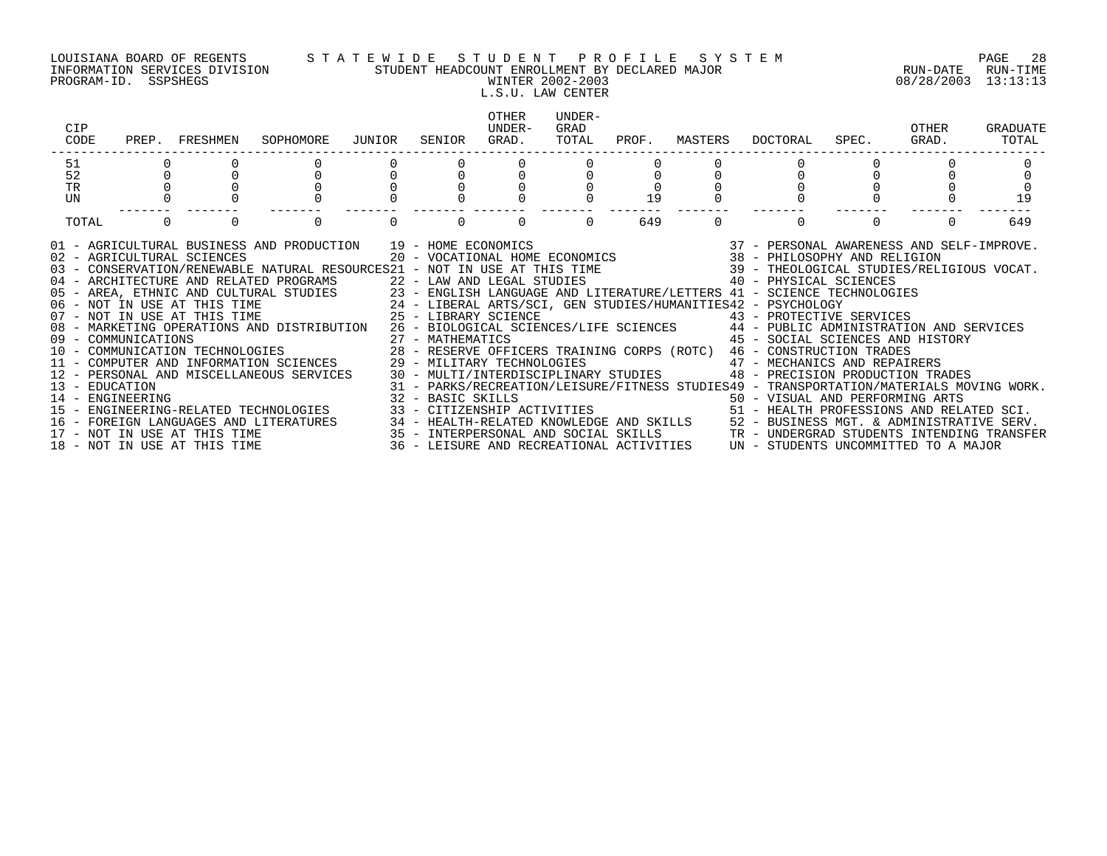### LOUISIANA BOARD OF REGENTS S T A T E W I D E S T U D E N T P R O F I L E S Y S T E M PAGE 28 INFORMATION SERVICES DIVISION STUDENT HEADCOUNT ENROLLMENT BY DECLARED MAJOR RUN-DATE RUN-TIME PROGRAM-ID. SSPSHEGS WINTER 2002-2003 08/28/2003 13:13:13 L.S.U. LAW CENTER

| CIP<br>CODE                                                                                                                                                                                                                                                                                                                                                                                                                                                                                                                                                                                                                                                                                                                                                                                                                                                                                                                                                                                                          | PREP. FRESHMEN                                               | SOPHOMORE | JUNIOR | SENIOR | OTHER<br>IJNDER-<br>GRAD. | UNDER-<br>GRAD<br>TOTAL | PROF. | MASTERS  | DOCTORAL                                                                                                                                                                                | SPEC. | OTHER<br>GRAD. | GRADUATE<br>TOTAL |
|----------------------------------------------------------------------------------------------------------------------------------------------------------------------------------------------------------------------------------------------------------------------------------------------------------------------------------------------------------------------------------------------------------------------------------------------------------------------------------------------------------------------------------------------------------------------------------------------------------------------------------------------------------------------------------------------------------------------------------------------------------------------------------------------------------------------------------------------------------------------------------------------------------------------------------------------------------------------------------------------------------------------|--------------------------------------------------------------|-----------|--------|--------|---------------------------|-------------------------|-------|----------|-----------------------------------------------------------------------------------------------------------------------------------------------------------------------------------------|-------|----------------|-------------------|
| 51<br>52                                                                                                                                                                                                                                                                                                                                                                                                                                                                                                                                                                                                                                                                                                                                                                                                                                                                                                                                                                                                             |                                                              |           |        |        |                           |                         |       |          |                                                                                                                                                                                         |       |                |                   |
| <b>TR</b>                                                                                                                                                                                                                                                                                                                                                                                                                                                                                                                                                                                                                                                                                                                                                                                                                                                                                                                                                                                                            |                                                              |           |        |        |                           |                         |       |          |                                                                                                                                                                                         |       |                |                   |
| UN                                                                                                                                                                                                                                                                                                                                                                                                                                                                                                                                                                                                                                                                                                                                                                                                                                                                                                                                                                                                                   |                                                              |           |        |        |                           |                         | 19    |          |                                                                                                                                                                                         |       |                | 19                |
| TOTAL                                                                                                                                                                                                                                                                                                                                                                                                                                                                                                                                                                                                                                                                                                                                                                                                                                                                                                                                                                                                                | $\Omega$<br>$\Omega$                                         |           |        |        | $\Omega$                  |                         | 649   | $\Omega$ | $\Omega$                                                                                                                                                                                |       |                | 649               |
| 01 - AGRICULTURAL BUSINESS AND PRODUCTION 19 - HOME ECONOMICS (2007) 19 - 2007 - PERSONAL AWARENESS AND SELF-IMPROVE<br>102 - AGRICULTURAL SCIENCES (2007) 2007 - VOCATIONAL HOME ECONOMICS (2008 - PHILOSOPHY AND RELIGION<br>103 -<br>04 - ARCHITECTURE AND RELATED PROGRAMS<br>22 - LAW AND LEGAL STUDIES<br>23 - ENGLISH LANGUAGE AND LITERATURE/LETTERS 41 - SCIENCE TECHNOLOGIES<br>24 - LIBERAL ARTS/SCI, GEN STUDIES/HUMANITIES42 - PSYCHOLOGY<br>25 - LIBERAL ARTS/SC<br>08 - MARKETING OPERATIONS AND DISTRIBUTION 26 - BIOLOGICAL SCIENCES/LIFE SCIENCES 44 - PUBLIC ADMINISTRATION AND SERVICES<br>11 - COMPUTER AND INFORMATION SCIENCES 29 - MILITARY TECHNOLOGIES<br>12 - PERSONAL AND MISCELLANEOUS SERVICES 30 - MULTI/INTERDISCIPLINARY STUDIES 48 - PRECISION PRODUCTION TRADES<br>13 - EDUCATION<br>14 - ENGINEERING ARTS<br>15 - ENGINEERING-RELATED TECHNOLOGIES 33 - CITIZENSHIP ACTIVITIES 50 - SI - HEALTH PROFESSIONS AND RELATED SCI.<br>$16 -$<br>$17 -$<br>18 - NOT IN USE AT THIS TIME | FOREIGN LANGUAGES AND LITERATURES<br>NOT IN USE AT THIS TIME |           |        |        |                           |                         |       |          | 43 - PROTECTIVE SERVICES<br>45 - SOCIAL SCIENCES AND HISTORY<br>47 - MECHANICS AND REPAIRERS<br>31 - PARKS/RECREATION/LEISURE/FITNESS STUDIES49 - TRANSPORTATION/MATERIALS MOVING WORK. |       |                |                   |

- 
- 
-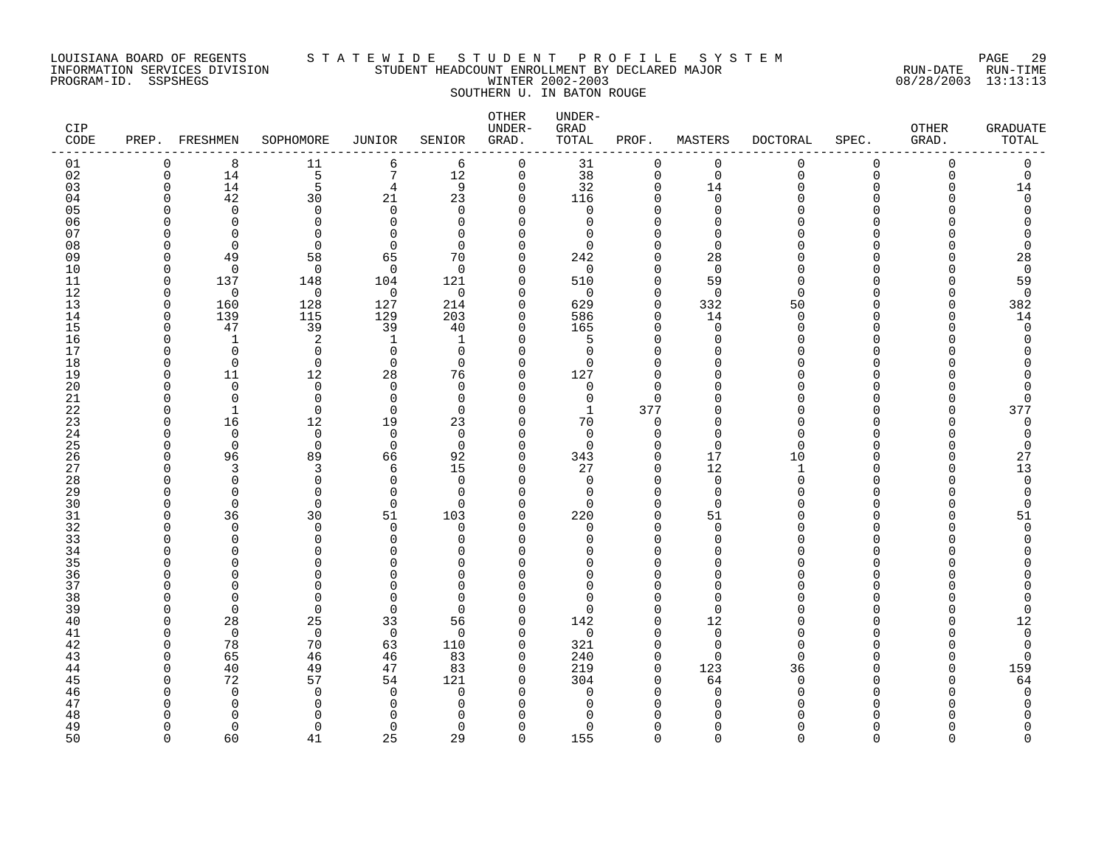### LOUISIANA BOARD OF REGENTS S T A T E W I D E S T U D E N T P R O F I L E S Y S T E M PAGE 29 INFORMATION SERVICES DIVISION STUDENT HEADCOUNT ENROLLMENT BY DECLARED MAJOR RUN-DATE RUN-TIME PROGRAM-ID. SSPSHEGS WINTER 2002-2003 08/28/2003 13:13:13 SOUTHERN U. IN BATON ROUGE

| CIP<br>CODE |             | PREP. FRESHMEN       | SOPHOMORE               | <b>JUNIOR</b>           | SENIOR                  | <b>OTHER</b><br>UNDER-<br>GRAD. | UNDER-<br>GRAD<br>TOTAL | PROF.                   | MASTERS                 | <b>DOCTORAL</b> | SPEC.  | OTHER<br>GRAD. | <b>GRADUATE</b><br>TOTAL |
|-------------|-------------|----------------------|-------------------------|-------------------------|-------------------------|---------------------------------|-------------------------|-------------------------|-------------------------|-----------------|--------|----------------|--------------------------|
| 01          | $\Omega$    | 8                    | 11                      | 6                       | 6                       | $\mathbf 0$                     | 31                      | $\mathbf 0$             | $\mathbf 0$             | $\mathbf 0$     | 0      | $\mathbf 0$    | 0                        |
| 02          | $\mathbf 0$ | 14                   | 5                       | 7                       | 12                      | $\mathbf 0$                     | 38                      | $\mathbf 0$             | $\mathbf 0$             | $\Omega$        | 0      | $\mathbf 0$    | $\mathbf 0$              |
| 03          | $\Omega$    | 14                   | 5                       | $\overline{4}$          | 9                       | $\mathbf 0$                     | 32                      | $\mathbf 0$             | 14                      | $\Omega$        | 0      | $\Omega$       | 14                       |
| 04          | $\Omega$    | 42                   | 30                      | 21                      | 23                      | 0                               | 116                     | $\Omega$                | $\Omega$                |                 | U      |                | $\mathbf 0$              |
| 05<br>06    | C           | $\Omega$<br>$\Omega$ | $\Omega$<br>$\mathbf 0$ | $\Omega$<br>$\Omega$    | $\Omega$<br>$\Omega$    | $\Omega$<br>$\Omega$            | $\mathbf 0$<br>0        | $\Omega$<br>$\Omega$    | $\Omega$<br>$\Omega$    |                 | U<br>U |                |                          |
| 07          |             | $\Omega$             | $\Omega$                | $\cap$                  | $\Omega$                | $\Omega$                        | $\Omega$                | $\Omega$                | $\Omega$                |                 | U      |                |                          |
| 08          | ∩           | $\Omega$             | $\Omega$                | $\Omega$                | $\Omega$                | 0                               | $\Omega$                | $\mathbf 0$             | $\Omega$                |                 |        |                | $\Omega$                 |
| 09          | $\Omega$    | 49                   | 58                      | 65                      | 70                      | $\Omega$                        | 242                     | $\Omega$                | 28                      |                 | U      |                | 28                       |
| 10          | $\Omega$    | $\overline{0}$       | $\mathbf 0$             | $\overline{0}$          | $\mathbf 0$             | 0                               | $\mathbf 0$             | $\mathbf{0}$            | $\mathbf 0$             |                 | O      |                | $\overline{0}$           |
| 11          | $\Omega$    | 137                  | 148                     | 104                     | 121                     | 0                               | 510                     | 0                       | 59                      | ∩               | U      | n              | 59                       |
| 12          | $\Omega$    | 0                    | $\mathbf 0$             | $\mathbf 0$             | $\Omega$                | 0                               | $\mathbf 0$             | $\mathbf 0$             | $\mathbf 0$             | $\Omega$        | U      | $\Omega$       | $\mathbf 0$              |
| 13          | $\Omega$    | 160                  | 128                     | 127                     | 214                     | 0                               | 629                     | $\mathbf 0$             | 332                     | 50              | U      | $\Omega$       | 382                      |
| 14          | $\Omega$    | 139                  | 115                     | 129                     | 203                     | 0                               | 586                     | $\Omega$                | 14                      | ∩               | U      | $\cap$         | 14                       |
| 15          | $\Omega$    | 47                   | 39                      | 39                      | 40                      | $\Omega$                        | 165                     | $\Omega$                | $\Omega$                | ∩               | U      | U              | $\Omega$                 |
| 16          | ∩           | $\overline{1}$       | 2                       | $\mathbf{1}$            | 1                       | $\Omega$                        | 5                       | $\Omega$                | $\Omega$                |                 | U      |                |                          |
| 17          | ∩           | $\mathbf 0$          | $\mathbf 0$             | $\mathbf 0$             | $\mathbf 0$             | 0                               | 0                       | $\Omega$                | $\Omega$                |                 | U      |                |                          |
| 18          | C           | $\overline{0}$       | $\mathbf 0$             | $\mathbf 0$             | $\Omega$                | 0                               | $\Omega$                | $\Omega$                | $\Omega$                |                 | U      |                |                          |
| 19<br>20    | ∩<br>ſ      | 11<br>$\mathbf 0$    | 12<br>$\mathbf 0$       | 28                      | 76                      | 0                               | 127                     | $\mathbf 0$             | $\Omega$<br>$\Omega$    |                 | U<br>O |                |                          |
| 21          | ∩           | $\Omega$             | $\mathbf 0$             | $\mathbf 0$<br>$\Omega$ | $\mathbf 0$<br>$\Omega$ | 0<br>$\Omega$                   | 0<br>$\mathbf 0$        | $\mathbf 0$<br>$\Omega$ | $\Omega$                |                 | U      |                | $\Omega$                 |
| 22          | $\cap$      | $\mathbf{1}$         | $\Omega$                | $\Omega$                | $\Omega$                | $\Omega$                        | $\mathbf{1}$            | 377                     | ∩                       |                 | U      | $\Omega$       | 377                      |
| 23          | $\Omega$    | 16                   | 12                      | 19                      | 23                      | $\Omega$                        | 70                      | $\Omega$                | $\Omega$                | ∩               | U      | $\cap$         | $\mathbf 0$              |
| 24          | ∩           | $\Omega$             | 0                       | 0                       | 0                       | 0                               | 0                       | 0                       | 0                       | ∩               | U      |                | 0                        |
| 25          | O           | $\Omega$             | $\mathbf 0$             | $\mathbf 0$             | $\Omega$                | 0                               | $\mathbf 0$             | $\mathbf{0}$            | $\mathbf 0$             | ∩               | U      |                | $\mathbf 0$              |
| 26          | ∩           | 96                   | 89                      | 66                      | 92                      | 0                               | 343                     | $\mathbf 0$             | 17                      | 10              | U      | $\cap$         | 27                       |
| 27          |             | 3                    | 3                       | 6                       | 15                      | $\Omega$                        | 27                      | $\Omega$                | 12                      | 1               | U      |                | 13                       |
| 28          |             | $\Omega$             | $\mathbf 0$             | $\Omega$                | $\Omega$                | $\Omega$                        | $\Omega$                | $\Omega$                | $\mathbf 0$             | $\Omega$        | U      |                | $\Omega$                 |
| 29          | C           | $\Omega$             | $\mathbf 0$             | $\Omega$                | $\Omega$                | $\Omega$                        | $\mathbf 0$             | $\Omega$                | $\mathbf 0$             |                 | U      |                | $\Omega$                 |
| 30          | $\Omega$    | $\Omega$             | $\mathbf 0$             | $\mathbf 0$             | $\Omega$                | 0                               | $\mathbf 0$             | $\mathbf{0}$            | $\Omega$                |                 | U      |                | $\Omega$                 |
| 31          | $\Omega$    | 36                   | 30                      | 51                      | 103                     | 0                               | 220                     | 0                       | 51                      |                 | U      | n              | 51                       |
| 32          | ∩<br>C      | $\Omega$             | $\Omega$                | $\Omega$<br>$\Omega$    | $\Omega$<br>$\Omega$    | $\Omega$<br>$\Omega$            | $\Omega$<br>$\Omega$    | $\Omega$                | $\Omega$                |                 | U<br>U |                | $\Omega$                 |
| 33<br>34    |             | $\Omega$<br>$\Omega$ | 0<br>$\Omega$           | $\cap$                  | $\Omega$                | $\Omega$                        | U                       | $\mathbf 0$<br>$\Omega$ | $\mathbf 0$<br>$\Omega$ |                 | U      |                |                          |
| 35          |             | $\Omega$             | $\Omega$                | U                       | $\Omega$                | $\Omega$                        | <sup>0</sup>            | $\Omega$                | $\Omega$                |                 | U      |                |                          |
| 36          |             | $\Omega$             | $\Omega$                | $\cap$                  | $\Omega$                | $\Omega$                        | $\Omega$                | $\Omega$                | $\Omega$                |                 | U      |                |                          |
| 37          |             | $\Omega$             | 0                       | $\Omega$                | $\Omega$                | $\Omega$                        | $\Omega$                | $\Omega$                | $\Omega$                |                 | U      |                |                          |
| 38          |             | $\Omega$             | 0                       | $\Omega$                | $\Omega$                | $\Omega$                        | 0                       | $\Omega$                | $\mathbf 0$             |                 | U      |                |                          |
| 39          | ∩           | $\Omega$             | $\Omega$                | $\Omega$                | $\Omega$                | 0                               | $\Omega$                | $\mathbf 0$             | $\Omega$                |                 | U      |                | $\Omega$                 |
| 40          | ∩           | 28                   | 25                      | 33                      | 56                      | 0                               | 142                     | $\Omega$                | 12                      | ∩               | U      |                | 12                       |
| 41          | O           | $\overline{0}$       | $\mathbf 0$             | $\overline{0}$          | $\Omega$                | $\Omega$                        | $\mathbf 0$             | $\Omega$                | $\Omega$                |                 | U      |                | $\mathbf 0$              |
| 42          | O           | 78                   | 70                      | 63                      | 110                     | 0                               | 321                     | $\mathbf 0$             | $\Omega$                | ∩               | U      |                | $\Omega$                 |
| 43          | $\cap$      | 65                   | 46                      | 46                      | 83                      | $\Omega$                        | 240                     | $\mathbf 0$             | $\Omega$                | ∩               | U      | U              | $\Omega$                 |
| 44          | O           | 40                   | 49                      | 47                      | 83                      | 0                               | 219                     | 0                       | 123                     | 36              | U      | $\Omega$       | 159                      |
| 45          | ∩           | 72                   | 57                      | 54                      | 121                     | 0                               | 304                     | $\mathbf 0$             | 64                      | O               | U      |                | 64                       |
| 46<br>47    |             | $\Omega$<br>$\Omega$ | $\Omega$<br>0           | $\Omega$<br>$\cap$      | $\Omega$<br>$\Omega$    | $\Omega$<br>$\Omega$            | $\mathbf 0$<br>0        | $\Omega$<br>$\Omega$    | $\Omega$<br>$\Omega$    | ∩               | U      |                | $\Omega$<br>$\Omega$     |
| 48          |             | $\Omega$             | 0                       | $\cap$                  | $\Omega$                | $\Omega$                        | $\Omega$                | $\Omega$                | $\Omega$                |                 |        |                |                          |
| 49          | ∩           | $\Omega$             | $\Omega$                | $\Omega$                | $\Omega$                | 0                               | $\Omega$                | $\Omega$                | $\Omega$                | ∩               | U      |                | 0                        |
| 50          | $\cap$      | 60                   | 41                      | 25                      | 2.9                     | $\Omega$                        | 155                     | $\Omega$                | $\cap$                  |                 |        |                | $\Omega$                 |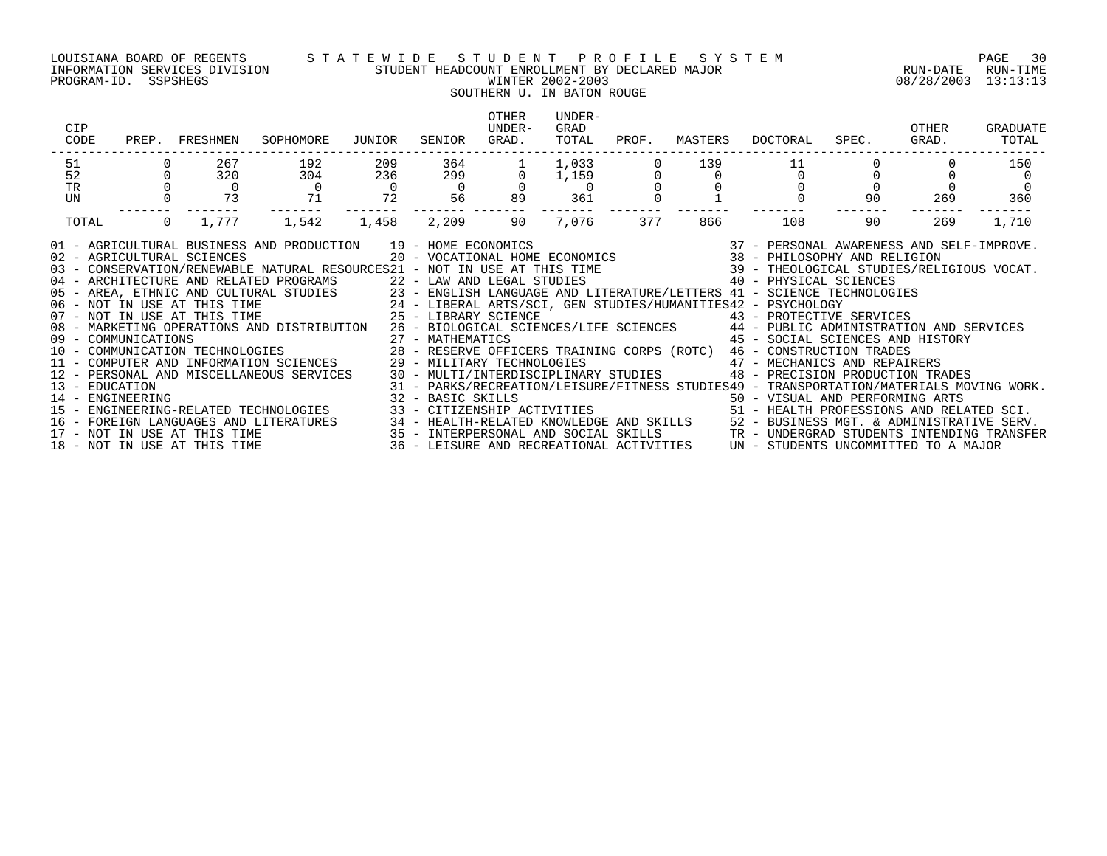### LOUISIANA BOARD OF REGENTS S T A T E W I D E S T U D E N T P R O F I L E S Y S T E M PAGE 30 INFORMATION SERVICES DIVISION STUDENT HEADCOUNT ENROLLMENT BY DECLARED MAJOR RUN-DATE RUN-TIME

#### PROGRAM-ID. SSPSHEGS WINTER 2002-2003 08/28/2003 13:13:13 SOUTHERN U. IN BATON ROUGE

| CIP<br>CODE                                                                                                               | PREP. FRESHMEN                                                                                                                                                                                                                                                                                                                                                                                                                                                                                                                                                                                                                                                                                                                                                                                                                                                                                                                                                                                                                                                                                                                                                                                                                                                                                                                                                                                                                                                                                                                                                                | SOPHOMORE      | JUNIOR         | SENIOR         | <b>OTHER</b><br>UNDER-<br>GRAD.      | UNDER-<br>GRAD<br>TOTAL                    | PROF. | MASTERS | DOCTORAL | SPEC. | OTHER<br>GRAD. | GRADUATE<br>TOTAL |
|---------------------------------------------------------------------------------------------------------------------------|-------------------------------------------------------------------------------------------------------------------------------------------------------------------------------------------------------------------------------------------------------------------------------------------------------------------------------------------------------------------------------------------------------------------------------------------------------------------------------------------------------------------------------------------------------------------------------------------------------------------------------------------------------------------------------------------------------------------------------------------------------------------------------------------------------------------------------------------------------------------------------------------------------------------------------------------------------------------------------------------------------------------------------------------------------------------------------------------------------------------------------------------------------------------------------------------------------------------------------------------------------------------------------------------------------------------------------------------------------------------------------------------------------------------------------------------------------------------------------------------------------------------------------------------------------------------------------|----------------|----------------|----------------|--------------------------------------|--------------------------------------------|-------|---------|----------|-------|----------------|-------------------|
| 51<br>52                                                                                                                  | 267<br>320                                                                                                                                                                                                                                                                                                                                                                                                                                                                                                                                                                                                                                                                                                                                                                                                                                                                                                                                                                                                                                                                                                                                                                                                                                                                                                                                                                                                                                                                                                                                                                    | 192<br>304     | 209<br>236     | 364<br>299     | $\overline{0}$                       | 1,033<br>1,159                             |       | 139     | $\Omega$ |       |                | 150               |
| <b>TR</b>                                                                                                                 | $\Omega$                                                                                                                                                                                                                                                                                                                                                                                                                                                                                                                                                                                                                                                                                                                                                                                                                                                                                                                                                                                                                                                                                                                                                                                                                                                                                                                                                                                                                                                                                                                                                                      | $\overline{0}$ | $\overline{0}$ | $\overline{0}$ |                                      | $\Omega$                                   |       |         |          |       |                |                   |
| UN                                                                                                                        | 73                                                                                                                                                                                                                                                                                                                                                                                                                                                                                                                                                                                                                                                                                                                                                                                                                                                                                                                                                                                                                                                                                                                                                                                                                                                                                                                                                                                                                                                                                                                                                                            | 71             | 72             | 56             | 89                                   | 361                                        |       |         |          | 90    | 269            | 360               |
| TOTAL                                                                                                                     | 1,777<br>$\overline{0}$                                                                                                                                                                                                                                                                                                                                                                                                                                                                                                                                                                                                                                                                                                                                                                                                                                                                                                                                                                                                                                                                                                                                                                                                                                                                                                                                                                                                                                                                                                                                                       | 1,542          | 1,458          | 2,209          | 90                                   | 7,076                                      | 377   | 866     | 108      | 90    | 269            | 1,710             |
| 13 - EDUCATION<br>14 - ENGINEERING<br>$15 -$<br>16 -<br>NOT IN USE AT THIS TIME<br>$17 -$<br>18 - NOT IN USE AT THIS TIME | 37 - PERSONAL AWARENESS AND SELF-IMPROVE.<br>01 - AGRICULTURAL BUSINESS AND PRODUCTION<br>02 - AGRICULTURAL SCIENCES<br>39 - THEOLOGICAL STUDIES/RELIGIOUS VOCAT.<br>03 - CONSERVATION/RENEWABLE NATURAL RESOURCES21 - NOT IN USE AT THIS TIME<br>40 - PHYSICAL SCIENCES<br>22 - LAW AND LEGAL STUDIES<br>04 - ARCHITECTURE AND RELATED PROGRAMS<br>10 - PHYSICAL SUSAN COLTURAL STUDIES<br>105 - AREA, ETHNIC AND CULTURAL STUDIES<br>106 - NOT IN USE AT THIS TIME<br>107 - NOT IN USE AT THIS TIME<br>207 - NOT IN USE AT THIS TIME<br>207 - ARTS/SCI, GEN STUDIES/HUMANITIES42 - PSYCHOL<br>23 - ENGLISH LANGUAGE AND LITERATURE/LETTERS 41 - SCIENCE TECHNOLOGIES<br>43 - PROTECTIVE SERVICES<br>26 - BIOLOGICAL SCIENCES/LIFE SCIENCES 44 - PUBLIC ADMINISTRATION AND SERVICES<br>08 - MARKETING OPERATIONS AND DISTRIBUTION<br>27 - MATHEMATICS<br>09 - COMMUNICATIONS<br>10 - COMMUNICATION TECHNOLOGIES<br>11 - COMPUTER AND INFORMATION SCIENCES<br>45 - SOCIAL SCIENCES AND HISTORY<br>28 - RESERVE OFFICERS TRAINING CORPS (ROTC) 46 - CONSTRUCTION TRADES<br>29 - MILITARY TECHNOLOGIES<br>47 - MECHANICS AND REPAIRERS<br>30 - MULTI/INTERDISCIPLINARY STUDIES<br>48 - PRECISION PRODUCTION TRADES<br>12 - PERSONAL AND MISCELLANEOUS SERVICES<br>31 - PARKS/RECREATION/LEISURE/FITNESS STUDIES49 - TRANSPORTATION/MATERIALS MOVING WORK.<br>32 - BASIC SKILLS<br>ENGINEERING-RELATED TECHNOLOGIES<br>33 - CITIZENSHIP ACTIVITIES<br>34 - HEALTH-RELATED KNOWLEDGE AND SKILLS<br>52 - BUSINESS MGT. & ADMINISTRATIVE SERV.<br>FOREIGN LANGUAGES AND LITERATURES |                |                |                | UN - STUDENTS UNCOMMITTED TO A MAJOR | TR - UNDERGRAD STUDENTS INTENDING TRANSFER |       |         |          |       |                |                   |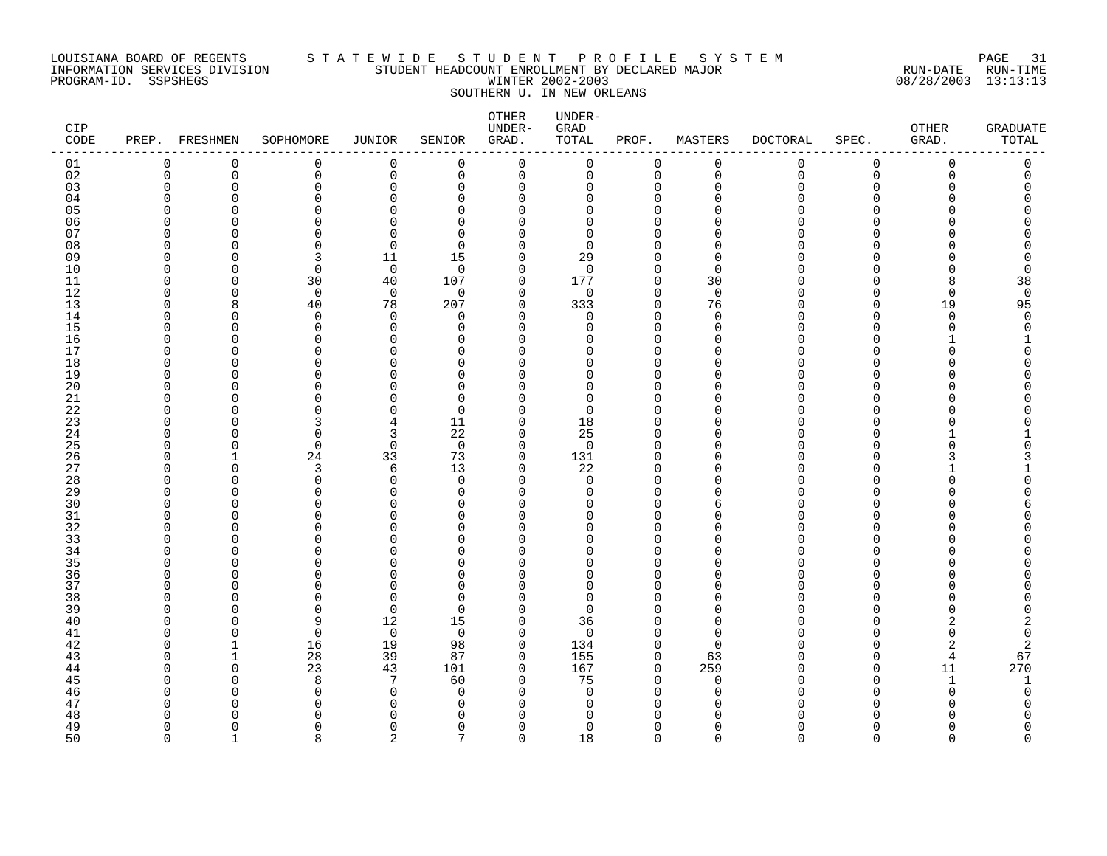### LOUISIANA BOARD OF REGENTS S T A T E W I D E S T U D E N T P R O F I L E S Y S T E M PAGE 31 INFORMATION SERVICES DIVISION STUDENT HEADCOUNT ENROLLMENT BY DECLARED MAJOR RUN-DATE RUN-TIME PROGRAM-ID. SSPSHEGS WINTER 2002-2003 08/28/2003 13:13:13 SOUTHERN U. IN NEW ORLEANS

| CIP<br>CODE |                   | PREP. FRESHMEN | SOPHOMORE                | JUNIOR               | SENIOR               | OTHER<br>UNDER-<br>GRAD.   | UNDER-<br>${\tt GRAD}$<br>TOTAL | PROF.                | MASTERS                  | <b>DOCTORAL</b> | SPEC.                | OTHER<br>GRAD. | <b>GRADUATE</b><br>TOTAL |
|-------------|-------------------|----------------|--------------------------|----------------------|----------------------|----------------------------|---------------------------------|----------------------|--------------------------|-----------------|----------------------|----------------|--------------------------|
| 01          | 0                 | $\mathbf 0$    | 0                        | 0                    | $\mathbf 0$          | 0                          | 0                               | $\mathbf 0$          | 0                        | 0               | 0                    | 0              | 0                        |
| 02          | $\Omega$          | $\Omega$       | $\mathbf 0$              | $\mathbf 0$          | $\Omega$             | $\mathsf 0$                | 0                               | $\Omega$             | $\mathbf 0$              | $\mathbf 0$     | $\Omega$             | $\Omega$       | $\mathbf 0$              |
| 03          | $\Omega$          | $\Omega$       | $\Omega$                 | $\Omega$             | $\Omega$             | $\mathbf 0$                | $\Omega$                        | $\Omega$<br>$\Omega$ | $\mathbf 0$<br>$\Omega$  | O               | $\Omega$             | O              |                          |
| 04<br>05    | n                 | O<br>∩         | $\Omega$<br>$\Omega$     | O<br>U               | $\Omega$<br>$\Omega$ | 0<br>$\Omega$              | $\Omega$<br>$\Omega$            |                      |                          |                 | ∩                    |                |                          |
| 06          | ∩                 | O              | $\Omega$                 | U                    | $\Omega$             | $\Omega$                   | $\Omega$                        | O                    | ∩                        |                 | ∩                    |                |                          |
| 07          | O                 |                | $\Omega$                 | ∩                    | $\Omega$             | $\Omega$                   | $\Omega$                        |                      | ∩                        |                 |                      |                |                          |
| 08          | O                 |                | $\Omega$                 | $\Omega$             | $\Omega$             | 0                          | $\Omega$                        | O                    | $\Omega$                 |                 | ∩                    |                |                          |
| 09          | O                 | O              | 3                        | 11                   | 15                   | 0                          | 29                              | $\Omega$             | 0                        |                 | ∩                    |                | 0                        |
| 10          |                   | O              | $\mathbf 0$              | $\mathbf 0$          | $\Omega$             | $\mathbf 0$                | $\Omega$                        | $\Omega$             | $\mathbf 0$              |                 | ∩                    |                | 0                        |
| 11          | U                 | O              | 30                       | 40                   | 107                  | 0                          | 177                             | $\mathbf 0$          | 30                       |                 | ∩                    | ۶              | 38                       |
| 12          | O                 | O              | $\Omega$                 | $\overline{0}$       | $\Omega$             | $\mathbf 0$                | 0                               | $\Omega$             | $\overline{0}$           |                 | ∩                    | $\Omega$       | $\mathbf 0$              |
| 13<br>14    | O<br>∩            | 8<br>∩         | 40<br>$\Omega$           | 78<br>$\Omega$       | 207<br>$\Omega$      | $\mathbf 0$<br>$\mathbf 0$ | 333<br>$\Omega$                 | $\Omega$<br>$\Omega$ | 76<br>$\Omega$           | N               | $\Omega$<br>$\Omega$ | 19<br>$\cap$   | 95<br>$\Omega$           |
| 15          | ∩                 | O              | 0                        | $\Omega$             | $\Omega$             | 0                          | $\Omega$                        | $\Omega$             | 0                        |                 | ∩                    | U              | 0                        |
| 16          | O                 | O              | $\Omega$                 | O                    | $\Omega$             | 0                          | $\Omega$                        | $\Omega$             | $\Omega$                 |                 | ∩                    |                |                          |
| 17          | ∩                 | O              | $\Omega$                 | O                    | $\Omega$             | 0                          | O                               | $\Omega$             | $\Omega$                 |                 | $\Omega$             |                |                          |
| 18          | ∩                 | ∩              | $\Omega$                 | U                    | $\cap$               | $\Omega$                   | O                               | $\Omega$             | $\Omega$                 |                 | ∩                    |                |                          |
| 19          | ∩                 |                | $\Omega$                 |                      | $\Omega$             | $\Omega$                   | O                               | $\Omega$             | $\Omega$                 |                 | ∩                    |                |                          |
| 20          | ∩                 | ∩              | $\Omega$                 |                      | $\Omega$             | $\Omega$                   | U                               |                      | $\Omega$                 |                 | ∩                    |                |                          |
| 21          | O                 |                | O                        |                      | $\Omega$             | $\Omega$                   | $\Omega$                        | $\Omega$             | $\Omega$                 |                 | ∩                    |                |                          |
| 22<br>23    | O<br>∩            | O<br>∩         | O<br>3                   | O<br>4               | $\Omega$<br>11       | 0<br>$\mathbf 0$           | $\Omega$<br>18                  | $\Omega$             | <sup>0</sup><br>$\Omega$ |                 | O<br>∩               |                |                          |
| 24          | ∩                 | O              | $\mathbf 0$              | 3                    | 22                   | 0                          | 25                              | O                    | $\Omega$                 |                 | ∩                    |                |                          |
| 25          | ∩                 | ∩              | $\Omega$                 | $\Omega$             | $\Omega$             | $\mathbf 0$                | $\Omega$                        | $\Omega$             | $\Omega$                 |                 | ∩                    |                | O                        |
| 26          | O                 |                | 24                       | 33                   | 73                   | $\mathbf 0$                | 131                             | $\Omega$             | $\Omega$                 |                 | ∩                    |                | 3                        |
| 27          | O                 | O              | 3                        | 6                    | 13                   | 0                          | 22                              | $\Omega$             | $\Omega$                 |                 | ∩                    |                |                          |
| 28          |                   | O              | $\mathbf 0$              | $\Omega$             | $\Omega$             | 0                          | 0                               |                      | $\Omega$                 |                 | ∩                    |                |                          |
| 29          | ∩                 | O              | $\Omega$                 | $\Omega$             | $\Omega$             | 0                          | 0                               | $\Omega$             | $\Omega$                 |                 | ∩                    |                |                          |
| 30<br>31    | O<br>∩            | ∩<br>∩         | $\Omega$<br>$\Omega$     | ∩<br>U               | $\Omega$             | $\Omega$                   | U<br>O                          | O<br>O               | 6<br>$\Omega$            |                 | ∩<br>∩               |                | 6                        |
| 32          | ∩                 | ∩              | $\Omega$                 |                      | $\Omega$<br>$\Omega$ | 0<br>$\Omega$              | U                               | $\Omega$             | $\cap$                   |                 | ∩                    |                |                          |
| 33          | ∩                 | O              | $\Omega$                 | 0                    | $\Omega$             | $\Omega$                   | O                               | O                    | $\Omega$                 |                 | ∩                    |                |                          |
| 34          | O                 | n              | ∩                        | O                    | $\cap$               | 0                          | $\Omega$                        | $\Omega$             | $\Omega$                 |                 | ∩                    |                |                          |
| 35          |                   |                | $\Omega$                 | n                    | $\cap$               | $\Omega$                   | U                               | $\Omega$             | $\Omega$                 |                 | ∩                    |                |                          |
| 36          | ∩                 | ∩              | $\Omega$                 | 0                    | $\cap$               | $\Omega$                   | 0                               | $\Omega$             | $\Omega$                 |                 | $\Omega$             |                |                          |
| 37          | ∩                 |                | $\Omega$                 | U                    | $\Omega$             | $\Omega$                   | $\Omega$                        | $\Omega$             | $\Omega$                 |                 | ∩                    |                |                          |
| 38          | ∩                 | ∩              | $\Omega$                 | ∩                    | $\Omega$             | $\Omega$                   | $\Omega$                        |                      | $\Omega$                 |                 | ∩                    |                |                          |
| 39          | O<br>O            | O              | 0<br>9                   | $\mathbf 0$          | $\Omega$             | 0<br>$\mathbf 0$           | $\Omega$                        |                      | $\Omega$<br>$\Omega$     |                 | ∩<br>∩               |                |                          |
| 40<br>41    | ∩                 | O<br>O         | $\mathbf 0$              | 12<br>$\overline{0}$ | 15<br>$\Omega$       | $\mathbf 0$                | 36<br>$\mathbf 0$               | $\Omega$             | 0                        |                 | ∩                    |                | 2<br>0                   |
| 42          | ∩                 |                | 16                       | 19                   | 98                   | 0                          | 134                             | $\Omega$             | $\Omega$                 |                 | ∩                    | 2              | 2                        |
| 43          | ∩                 |                | 28                       | 39                   | 87                   | $\mathbf 0$                | 155                             | $\Omega$             | 63                       |                 | ∩                    | 4              | 67                       |
| 44          | ∩                 | ∩              | 23                       | 43                   | 101                  | $\mathbf 0$                | 167                             | $\Omega$             | 259                      |                 | $\Omega$             | 11             | 270                      |
| 45          | C                 | O              | 8                        | 7                    | 60                   | 0                          | 75                              | $\Omega$             | 0                        |                 | $\Omega$             | $\mathbf{1}$   | 1                        |
| 46          |                   | ∩              | $\mathbf 0$              | $\Omega$             | <sup>0</sup>         | 0                          | 0                               | $\Omega$             | 0                        |                 | ∩                    | $\Omega$       | 0                        |
| 47          | ∩                 | n              | $\Omega$                 | ∩                    | $\Omega$             | 0                          | 0                               | $\Omega$             | ∩                        |                 | ∩                    |                |                          |
| 48<br>49    | ∩<br><sup>n</sup> |                | ∩                        | $\Omega$             | $\Omega$<br>$\Omega$ | $\Omega$                   | U<br>$\Omega$                   | $\Omega$             |                          |                 | $\Omega$             |                | O                        |
| 50          | $\cap$            | O<br>1         | $\Omega$<br>$\mathsf{R}$ | $\overline{2}$       | 7                    | $\mathbf 0$<br>$\Omega$    | 18                              | $\Omega$             | $\Omega$<br>$\Omega$     | $\Omega$        | $\Omega$             | $\Omega$       | $\Omega$                 |
|             |                   |                |                          |                      |                      |                            |                                 |                      |                          |                 |                      |                |                          |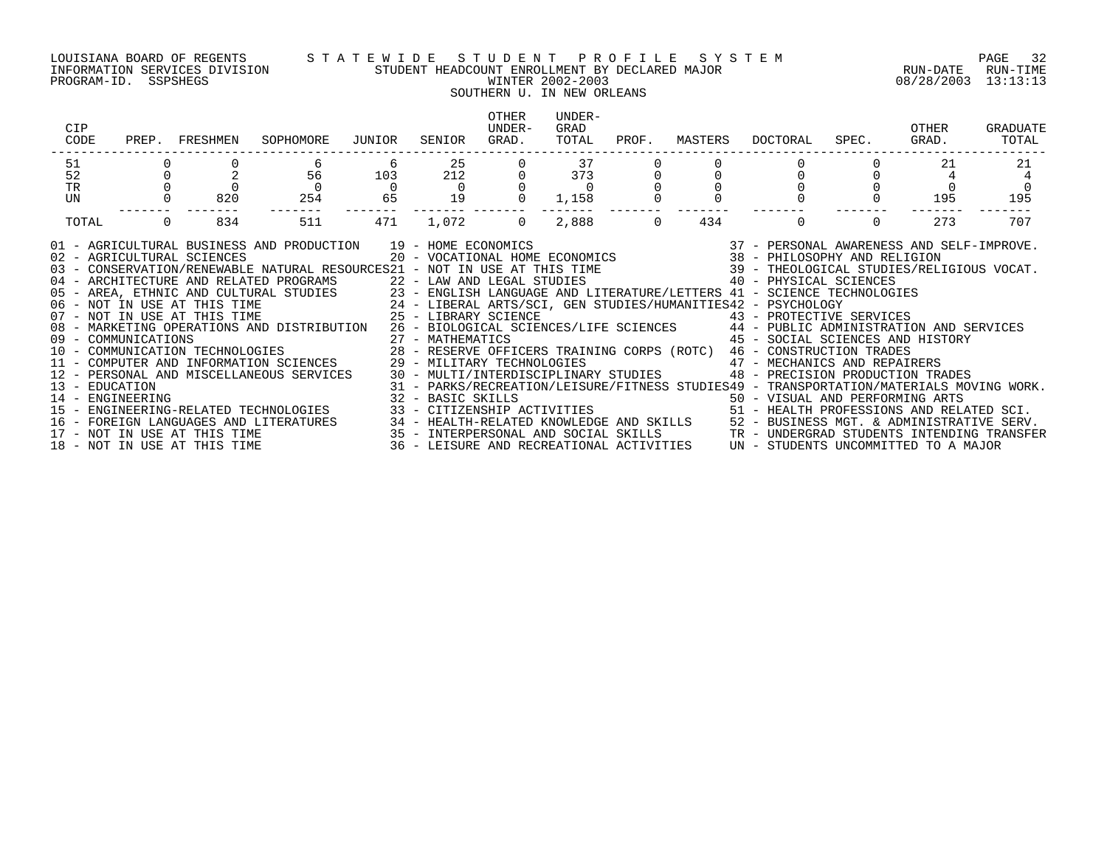PROGRAM-ID. SSPSHEGS WINTER 2002-2003 08/28/2003 13:13:13

### LOUISIANA BOARD OF REGENTS S T A T E W I D E S T U D E N T P R O F I L E S Y S T E M PAGE 32 INFORMATION SERVICES DIVISION STUDENT HEADCOUNT ENROLLMENT BY DECLARED MAJOR RUN-DATE RUN-TIME

## SOUTHERN U. IN NEW ORLEANS

| CIP<br>CODE                                                                                                                                                                                                                                                                                                                                                                                                                                                                                                                                                                                                                                                                                                                                                                                                                                                                                                                                                                                                                                                                                                                                                                                                                                                                                                                                                                                                                                                                                                                                                                                                                                                                                                                                     | PREP. FRESHMEN        | SOPHOMORE             | JUNIOR               | SENIOR         | <b>OTHER</b><br>UNDER-<br>GRAD. | UNDER-<br>GRAD<br>TOTAL | PROF.    | MASTERS | DOCTORAL | SPEC. | OTHER<br>GRAD. | GRADUATE<br>TOTAL |
|-------------------------------------------------------------------------------------------------------------------------------------------------------------------------------------------------------------------------------------------------------------------------------------------------------------------------------------------------------------------------------------------------------------------------------------------------------------------------------------------------------------------------------------------------------------------------------------------------------------------------------------------------------------------------------------------------------------------------------------------------------------------------------------------------------------------------------------------------------------------------------------------------------------------------------------------------------------------------------------------------------------------------------------------------------------------------------------------------------------------------------------------------------------------------------------------------------------------------------------------------------------------------------------------------------------------------------------------------------------------------------------------------------------------------------------------------------------------------------------------------------------------------------------------------------------------------------------------------------------------------------------------------------------------------------------------------------------------------------------------------|-----------------------|-----------------------|----------------------|----------------|---------------------------------|-------------------------|----------|---------|----------|-------|----------------|-------------------|
| 51                                                                                                                                                                                                                                                                                                                                                                                                                                                                                                                                                                                                                                                                                                                                                                                                                                                                                                                                                                                                                                                                                                                                                                                                                                                                                                                                                                                                                                                                                                                                                                                                                                                                                                                                              |                       |                       | 6                    | 25             |                                 | 37                      |          |         |          |       | 21             | 21                |
| 52                                                                                                                                                                                                                                                                                                                                                                                                                                                                                                                                                                                                                                                                                                                                                                                                                                                                                                                                                                                                                                                                                                                                                                                                                                                                                                                                                                                                                                                                                                                                                                                                                                                                                                                                              |                       | 56                    | 103                  | 212            |                                 | 373                     |          |         |          |       |                |                   |
| TR<br>UN                                                                                                                                                                                                                                                                                                                                                                                                                                                                                                                                                                                                                                                                                                                                                                                                                                                                                                                                                                                                                                                                                                                                                                                                                                                                                                                                                                                                                                                                                                                                                                                                                                                                                                                                        | 820                   | $\overline{0}$<br>254 | $\overline{0}$<br>65 | $\Omega$<br>19 |                                 | $\overline{0}$<br>1,158 |          |         |          |       | 195            | 195               |
|                                                                                                                                                                                                                                                                                                                                                                                                                                                                                                                                                                                                                                                                                                                                                                                                                                                                                                                                                                                                                                                                                                                                                                                                                                                                                                                                                                                                                                                                                                                                                                                                                                                                                                                                                 |                       |                       |                      |                |                                 |                         |          |         |          |       |                |                   |
| TOTAL                                                                                                                                                                                                                                                                                                                                                                                                                                                                                                                                                                                                                                                                                                                                                                                                                                                                                                                                                                                                                                                                                                                                                                                                                                                                                                                                                                                                                                                                                                                                                                                                                                                                                                                                           | $\overline{0}$<br>834 | 511                   | 471                  | 1,072          | $\overline{0}$                  | 2,888                   | $\Omega$ | 434     | $\Omega$ |       | 273            | 707               |
| 91 - AGRICULTURAL BUSINESS AND PRODUCTION 19 - HOME ECONOMICS (2007) 19 - 2007 - PERSONAL AWARENESS AND SELF-IMPROVE<br>102 - AGRICULTURAL SCIENCES (2007) 2007 - VOCATIONAL HOME ECONOMICS (2008 - 2008) 2010 - PHILOSOPHY AND R<br>22 - LAW AND LEGAL STUDIES 40 - PHYSICAL SCIENCES<br>04 - ARCHITECTURE AND RELATED PROGRAMS<br>05 - AREA, ETHNIC AND CULTURAL STUDIES 23 - ENGLISH LANGUAGE AND LITERATURE/LETTERS 41 - SCIENCE TECHNOLOGIES<br>06 - NOT IN USE AT THIS TIME 24 - LIBERAL ARTS/SCI, GEN STUDIES/HUMANITIES42 - PSYCHOLOGY<br>07 - NOT IN USE AT THI<br>43 - PROTECTIVE SERVICES<br>08 - MARKETING OPERATIONS AND DISTRIBUTION 26 - BIOLOGICAL SCIENCES/LIFE SCIENCES 44 - PUBLIC ADMINISTRATION AND SERVICES<br>45 - SOCIAL SCIENCES AND HISTORY<br>09 - COMMUNICATIONS<br>10 - COMMUNICATIONS 10 - COMMUNICATION TECHNOLOGIES<br>10 - COMMUNICATION TECHNOLOGIES 28 - RESERVE OFFICERS TRAINING CORPS (ROTC) 46 - CONSTRUCTION TRADES<br>11 - COMPUTER AND INFORMATION SCIENCES 29 - MILITARY TECHNOLOGIES 47 - MECHANICS AND REPAIRERS<br>12 - PERSONAL AND MISCELLANEOUS SERVICES 30 - MULTI/INTERDISCIPLINARY STUDIES 48 - PRECISION PRODUCTION TRADES<br>31 - PARKS/RECREATION/LEISURE/FITNESS STUDIES49 - TRANSPORTATION/MATERIALS MOVING WORK.<br>13 - EDUCATION<br>32 - BASIC SKILLS<br>33 - CITIZENSHIP ACTIVITIES                                     51 - HEALTH PROFESSIONS AND RELATED SCI.<br>14 - ENGINEERING<br>ENGINEERING-RELATED TECHNOLOGIES<br>$15 -$<br>FOREIGN LANGUAGES AND LITERATURES 34 - HEALTH-RELATED KNOWLEDGE AND SKILLS 52 - BUSINESS MGT. & ADMINISTRATIVE SERV.<br>NOT IN USE AT THIS TIME 35 - INTERPERSONAL AND SOCIAL SKILLS TR - UNDERGRAD STUDENTS INTENDING TRANSFER<br>N<br>16 - |                       |                       |                      |                |                                 |                         |          |         |          |       |                |                   |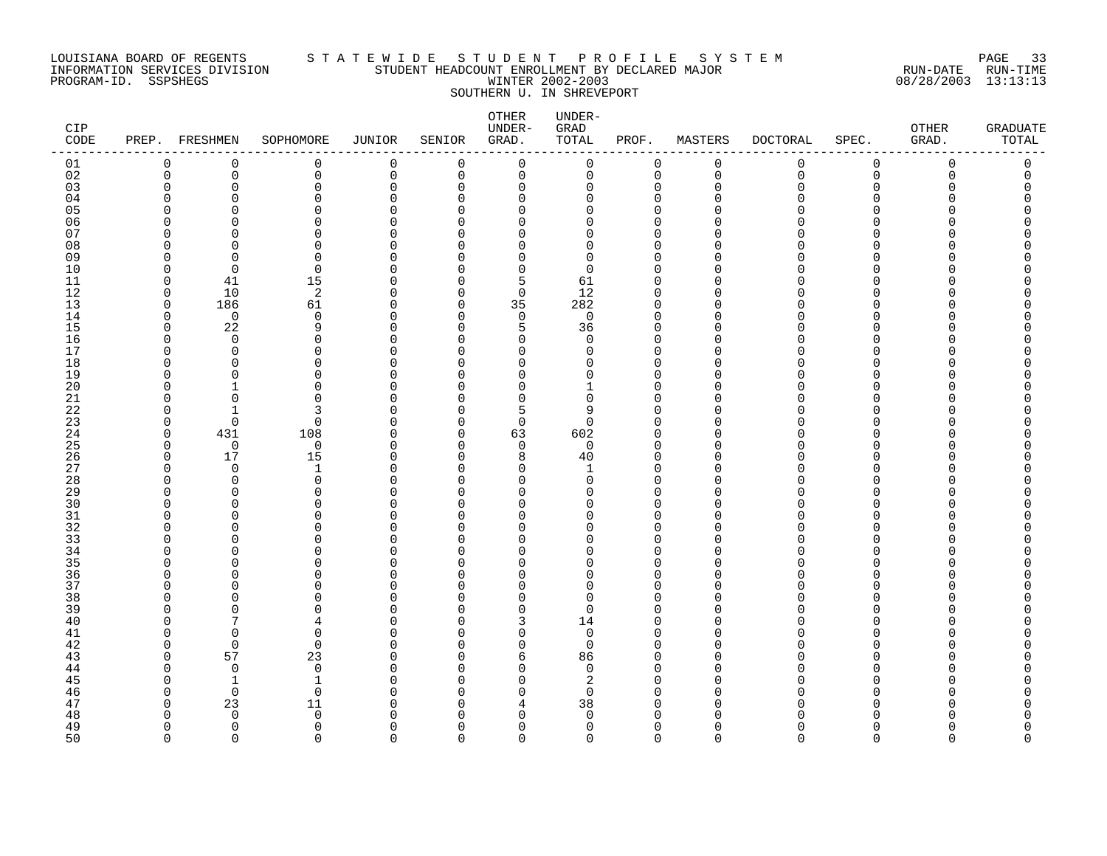### LOUISIANA BOARD OF REGENTS S T A T E W I D E S T U D E N T P R O F I L E S Y S T E M PAGE 33 INFORMATION SERVICES DIVISION STUDENT HEADCOUNT ENROLLMENT BY DECLARED MAJOR RUN-DATE RUN-TIME PROGRAM-ID. SSPSHEGS WINTER 2002-2003 08/28/2003 13:13:13 SOUTHERN U. IN SHREVEPORT

| $\mathtt{CIP}$<br>CODE |              | PREP. FRESHMEN | SOPHOMORE            | JUNIOR        | SENIOR             | OTHER<br>UNDER-<br>GRAD. | UNDER-<br>${\tt GRAD}$<br>TOTAL | PROF.                | MASTERS              | <b>DOCTORAL</b> | SPEC.         | OTHER<br>GRAD. | <b>GRADUATE</b><br>TOTAL |
|------------------------|--------------|----------------|----------------------|---------------|--------------------|--------------------------|---------------------------------|----------------------|----------------------|-----------------|---------------|----------------|--------------------------|
| 01                     | 0            | $\mathbf 0$    | 0                    | 0             | $\mathbf 0$        | 0                        | 0                               | $\mathbf 0$          | 0                    | 0               | $\mathbf 0$   | $\mathbf 0$    | 0                        |
| 02                     | $\mathbf 0$  | $\mathbf 0$    | $\mathbf 0$          | $\mathbf 0$   | $\Omega$           | $\mathsf 0$              | 0                               | $\mathbf 0$          | $\mathbf 0$          | $\mathbf 0$     | $\Omega$      | $\Omega$       | $\mathbf 0$              |
| 03                     | 0            | $\Omega$       | $\mathbf 0$          | $\Omega$      | $\Omega$           | 0                        | 0                               | $\Omega$             | $\mathbf 0$          | O               | $\Omega$      | O              | O                        |
| 04                     | ∩            | O              | 0                    | O             | $\Omega$           | 0                        | $\Omega$                        | $\Omega$             | $\Omega$             | N               | ∩             |                |                          |
| 05                     | C            | ∩              | $\Omega$             | U             | $\cap$             | $\Omega$                 | O                               | $\Omega$             |                      |                 | ∩             |                |                          |
| 06                     | ∩            | O              | $\Omega$             | U             | $\Omega$           | $\Omega$                 | $\Omega$                        | $\Omega$             |                      |                 | ∩             |                |                          |
| 07                     | ∩            | ∩              | $\Omega$             | ∩             | $\cap$             | $\Omega$                 | U                               | $\Omega$             | ∩                    |                 | ∩             |                |                          |
| 08                     | O            | ∩              | $\Omega$             | $\cap$        | $\Omega$           | $\Omega$                 | $\Omega$                        | $\Omega$             | $\cap$               |                 | ∩             |                |                          |
| 09                     | O            | O              | 0                    | O             | ∩                  | 0                        | 0                               | $\Omega$             | ∩                    |                 | ∩             |                |                          |
| 10                     | O            | $\Omega$       | $\mathbf 0$          | $\Omega$      | $\Omega$           | 0                        | $\Omega$                        |                      | $\Omega$             |                 | ∩             |                |                          |
| 11                     | $\Omega$     | 41             | 15                   | $\Omega$      | $\Omega$           | 5                        | 61                              | $\Omega$             | $\Omega$             |                 | ∩             |                |                          |
| 12                     | $\Omega$     | 10             | $\overline{2}$       | $\Omega$      | $\Omega$           | $\mathbf 0$              | 12                              | $\Omega$             | $\Omega$             |                 | ∩             |                |                          |
| 13                     | $\Omega$     | 186            | 61                   | $\Omega$      | $\Omega$           | 35                       | 282                             | $\Omega$             | $\Omega$             |                 | $\Omega$      |                |                          |
| 14                     | $\Omega$     | $\Omega$       | $\Omega$             | ∩             | $\Omega$           | $\mathbf 0$              | $\mathbf 0$                     | $\Omega$             | $\Omega$             |                 | $\cap$        |                |                          |
| $15\,$                 | $\Omega$     | 22             | 9                    | $\Omega$      | $\Omega$           | 5                        | 36                              | $\Omega$             | $\Omega$             |                 | ∩             |                |                          |
| 16                     | U            | $\Omega$       | $\Omega$             | O             | $\Omega$           | 0                        | 0                               | $\Omega$             | $\Omega$             |                 | ∩             |                |                          |
| 17                     | U            | 0              | $\Omega$             | $\Omega$      | $\Omega$           | 0                        | $\Omega$                        | $\Omega$             | $\Omega$             |                 | ∩             |                |                          |
| 18                     | ∩            | $\Omega$       | $\mathbf 0$          | $\Omega$      | ∩                  | 0                        | 0                               | $\Omega$             | $\Omega$             |                 | ∩             |                |                          |
| 19                     | O            | O              | $\Omega$             | U             | $\cap$             | 0                        | $\Omega$                        | $\Omega$             | $\Omega$             |                 | ∩             |                |                          |
| 20                     | ∩            |                | $\Omega$             | O             | $\cap$             | $\Omega$                 | 1                               | $\cap$               | $\Omega$             |                 | ∩             |                |                          |
| 21                     | O            | $\Omega$       | 0                    | O             | ∩                  | $\Omega$                 | 0                               | $\Omega$             | $\Omega$             |                 | ∩             |                |                          |
| 22                     | O            |                | 3                    | O             | $\Omega$           | 5                        | 9                               | $\Omega$             | $\Omega$             |                 | O             |                |                          |
| 23                     | $\Omega$     | $\Omega$       | $\mathbf 0$          | $\Omega$      | $\Omega$           | $\mathbf 0$              | $\Omega$                        |                      | $\Omega$             |                 | ∩             |                |                          |
| 24                     | $\Omega$     | 431            | 108                  | $\Omega$      | $\mathbf 0$        | 63                       | 602                             | $\Omega$             | $\Omega$             |                 | ∩             |                |                          |
| 25                     | $\Omega$     | $\Omega$       | $\mathbf 0$          | $\Omega$      | $\Omega$           | $\mathbf 0$              | 0                               | $\Omega$             | $\Omega$             |                 | ∩             |                |                          |
| 26                     | $\Omega$     | 17             | 15                   | $\Omega$      | $\Omega$           | 8                        | 40                              | $\Omega$             | $\Omega$             |                 | ∩             |                |                          |
| 27                     | U            | $\Omega$       | 1                    | O             | $\Omega$           | 0                        | -1                              | $\Omega$             | $\Omega$             |                 | ∩             |                |                          |
| 28                     | O            | $\Omega$       | $\mathbf 0$          | O             | $\Omega$           | $\Omega$                 | 0                               |                      | $\Omega$             |                 | ∩             |                |                          |
| 29                     | ∩            | $\Omega$       | $\Omega$             | O             | $\cap$             | 0                        | 0                               | $\Omega$             | $\Omega$             |                 | ∩             |                |                          |
| 30                     | ∩            | ∩              | $\Omega$             | ∩             | $\cap$             | $\Omega$                 | $\Omega$                        | $\Omega$             | $\cap$               |                 | ∩             |                |                          |
| 31                     | ∩            | O              | $\Omega$             | O             | $\Omega$           | 0                        | O                               | $\Omega$             | $\Omega$             |                 | $\Omega$<br>∩ |                |                          |
| 32                     | ∩            | ∩              | $\Omega$             | U             | $\cap$             | $\Omega$                 | $\Omega$                        | $\Omega$             | $\cap$               |                 |               |                |                          |
| 33                     | ∩<br>∩       | O              | $\Omega$<br>$\Omega$ | 0             | $\Omega$<br>$\cap$ | 0                        | $\Omega$                        | $\Omega$<br>$\Omega$ | $\Omega$             |                 | ∩<br>∩        |                |                          |
| 34                     |              | O              | $\Omega$             | O             | $\cap$             | 0<br>$\Omega$            | $\Omega$<br>U                   | $\Omega$             | $\Omega$             |                 | ∩             |                |                          |
| 35<br>36               | C<br>∩       | O<br>O         | 0                    | O<br>$\Omega$ | $\cap$             | 0                        | 0                               | $\Omega$             | $\Omega$<br>$\Omega$ |                 | $\Omega$      |                |                          |
| 37                     | O            | ∩              | $\Omega$             | U             | $\cap$             | 0                        | $\Omega$                        | $\Omega$             | $\Omega$             |                 | ∩             |                |                          |
| 38                     | O            | ∩              | $\Omega$             | O             | $\cap$             | $\Omega$                 | $\Omega$                        | ∩                    | $\Omega$             |                 | ∩             |                |                          |
| 39                     | O            | O              | $\Omega$             | O             | $\Omega$           | 0                        | $\Omega$                        | $\Omega$             | $\Omega$             |                 | O             |                |                          |
| 40                     | O            |                | 4                    | O             | $\Omega$           | 3                        | 14                              | $\Omega$             | $\Omega$             |                 | O             |                |                          |
| 41                     | ∩            | $\Omega$       | $\mathbf 0$          | O             | $\cap$             | 0                        | $\mathbf 0$                     | $\Omega$             | ∩                    |                 | ∩             |                |                          |
| 42                     | <sup>n</sup> | $\Omega$       | $\Omega$             | 0             | $\Omega$           | $\mathbf 0$              | $\Omega$                        | $\Omega$             | $\Omega$             |                 | ∩             |                |                          |
| 43                     | <sup>n</sup> | 57             | 23                   | $\Omega$      | $\cap$             | 6                        | 86                              | $\cap$               | $\Omega$             |                 | ∩             |                |                          |
| $4\,4$                 | O            | $\Omega$       | $\mathbf 0$          | ∩             | $\cap$             | 0                        | $\Omega$                        | $\Omega$             | $\Omega$             |                 | ∩             |                |                          |
| 45                     | O            | 1              | 1                    | O             | $\Omega$           | 0                        | 2                               | $\Omega$             | <sup>0</sup>         |                 | O             |                |                          |
| 46                     | $\Omega$     | $\Omega$       | $\mathbf 0$          | U             | $\cap$             | 0                        | $\Omega$                        |                      | $\Omega$             |                 | ∩             |                |                          |
| 47                     | $\Omega$     | 23             | 11                   | O             | ∩                  | 4                        | 38                              | ∩                    | $\Omega$             |                 | ∩             |                |                          |
| 48                     | <sup>0</sup> | $\Omega$       | $\Omega$             | U             | $\cap$             | $\Omega$                 | $\Omega$                        |                      | ∩                    |                 |               |                |                          |
| 49                     | $\Omega$     | $\Omega$       | $\mathbf 0$          | $\Omega$      | $\Omega$           | $\mathbf 0$              | $\Omega$                        | $\Omega$             | $\Omega$             | N               | $\Omega$      | Λ              | O                        |
| 50                     | $\cap$       | $\Omega$       | $\cap$               | $\Omega$      | $\cap$             | $\Omega$                 | $\Omega$                        | $\Omega$             | $\Omega$             | $\Omega$        | $\Omega$      | $\Omega$       | $\Omega$                 |
|                        |              |                |                      |               |                    |                          |                                 |                      |                      |                 |               |                |                          |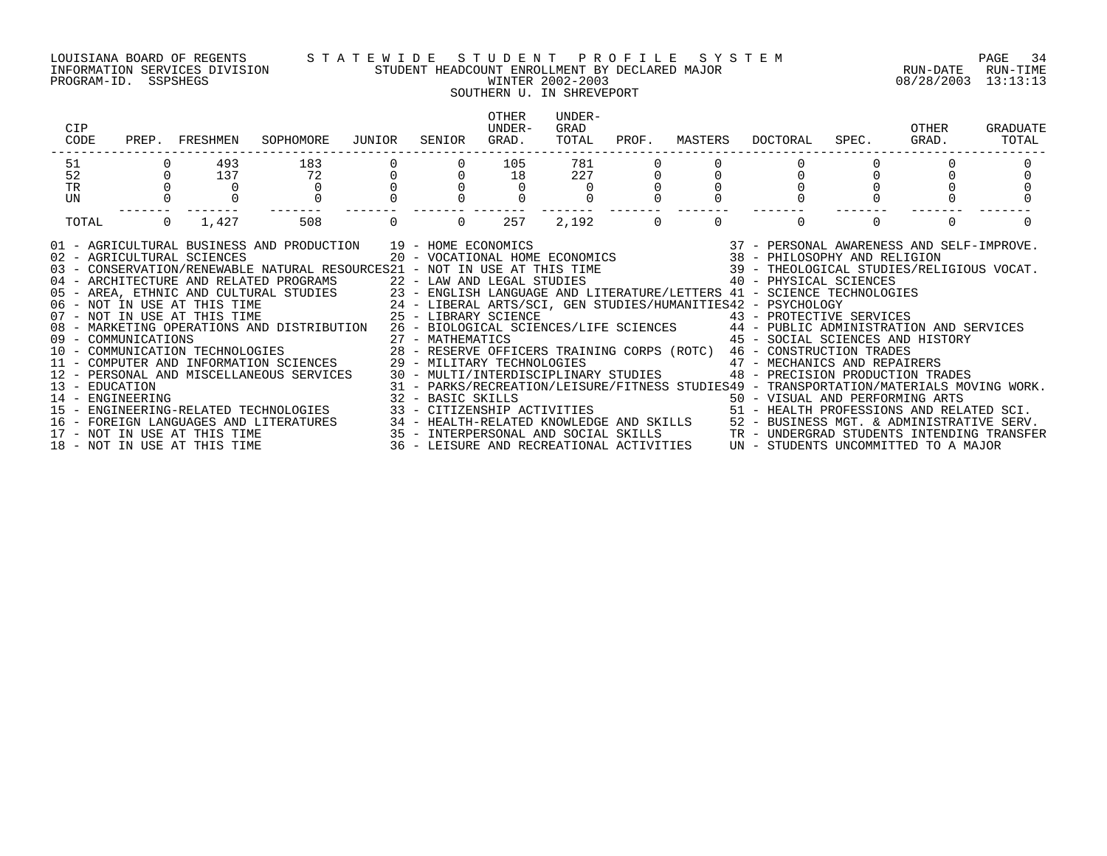### LOUISIANA BOARD OF REGENTS S T A T E W I D E S T U D E N T P R O F I L E S Y S T E M PAGE 34 INFORMATION SERVICES DIVISION STUDENT HEADCOUNT ENROLLMENT BY DECLARED MAJOR RUN-DATE RUN-TIME COUISIANA BOARD OF REGENTS STATEWIDE STUDENT HEADCOUNT ENROLLMENT BY DECLARED MAJOR<br>INFORMATION SERVICES DIVISION STUDENT HEADCOUNT ENROLLMENT BY DECLARED MAJOR<br>PROGRAM-ID. SSPSHEGS 08/28/2003 13:13:13

### SOUTHERN U. IN SHREVEPORT OTHER UNDER-CIP UNDER- GRAD OTHER GRADUATE CODE PREP. FRESHMEN SOPHOMORE JUNIOR SENIOR GRAD. TOTAL PROF. MASTERS DOCTORAL SPEC. GRAD. TOTAL ------------------------------------------------------------------------------------------------------------------------------------ 51 0 493 183 0 0 105 781 0 0 0 0 0 0 52 0 137 72 0 0 18 227 0 0 0 0 0 0 TR 0 0 0 0 0 0 0 0 0 0 0 0 0 UN 0 0 0 0 0 0 0 0 0 0 0 0 0 ------- ------- ------- ------- ------- ------- ------- ------- ------- ------- ------- ------- ------- TOTAL 0 1,427 508 0 0 257 2,192 0 0 0 0 0 0 01 - AGRICULTURAL BUSINESS AND PRODUCTION 19 - HOME ECONOMICS 37 - PERSONAL AWARENESS AND SELF-IMPROVE. 02 - AGRICULTURAL SCIENCES 20 - VOCATIONAL HOME ECONOMICS 38 - PHILOSOPHY AND RELIGION 03 - CONSERVATION/RENEWABLE NATURAL RESOURCES21 - NOT IN USE AT THIS TIME 39 - THEOLOGICAL STUDIES/RELIGIOUS VOCAT.<br>04 - ARCHITECTURE AND RELATED PROGRAMS 22 - LAW AND LEGAL STUDI 05 - AREA, ETHNIC AND CULTURAL STUDIES 23 - ENGLISH LANGUAGE AND LITERATURE/LETTERS 41 - SCIENCE TECHNOLOGIES 06 – NOT IN USE AT THIS TIME 24 – LIBERAL ARTS/SCI, GEN STUDIES/HUMANITIES42 – PSYCHOLOGY<br>07 – NOT IN USE AT THIS TIME 25 – LIBRARY SCIENCE 08 - MARKETING OPERATIONS AND DISTRIBUTION 26 - BIOLOGICAL SCIENCES/LIFE SCIENCES 44 - PUBLIC ADMINISTRATION AND SERVICES 09 - COMMUNICATIONS 27 - MATHEMATICS 45 - SOCIAL SCIENCES AND HISTORY 10 - COMMUNICATION TECHNOLOGIES 28 - RESERVE OFFICERS TRAINING CORPS (ROTC) 46 - CONSTRUCTION TRADES<br>11 - COMPUTER AND INFORMATION SCIENCES 29 - MILITARY TECHNOLOGIES 12 - PERSONAL AND MISCELLANEOUS SERVICES 30 - MULTI/INTERDISCIPLINARY STUDIES 48 - PRECISION PRODUCTION TRADES 13 - EDUCATION 31 - PARKS/RECREATION/LEISURE/FITNESS STUDIES49 - TRANSPORTATION/MATERIALS MOVING WORK. 14 - ENGINEERING 32 - BASIC SKILLS 50 - VISUAL AND PERFORMING ARTS

15 - ENGINEERING-RELATED TECHNOLOGIES 33 - CITIZENSHIP ACTIVITIES 51 - HEALTH PROFESSIONS AND RELATED SCI.

- 
- 
- 16 FOREIGN LANGUAGES AND LITERATURES 34 HEALTH-RELATED KNOWLEDGE AND SKILLS 52 BUSINESS MGT. & ADMINISTRATIVE SERV.

18 - NOT IN USE AT THIS TIME 36 - LEISURE AND RECREATIONAL ACTIVITIES UN - STUDENTS UNCOMMITTED TO A MAJOR

17 - NOT IN USE AT THIS TIME 35 - INTERPERSONAL AND SOCIAL SKILLS TR - UNDERGRAD STUDENTS INTENDING TRANSFER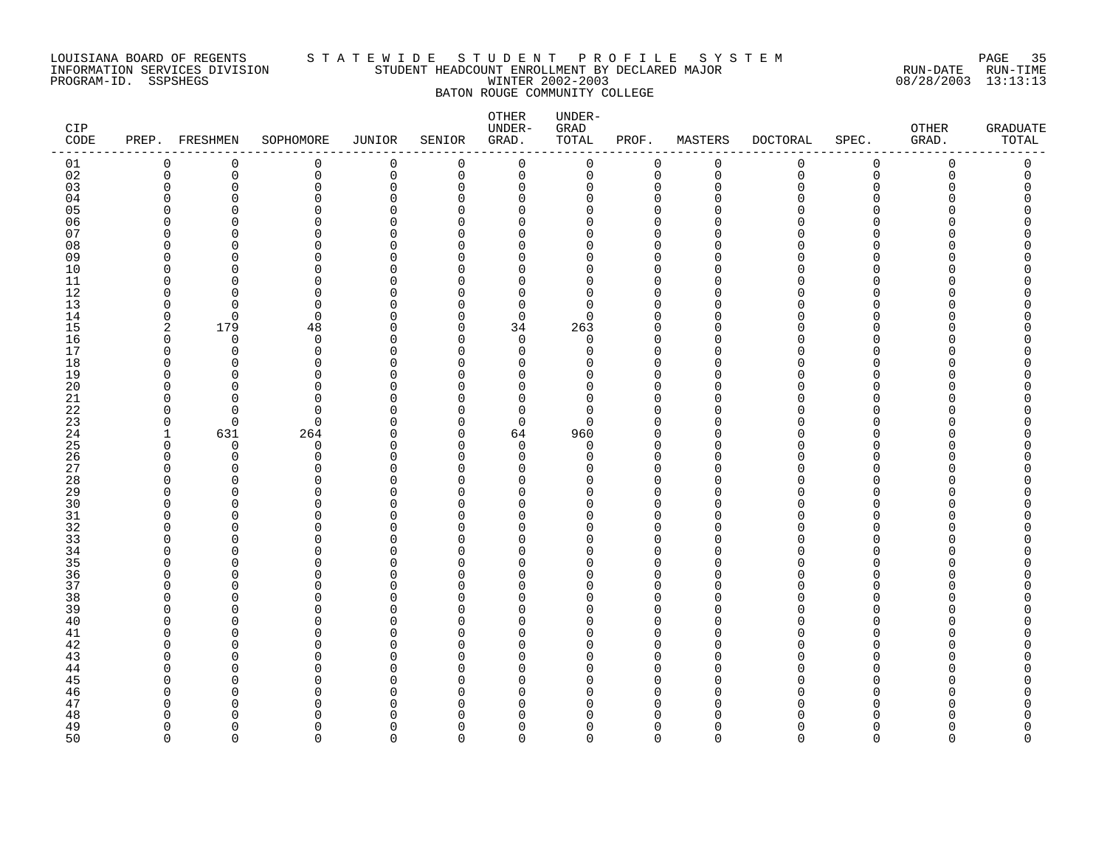### LOUISIANA BOARD OF REGENTS S T A T E W I D E S T U D E N T P R O F I L E S Y S T E M PAGE 35 INFORMATION SERVICES DIVISION STUDENT HEADCOUNT ENROLLMENT BY DECLARED MAJOR RUN-DATE RUN-TIME PROGRAM-ID. SSPSHEGS WINTER 2002-2003 08/28/2003 13:13:13 BATON ROUGE COMMUNITY COLLEGE

| CIP<br>CODE |               | PREP. FRESHMEN | SOPHOMORE               | JUNIOR               | SENIOR               | OTHER<br>UNDER-<br>GRAD. | UNDER-<br>GRAD<br>TOTAL | PROF.                      | MASTERS       | <b>DOCTORAL</b> | SPEC.       | OTHER<br>GRAD. | <b>GRADUATE</b><br>TOTAL |
|-------------|---------------|----------------|-------------------------|----------------------|----------------------|--------------------------|-------------------------|----------------------------|---------------|-----------------|-------------|----------------|--------------------------|
| 01          | 0             | 0              | 0                       | 0                    | 0                    | $\mathbf 0$              | 0                       | 0                          | $\mathbf 0$   | 0               | 0           | $\mathbf 0$    | 0                        |
| 02          | $\mathbf 0$   | $\mathbf 0$    | 0                       | $\mathsf 0$          | $\mathbf 0$          | $\mathbf 0$              | $\mathsf{O}$            | 0                          | $\mathbf 0$   | $\mathbf 0$     | $\mathsf 0$ | $\mathbf 0$    | $\mathbf 0$              |
| 03          | $\Omega$      | $\Omega$       | $\Omega$                | $\mathbf 0$          | $\Omega$             | $\mathbf 0$              | $\Omega$                | $\mathbf 0$                | $\Omega$      | <sup>n</sup>    | 0           | ∩              | <sup>n</sup>             |
| 04          | ∩             | U              | $\Omega$                | $\Omega$             | $\Omega$             | $\Omega$                 | U                       | $\Omega$                   | ∩             |                 | U           |                |                          |
| 05          | U             | U              | $\Omega$                | $\Omega$             | $\Omega$             | $\Omega$                 | O                       | $\mathbf 0$                | ∩             |                 | O           |                |                          |
| 06          | U             | ∩              | $\Omega$                | $\Omega$             | <sup>n</sup>         | $\Omega$                 | O                       | $\mathbf 0$                | ∩             |                 | U           |                |                          |
| 07          | U             | U              | $\Omega$                | $\Omega$             | $\Omega$             | 0                        | 0                       | $\mathbf 0$                | ∩             |                 | O           |                |                          |
| 08          | U             | O              | $\Omega$                | $\Omega$             | $\Omega$             | 0                        | O                       | $\mathbf 0$                | ∩             |                 | U           |                |                          |
| 09          | ∩             | <sup>n</sup>   | $\Omega$                | $\Omega$             | $\Omega$             | $\Omega$                 | U                       | $\Omega$                   | ∩             |                 | N           |                |                          |
| 10          | $\Omega$      | <sup>n</sup>   | $\Omega$                | $\Omega$             | $\Omega$             | $\Omega$                 | 0                       | $\mathbf 0$                | $\Omega$      | U               | U           |                |                          |
| 11          | $\Omega$      | ∩              | $\Omega$                | $\Omega$             | $\Omega$             | 0                        | $\Omega$                | $\mathbf 0$                | $\Omega$      | n               | N           |                |                          |
| 12          | ∩             | U              | $\Omega$                | O                    | $\Omega$             | 0                        | U                       | $\mathbf 0$                | ∩             |                 | N           |                |                          |
| $13$        | $\Omega$      | $\Omega$       | $\Omega$                | $\Omega$             | $\Omega$             | $\mathbf 0$              | $\Omega$                | $\Omega$                   | ∩             |                 | ∩           |                |                          |
| 14          | $\Omega$      | $\Omega$       | $\Omega$                | $\Omega$             | $\Omega$             | $\Omega$                 | $\Omega$                | $\Omega$                   | ∩             | n               | U           |                |                          |
| 15          | 2             | 179            | 48                      | 0                    | $\Omega$             | 34                       | 263                     | $\mathbf 0$                | $\Omega$      |                 | O           |                |                          |
| 16          | $\Omega$      | $\Omega$       | 0                       | $\Omega$             | $\Omega$             | $\mathbf 0$              | 0                       | $\mathbf 0$                | $\Omega$      |                 | O           |                |                          |
| 17          | $\Omega$      | $\Omega$       | $\Omega$                | $\Omega$             | $\Omega$             | $\Omega$                 | $\Omega$                | $\Omega$                   | ∩             |                 | U           |                |                          |
| $18\,$      | $\Omega$      | $\Omega$       | $\mathbf 0$             | $\Omega$             | $\Omega$             | 0                        | 0                       | $\mathbf 0$                | $\Omega$      |                 | O           |                |                          |
| 19          | ∩             | n              | $\Omega$                | O                    | U                    | 0                        | O                       | $\mathbf 0$                | ∩             |                 | N           |                |                          |
| 20          | $\cap$        | <sup>n</sup>   | $\Omega$                | $\Omega$             | $\Omega$             | $\Omega$                 | 0                       | $\Omega$                   | ∩             | n               | N           |                |                          |
| 21          | $\Omega$      | U              | $\Omega$                | $\cap$               | $\Omega$             | $\Omega$                 | U                       | $\mathbf 0$                | ∩             |                 | U           |                |                          |
| 22          | <sup>0</sup>  | $\Omega$       | $\Omega$                | O                    | $\Omega$             | $\mathbf 0$              | $\Omega$                | $\mathbf 0$                | O             |                 | Ω           |                |                          |
| 23          | 0             | $\Omega$       | $\mathbf 0$             | $\Omega$             | $\Omega$             | 0                        | $\Omega$                | $\mathbf 0$                | $\Omega$      | U               | U           |                |                          |
| 24          | $\mathbf{1}$  | 631            | 264                     | $\Omega$             | $\Omega$             | 64                       | 960                     | $\mathbf 0$                | $\Omega$      | n               | N           |                |                          |
| 25          | 0             | 0              | 0                       | $\Omega$             | $\mathbf 0$          | 0                        | 0                       | $\mathbf 0$                | ∩             | U               | U           |                |                          |
| 26          | <sup>0</sup>  | $\Omega$       | $\Omega$                | $\Omega$             | $\Omega$             | 0                        | $\Omega$                | $\mathbf 0$                | $\Omega$      | n               | O           |                |                          |
| 27          | ∩             | U              | $\Omega$                | O                    | $\Omega$             | $\Omega$                 | U                       | $\mathbf 0$                | $\Omega$      |                 | O           |                |                          |
| 28          | U             | <sup>n</sup>   | $\Omega$                | O                    | $\Omega$             | $\Omega$                 | U                       | $\Omega$                   | $\Omega$      |                 | U           |                |                          |
| 29          | $\Omega$      | $\Omega$       | $\mathbf 0$             | $\Omega$             | $\Omega$             | 0                        | 0                       | 0                          | $\Omega$      | n               | O           |                |                          |
| 30          | ∩             |                | $\Omega$                | $\Omega$             | U                    | $\Omega$                 | U                       | $\Omega$                   | ∩             |                 | ∩           |                |                          |
| 31          | ∩             | ∩              | $\Omega$                | $\Omega$             | $\Omega$             | $\Omega$                 | O                       | $\mathbf 0$                | $\Omega$      | n               | O           |                |                          |
| 32          | U             |                | $\Omega$                | $\Omega$             | n                    | $\Omega$                 | U                       | $\Omega$                   | $\Omega$      |                 | U           |                |                          |
| 33          | ∩             | ∩              | $\Omega$                | $\Omega$             | $\Omega$             | 0                        | O                       | $\mathbf 0$                | $\Omega$      | n               | O           |                |                          |
| 34          | ∩             | U              | $\Omega$                | $\Omega$             | $\Omega$             | $\Omega$                 | U                       | $\Omega$                   | ∩             |                 | U           |                |                          |
| 35<br>36    | ∩<br>$\Omega$ | ∩<br>$\Omega$  | $\Omega$                | $\Omega$             | <sup>n</sup>         | $\Omega$                 | U<br>0                  | $\Omega$                   | ∩<br>$\Omega$ | U               | N<br>O      |                |                          |
|             | <sup>0</sup>  | ∩              | $\mathbf 0$<br>$\Omega$ | $\Omega$<br>$\Omega$ | $\Omega$<br>$\Omega$ | 0                        | U                       | $\mathbf 0$<br>$\mathbf 0$ | $\Omega$      | U               | O           |                |                          |
| 37<br>38    | ∩             | U              | ∩                       | $\cap$               | <sup>n</sup>         | 0                        | U                       | $\Omega$                   | ∩             |                 | ∩           |                |                          |
|             | $\cap$        | <sup>n</sup>   | $\Omega$                | $\Omega$             | $\Omega$             | $\Omega$<br>$\Omega$     | O                       | $\mathbf 0$                | $\Omega$      | n               | U           |                |                          |
| 39          |               |                | $\Omega$                | $\Omega$             | $\Omega$             |                          | U                       |                            | $\Omega$      | n               |             |                |                          |
| 40<br>41    | n<br>U        | n<br>U         | $\Omega$                | O                    | $\Omega$             | 0<br>$\Omega$            | O                       | $\mathbf 0$<br>$\Omega$    | ∩             |                 | O<br>N      |                |                          |
| 42          | ∩             | U              | $\Omega$                | O                    | $\Omega$             | 0                        | U                       | $\mathbf 0$                | ∩             |                 | ∩           |                |                          |
| 43          | ∩             | ∩              | $\Omega$                | $\cap$               | $\Omega$             | $\Omega$                 | O                       | $\Omega$                   | ∩             |                 | N           |                |                          |
| 44          | ∩             | <sup>0</sup>   | 0                       | O                    | $\Omega$             | 0                        | O                       | 0                          | O             |                 | O           |                |                          |
| 45          | U             |                | ∩                       | $\Omega$             | U                    | 0                        | U                       | $\mathbf 0$                | $\Omega$      |                 | N           |                |                          |
| 46          | $\Omega$      | ∩              | $\Omega$                | $\Omega$             | $\Omega$             | 0                        | U                       | $\Omega$                   | ∩             | n               | U           |                |                          |
| 47          | <sup>0</sup>  | ∩              | $\Omega$                | $\Omega$             | $\Omega$             | 0                        | O                       | $\mathbf 0$                | $\Omega$      |                 | O           |                |                          |
| 48          | O             |                | $\Omega$                | O                    | $\Omega$             | 0                        | U                       | 0                          | $\Omega$      |                 |             |                |                          |
| 49          | $\Omega$      | U              | $\Omega$                | $\Omega$             | $\Omega$             | 0                        | 0                       | $\mathbf 0$                | $\Omega$      | n               | O           |                |                          |
| 50          | $\Omega$      | $\Omega$       | $\Omega$                | $\Omega$             | $\Omega$             | $\Omega$                 | $\Omega$                | $\Omega$                   | $\Omega$      | $\cap$          | $\Omega$    | $\Omega$       | $\Omega$                 |
|             |               |                |                         |                      |                      |                          |                         |                            |               |                 |             |                |                          |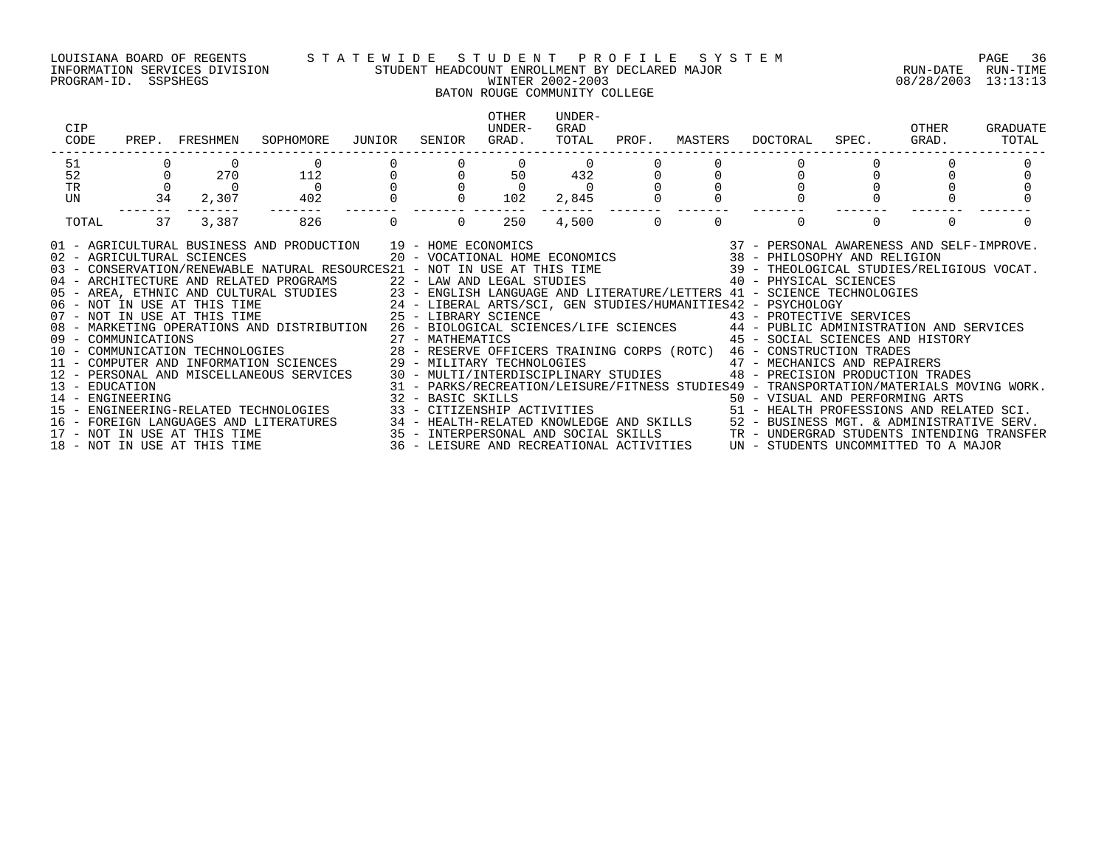PROGRAM-ID. SSPSHEGS WINTER 2002-2003 08/28/2003 13:13:13

#### LOUISIANA BOARD OF REGENTS S T A T E W I D E S T U D E N T P R O F I L E S Y S T E M PAGE 36 INFORMATION SERVICES DIVISION STUDENT HEADCOUNT ENROLLMENT BY DECLARED MAJOR RUN-DATE RUN-TIME

## BATON ROUGE COMMUNITY COLLEGE

| CIP<br>CODE                                                                                                                                                                                                                                                                                                                                                                                                                                                                                                                                                                                                                                                                                                                                                                                                                                                                                                                                                                                                                                                                                                                                                                                                                                                                                                                                                                                    |                      | PREP. FRESHMEN                                      | SOPHOMORE                                                                                                                                                                                                                         | JUNIOR | SENIOR                                                         | OTHER<br>UNDER-<br>GRAD. | UNDER-<br>GRAD<br>TOTAL                       | PROF.     | MASTERS  | DOCTORAL | SPEC.    | OTHER<br>GRAD. | GRADUATE<br>TOTAL |
|------------------------------------------------------------------------------------------------------------------------------------------------------------------------------------------------------------------------------------------------------------------------------------------------------------------------------------------------------------------------------------------------------------------------------------------------------------------------------------------------------------------------------------------------------------------------------------------------------------------------------------------------------------------------------------------------------------------------------------------------------------------------------------------------------------------------------------------------------------------------------------------------------------------------------------------------------------------------------------------------------------------------------------------------------------------------------------------------------------------------------------------------------------------------------------------------------------------------------------------------------------------------------------------------------------------------------------------------------------------------------------------------|----------------------|-----------------------------------------------------|-----------------------------------------------------------------------------------------------------------------------------------------------------------------------------------------------------------------------------------|--------|----------------------------------------------------------------|--------------------------|-----------------------------------------------|-----------|----------|----------|----------|----------------|-------------------|
| 51                                                                                                                                                                                                                                                                                                                                                                                                                                                                                                                                                                                                                                                                                                                                                                                                                                                                                                                                                                                                                                                                                                                                                                                                                                                                                                                                                                                             |                      |                                                     |                                                                                                                                                                                                                                   |        |                                                                |                          | $\begin{array}{c}0\\432\\0\\2,845\end{array}$ |           |          |          |          |                |                   |
| 52                                                                                                                                                                                                                                                                                                                                                                                                                                                                                                                                                                                                                                                                                                                                                                                                                                                                                                                                                                                                                                                                                                                                                                                                                                                                                                                                                                                             |                      | $\begin{array}{ccc} 0 && 270 \\ 0 && 0 \end{array}$ | 112                                                                                                                                                                                                                               |        | $\begin{matrix}0&&&0&&&50\ 0&&&0&&&0\ 0&&&0&&102 \end{matrix}$ |                          |                                               |           |          |          |          |                |                   |
| TR                                                                                                                                                                                                                                                                                                                                                                                                                                                                                                                                                                                                                                                                                                                                                                                                                                                                                                                                                                                                                                                                                                                                                                                                                                                                                                                                                                                             | $\overline{0}$<br>34 |                                                     | $\overline{0}$                                                                                                                                                                                                                    |        |                                                                |                          |                                               |           |          |          |          |                |                   |
| UN                                                                                                                                                                                                                                                                                                                                                                                                                                                                                                                                                                                                                                                                                                                                                                                                                                                                                                                                                                                                                                                                                                                                                                                                                                                                                                                                                                                             |                      | 2,307                                               | 402                                                                                                                                                                                                                               |        |                                                                |                          | -------- -------                              |           |          |          |          |                |                   |
| TOTAL                                                                                                                                                                                                                                                                                                                                                                                                                                                                                                                                                                                                                                                                                                                                                                                                                                                                                                                                                                                                                                                                                                                                                                                                                                                                                                                                                                                          | 37                   | 3,387                                               | 826                                                                                                                                                                                                                               | 0      | $\overline{0}$                                                 | 250                      |                                               | $4,500$ 0 | $\Omega$ | $\Omega$ | $\Omega$ |                |                   |
| 01 - AGRICULTURAL BUSINESS AND PRODUCTION 19 - HOME ECONOMICS<br>02 - AGRICULTURAL SCIENCES 20 - VOCATIONAL HOME ECONOMICS 38 - PHILOSOPHY AND RELIGION<br>03 - CONSERVATION/RENEWABLE NATURAL RESOURCES21 - NOT IN USE AT THIS TIME<br>04 - ARCHITECTURE AND RELATED PROGRAMS 22 - LAW AND LEGAL STUDIES 40 - PHYSICAL SCIENCES<br>05 - AREA, ETHNIC AND CULTURAL STUDIES 23 - ENGLISH LANGUAGE AND LITERATURE/LETTERS 41 - SCIENCE TECHNOLOGIES<br>06 - NOT IN USE AT THIS TIME 24 - LIBERAL ARTS/SCI, GEN STUDIES/HUMANITIES42 - PSYCHOLOGY<br>07 - NOT IN USE AT THI<br>08 - MARKETING OPERATIONS AND DISTRIBUTION 26 - BIOLOGICAL SCIENCES/LIFE SCIENCES 44 - PUBLIC ADMINISTRATION AND SERVICES<br>45 - SOCIAL SCIENCES AND HISTORY<br>09 - COMMUNICATIONS<br>10 - COMMUNICATIONS 10 - COMMUNICATION TECHNOLOGIES<br>10 - COMMUNICATION TECHNOLOGIES 28 - RESERVE OFFICERS TRAINING CORPS (ROTC) 46 - CONSTRUCTION TRADES<br>11 - COMPUTER AND INFORMATION SCIENCES 29 - MILITARY TECHNOLOGIES 47 - MECHANICS AND REPAIRERS<br>12 - PERSONAL AND MISCELLANEOUS SERVICES 30 - MULTI/INTERDISCIPLINARY STUDIES 48 - PRECISION PRODUCTION TRADES<br>13 - EDUCATION MATERIALS MOVING WORK.<br>14 - ENGINEERING MOVING WORK.<br>15 - ENGINEERING-RELATED TECHNOLOGIES 33 - CITIZENSHIP ACTIVITIES 50 - TRANSPORTATION/MATERIALS MOVING WORK.<br>15 - ENGINEERING-RELATED TECHNOLOGIES 33 - CI |                      |                                                     |                                                                                                                                                                                                                                   |        |                                                                |                          |                                               |           |          |          |          |                |                   |
|                                                                                                                                                                                                                                                                                                                                                                                                                                                                                                                                                                                                                                                                                                                                                                                                                                                                                                                                                                                                                                                                                                                                                                                                                                                                                                                                                                                                |                      |                                                     |                                                                                                                                                                                                                                   |        |                                                                |                          |                                               |           |          |          |          |                |                   |
|                                                                                                                                                                                                                                                                                                                                                                                                                                                                                                                                                                                                                                                                                                                                                                                                                                                                                                                                                                                                                                                                                                                                                                                                                                                                                                                                                                                                |                      |                                                     | 16 – FOREIGN LANGUAGES AND LITERATURES 34 – HEALTH-RELATED KNOWLEDGE AND SKILLS 52 – BUSINESS MGT. & ADMINISTRATIVE SERV.<br>17 – NOT IN USE AT THIS TIME 35 – INTERPERSONAL AND SOCIAL SKILLS 3TR – UNDERGRAD STUDENTS INTENDING |        |                                                                |                          |                                               |           |          |          |          |                |                   |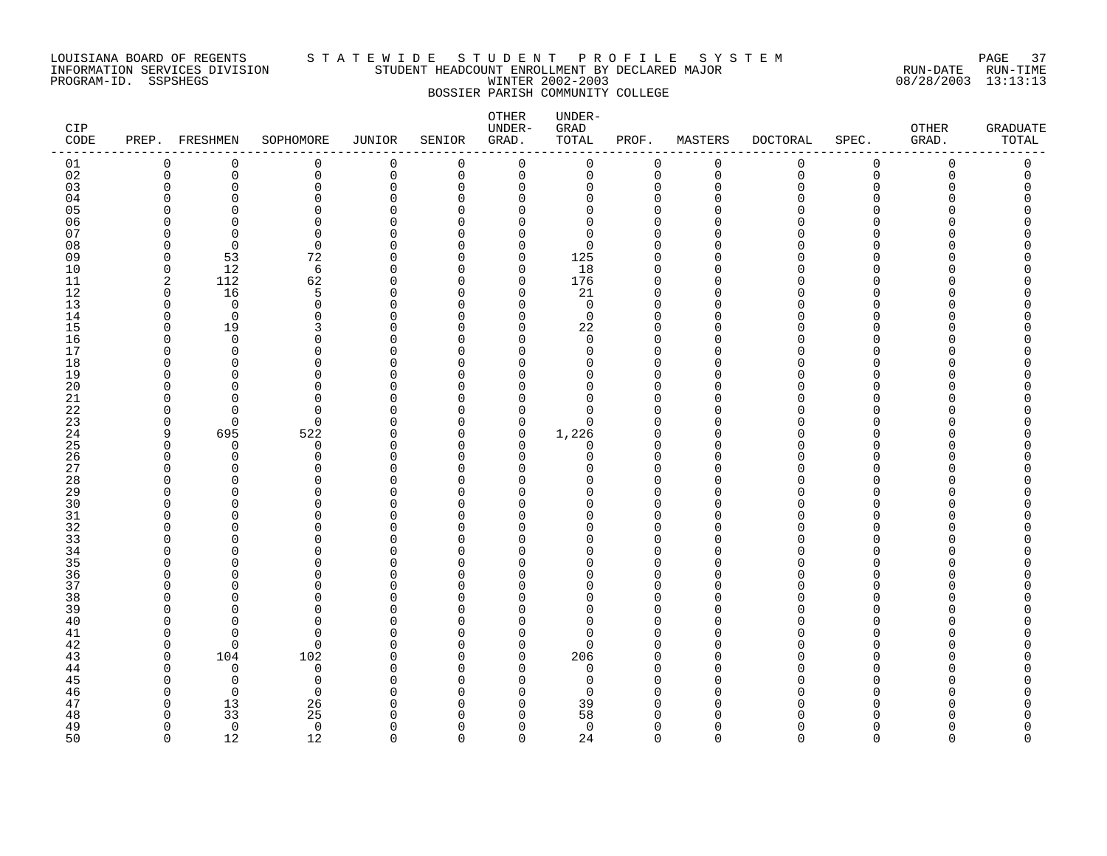### LOUISIANA BOARD OF REGENTS S T A T E W I D E S T U D E N T P R O F I L E S Y S T E M PAGE 37 INFORMATION SERVICES DIVISION STUDENT HEADCOUNT ENROLLMENT BY DECLARED MAJOR RUN-DATE RUN-TIME PROGRAM-ID. SSPSHEGS WINTER 2002-2003 08/28/2003 13:13:13 BOSSIER PARISH COMMUNITY COLLEGE

| CIP<br>CODE |               | PREP. FRESHMEN       | SOPHOMORE            | <b>JUNIOR</b> | SENIOR             | OTHER<br>UNDER-<br>GRAD. | UNDER-<br>GRAD<br>TOTAL | PROF.                | MASTERS                  | <b>DOCTORAL</b> | SPEC.       | OTHER<br>GRAD. | <b>GRADUATE</b><br>TOTAL |
|-------------|---------------|----------------------|----------------------|---------------|--------------------|--------------------------|-------------------------|----------------------|--------------------------|-----------------|-------------|----------------|--------------------------|
| 01          | 0             | $\mathbf 0$          | $\mathsf 0$          | $\mathbf 0$   | $\mathbf 0$        | $\mathbf 0$              | 0                       | $\mathbf 0$          | $\mathsf 0$              | 0               | $\mathbf 0$ | $\mathbf 0$    | $\mathsf 0$              |
| 02          | 0             | $\mathbf 0$          | $\mathbf 0$          | 0             | 0                  | 0                        | 0                       | $\mathbf 0$          | $\mathbf 0$              | 0               | $\mathbf 0$ | 0              | 0                        |
| 03          | $\Omega$      | $\Omega$             | $\mathbf 0$          | $\Omega$      | $\Omega$           | 0                        | 0                       | $\Omega$             | $\mathbf 0$              | U               | $\Omega$    | Λ              | 0                        |
| 04          | ∩             | ∩                    | $\Omega$             | ∩             | $\cap$             | $\Omega$                 | $\Omega$                | $\Omega$             | $\Omega$                 |                 | ∩           |                |                          |
| 05          | ∩             | ∩                    | $\Omega$             | U             | $\cap$             | $\Omega$                 | $\Omega$                | O                    | $\Omega$                 |                 | $\Omega$    |                |                          |
| 06          |               | ∩                    | $\Omega$             |               | $\cap$             | $\Omega$                 | $\Omega$                | $\cap$               | ∩                        |                 | $\cap$      |                |                          |
| 07          | ∩<br>U        | $\Omega$<br>$\Omega$ | $\Omega$<br>$\Omega$ | U<br>U        | ∩<br>$\cap$        | 0                        | $\Omega$<br>$\Omega$    | O                    | <sup>0</sup><br>$\Omega$ |                 | ∩<br>∩      |                |                          |
| 08<br>09    | $\Omega$      | 53                   | 72                   | $\Omega$      | $\Omega$           | 0<br>$\mathbf 0$         | 125                     | $\Omega$             | $\Omega$                 |                 | $\Omega$    |                |                          |
| 10          | $\Omega$      | 12                   | 6                    | $\Omega$      | $\cap$             | $\mathbf 0$              | 18                      | $\Omega$             | $\Omega$                 |                 | ∩           |                |                          |
| 11          | 2             | 112                  | 62                   | $\Omega$      | $\Omega$           | 0                        | 176                     | $\Omega$             | $\mathbf 0$              |                 | $\cap$      |                |                          |
| 12          | $\Omega$      | 16                   | 5                    | O             | ∩                  | $\mathbf 0$              | 21                      | $\Omega$             | $\Omega$                 |                 | ∩           |                |                          |
| 13          | $\Omega$      | $\Omega$             | $\Omega$             | $\Omega$      | $\cap$             | $\mathbf 0$              | $\mathbf 0$             | $\Omega$             | $\Omega$                 |                 | $\Omega$    |                |                          |
| 14          | <sup>0</sup>  | $\Omega$             | $\Omega$             | ∩             | $\Omega$           | $\mathbf 0$              | $\mathbf 0$             | $\Omega$             | $\Omega$                 |                 | ∩           |                |                          |
| 15          | $\Omega$      | 19                   | 3                    | U             | U                  | $\mathbf 0$              | 22                      | $\Omega$             | $\Omega$                 |                 | $\Omega$    |                |                          |
| 16          | $\Omega$      | $\mathbf 0$          | $\Omega$             | O             | $\Omega$           | 0                        | 0                       | $\Omega$             | $\Omega$                 |                 | $\Omega$    |                |                          |
| 17          | O             | O                    | O                    | U             | ∩                  | $\Omega$                 | $\Omega$                | $\Omega$             | $\Omega$                 |                 | ∩           |                |                          |
| 18          | ∩             | $\Omega$             | $\Omega$             | U             | $\cap$             | $\Omega$                 | $\Omega$                | O                    | $\Omega$                 |                 | $\Omega$    |                |                          |
| 19          | ∩             | ∩                    | $\Omega$             |               | U                  | $\Omega$                 | $\Omega$                | $\Omega$             | $\Omega$                 |                 | ∩           |                |                          |
| 20          | O             | ∩                    | $\Omega$             | U             | $\Omega$           | $\Omega$                 | $\Omega$                | $\Omega$             | $\Omega$                 |                 | ∩           |                |                          |
| 21          | $\Omega$<br>O | ∩<br>O               | $\Omega$<br>$\Omega$ | 0<br>U        | $\cap$<br>$\Omega$ | 0<br>0                   | 0<br>$\Omega$           | $\Omega$<br>$\Omega$ | $\Omega$<br>$\Omega$     |                 | ∩<br>O      |                |                          |
| 22<br>23    | $\Omega$      | $\Omega$             | $\mathbf 0$          | $\Omega$      | ∩                  | 0                        | 0                       | O                    | 0                        |                 | $\Omega$    |                |                          |
| 24          | 9             | 695                  | 522                  | U             | $\Omega$           | 0                        | 1,226                   | $\Omega$             | $\Omega$                 |                 | ∩           |                |                          |
| 25          | $\Omega$      | $\Omega$             | $\mathbf 0$          | ∩             | $\cap$             | 0                        | $\Omega$                | ∩                    | $\Omega$                 |                 | ∩           |                |                          |
| 26          | $\Omega$      | $\Omega$             | $\mathbf 0$          | $\Omega$      | $\cap$             | $\mathbf 0$              | $\Omega$                | $\Omega$             | $\Omega$                 |                 | $\Omega$    |                |                          |
| 27          | U             | O                    | O                    | ∩             | $\Omega$           | $\Omega$                 | U                       | $\Omega$             | $\Omega$                 |                 | O           |                |                          |
| 28          | ∩             | ∩                    | $\Omega$             |               | U                  | $\Omega$                 | U                       |                      | $\cap$                   |                 | ∩           |                |                          |
| 29          | <sup>n</sup>  | $\Omega$             | $\Omega$             |               | $\cap$             | $\Omega$                 | U                       | O                    | $\Omega$                 |                 | ∩           |                |                          |
| 30          | ∩             | ∩                    | $\Omega$             | U             | U                  | $\Omega$                 | ∩                       |                      | $\Omega$                 |                 | ∩           |                |                          |
| 31          | $\Omega$      | $\Omega$             | $\Omega$             | O             | U                  | $\Omega$                 | O                       | $\Omega$             | $\Omega$                 |                 | $\Omega$    |                |                          |
| 32          | ∩             | n                    | $\Omega$             | O             | U                  | 0                        | U                       | ∩                    | $\Omega$                 |                 | ∩           |                |                          |
| 33          |               | ∩                    | $\Omega$             |               | $\cap$<br>U        | $\Omega$                 | U                       | ∩                    | $\Omega$                 |                 | ∩           |                |                          |
| 34<br>35    | ∩<br>∩        | ∩<br>∩               | $\Omega$<br>$\Omega$ |               | U                  | 0<br>$\Omega$            | U<br>∩                  |                      | $\Omega$<br>$\Omega$     |                 | ∩<br>∩      |                |                          |
| 36          | $\Omega$      | $\Omega$             | $\mathbf 0$          | 0             | $\Omega$           | 0                        | U                       | O                    | 0                        |                 | $\Omega$    |                |                          |
| 37          | ∩             |                      | $\Omega$             |               | ∩                  | $\Omega$                 | $\Omega$                | $\Omega$             | $\Omega$                 |                 | ∩           |                |                          |
| 38          | ∩             | $\Omega$             | $\Omega$             | U             | U                  | 0                        | O                       |                      | $\Omega$                 |                 | ∩           |                |                          |
| 39          | ∩             | ∩                    | $\Omega$             | U             | $\cap$             | $\Omega$                 | $\Omega$                | $\Omega$             | $\Omega$                 |                 | ∩           |                |                          |
| 40          | ∩             |                      | $\Omega$             | U             | $\cap$             | $\Omega$                 | U                       | ∩                    | $\Omega$                 |                 | ∩           |                |                          |
| 41          | O             | O                    | $\mathbf 0$          | O             | ∩                  | 0                        | 0                       |                      | $\Omega$                 |                 | O           |                |                          |
| 42          | O             | $\Omega$             | $\mathbf 0$          | O             | $\Omega$           | 0                        | $\Omega$                | ∩                    | $\Omega$                 |                 | ∩           |                |                          |
| 43          | $\Omega$      | 104                  | 102                  | ∩             | $\cap$             | $\mathbf 0$              | 206                     | ∩                    | $\Omega$                 |                 | ∩           |                |                          |
| 44          | ∩             | $\Omega$             | $\mathbf 0$          | ∩             | $\cap$             | 0                        | 0                       | $\Omega$             | $\Omega$                 |                 | ∩           |                |                          |
| 45          | ∩             | $\Omega$             | $\Omega$             | U             | ∩                  | $\Omega$                 | $\Omega$                | ∩                    | $\Omega$                 |                 | ∩           |                |                          |
| 46          | ∩             | $\Omega$             | $\mathbf 0$          |               | ∩                  | $\Omega$                 | $\Omega$                |                      | $\Omega$                 |                 | ∩           |                |                          |
| 47          | $\Omega$      | 13                   | 26                   |               | ∩<br>$\cap$        | 0                        | 39                      |                      | $\Omega$<br>$\cap$       |                 | ∩           |                |                          |
| 48<br>49    | U<br>$\Omega$ | 33<br>$\overline{0}$ | 25<br>$\mathbf 0$    | ∩<br>$\Omega$ | $\Omega$           | $\Omega$<br>$\mathbf 0$  | 58<br>$\mathbf 0$       | $\Omega$             | $\Omega$                 | N               | $\Omega$    |                | O                        |
| 50          | $\cap$        | 12                   | 12                   | $\Omega$      | $\cap$             | $\Omega$                 | 24                      | $\Omega$             | $\Omega$                 | $\Omega$        | $\Omega$    | $\Omega$       | $\Omega$                 |
|             |               |                      |                      |               |                    |                          |                         |                      |                          |                 |             |                |                          |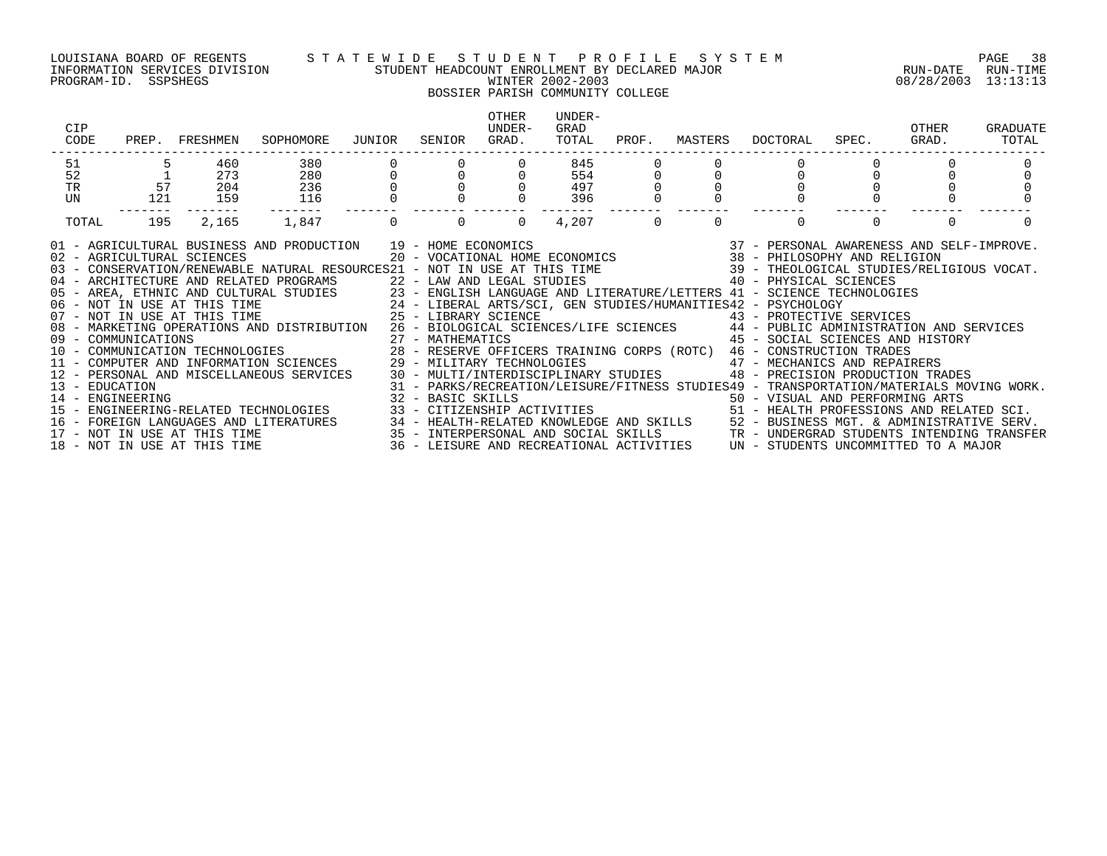PROGRAM-ID. SSPSHEGS WINTER 2002-2003 08/28/2003 13:13:13

### LOUISIANA BOARD OF REGENTS S T A T E W I D E S T U D E N T P R O F I L E S Y S T E M PAGE 38 INFORMATION SERVICES DIVISION STUDENT HEADCOUNT ENROLLMENT BY DECLARED MAJOR RUN-DATE RUN-TIME

## BOSSIER PARISH COMMUNITY COLLEGE

| CIP<br>CODE                                                                                                                                                                                                                                                                                                                                                                                                                                                                                                                                                                                                                                                                                                                                                                                                                                                                                                                                                                                                                                                                        | PREP. FRESHMEN | SOPHOMORE                         | JUNIOR | SENIOR | OTHER<br>UNDER-<br>GRAD. | UNDER-<br>GRAD<br>TOTAL | PROF.    | MASTERS  | DOCTORAL                                                                                                                                                                                                                                                                                                                                                                                                                                                                                                                                                                                                               | SPEC. | OTHER<br>GRAD. | GRADUATE<br>TOTAL |
|------------------------------------------------------------------------------------------------------------------------------------------------------------------------------------------------------------------------------------------------------------------------------------------------------------------------------------------------------------------------------------------------------------------------------------------------------------------------------------------------------------------------------------------------------------------------------------------------------------------------------------------------------------------------------------------------------------------------------------------------------------------------------------------------------------------------------------------------------------------------------------------------------------------------------------------------------------------------------------------------------------------------------------------------------------------------------------|----------------|-----------------------------------|--------|--------|--------------------------|-------------------------|----------|----------|------------------------------------------------------------------------------------------------------------------------------------------------------------------------------------------------------------------------------------------------------------------------------------------------------------------------------------------------------------------------------------------------------------------------------------------------------------------------------------------------------------------------------------------------------------------------------------------------------------------------|-------|----------------|-------------------|
| 51                                                                                                                                                                                                                                                                                                                                                                                                                                                                                                                                                                                                                                                                                                                                                                                                                                                                                                                                                                                                                                                                                 | 460            | 380                               |        |        |                          | 845                     |          |          |                                                                                                                                                                                                                                                                                                                                                                                                                                                                                                                                                                                                                        |       |                |                   |
| 52<br>57                                                                                                                                                                                                                                                                                                                                                                                                                                                                                                                                                                                                                                                                                                                                                                                                                                                                                                                                                                                                                                                                           | 273            | 280                               |        |        |                          | 554                     |          |          |                                                                                                                                                                                                                                                                                                                                                                                                                                                                                                                                                                                                                        |       |                |                   |
| TR<br>UN<br>121                                                                                                                                                                                                                                                                                                                                                                                                                                                                                                                                                                                                                                                                                                                                                                                                                                                                                                                                                                                                                                                                    | 204<br>159     | 236<br>116                        |        |        |                          | 497<br>396              |          |          |                                                                                                                                                                                                                                                                                                                                                                                                                                                                                                                                                                                                                        |       |                |                   |
| 195<br>TOTAL                                                                                                                                                                                                                                                                                                                                                                                                                                                                                                                                                                                                                                                                                                                                                                                                                                                                                                                                                                                                                                                                       | 2,165          | 1,847                             |        |        | $\Omega$                 | 4,207                   | $\Omega$ | $\Omega$ | $\Omega$                                                                                                                                                                                                                                                                                                                                                                                                                                                                                                                                                                                                               |       | $\Omega$       |                   |
| 01 - AGRICULTURAL BUSINESS AND PRODUCTION 19 - HOME ECONOMICS<br>02 - AGRICULTURAL SCIENCES<br>03 - CONSERVATION/RENEWABLE NATURAL RESOURCES21 - NOT IN USE AT THIS TIME 80 1999 - THEOLOGICAL STUDIES/RELIGIOUS VOCAT.<br>04 - ARCHITECTURE AND RELATED PROGRAMS<br>05 - AREA, ETHNIC AND CULTURAL STUDIES<br>06 - NOT IN USE AT THIS TIME<br>07 - NOT IN USE AT THIS TIME<br>07 - NOT IN USE AT THIS TIME<br>25 - LIBERAL ARTS/SCI, GEN STUDIES/HUMANITIES42 - PS<br>08 - MARKETING OPERATIONS AND DISTRIBUTION 26 - BIOLOGICAL SCIENCES/LIFE SCIENCES 44 - PUBLIC ADMINISTRATION AND SERVICES<br>09 - COMMUNICATIONS<br>10 - COMMUNICATIONS TECHNOLOGIES 28 - RESERVE OFFICERS TRAINING CORPS (ROTC) 46 - CONSTRUCTION TRADES<br>28 - RESERVE OFFICERS TRAINING CORPS (ROTC) 46 - CONSTRUCTION TRADES<br>11 - COMPUTER AND INFORMATION SCIENCES 29 - MILITARY TECHNOLOGIES<br>12 - PERSONAL AND MISCELLANEOUS SERVICES<br>13 - EDUCATION<br>14 - ENGINEERING<br>15 - ENGINEERING-RELATED TECHNOLOGIES<br>$16 -$<br>17 - NOT IN USE AT THIS TIME<br>18 - NOT IN USE AT THIS TIME |                | FOREIGN LANGUAGES AND LITERATURES |        |        |                          |                         |          |          | $\begin{array}{cccccc} 19 & -& \text{HOME ECONOMICS} & & & 37 & -& \text{PERSONAL AWARENESS AND SELF-IMPROVE.} \\ 20 & -& \text{VOCATIONAL HOME ECONOMICS} & & & 38 & -& \text{PHILOSOPHY AND RELIGION} \end{array}$<br>40 - PHYSICAL SCIENCES<br>23 - ENGLISH LANGUAGE AND LITERATURE/LETTERS 41 - SCIENCE TECHNOLOGIES<br>43 - PROTECTIVE SERVICES<br>45 - SOCIAL SCIENCES AND HISTORY<br>29 - MILITARY TECHNOLOGIES<br>30 - MULTI/INTERDISCIPLINARY STUDIES<br>90 - PRECISION PRODUCTION TRADES<br>31 - PARKS/RECREATION/LEISURE/FITNESS STUDIES49 - TRANSPORTATION/MATERIALS MOVING WORK.<br>32 - BASIC SKILLS<br> |       |                |                   |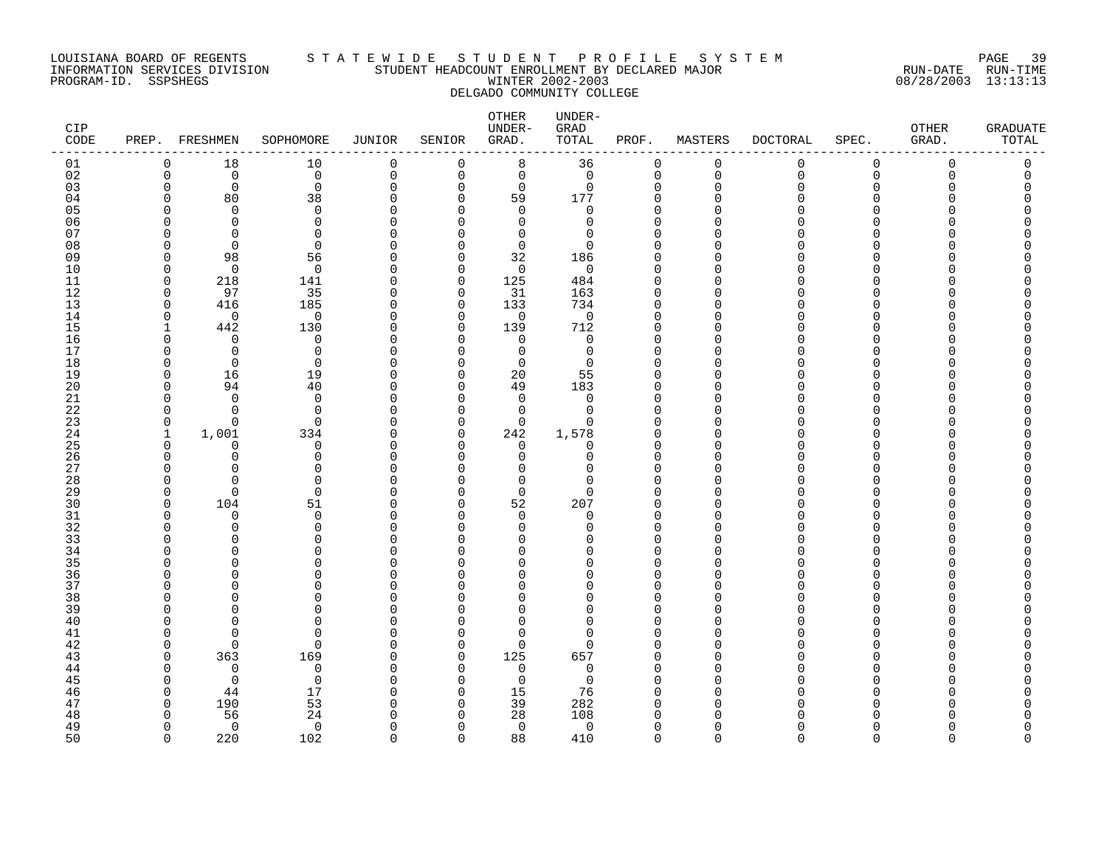### LOUISIANA BOARD OF REGENTS S T A T E W I D E S T U D E N T P R O F I L E S Y S T E M PAGE 39 INFORMATION SERVICES DIVISION STUDENT HEADCOUNT ENROLLMENT BY DECLARED MAJOR RUN-DATE RUN-TIME PROGRAM-ID. SSPSHEGS WINTER 2002-2003 08/28/2003 13:13:13 DELGADO COMMUNITY COLLEGE

| <b>CIP</b><br>CODE |                   | PREP. FRESHMEN       | SOPHOMORE               | <b>JUNIOR</b> | SENIOR               | OTHER<br>UNDER-<br>GRAD.   | UNDER-<br>GRAD<br>TOTAL | PROF.         | MASTERS              | <b>DOCTORAL</b> | SPEC.         | OTHER<br>GRAD. | <b>GRADUATE</b><br>$\tt TOTAL$ |
|--------------------|-------------------|----------------------|-------------------------|---------------|----------------------|----------------------------|-------------------------|---------------|----------------------|-----------------|---------------|----------------|--------------------------------|
| 01                 | 0                 | 18                   | 10                      | 0             | $\overline{0}$       | 8                          | 36                      | $\mathbf 0$   | $\mathbf 0$          | 0               | $\mathbf 0$   | $\Omega$       | 0                              |
| 02                 | 0                 | $\mathbf 0$          | $\mathbf 0$             | 0             | $\mathsf 0$          | $\mathbf 0$                | $\mathbf 0$             | $\mathbf{0}$  | $\mathbf 0$          | $\mathbf 0$     | $\mathbf 0$   | $\Omega$       | 0                              |
| 03                 | $\Omega$          | 0                    | $\mathbf 0$             | 0             | $\mathbf 0$          | 0                          | 0                       | $\Omega$      | $\mathbf 0$          | O               | $\Omega$      |                |                                |
| 04                 | U<br>C            | 80                   | 38                      | $\Omega$<br>U | $\Omega$<br>$\cap$   | 59                         | 177                     | $\Omega$<br>O | $\Omega$<br>$\cap$   |                 | ∩<br>∩        |                |                                |
| 05<br>06           |                   | $\Omega$<br>$\Omega$ | $\mathbf 0$<br>$\Omega$ |               | $\cap$               | $\mathbf 0$<br>$\mathbf 0$ | 0<br>$\Omega$           | $\Omega$      | $\cap$               |                 | ∩             |                |                                |
| 07                 | ∩                 | $\Omega$             | $\Omega$                | ∩             | U                    | $\mathbf 0$                | $\Omega$                |               | $\cap$               |                 |               |                |                                |
| 08                 | C                 | $\Omega$             | $\mathbf 0$             |               | $\Omega$             | $\mathbf 0$                | $\Omega$                |               | ∩                    |                 | ∩             |                |                                |
| 09                 | O                 | 98                   | 56                      | O             | 0                    | 32                         | 186                     | ∩             | ∩                    |                 | O             |                |                                |
| 10                 | $\Omega$          | $\Omega$             | $\mathbf 0$             | U             | $\Omega$             | $\mathbf 0$                | $\mathbf 0$             |               | $\Omega$             |                 | ∩             |                |                                |
| 11                 | $\Omega$          | 218                  | 141                     | 0             | $\mathbf 0$          | 125                        | 484                     | O             | $\Omega$             |                 | ∩             |                |                                |
| 12                 | $\Omega$          | 97                   | 35                      | ∩             | $\Omega$             | 31                         | 163                     | ∩             | $\Omega$             |                 | ∩             |                |                                |
| 13                 | $\mathbf 0$       | 416                  | 185                     | $\Omega$      | $\mathbf 0$          | 133                        | 734                     | $\Omega$      | $\mathbf 0$          |                 | $\Omega$      |                |                                |
| 14                 | 0                 | 0                    | 0                       | O             | 0                    | 0                          | 0                       | $\Omega$      | $\Omega$             |                 | ∩             |                |                                |
| 15                 |                   | 442                  | 130                     | U             | $\Omega$             | 139                        | 712                     |               | $\Omega$             |                 | ∩             |                |                                |
| 16                 | U                 | $\Omega$             | $\mathbf 0$             | O             | $\Omega$             | $\mathbf 0$                | 0                       |               | $\Omega$             |                 | ∩             |                |                                |
| 17                 |                   | $\Omega$             | $\Omega$                | U             | $\Omega$             | $\Omega$                   | $\Omega$                | O             | $\Omega$             |                 | ∩             |                |                                |
| 18                 | O                 | $\mathbf 0$          | $\mathbf 0$             | O             | $\Omega$             | 0                          | 0                       |               | $\Omega$             |                 | $\Omega$<br>∩ |                |                                |
| 19                 | O<br><sup>0</sup> | 16                   | 19                      | U<br>0        | $\Omega$<br>$\Omega$ | 20<br>49                   | 55                      |               | $\Omega$<br>$\Omega$ |                 | ∩             |                |                                |
| 20<br>21           | U                 | 94<br>$\Omega$       | 40<br>$\Omega$          | U             | $\Omega$             | $\mathbf 0$                | 183<br>0                |               | $\Omega$             |                 | ∩             |                |                                |
| 22                 | O                 | ∩                    | $\Omega$                | U             | $\Omega$             | $\mathbf 0$                | $\Omega$                | ∩             | $\Omega$             |                 | ∩             |                |                                |
| 23                 | $\Omega$          | $\Omega$             | $\Omega$                | U             | $\Omega$             | $\Omega$                   | $\Omega$                |               | $\Omega$             |                 | ∩             |                |                                |
| 24                 | $\mathbf{1}$      | 1,001                | 334                     | 0             | 0                    | 242                        | 1,578                   |               | 0                    |                 | ∩             |                |                                |
| 25                 | 0                 | O                    | 0                       | O             | $\Omega$             | 0                          | 0                       |               | $\Omega$             |                 | ∩             |                |                                |
| 26                 | ∩                 | $\Omega$             | $\Omega$                | U             | $\cap$               | 0                          | $\Omega$                | $\Omega$      | $\Omega$             |                 | ∩             |                |                                |
| 27                 | ∩                 | ∩                    | $\Omega$                | U             | ∩                    | $\Omega$                   | U                       | ∩             | $\Omega$             |                 | ∩             |                |                                |
| 28                 | C                 | ∩                    | $\Omega$                |               | $\cap$               | $\mathbf 0$                | $\Omega$                |               | $\cap$               |                 | ∩             |                |                                |
| 29                 | $\Omega$          | $\mathbf 0$          | $\mathbf 0$             | O             | 0                    | 0                          | 0                       |               | $\Omega$             |                 | ∩             |                |                                |
| 30                 | U                 | 104                  | 51                      | O             | $\Omega$             | 52                         | 207                     |               | $\Omega$             |                 | ∩             |                |                                |
| 31                 | O                 | $\mathbf 0$          | $\mathbf 0$<br>$\Omega$ | $\Omega$      | $\Omega$             | $\mathbf 0$                | 0                       | O             | $\Omega$             |                 | $\Omega$<br>∩ |                |                                |
| 32                 |                   | $\Omega$<br>∩        | $\Omega$                | U             | ∩<br>$\Omega$        | 0<br>$\Omega$              | $\Omega$<br>U           | ∩             | $\Omega$<br>$\Omega$ |                 | ∩             |                |                                |
| 33<br>34           | ∩                 | ∩                    | $\Omega$                |               | U                    | 0                          | U                       |               | $\Omega$             |                 | ∩             |                |                                |
| 35                 |                   |                      | O                       |               | U                    | $\Omega$                   | U                       |               | $\Omega$             |                 | ∩             |                |                                |
| 36                 | O                 | O                    | $\Omega$                | U             | ∩                    | 0                          | O                       | ∩             | 0                    |                 | $\Omega$      |                |                                |
| 37                 |                   |                      | $\Omega$                |               | ∩                    | $\Omega$                   | O                       | $\Omega$      | $\Omega$             |                 | ∩             |                |                                |
| 38                 | C                 | ∩                    | $\Omega$                |               | U                    | $\Omega$                   | U                       |               | $\Omega$             |                 | ∩             |                |                                |
| 39                 | O                 |                      | $\Omega$                | U             | $\cap$               | $\Omega$                   | U                       |               | $\Omega$             |                 | ∩             |                |                                |
| 40                 |                   |                      | $\Omega$                | U             | $\Omega$             | $\Omega$                   | 0                       |               | $\Omega$             |                 | ∩             |                |                                |
| 41                 | O                 | ∩                    | 0                       |               | $\Omega$             | 0                          | $\Omega$                |               | ∩                    |                 | ∩             |                |                                |
| 42                 | ∩                 | $\Omega$             | $\mathbf 0$             | U             | 0                    | $\mathbf 0$                | $\Omega$                |               | $\Omega$             |                 | ∩             |                |                                |
| 43                 | U                 | 363                  | 169                     | ∩             | $\Omega$             | 125                        | 657                     | ∩             | $\Omega$             |                 |               |                |                                |
| 44                 | ∩                 | $\Omega$             | $\mathbf 0$             | U             | $\Omega$             | $\mathbf 0$                | $\Omega$                | $\Omega$      | $\Omega$             |                 | ∩             |                |                                |
| 45                 | C                 | $\Omega$             | $\mathbf 0$             | O             | $\Omega$             | 0                          | 0                       |               | $\Omega$             |                 | $\Omega$<br>∩ |                |                                |
| 46<br>47           | $\Omega$          | 44<br>190            | 17<br>53                | U<br>U        | $\Omega$<br>$\Omega$ | 15<br>39                   | 76<br>282               |               | $\Omega$<br>$\Omega$ |                 | ∩             |                |                                |
| 48                 | ∩                 | 56                   | 24                      | U             | $\cap$               | 28                         | 108                     |               | $\cap$               |                 |               |                |                                |
| 49                 | U                 | $\Omega$             | $\mathbf 0$             | ∩             | $\Omega$             | $\mathbf 0$                | 0                       | $\Omega$      | $\Omega$             |                 | ∩             |                |                                |
| 50                 | $\cap$            | 220                  | 102                     | $\Omega$      | $\Omega$             | 88                         | 410                     | $\Omega$      | $\cap$               | $\Omega$        | $\Omega$      | $\cap$         | $\cap$                         |
|                    |                   |                      |                         |               |                      |                            |                         |               |                      |                 |               |                |                                |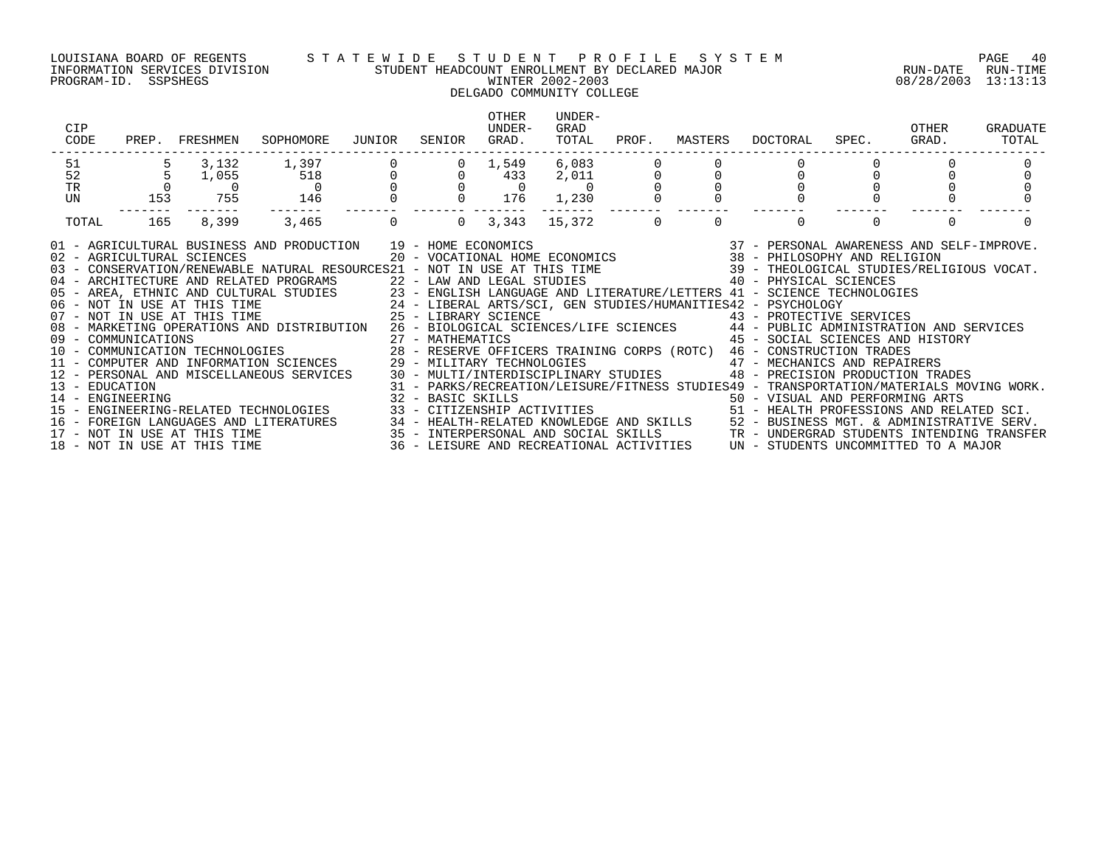### LOUISIANA BOARD OF REGENTS S T A T E W I D E S T U D E N T P R O F I L E S Y S T E M PAGE 40 INFORMATION SERVICES DIVISION STUDENT HEADCOUNT ENROLLMENT BY DECLARED MAJOR RUN-DATE RUN-TIME PROGRAM-ID. SSPSHEGS WINTER 2002-2003 08/28/2003 13:13:13 DELGADO COMMUNITY COLLEGE

| CIP<br>CODE         |     | PREP. FRESHMEN | SOPHOMORE                                                                                                                                                                                                                                                                                                                                                                                                                                                                                                                                                                                                                                                                                                                                                                                                                                                                                                                                                                                                                                                                                                                                                                                                                                                                                                                                                                                                                                                                                              | JUNIOR | SENIOR                                           | OTHER<br>UNDER-<br>GRAD. | UNDER-<br>GRAD<br>TOTAL | PROF. | MASTERS  |                                  | DOCTORAL SPEC. GRAD. | OTHER | GRADUATE<br>TOTAL |
|---------------------|-----|----------------|--------------------------------------------------------------------------------------------------------------------------------------------------------------------------------------------------------------------------------------------------------------------------------------------------------------------------------------------------------------------------------------------------------------------------------------------------------------------------------------------------------------------------------------------------------------------------------------------------------------------------------------------------------------------------------------------------------------------------------------------------------------------------------------------------------------------------------------------------------------------------------------------------------------------------------------------------------------------------------------------------------------------------------------------------------------------------------------------------------------------------------------------------------------------------------------------------------------------------------------------------------------------------------------------------------------------------------------------------------------------------------------------------------------------------------------------------------------------------------------------------------|--------|--------------------------------------------------|--------------------------|-------------------------|-------|----------|----------------------------------|----------------------|-------|-------------------|
| 51                  |     |                | $\begin{array}{cccccccccccc} 5 & 3\,, 132 & 1\,, 397 & 0 & 0 & 1\,, 549 & 6\,, 083 & 0 & 0 & 0 \\ 5 & 1\,, 055 & 518 & 0 & 0 & 433 & 2\,, 011 & 0 & 0 & 0 \\ 0 & 0 & 0 & 0 & 0 & 0 & 0 & 0 & 0 \\ 153 & 755 & 146 & 0 & 0 & 176 & 1\,, 230 & 0 & 0 & 0 \\ \end{array}$                                                                                                                                                                                                                                                                                                                                                                                                                                                                                                                                                                                                                                                                                                                                                                                                                                                                                                                                                                                                                                                                                                                                                                                                                                 |        |                                                  |                          |                         |       |          |                                  |                      |       |                   |
| 52                  |     |                |                                                                                                                                                                                                                                                                                                                                                                                                                                                                                                                                                                                                                                                                                                                                                                                                                                                                                                                                                                                                                                                                                                                                                                                                                                                                                                                                                                                                                                                                                                        |        |                                                  |                          |                         |       |          |                                  |                      |       |                   |
| $\operatorname{TR}$ |     |                |                                                                                                                                                                                                                                                                                                                                                                                                                                                                                                                                                                                                                                                                                                                                                                                                                                                                                                                                                                                                                                                                                                                                                                                                                                                                                                                                                                                                                                                                                                        |        |                                                  |                          |                         |       |          |                                  |                      |       |                   |
| UN                  |     |                |                                                                                                                                                                                                                                                                                                                                                                                                                                                                                                                                                                                                                                                                                                                                                                                                                                                                                                                                                                                                                                                                                                                                                                                                                                                                                                                                                                                                                                                                                                        |        |                                                  |                          |                         |       |          |                                  |                      |       |                   |
| TOTAL               | 165 | 8,399          | 3,465                                                                                                                                                                                                                                                                                                                                                                                                                                                                                                                                                                                                                                                                                                                                                                                                                                                                                                                                                                                                                                                                                                                                                                                                                                                                                                                                                                                                                                                                                                  |        | $0 \qquad 0 \qquad 3,343 \qquad 15,372 \qquad 0$ |                          |                         |       | $\Omega$ | $\Omega$                         | $\Omega$             |       |                   |
|                     |     |                | 01 - AGRICULTURAL BUSINESS AND PRODUCTION 19 - HOME ECONOMICS 37 - PERSONAL AWARENESS AND SELF-IMPROVE.<br>02 - AGRICULTURAL SCIENCES 20 - VOCATIONAL HOME ECONOMICS 38 - PHILOSOPHY AND RELIGION<br>03 - CONSERVATION/RENEWABLE NAT<br>05 - AREA, ETHNIC AND CULTURAL STUDIES 23 - ENGLISH LANGUAGE AND LITERATURE/LETTERS 41 - SCIENCE TECHNOLOGIES<br>06 - NOT IN USE AT THIS TIME 24 - LIBERAL ARTS/SCI, GEN STUDIES/HUMANITIES42 - PSYCHOLOGY<br>07 - NOT IN USE AT THI<br>08 - MARKETING OPERATIONS AND DISTRIBUTION 26 - BIOLOGICAL SCIENCES/LIFE SCIENCES 44 - PUBLIC ADMINISTRATION AND SERVICES<br>09 - COMMUNICATIONS<br>10 - COMMUNICATIONS 10 - COMMUNICATION TECHNOLOGIES<br>10 - COMMUNICATION TECHNOLOGIES 28 - RESERVE OFFICERS TRAINING CORPS (ROTC) 46 - CONSTRUCTION TRADES<br>11 - COMPUTER AND INFORMATION SCIENCES 29 - MILITARY TECHNOLOGIES 47 - MECHANICS AND REPAIRERS<br>12 - PERSONAL AND MISCELLANEOUS SERVICES 30 - MULTI/INTERDISCIPLINARY STUDIES 48 - PRECISION PRODUCTION TRADES<br>13 - EDUCATION MATERIALS MOVING WORK.<br>14 - ENGINEERING - ENGINEERING MOVING WORK.<br>15 - ENGINEERING-RELATED TECHNOLOGIES 33 - CITIZENSHIP ACTIVITIES 50 - TRANSPORTATION/MATERIALS MOVING WORK.<br>15 - ENGINEERING-RELATED TECHNO<br>16 – FOREIGN LANGUAGES AND LITERATURES<br>17 – NOT IN USE AT THIS TIME 1980. THEALTH-RELATED KNOWLEDGE AND SKILLS 152 – BUSINESS MGT. & ADMINISTRATIVE<br>18 – NOT IN USE AT THIS TIME 1990. 18 – LEISURE AND RECREATIONAL ACTIVITIE |        |                                                  |                          |                         |       |          | 45 - SOCIAL SCIENCES AND HISTORY |                      |       |                   |
|                     |     |                |                                                                                                                                                                                                                                                                                                                                                                                                                                                                                                                                                                                                                                                                                                                                                                                                                                                                                                                                                                                                                                                                                                                                                                                                                                                                                                                                                                                                                                                                                                        |        |                                                  |                          |                         |       |          |                                  |                      |       |                   |
|                     |     |                |                                                                                                                                                                                                                                                                                                                                                                                                                                                                                                                                                                                                                                                                                                                                                                                                                                                                                                                                                                                                                                                                                                                                                                                                                                                                                                                                                                                                                                                                                                        |        |                                                  |                          |                         |       |          |                                  |                      |       |                   |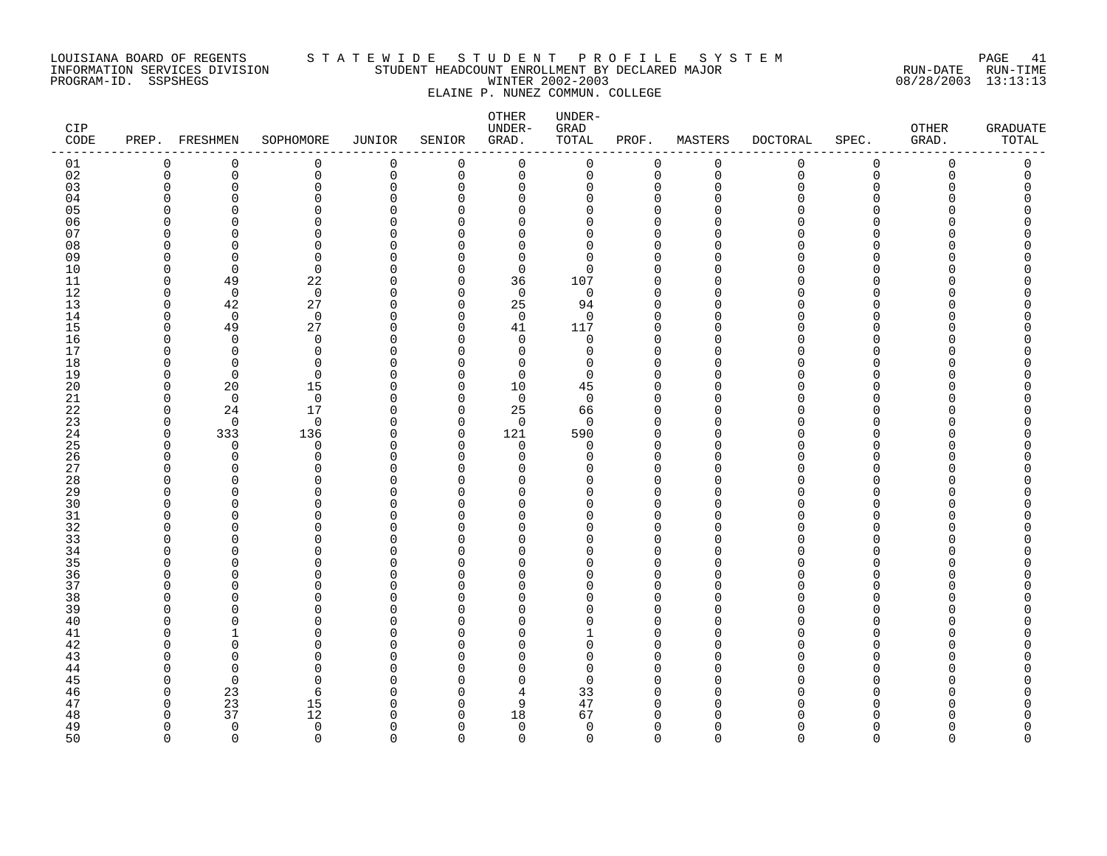### LOUISIANA BOARD OF REGENTS S T A T E W I D E S T U D E N T P R O F I L E S Y S T E M PAGE 41 INFORMATION SERVICES DIVISION STUDENT HEADCOUNT ENROLLMENT BY DECLARED MAJOR RUN-DATE RUN-TIME PROGRAM-ID. SSPSHEGS WINTER 2002-2003 08/28/2003 13:13:13 ELAINE P. NUNEZ COMMUN. COLLEGE

| CIP<br>CODE |                         | PREP. FRESHMEN       | SOPHOMORE               | JUNIOR               | SENIOR                       | OTHER<br>UNDER-<br>GRAD. | UNDER-<br>GRAD<br>TOTAL | PROF.                   | MASTERS       | <b>DOCTORAL</b> | SPEC.                    | OTHER<br>GRAD. | <b>GRADUATE</b><br>TOTAL |
|-------------|-------------------------|----------------------|-------------------------|----------------------|------------------------------|--------------------------|-------------------------|-------------------------|---------------|-----------------|--------------------------|----------------|--------------------------|
| 01          | $\mathbf 0$             | 0                    | 0                       | 0                    | 0                            | 0                        | 0                       | 0                       | 0             | 0               | 0                        | 0              | 0                        |
| 02          | $\mathbf 0$             | 0                    | 0                       | $\mathsf 0$          | 0                            | $\mathbf 0$              | $\mathsf{O}\xspace$     | $\mathbf 0$             | $\mathbf 0$   | $\mathbf 0$     | 0                        | $\mathbf 0$    | 0                        |
| 03<br>04    | $\mathbf 0$<br>$\Omega$ | 0<br>$\Omega$        | $\mathbf 0$<br>$\Omega$ | $\Omega$<br>$\Omega$ | $\Omega$<br><sup>n</sup>     | $\mathbf 0$<br>$\Omega$  | 0<br>0                  | 0<br>$\Omega$           | $\Omega$<br>∩ | O               | $\Omega$<br>$\Omega$     | U              | 0                        |
| 05          | $\Omega$                | $\Omega$             | $\Omega$                | $\Omega$             | $\Omega$                     | $\Omega$                 | 0                       | $\Omega$                | ∩             |                 | $\Omega$                 |                |                          |
| 06          | <sup>0</sup>            | O                    | $\mathbf 0$             | $\Omega$             | U                            | 0                        | 0                       | $\mathbf 0$             |               |                 | <sup>n</sup>             |                |                          |
| 07          | $\Omega$                | ∩                    | $\mathbf 0$             | $\Omega$             | <sup>n</sup>                 | 0                        | 0                       | $\mathbf 0$             | ∩             |                 | <sup>n</sup>             |                |                          |
| 08          | $\Omega$                | $\Omega$             | $\mathbf 0$             | $\Omega$             | $\Omega$                     | $\mathbf 0$              | 0                       | $\mathbf 0$             | ∩             |                 | $\Omega$                 |                |                          |
| 09          | $\Omega$                | $\Omega$             | $\Omega$                | $\Omega$             | $\Omega$                     | $\Omega$                 | $\Omega$                | $\Omega$                | ∩             |                 | <sup>n</sup>             |                |                          |
| 10          | $\mathbf 0$             | $\mathbf 0$          | 0                       | $\Omega$             | $\mathbf 0$                  | $\mathbf 0$              | 0                       | $\mathbf 0$             | O             |                 | $\Omega$                 |                |                          |
| 11          | $\Omega$                | 49                   | 22                      | 0                    | $\Omega$                     | 36                       | 107                     | $\mathbf 0$             | O             |                 | <sup>n</sup>             |                |                          |
| 12          | 0                       | $\overline{0}$       | $\mathbf 0$             | $\Omega$             | 0                            | $\mathbf 0$              | 0                       | $\Omega$                | ∩             |                 | <sup>n</sup>             |                |                          |
| 13<br>14    | $\Omega$<br>$\Omega$    | 42<br>$\mathbf 0$    | 27<br>$\mathbf 0$       | $\Omega$<br>$\Omega$ | $\Omega$<br>$\Omega$         | 25<br>$\mathbf 0$        | 94<br>$\mathbf 0$       | $\Omega$<br>$\mathbf 0$ | ∩<br>∩        |                 | $\Omega$<br>$\Omega$     |                |                          |
| 15          | 0                       | 49                   | 27                      | $\Omega$             | 0                            | 41                       | 117                     | 0                       |               |                 | $\Omega$                 |                |                          |
| 16          | $\Omega$                | $\mathbf 0$          | 0                       | 0                    | $\Omega$                     | $\mathbf 0$              | 0                       | 0                       |               |                 | $\Omega$                 |                |                          |
| 17          | $\Omega$                | $\Omega$             | $\mathbf 0$             | $\Omega$             | $\Omega$                     | $\Omega$                 | 0                       | $\Omega$                | ∩             |                 | <sup>n</sup>             |                |                          |
| 18          | $\Omega$                | $\Omega$             | $\Omega$                | $\Omega$             | $\Omega$                     | $\Omega$                 | $\Omega$                | $\Omega$                | O             |                 | $\Omega$                 |                |                          |
| 19          | $\mathbf 0$             | $\mathbf 0$          | 0                       | $\Omega$             | $\Omega$                     | $\mathbf 0$              | 0                       | $\mathbf 0$             | O             |                 | $\Omega$                 |                |                          |
| 20          | $\Omega$                | 20                   | 15                      | $\Omega$             | $\Omega$                     | 10                       | 45                      | $\Omega$                |               |                 | <sup>n</sup>             |                |                          |
| 21          | $\Omega$                | $\overline{0}$       | $\mathbf 0$             | $\Omega$             | $\Omega$                     | $\mathbf 0$              | $\mathbf 0$             | $\mathbf 0$             | $\cap$<br>∩   |                 | <sup>n</sup>             |                |                          |
| 22<br>23    | $\Omega$<br>$\mathbf 0$ | 24<br>$\Omega$       | 17<br>$\mathbf 0$       | $\Omega$<br>$\Omega$ | $\Omega$<br>$\Omega$         | 25<br>$\mathbf 0$        | 66<br>$\mathbf 0$       | $\Omega$<br>$\mathbf 0$ | O             |                 | <sup>n</sup><br>$\Omega$ |                |                          |
| 24          | $\mathbf 0$             | 333                  | 136                     | 0                    | 0                            | 121                      | 590                     | 0                       | $\Omega$      |                 | $\Omega$                 |                |                          |
| 25          | $\mathbf 0$             | 0                    | 0                       | 0                    | $\mathbf 0$                  | 0                        | 0                       | $\mathbf 0$             | ∩             |                 | $\Omega$                 |                |                          |
| 26          | $\Omega$                | $\Omega$             | $\Omega$                | $\Omega$             | $\Omega$                     | $\Omega$                 | 0                       | $\mathbf 0$             | $\Omega$      |                 | $\Omega$                 |                |                          |
| 27          | $\Omega$                | ∩                    | $\Omega$                | $\Omega$             | <sup>n</sup>                 | $\Omega$                 | 0                       | $\mathbf 0$             | ∩             |                 | $\Omega$                 |                |                          |
| 28          | $\Omega$                | $\Omega$             | 0                       | 0                    | $\Omega$                     | $\mathbf 0$              | 0                       | $\overline{0}$          | O             |                 | $\Omega$                 |                |                          |
| 29          | $\Omega$                | $\Omega$             | 0                       | $\Omega$             | $\Omega$                     | 0                        | 0                       | $\mathbf 0$             | ∩             |                 | $\Omega$                 |                |                          |
| 30          | $\Omega$                | $\Omega$             | $\Omega$                | $\Omega$             | <sup>n</sup>                 | $\Omega$                 | 0                       | $\Omega$                | $\cap$        |                 | <sup>n</sup>             |                |                          |
| 31<br>32    | $\Omega$<br>$\Omega$    | $\Omega$<br>$\Omega$ | $\Omega$<br>$\Omega$    | $\Omega$<br>$\Omega$ | <sup>n</sup><br><sup>n</sup> | $\Omega$<br>$\Omega$     | 0<br>0                  | $\Omega$<br>$\mathbf 0$ | O<br>∩        |                 | $\Omega$<br>$\Omega$     |                |                          |
| 33          | $\Omega$                | O                    | 0                       | O                    | <sup>n</sup>                 | 0                        | 0                       | $\Omega$                |               |                 | <sup>n</sup>             |                |                          |
| 34          | $\Omega$                | O                    | 0                       | $\Omega$             | $\Omega$                     | 0                        | 0                       | 0                       | $\Omega$      |                 | $\Omega$                 |                |                          |
| 35          | $\Omega$                | ∩                    | $\Omega$                | $\Omega$             | U                            | $\Omega$                 | 0                       | $\Omega$                |               |                 | <sup>n</sup>             |                |                          |
| 36          | $\Omega$                | $\Omega$             | $\Omega$                | $\Omega$             | $\Omega$                     | $\Omega$                 | 0                       | $\mathbf 0$             | ∩             |                 | $\Omega$                 |                |                          |
| 37          | $\Omega$                | O                    | 0                       | 0                    | <sup>n</sup>                 | $\mathbf 0$              | 0                       | $\mathbf 0$             | O             |                 | $\Omega$                 |                |                          |
| 38          | $\Omega$                | O                    | 0                       | O                    | $\Omega$                     | 0                        | 0                       | $\Omega$                |               |                 | $\Omega$                 |                |                          |
| 39          | $\Omega$                | $\Omega$             | $\Omega$                | $\Omega$             | $\Omega$                     | $\mathbf 0$              | 0                       | $\Omega$                | ∩             |                 | <sup>n</sup>             |                |                          |
| 40<br>41    | $\Omega$<br>$\Omega$    | ∩                    | $\Omega$<br>0           | $\Omega$<br>O        | <sup>n</sup><br><sup>n</sup> | $\Omega$<br>$\Omega$     | 0<br>1                  | $\Omega$<br>$\Omega$    | ∩             |                 | $\Omega$<br>$\Omega$     |                |                          |
| 42          | $\Omega$                | O                    | 0                       | 0                    | $\Omega$                     | 0                        | 0                       | $\Omega$                | O             |                 | $\Omega$                 |                |                          |
| 43          | $\Omega$                | U                    | $\Omega$                | $\Omega$             | $\Omega$                     | $\Omega$                 | 0                       | $\Omega$                | ∩             |                 | <sup>n</sup>             |                |                          |
| 44          | $\Omega$                | $\Omega$             | $\Omega$                | O                    | $\Omega$                     | $\Omega$                 | 0                       | $\Omega$                | ∩             |                 | $\Omega$                 |                |                          |
| 45          | $\Omega$                | $\Omega$             | $\Omega$                | U                    | <sup>n</sup>                 | $\mathbf 0$              | $\Omega$                | $\Omega$                | ∩             |                 | <sup>n</sup>             |                |                          |
| 46          | $\mathbf 0$             | 23                   | 6                       | 0                    | $\Omega$                     | 4                        | 33                      | $\Omega$                | $\Omega$      |                 | $\Omega$                 |                |                          |
| 47          | 0                       | 23                   | 15                      | 0                    | $\Omega$                     | 9                        | 47                      | 0                       | $\Omega$      |                 | $\Omega$                 |                |                          |
| 48          | $\Omega$                | 37                   | 12                      | $\Omega$             | $\Omega$                     | 18                       | 67                      | $\Omega$                |               |                 |                          |                |                          |
| 49          | $\Omega$                | $\Omega$             | $\mathbf 0$             | $\Omega$<br>$\cap$   | $\Omega$                     | $\mathbf 0$              | $\mathbf 0$             | $\mathbf 0$             | ∩             |                 | $\Omega$                 |                | O                        |
| 50          | $\Omega$                | $\cap$               | $\Omega$                |                      | $\cap$                       | $\Omega$                 | $\Omega$                | $\Omega$                | $\Omega$      | $\Omega$        | $\cap$                   | $\cap$         | $\Omega$                 |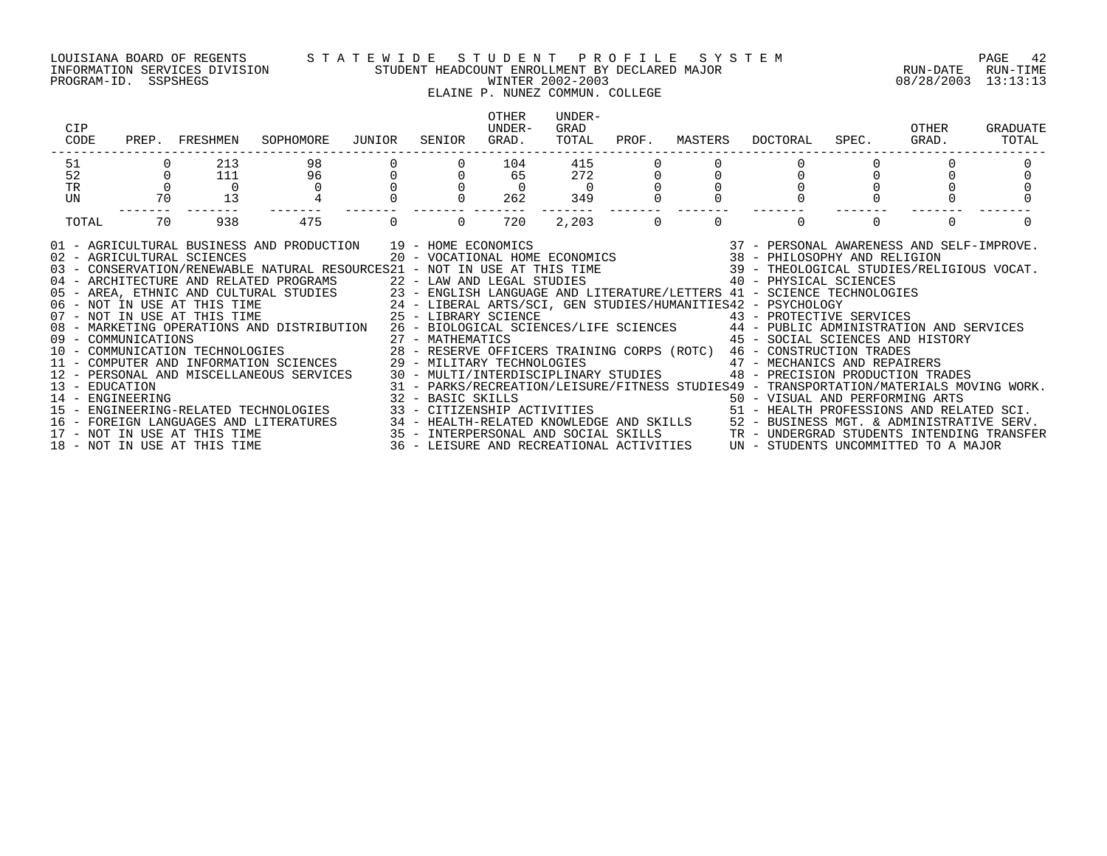PROGRAM-ID. SSPSHEGS WINTER 2002-2003 08/28/2003 13:13:13

#### LOUISIANA BOARD OF REGENTS S T A T E W I D E S T U D E N T P R O F I L E S Y S T E M PAGE 42 INFORMATION SERVICES DIVISION STUDENT HEADCOUNT ENROLLMENT BY DECLARED MAJOR RUN-DATE RUN-TIME

## ELAINE P. NUNEZ COMMUN. COLLEGE

| CIP<br>CODE    |          | PREP. FRESHMEN | SOPHOMORE                                                                                                                                                                                                                                                                                                                                                                                                                                                                                                                                                                                                                                                                                                                                                                                                                                                                                                                                                                                                                                                                                                                                                                                                                                                                                                                                                                                                      | JUNIOR | SENIOR         | OTHER<br>UNDER-<br>GRAD. | UNDER-<br>GRAD<br>TOTAL | PROF.    | MASTERS  | DOCTORAL                                                                                                                                                                                                                                                                                       | SPEC.    | OTHER<br>GRAD. | GRADUATE<br>TOTAL |
|----------------|----------|----------------|----------------------------------------------------------------------------------------------------------------------------------------------------------------------------------------------------------------------------------------------------------------------------------------------------------------------------------------------------------------------------------------------------------------------------------------------------------------------------------------------------------------------------------------------------------------------------------------------------------------------------------------------------------------------------------------------------------------------------------------------------------------------------------------------------------------------------------------------------------------------------------------------------------------------------------------------------------------------------------------------------------------------------------------------------------------------------------------------------------------------------------------------------------------------------------------------------------------------------------------------------------------------------------------------------------------------------------------------------------------------------------------------------------------|--------|----------------|--------------------------|-------------------------|----------|----------|------------------------------------------------------------------------------------------------------------------------------------------------------------------------------------------------------------------------------------------------------------------------------------------------|----------|----------------|-------------------|
| 51             |          | 213            | 98                                                                                                                                                                                                                                                                                                                                                                                                                                                                                                                                                                                                                                                                                                                                                                                                                                                                                                                                                                                                                                                                                                                                                                                                                                                                                                                                                                                                             |        |                | 104                      | 415                     |          |          |                                                                                                                                                                                                                                                                                                |          |                |                   |
| 52             |          | 111            | 96                                                                                                                                                                                                                                                                                                                                                                                                                                                                                                                                                                                                                                                                                                                                                                                                                                                                                                                                                                                                                                                                                                                                                                                                                                                                                                                                                                                                             |        |                | 65                       | 272                     |          |          |                                                                                                                                                                                                                                                                                                |          |                |                   |
| TR             | $\Omega$ | $\overline{0}$ | $\Omega$                                                                                                                                                                                                                                                                                                                                                                                                                                                                                                                                                                                                                                                                                                                                                                                                                                                                                                                                                                                                                                                                                                                                                                                                                                                                                                                                                                                                       |        |                | $\overline{0}$           | $\overline{0}$          |          |          |                                                                                                                                                                                                                                                                                                |          |                |                   |
| UN             | 70       | 13             |                                                                                                                                                                                                                                                                                                                                                                                                                                                                                                                                                                                                                                                                                                                                                                                                                                                                                                                                                                                                                                                                                                                                                                                                                                                                                                                                                                                                                |        |                | 262                      | 349                     |          |          |                                                                                                                                                                                                                                                                                                |          |                |                   |
| TOTAL          | 70       | 938            | 475                                                                                                                                                                                                                                                                                                                                                                                                                                                                                                                                                                                                                                                                                                                                                                                                                                                                                                                                                                                                                                                                                                                                                                                                                                                                                                                                                                                                            |        | $\overline{0}$ | 720                      | 2,203                   | $\Omega$ | $\Omega$ | $\Omega$                                                                                                                                                                                                                                                                                       | $\Omega$ | $\Omega$       |                   |
| 13 - EDUCATION |          |                | 91 - AGRICULTURAL BUSINESS AND PRODUCTION 19 - HOME ECONOMICS (2008) 19 - 2008 (37 - PERSONAL AWARENESS AND SELF-IMPROVE.<br>20 - VOCATIONAL HOME ECONOMICS (38 - PHILOSOPHY AND RELIGION 2008) 20 - VOCATIONAL HOME ECONOMICS (3<br>04 - ARCHITECTURE AND RELATED PROGRAMS 22 - LAW AND LEGAL STUDIES 40 - PHYSICAL SCIENCES<br>05 - AREA, ETHNIC AND CULTURAL STUDIES 23 - ENGLISH LANGUAGE AND LITERATURE/LETTERS 41 - SCIENCE TECHNOLOGIES<br>06 - NOT IN USE AT THIS TIME 24 - LIBERAL ARTS/SCI, GEN STUDIES/HUMANITIES42 - PSYCHOLOGY<br>07 - NOT IN USE AT THI<br>08 - MARKETING OPERATIONS AND DISTRIBUTION 26 - BIOLOGICAL SCIENCES/LIFE SCIENCES 44 - PUBLIC ADMINISTRATION AND SERVICES<br>09 - COMMUNICATIONS<br>10 - COMMUNICATIONS 10 - COMMUNICATION TECHNOLOGIES<br>10 - COMMUNICATION TECHNOLOGIES 28 - RESERVE OFFICERS TRAINING CORPS (ROTC) 46 - CONSTRUCTION TRADES<br>11 - COMPUTER AND INFORMATION SCIENCES 29 - MILITARY TECHNOLOGIES 47 - MECHANICS AND REPAIRERS<br>12 - PERSONAL AND MISCELLANEOUS SERVICES 30 - MULTI/INTERDISCIPLINARY STUDIES 48 - PRECISION PRODUCTION TRA<br>14 - ENGINEERING<br>15 - ENGINEERING-RELATED TECHNOLOGIES<br>16 - FOREIGN LANGUAGES AND LITERATURES 34 - HEALTH-RELATED KNOWLEDGE AND SKILLS 52 - BUSINESS MGT. & ADMINISTRATIVE SERV.<br>17 - NOT IN USE AT THIS TIME 3ERV.<br>18 - NOT IN USE AT THIS TIME 36 - LEISURE AND RECREATIONAL ACTIVI |        |                |                          |                         |          |          | 45 - SOCIAL SCIENCES AND HISTORY<br>48 - PRECISION PRODUCTION TRADES<br>31 - PARKS/RECREATION/LEISURE/FITNESS STUDIES49 - TRANSPORTATION/MATERIALS MOVING WORK.<br>32 - BASIC SKILLS<br>33 - CITIZENSHIP ACTIVITIES                                   51 - HEALTH PROFESSIONS AND RELATED SCI. |          |                |                   |
|                |          |                |                                                                                                                                                                                                                                                                                                                                                                                                                                                                                                                                                                                                                                                                                                                                                                                                                                                                                                                                                                                                                                                                                                                                                                                                                                                                                                                                                                                                                |        |                |                          |                         |          |          |                                                                                                                                                                                                                                                                                                |          |                |                   |
|                |          |                |                                                                                                                                                                                                                                                                                                                                                                                                                                                                                                                                                                                                                                                                                                                                                                                                                                                                                                                                                                                                                                                                                                                                                                                                                                                                                                                                                                                                                |        |                |                          |                         |          |          |                                                                                                                                                                                                                                                                                                |          |                |                   |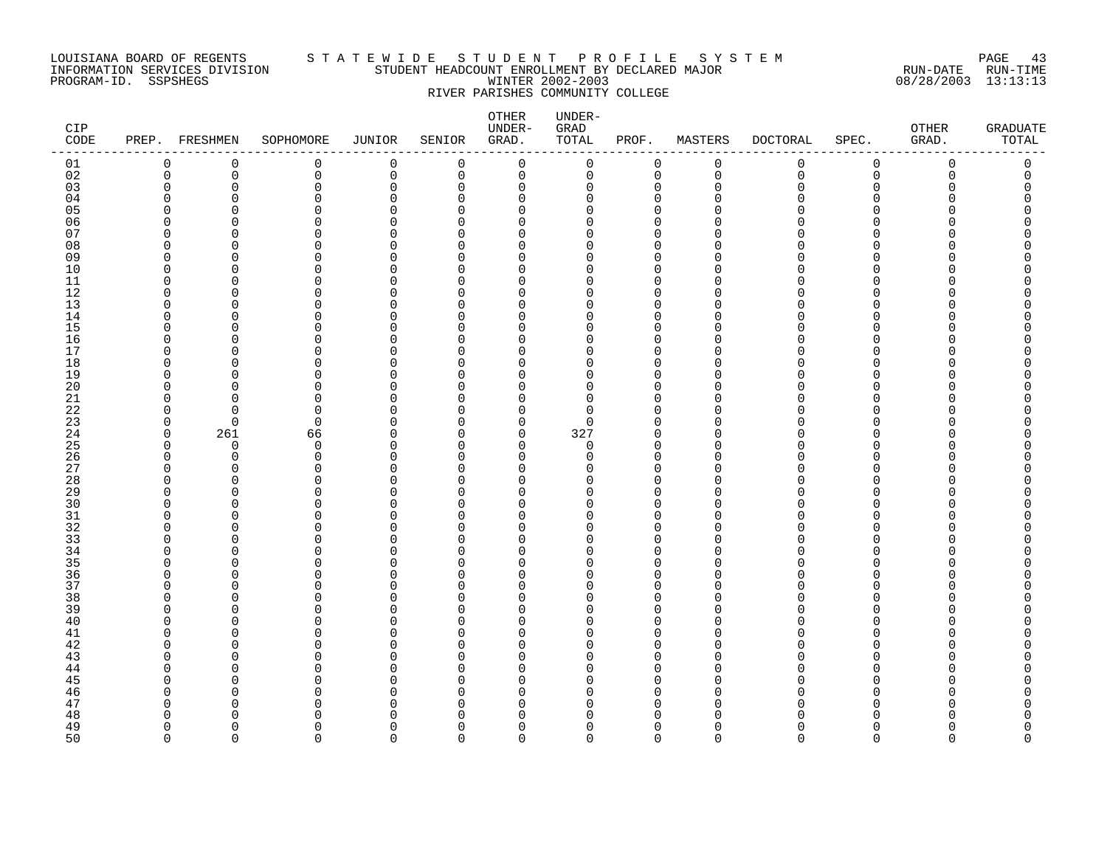### LOUISIANA BOARD OF REGENTS S T A T E W I D E S T U D E N T P R O F I L E S Y S T E M PAGE 43 INFORMATION SERVICES DIVISION STUDENT HEADCOUNT ENROLLMENT BY DECLARED MAJOR RUN-DATE RUN-TIME PROGRAM-ID. SSPSHEGS WINTER 2002-2003 08/28/2003 13:13:13 RIVER PARISHES COMMUNITY COLLEGE

| CIP<br>CODE |                          | PREP. FRESHMEN | SOPHOMORE            | <b>JUNIOR</b> | SENIOR             | OTHER<br>UNDER-<br>GRAD. | UNDER-<br>GRAD<br>TOTAL | PROF.                | MASTERS              | DOCTORAL     | SPEC.                | OTHER<br>GRAD. | <b>GRADUATE</b><br>TOTAL |
|-------------|--------------------------|----------------|----------------------|---------------|--------------------|--------------------------|-------------------------|----------------------|----------------------|--------------|----------------------|----------------|--------------------------|
| 01          | 0                        | $\mathbf 0$    | $\mathsf 0$          | $\mathbf 0$   | $\mathbf 0$        | $\mathbf 0$              | 0                       | 0                    | $\mathsf 0$          | $\mathsf{O}$ | $\mathsf{O}\xspace$  | $\mathbf 0$    | $\mathsf{0}$             |
| 02          | 0                        | 0              | $\mathbf 0$          | 0             | 0                  | 0                        | 0                       | $\mathbf 0$          | $\mathbf 0$          | 0            | $\mathbf 0$          | 0              | 0                        |
| 03          | 0                        | 0              | $\mathbf 0$          | $\Omega$      | $\Omega$           | 0                        | 0                       | $\Omega$             | $\mathbf 0$          | O            | $\Omega$             | n              | 0                        |
| 04          | ∩                        | ∩              | $\Omega$             | ∩             | $\Omega$           | 0                        | $\Omega$                | $\Omega$             | $\Omega$             |              | $\Omega$             |                |                          |
| 05          | O                        | $\Omega$       | $\Omega$             | ∩             | $\cap$             | 0                        | O                       | $\Omega$             | $\Omega$             |              | $\Omega$             |                | Ω                        |
| 06          | O                        | ∩              | $\Omega$             | U             | $\cap$             | 0                        | U                       | $\Omega$             | $\cap$               |              | $\Omega$             |                | Ω                        |
| 07          | U                        | O              | $\Omega$             | ∩             | $\Omega$           | 0                        | U                       | $\Omega$             | <sup>0</sup>         |              | ∩                    |                | Λ                        |
| 08<br>09    | U<br>O                   | ∩<br>O         | $\Omega$<br>$\Omega$ | ∩<br>$\Omega$ | $\cap$<br>$\Omega$ | 0<br>$\mathbf 0$         | U<br>U                  | $\Omega$<br>$\Omega$ | $\Omega$<br>$\Omega$ |              | ∩<br>$\Omega$        |                |                          |
| 10          | <sup>n</sup>             | ∩              | $\Omega$             | ∩             | U                  | $\mathbf 0$              | U                       | $\Omega$             | $\Omega$             |              | $\Omega$             |                |                          |
| 11          | $\Omega$                 | $\Omega$       | $\Omega$             | 0             | $\Omega$           | 0                        | $\Omega$                | $\Omega$             | $\Omega$             | ∩            | $\Omega$             |                |                          |
| 12          | 0                        | ∩              | <sup>0</sup>         | O             | U                  | 0                        | U                       | $\Omega$             | $\Omega$             |              | ∩                    |                |                          |
| 13          | $\Omega$                 | O              | $\Omega$             | $\Omega$      | $\cap$             | 0                        | 0                       | $\Omega$             | $\Omega$             |              | $\Omega$             |                |                          |
| 14          | U                        | ∩              | $\Omega$             | ∩             | $\Omega$           | $\mathbf 0$              | $\Omega$                | $\Omega$             | $\Omega$             | ∩            | $\Omega$             |                | Ω                        |
| 15          | O                        | ∩              | $\Omega$             | $\Omega$      | U                  | $\Omega$                 | $\Omega$                | $\Omega$             | $\Omega$             |              | $\Omega$             |                |                          |
| 16          | $\Omega$                 | $\Omega$       | $\mathbf 0$          | 0             | $\Omega$           | 0                        | 0                       | $\Omega$             | $\Omega$             |              | $\Omega$             |                |                          |
| 17          | O                        | n              | $\Omega$             | O             | ∩                  | 0                        | O                       | $\Omega$             | $\Omega$             |              | ∩                    |                |                          |
| 18          | $\Omega$                 | O              | $\Omega$             | ∩             | $\cap$             | 0                        | O                       | $\Omega$             | $\Omega$             |              | $\Omega$             |                |                          |
| 19          | U                        | ∩              | $\Omega$             | U             | U                  | $\mathbf 0$              | $\Omega$                | $\Omega$             | $\Omega$             |              | $\Omega$             |                |                          |
| 20          | <sup>n</sup>             | ∩              | $\Omega$             | $\Omega$      | $\Omega$           | $\Omega$                 | $\Omega$                | $\Omega$             | $\Omega$             |              | $\Omega$             |                |                          |
| 21          | $\Omega$                 | $\Omega$       | $\Omega$             | $\Omega$      | $\cap$             | 0                        | 0                       | $\Omega$             | $\mathbf 0$          | N            | ∩                    |                | O                        |
| 22          | 0                        | O              | 0                    | O             | $\Omega$           | 0                        | $\Omega$                | $\Omega$             | $\Omega$             |              | $\Omega$             |                |                          |
| 23          | $\Omega$                 | $\Omega$       | $\mathbf 0$          | $\Omega$      | ∩                  | 0                        | 0                       | $\Omega$             | 0                    |              | $\Omega$             |                |                          |
| 24          | $\Omega$                 | 261            | 66                   | U             | $\Omega$           | 0                        | 327                     | $\Omega$             | $\Omega$             | N            | $\Omega$             |                |                          |
| 25          | $\Omega$                 | $\Omega$       | $\mathbf 0$          | ∩             | $\Omega$           | 0                        | $\Omega$                | $\Omega$             | $\Omega$             |              | ∩                    |                |                          |
| 26<br>27    | $\Omega$<br><sup>0</sup> | $\Omega$<br>O  | $\mathbf 0$          | $\Omega$<br>O | $\Omega$           | $\mathbf 0$              | $\Omega$<br>U           | $\Omega$<br>$\Omega$ | $\Omega$<br>$\Omega$ |              | $\Omega$<br>$\Omega$ |                |                          |
| 28          | $\Omega$                 | $\Omega$       | 0<br>$\Omega$        | U             | $\Omega$<br>$\cap$ | 0<br>$\Omega$            | O                       | $\Omega$             | $\Omega$             |              | ∩                    |                |                          |
| 29          | <sup>n</sup>             | $\Omega$       | $\Omega$             | U             | $\Omega$           | 0                        | $\Omega$                | $\Omega$             | $\Omega$             |              | ∩                    |                |                          |
| 30          | <sup>n</sup>             | ∩              | $\Omega$             | ∩             | U                  | $\Omega$                 | U                       | $\cap$               | $\Omega$             |              | ∩                    |                |                          |
| 31          | $\Omega$                 | $\Omega$       | $\Omega$             | $\Omega$      | $\Omega$           | 0                        | 0                       | $\Omega$             | $\mathbf 0$          |              | $\Omega$             |                |                          |
| 32          | U                        | ∩              | $\Omega$             | O             | U                  | 0                        | $\Omega$                | $\Omega$             | $\Omega$             |              | ∩                    |                |                          |
| 33          | O                        | ∩              | $\Omega$             | U             | $\cap$             | $\Omega$                 | U                       | $\Omega$             | $\Omega$             |              | ∩                    |                |                          |
| 34          | <sup>n</sup>             | ∩              | $\Omega$             | U             | $\cap$             | 0                        | O                       | $\Omega$             | $\Omega$             |              | ∩                    |                |                          |
| 35          | U                        | ∩              | $\Omega$             | U             | $\cap$             | $\Omega$                 | ∩                       | $\Omega$             | $\Omega$             |              | ∩                    |                |                          |
| 36          | $\Omega$                 | $\Omega$       | $\mathbf 0$          | $\Omega$      | $\Omega$           | 0                        | O                       | $\Omega$             | $\mathbf 0$          |              | $\mathbf 0$          |                | O                        |
| 37          | U                        | O              | $\Omega$             | U             | <sup>0</sup>       | 0                        | $\Omega$                | $\Omega$             | $\Omega$             | N            | $\Omega$             |                | O                        |
| 38          | $\Omega$                 | $\Omega$       | $\Omega$             | ∩             | $\Omega$           | $\Omega$                 | U                       | $\Omega$             | $\Omega$             |              | $\Omega$             |                |                          |
| 39          | U                        | ∩              | $\Omega$             | ∩             | $\cap$             | 0                        | $\Omega$                | $\Omega$             | $\Omega$             |              | ∩                    |                |                          |
| 40          | ∩                        | ∩              | $\Omega$             | ∩             | $\cap$             | $\Omega$                 | O                       | $\Omega$             | $\Omega$             |              | ∩                    |                |                          |
| 41          | O                        | O              | $\Omega$             | O             | ∩                  | 0                        | O                       | $\Omega$             | $\Omega$             |              | O                    |                |                          |
| 42          | O                        | O              | $\Omega$             | O             | $\Omega$           | 0                        | O                       | $\Omega$             | $\Omega$             |              | $\Omega$             |                |                          |
| 43          | ∩<br>O                   | ∩<br>∩         | $\Omega$<br>$\Omega$ | ∩<br>U        | $\cap$<br>$\cap$   | 0<br>0                   | U<br>U                  | $\cap$<br>$\Omega$   | $\Omega$<br>$\Omega$ |              | ∩<br>∩               |                |                          |
| 44<br>45    | ∩                        | ∩              | $\Omega$             | U             | ∩                  | 0                        | U                       | $\Omega$             | $\Omega$             |              | ∩                    |                |                          |
| 46          | O                        | O              | $\Omega$             | U             | U                  | $\Omega$                 | O                       | $\Omega$             | 0                    | N            | ∩                    |                |                          |
| 47          | O                        | O              | $\Omega$             | U             | ∩                  | $\Omega$                 | O                       | $\Omega$             | $\Omega$             | ∩            | ∩                    |                |                          |
| 48          | U                        | ∩              | $\Omega$             | U             | ∩                  | $\Omega$                 | ∩                       |                      | $\cap$               |              |                      |                |                          |
| 49          | $\Omega$                 | ∩              | $\Omega$             | $\Omega$      | $\Omega$           | 0                        | O                       | $\Omega$             | $\Omega$             | U            | $\Omega$             | Λ              | U                        |
| 50          | $\cap$                   | $\Omega$       | $\Omega$             | $\Omega$      | $\cap$             | $\Omega$                 | $\Omega$                | $\Omega$             | $\Omega$             | $\Omega$     | $\Omega$             | $\Omega$       | $\Omega$                 |
|             |                          |                |                      |               |                    |                          |                         |                      |                      |              |                      |                |                          |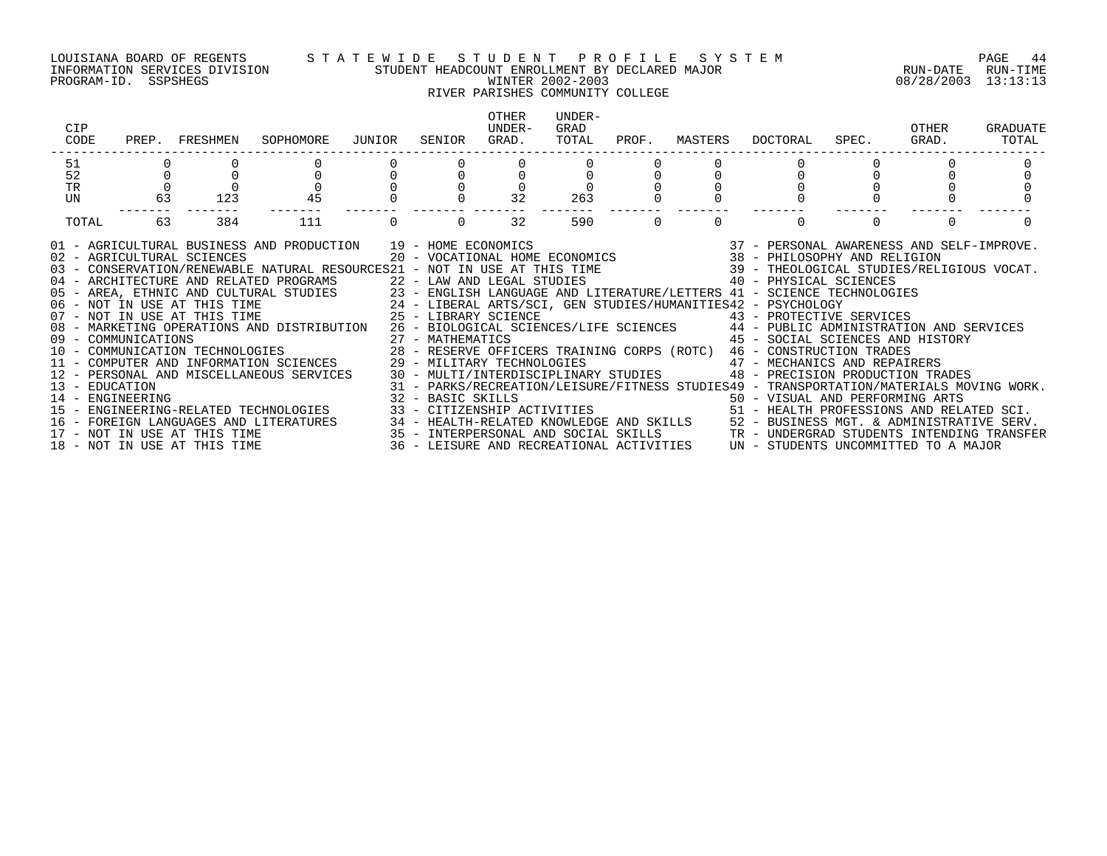PROGRAM-ID. SSPSHEGS WINTER 2002-2003 08/28/2003 13:13:13

#### LOUISIANA BOARD OF REGENTS S T A T E W I D E S T U D E N T P R O F I L E S Y S T E M PAGE 44 INFORMATION SERVICES DIVISION STUDENT HEADCOUNT ENROLLMENT BY DECLARED MAJOR RUN-DATE RUN-TIME

## RIVER PARISHES COMMUNITY COLLEGE

| CIP<br>CODE                                                                                                                                                                                                                                                                                                                                                                                                                                                                                                                                                                                                                                                                                                                                                                                                                                                                                                                                                                                                                                                                                                                                                                                        | PREP. FRESHMEN | SOPHOMORE | JUNIOR | SENIOR | OTHER<br>UNDER-<br>GRAD. | UNDER-<br>GRAD<br>TOTAL | PROF.    | MASTERS  | DOCTORAL                                                                                                                                                                                                                                                                                                                                     | SPEC. | OTHER<br>GRAD. | GRADUATE<br>TOTAL |
|----------------------------------------------------------------------------------------------------------------------------------------------------------------------------------------------------------------------------------------------------------------------------------------------------------------------------------------------------------------------------------------------------------------------------------------------------------------------------------------------------------------------------------------------------------------------------------------------------------------------------------------------------------------------------------------------------------------------------------------------------------------------------------------------------------------------------------------------------------------------------------------------------------------------------------------------------------------------------------------------------------------------------------------------------------------------------------------------------------------------------------------------------------------------------------------------------|----------------|-----------|--------|--------|--------------------------|-------------------------|----------|----------|----------------------------------------------------------------------------------------------------------------------------------------------------------------------------------------------------------------------------------------------------------------------------------------------------------------------------------------------|-------|----------------|-------------------|
| 51                                                                                                                                                                                                                                                                                                                                                                                                                                                                                                                                                                                                                                                                                                                                                                                                                                                                                                                                                                                                                                                                                                                                                                                                 |                |           |        |        |                          |                         |          |          |                                                                                                                                                                                                                                                                                                                                              |       |                |                   |
| 52                                                                                                                                                                                                                                                                                                                                                                                                                                                                                                                                                                                                                                                                                                                                                                                                                                                                                                                                                                                                                                                                                                                                                                                                 |                |           |        |        |                          |                         |          |          |                                                                                                                                                                                                                                                                                                                                              |       |                |                   |
| $\Omega$<br><b>TR</b><br>63                                                                                                                                                                                                                                                                                                                                                                                                                                                                                                                                                                                                                                                                                                                                                                                                                                                                                                                                                                                                                                                                                                                                                                        |                | 45        |        |        | $\Omega$<br>32           |                         |          |          |                                                                                                                                                                                                                                                                                                                                              |       |                |                   |
| UN                                                                                                                                                                                                                                                                                                                                                                                                                                                                                                                                                                                                                                                                                                                                                                                                                                                                                                                                                                                                                                                                                                                                                                                                 | 123            |           |        |        |                          | 263                     |          |          |                                                                                                                                                                                                                                                                                                                                              |       |                |                   |
| 63<br>TOTAL                                                                                                                                                                                                                                                                                                                                                                                                                                                                                                                                                                                                                                                                                                                                                                                                                                                                                                                                                                                                                                                                                                                                                                                        | 384            | 111       |        |        | 32                       | 590                     | $\Omega$ | $\Omega$ | $\Omega$                                                                                                                                                                                                                                                                                                                                     |       | $\Omega$       |                   |
| 91 - AGRICULTURAL BUSINESS AND PRODUCTION 19 - HOME ECONOMICS (2007) 19 - 2007 - PERSONAL AWARENESS AND SELF-IMPROVE<br>102 - AGRICULTURAL SCIENCES (2007) 2007 - VOCATIONAL HOME ECONOMICS (2008 - 2008) 201 - AGRICULTURAL SCIE<br>04 - ARCHITECTURE AND RELATED PROGRAMS<br>22 - LAW AND LEGAL STUDIES<br>23 - ENGLISH LANGUAGE AND LITERATURE/LETTERS 41 - SCIENCE TECHNOLOGIES<br>24 - LIBERAL ARTS/SCI, GEN STUDIES/HUMANITIES42 - PSYCHOLOGY<br>25 - LIBERARY SCIENC<br>08 - MARKETING OPERATIONS AND DISTRIBUTION 26 - BIOLOGICAL SCIENCES/LIFE SCIENCES 44 - PUBLIC ADMINISTRATION AND SERVICES<br>09 - COMMUNICATIONS<br>10 - COMMUNICATIONS 10 - COMMUNICATION TECHNOLOGIES 28 - RESERVE OFFICERS TRAINING CORPS (ROTC) 46 - CONSTRUCTION TRADES<br>11 - COMPUTER AND INFORMATION SCIENCES 29 - MILITARY TECHNOLOGIES 47 - MECHANICS<br>13 - EDUCATION<br>14 - ENGINEERING<br>15 - ENGINEERING-RELATED TECHNOLOGIES<br>16 - FOREIGN LANGUAGES AND LITERATURES 34 - HEALTH-RELATED KNOWLEDGE AND SKILLS 52 - BUSINESS MGT. & ADMINISTRATIVE SERV.<br>17 - NOT IN USE AT THIS TIME 35 - INTERPERSONAL AND SOCIAL SKILLS TR - UNDERGRAD STUDENTS INTENDING<br>18 - NOT IN USE AT THIS TIME |                |           |        |        |                          |                         |          |          | 31 - PARKS/RECREATION/LEISURE/FITNESS STUDIES49 - TRANSPORTATION/MATERIALS MOVING WORK.<br>32 - BASIC SKILLS<br>33 - CITIZENSHIP ACTIVITIES                                     50 - VISUAL AND PERFORMING ARTS<br>51 - HEALTH PROFESSIONS AND RELATED SCI.<br>36 - LEISURE AND RECREATIONAL ACTIVITIES UN - STUDENTS UNCOMMITTED TO A MAJOR |       |                |                   |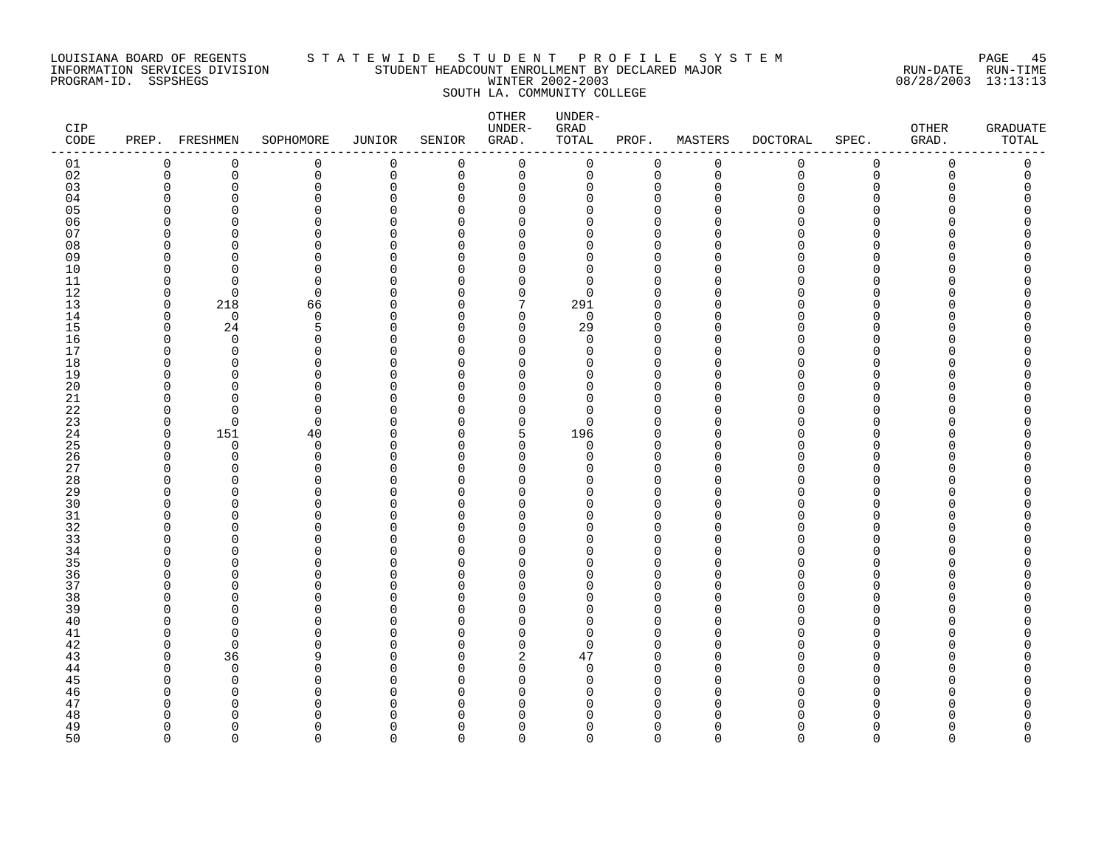### LOUISIANA BOARD OF REGENTS S T A T E W I D E S T U D E N T P R O F I L E S Y S T E M PAGE 45 INFORMATION SERVICES DIVISION STUDENT HEADCOUNT ENROLLMENT BY DECLARED MAJOR RUN-DATE RUN-TIME PROGRAM-ID. SSPSHEGS WINTER 2002-2003 08/28/2003 13:13:13 SOUTH LA. COMMUNITY COLLEGE

| CIP<br>$\texttt{CODE}$ |             | PREP. FRESHMEN       | SOPHOMORE            | JUNIOR      | SENIOR        | OTHER<br>UNDER-<br>GRAD. | UNDER-<br>GRAD<br>TOTAL | PROF.                | MASTERS     | <b>DOCTORAL</b> | SPEC.                        | OTHER<br>GRAD. | <b>GRADUATE</b><br>TOTAL |
|------------------------|-------------|----------------------|----------------------|-------------|---------------|--------------------------|-------------------------|----------------------|-------------|-----------------|------------------------------|----------------|--------------------------|
| 01                     | 0           | 0                    | 0                    | 0           | $\mathbf 0$   | $\mathbf 0$              | 0                       | $\mathbf 0$          | $\mathbf 0$ | 0               | 0                            | $\mathbf 0$    | 0                        |
| 02                     | $\mathbf 0$ | 0                    | $\mathsf 0$          | $\mathbf 0$ | $\mathbf 0$   | 0                        | 0                       | $\mathbf 0$          | $\mathbf 0$ | $\mathbf 0$     | $\mathsf 0$                  | $\mathbf 0$    | 0                        |
| 03                     | 0           | 0                    | $\mathbf 0$          | $\Omega$    | $\Omega$      | $\Omega$                 | 0                       | $\Omega$             | $\Omega$    | N               | $\Omega$                     | Ω              |                          |
| 04                     | n<br>U      | O                    | $\Omega$             | O<br>C      | O             | $\Omega$                 | $\Omega$                | $\Omega$<br>$\Omega$ | n           |                 | <sup>n</sup><br><sup>n</sup> |                |                          |
| 05<br>06               | U           | O<br>U               | $\Omega$<br>$\Omega$ | O           | ∩<br>∩        | $\Omega$<br>$\Omega$     | $\Omega$<br>$\Omega$    | $\Omega$             |             |                 | U                            |                |                          |
| 07                     | n           | U                    | $\Omega$             | O           | ∩             | $\Omega$                 | 0                       | $\Omega$             |             |                 | U                            |                |                          |
| 08                     | U           | U                    | $\Omega$             | C           | ∩             | 0                        | $\Omega$                | $\Omega$             |             |                 | U                            |                |                          |
| 09                     | O           | O                    | 0                    | O           | O             | O                        | 0                       | $\Omega$             |             |                 | <sup>0</sup>                 |                |                          |
| 10                     | U           | $\cap$               | $\Omega$             | $\Omega$    | ∩             | $\Omega$                 | $\Omega$                | $\Omega$             |             |                 | <sup>n</sup>                 |                |                          |
| 11                     | U           | $\Omega$             | $\Omega$             | O           | $\Omega$      | $\Omega$                 | $\Omega$                | $\Omega$             | ∩           |                 | <sup>n</sup>                 |                |                          |
| 12                     | $\cap$      | $\Omega$             | $\Omega$             | ∩           | ∩             | $\Omega$                 | $\Omega$                | $\Omega$             |             |                 | U                            |                |                          |
| 13                     | $\mathbf 0$ | 218                  | 66                   | O           | O             | 7                        | 291                     | $\Omega$             | n           |                 | $\Omega$                     |                |                          |
| 14                     | $\Omega$    | $\mathbf 0$          | 0                    | O           | O             | $\mathbf 0$              | 0                       | $\Omega$             | ∩           |                 | <sup>n</sup>                 |                |                          |
| 15                     | $\Omega$    | 24                   | 5                    | C           | ∩             | $\Omega$                 | 29                      | $\Omega$             |             |                 | <sup>n</sup>                 |                |                          |
| 16                     | U           | $\Omega$             | $\Omega$             | O           | ∩             | $\Omega$                 | 0                       | $\Omega$             | ∩           |                 | U                            |                |                          |
| 17                     | U           | $\Omega$             | $\Omega$             | C           | ∩             | $\Omega$                 | $\Omega$                | $\Omega$             | n           |                 | <sup>n</sup>                 |                |                          |
| 18                     | O           | $\mathbf 0$          | $\mathbf 0$          | C           | $\Omega$      | 0                        | 0                       | $\Omega$             |             |                 | $\Omega$                     |                |                          |
| 19                     | O<br>U      | O                    | $\Omega$             | C           | O             | O<br>U                   | $\Omega$                | $\Omega$             | n           |                 | <sup>n</sup><br><sup>n</sup> |                |                          |
| 20<br>21               | n           | $\Omega$<br>$\Omega$ | $\Omega$<br>$\Omega$ | O<br>O      | $\Omega$<br>∩ | $\Omega$                 | $\Omega$<br>0           | $\Omega$<br>$\Omega$ | ∩           |                 | <sup>n</sup>                 |                |                          |
| 22                     | O           | $\Omega$             | $\Omega$             | ∩           | ∩             | $\Omega$                 | $\Omega$                | $\Omega$             | n           |                 | <sup>n</sup>                 |                |                          |
| 23                     | $\Omega$    | $\Omega$             | $\mathbf 0$          | O           | ∩             | $\Omega$                 | $\Omega$                | $\Omega$             | n           |                 | $\Omega$                     |                |                          |
| 24                     | 0           | 151                  | 40                   | O           | O             | 5                        | 196                     | $\Omega$             | ∩           |                 | <sup>n</sup>                 |                |                          |
| 25                     | $\Omega$    | 0                    | $\mathbf 0$          | O           | ∩             | $\Omega$                 | 0                       | $\Omega$             |             |                 | U                            |                |                          |
| 26                     | $\Omega$    | $\Omega$             | $\Omega$             | C           | ∩             | $\Omega$                 | $\Omega$                | $\Omega$             | ∩           |                 | <sup>n</sup>                 |                |                          |
| 27                     | n           | U                    | $\Omega$             | ∩           | ∩             | $\Omega$                 | U                       | $\Omega$             | ∩           |                 | <sup>n</sup>                 |                |                          |
| 28                     | $\cap$      | U                    | $\Omega$             | C           | ∩             | $\Omega$                 | U                       | $\Omega$             |             |                 | $\cap$                       |                |                          |
| 29                     | O           | O                    | $\mathbf 0$          | $\Omega$    | $\Omega$      | $\Omega$                 | 0                       | $\Omega$             | n           |                 | $\Omega$                     |                |                          |
| 30                     | n           | U                    | $\Omega$             | ∩           | ∩             | $\Omega$                 | $\Omega$                | $\Omega$             | ∩           |                 | U                            |                |                          |
| 31                     | O           | $\Omega$             | $\mathbf 0$          | O           | O             | $\Omega$                 | $\Omega$                | $\Omega$             | n           |                 | $\Omega$                     |                |                          |
| 32                     | O           | U                    | $\Omega$             | O           | ∩             | $\Omega$                 | $\Omega$                | $\Omega$             | ∩           |                 | <sup>n</sup>                 |                |                          |
| 33<br>34               | O<br>n      | U<br>U               | $\Omega$<br>$\Omega$ | C<br>∩      | ∩<br>∩        | $\Omega$<br>$\Omega$     | $\Omega$                | $\Omega$<br>$\Omega$ | ∩           |                 | U<br>U                       |                |                          |
| 35                     | O           | O                    | $\Omega$             | C           | n             | $\Omega$                 | 0<br>U                  | $\Omega$             |             |                 | U                            |                |                          |
| 36                     | O           | O                    | 0                    | O           | ∩             | $\Omega$                 | 0                       | 0                    | n           |                 | $\Omega$                     |                |                          |
| 37                     | O           | U                    | $\Omega$             |             | ∩             | $\Omega$                 | $\Omega$                | $\Omega$             | n           |                 | <sup>n</sup>                 |                |                          |
| 38                     | O           | U                    | $\Omega$             | O           | ∩             | U                        | $\Omega$                | $\Omega$             | n           |                 | <sup>n</sup>                 |                |                          |
| 39                     | O           | U                    | $\Omega$             | ∩           | ∩             | $\Omega$                 | $\Omega$                | $\Omega$             | n           |                 | <sup>n</sup>                 |                |                          |
| 40                     | O           | O                    | $\Omega$             | O           | O             | $\Omega$                 | $\Omega$                | $\Omega$             | ∩           |                 | U                            |                |                          |
| 41                     | n           | $\Omega$             | $\Omega$             | O           | ∩             | $\Omega$                 | 0                       | $\Omega$             |             |                 | U                            |                |                          |
| 42                     | O           | $\Omega$             | $\Omega$             | O           | $\Omega$      | $\Omega$                 | $\Omega$                | $\Omega$             | n           |                 | <sup>n</sup>                 |                |                          |
| 43                     | O           | 36                   | 9                    | O           | ∩             | $\overline{2}$           | 47                      | $\Omega$             | n           |                 | n                            |                |                          |
| 44                     | O           | $\Omega$             | $\Omega$             | C           | ∩             | $\Omega$                 | $\Omega$                | $\Omega$             | n           |                 | <sup>n</sup>                 |                |                          |
| 45                     | O           | 0                    | $\mathbf 0$          | C           | $\Omega$      | $\Omega$                 | 0                       | $\Omega$             | O           |                 | $\Omega$                     |                |                          |
| 46<br>47               | n<br>U      | O                    | $\Omega$<br>$\Omega$ | C           | ∩<br>∩        | $\Omega$<br>U            | $\Omega$                | $\Omega$             | U<br>∩      |                 | <sup>n</sup><br>U            |                |                          |
|                        | U           | O                    | ∩                    | C           | ∩             | Λ                        | U<br>Λ                  | $\Omega$<br>$\Omega$ |             |                 |                              |                |                          |
| 48<br>49               | U           | $\Omega$             | $\Omega$             | $\Omega$    | $\Omega$      | 0                        | U                       | $\Omega$             | ∩           |                 | <sup>n</sup>                 |                |                          |
| 50                     | $\cap$      | $\cap$               | $\cap$               | $\cap$      | $\Omega$      | $\Omega$                 | $\Omega$                | $\Omega$             | $\Omega$    | $\Omega$        | $\Omega$                     | $\cap$         | $\cap$                   |
|                        |             |                      |                      |             |               |                          |                         |                      |             |                 |                              |                |                          |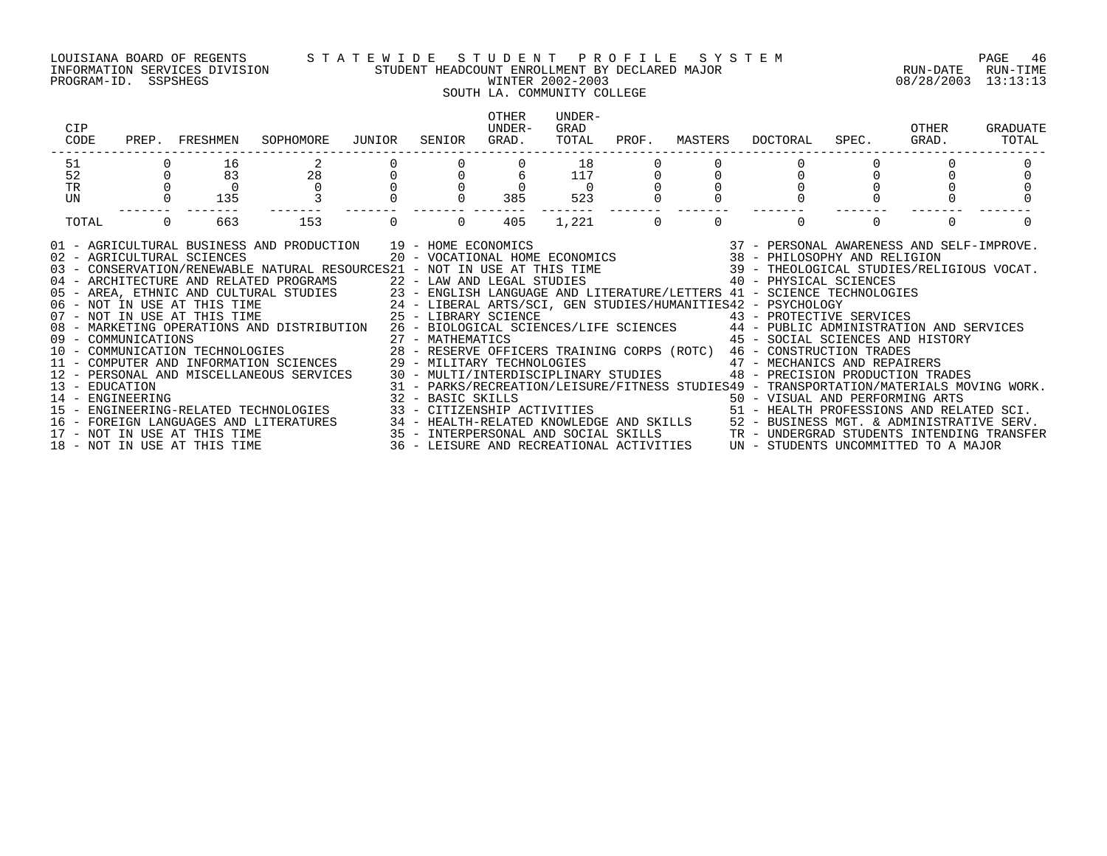### LOUISIANA BOARD OF REGENTS STATEWIDE STUDENT PROFILE SYSTEM NAGE 46 INFORMATION SERVICES DIVISION STUDENT HEADCOUNT ENROLLMENT BY DECLARED MAJOR RUN-DATE RUN-TIME

### PROGRAM-ID. SSPSHEGS WINTER 2002-2003 08/28/2003 13:13:13 SOUTH LA. COMMUNITY COLLEGE OTHER UNDER-CIP UNDER- GRAD OTHER GRADUATE CODE PREP. FRESHMEN SOPHOMORE JUNIOR SENIOR GRAD. TOTAL PROF. MASTERS DOCTORAL SPEC. GRAD. TOTAL ------------------------------------------------------------------------------------------------------------------------------------

| $\begin{array}{c} 51 \\ 52 \end{array}$ | $\begin{bmatrix} 0 & 1 \\ 0 & 8 \\ 0 & 0 \\ 0 & 135 \end{bmatrix}$ |     | $\begin{array}{ccccccccc} 2 & & 0 & & 0 & & 0 & & 18 \\ 28 & & 0 & & 0 & & 6 & & 117 \\ 0 & & 0 & & 0 & & 0 & & 0 \\ 3 & & 0 & & 0 & & 385 & & 523 \end{array}$                                                                        |                                                    |     |           |                |                |  |  |
|-----------------------------------------|--------------------------------------------------------------------|-----|----------------------------------------------------------------------------------------------------------------------------------------------------------------------------------------------------------------------------------------|----------------------------------------------------|-----|-----------|----------------|----------------|--|--|
| TR                                      |                                                                    |     |                                                                                                                                                                                                                                        |                                                    |     |           |                |                |  |  |
| UN                                      |                                                                    |     |                                                                                                                                                                                                                                        |                                                    |     |           |                |                |  |  |
|                                         |                                                                    |     |                                                                                                                                                                                                                                        |                                                    |     |           |                |                |  |  |
| TOTAL                                   | $\overline{0}$                                                     | 663 | 153                                                                                                                                                                                                                                    | $\begin{array}{ccc} & & 0 & \quad & 0 \end{array}$ | 405 | $1,221$ 0 | $\overline{0}$ | $\overline{0}$ |  |  |
|                                         |                                                                    |     |                                                                                                                                                                                                                                        |                                                    |     |           |                |                |  |  |
|                                         |                                                                    |     |                                                                                                                                                                                                                                        |                                                    |     |           |                |                |  |  |
|                                         |                                                                    |     | 03 - CONSERVATION/RENEWABLE NATURAL RESOURCES21 - NOT IN USE AT THIS TIME<br>04 - ARCHITECTURE AND RELATED PROGRAMS<br>05 - AREA, ETHNIC AND CULTURAL STUDIES<br>06 - NOT IN USE AT THIS TIME<br>24 - LIBERAL ARTS/SCI, GEN STUDIES/HU |                                                    |     |           |                |                |  |  |
|                                         |                                                                    |     |                                                                                                                                                                                                                                        |                                                    |     |           |                |                |  |  |
|                                         |                                                                    |     |                                                                                                                                                                                                                                        |                                                    |     |           |                |                |  |  |
|                                         |                                                                    |     |                                                                                                                                                                                                                                        |                                                    |     |           |                |                |  |  |
|                                         |                                                                    |     |                                                                                                                                                                                                                                        |                                                    |     |           |                |                |  |  |
|                                         |                                                                    |     | 08 - MARKETING OPERATIONS AND DISTRIBUTION 26 - BIOLOGICAL SCIENCES/LIFE SCIENCES 44 - PUBLIC ADMINISTRATION AND SERVICES<br>09 - COMMUNICATIONS 27 - MATHEMATICS 45 - SOCIAL SCIENCES AND HISTORY                                     |                                                    |     |           |                |                |  |  |
|                                         |                                                                    |     |                                                                                                                                                                                                                                        |                                                    |     |           |                |                |  |  |
|                                         |                                                                    |     | 09 - COMMUNICATIONS<br>10 - COMMUNICATIONS 10 - COMMUNICATION TECHNOLOGIES 28 - RESERVE OFFICERS TRAINING CORPS (ROTC) 46 - CONSTRUCTION TRADES<br>11 - COMPUTER AND INFORMATION SCIENCES 29 - MILITARY TECHNOLOGIES 11 - MECHANICS    |                                                    |     |           |                |                |  |  |
|                                         |                                                                    |     |                                                                                                                                                                                                                                        |                                                    |     |           |                |                |  |  |
|                                         |                                                                    |     | 12 - PERSONAL AND MISCELLANEOUS SERVICES 30 - MULTI/INTERDISCIPLINARY STUDIES 48 - PRECISION PRODUCTION TRADES                                                                                                                         |                                                    |     |           |                |                |  |  |
|                                         |                                                                    |     |                                                                                                                                                                                                                                        |                                                    |     |           |                |                |  |  |
|                                         |                                                                    |     |                                                                                                                                                                                                                                        |                                                    |     |           |                |                |  |  |
|                                         |                                                                    |     | 13 - EDUCATION 11 - ENGINEERING MOVING WORK.<br>14 - ENGINEERING MOVING WORK 32 - BASIC SKILLS 50 - VISUAL AND PERFORMING ARTS<br>15 - ENGINEERING-RELATED TECHNOLOGIES 33 - CITIZENSHIP ACTIVITIES 10 - MOVING MORE 51 - HEALTH PRO   |                                                    |     |           |                |                |  |  |
|                                         |                                                                    |     | 16 - FOREIGN LANGUAGES AND LITERATURES (1994) - HEALTH-RELATED KNOWLEDGE AND SKILLS (1995) - HUSINESS MGT. & ADMINISTRATIVE SERV.<br>17 - NOT IN USE AT THIS TIME (1995) - 1995 - INTERPERSONAL AND SOCIAL SKILLS (1996) - TR - U      |                                                    |     |           |                |                |  |  |
|                                         |                                                                    |     |                                                                                                                                                                                                                                        |                                                    |     |           |                |                |  |  |
|                                         |                                                                    |     |                                                                                                                                                                                                                                        |                                                    |     |           |                |                |  |  |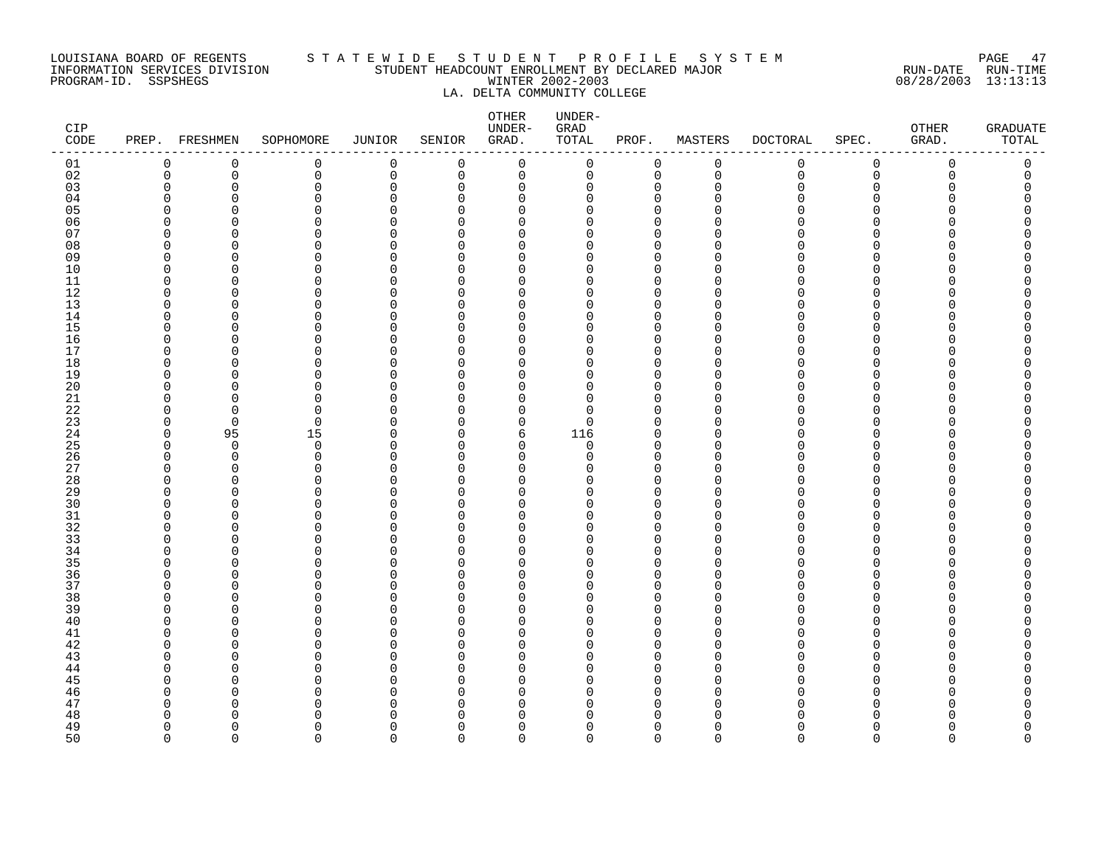### LOUISIANA BOARD OF REGENTS S T A T E W I D E S T U D E N T P R O F I L E S Y S T E M PAGE 47 INFORMATION SERVICES DIVISION STUDENT HEADCOUNT ENROLLMENT BY DECLARED MAJOR RUN-DATE RUN-TIME PROGRAM-ID. SSPSHEGS WINTER 2002-2003 08/28/2003 13:13:13 LA. DELTA COMMUNITY COLLEGE

| CIP<br>CODE          |             | PREP. FRESHMEN       | SOPHOMORE               | <b>JUNIOR</b>        | SENIOR        | OTHER<br>UNDER-<br>GRAD. | UNDER-<br>GRAD<br>TOTAL | PROF.                      | MASTERS       | <b>DOCTORAL</b> | SPEC.                | OTHER<br>GRAD. | <b>GRADUATE</b><br>TOTAL |
|----------------------|-------------|----------------------|-------------------------|----------------------|---------------|--------------------------|-------------------------|----------------------------|---------------|-----------------|----------------------|----------------|--------------------------|
| 01                   | 0           | 0                    | 0                       | 0                    | 0             | 0                        | 0                       | 0                          | 0             | 0               | 0                    | 0              | 0                        |
| 02                   | $\mathbf 0$ | $\mathbf 0$          | 0                       | $\mathbf 0$          | $\mathbf 0$   | 0                        | 0                       | $\mathbf 0$                | $\mathbf 0$   | $\mathbf 0$     | 0                    | $\mathbf 0$    | 0                        |
| 03                   | $\Omega$    | $\mathbf 0$          | $\mathbf 0$             | $\mathbf 0$          | $\Omega$      | $\Omega$                 | 0                       | $\mathbf 0$                | $\Omega$      | 0               | $\Omega$             | Ω              | $\Omega$                 |
| 04                   | $\Omega$    | O                    | $\Omega$                | $\Omega$             | $\Omega$      | $\Omega$                 | $\Omega$                | $\mathbf 0$                | U<br>n        | N               | $\Omega$             |                |                          |
| 0 <sub>5</sub><br>06 | O<br>U      | $\Omega$<br>U        | $\mathbf 0$<br>$\Omega$ | $\Omega$<br>$\Omega$ | $\Omega$<br>∩ | $\Omega$<br>$\Omega$     | $\Omega$<br>$\Omega$    | $\mathbf 0$<br>$\mathbf 0$ |               |                 | $\Omega$<br>$\Omega$ |                |                          |
| 07                   | U           | U                    | $\Omega$                | <sup>0</sup>         | ∩             | $\Omega$                 | $\Omega$                | $\Omega$                   | n             |                 | <sup>n</sup>         |                |                          |
| 08                   | O           | $\Omega$             | $\mathbf 0$             | $\Omega$             | $\Omega$      | $\Omega$                 | 0                       | $\mathbf 0$                | $\cap$        |                 | $\Omega$             |                |                          |
| 09                   | O           | $\Omega$             | 0                       | O                    | O             | $\Omega$                 | $\Omega$                | 0                          | $\Omega$      |                 | $\Omega$             |                |                          |
| 10                   | O           | $\Omega$             | $\mathbf 0$             | $\Omega$             | ∩             | $\Omega$                 | 0                       | $\Omega$                   | $\cap$        |                 | $\Omega$             |                |                          |
| 11                   | $\Omega$    | $\Omega$             | $\Omega$                | O                    | ∩             | $\Omega$                 | $\Omega$                | $\Omega$                   | $\Omega$      |                 | $\Omega$             |                |                          |
| 12                   | $\Omega$    | O                    | $\Omega$                | $\Omega$             | $\Omega$      | $\Omega$                 | 0                       | $\Omega$                   | U             |                 | <sup>n</sup>         |                |                          |
| 13                   | O           | $\Omega$             | $\Omega$                | $\Omega$             | $\Omega$      | $\Omega$                 | $\Omega$                | $\Omega$                   | U             |                 | $\Omega$             |                |                          |
| 14                   | O           | $\Omega$             | $\mathbf 0$             | O                    | 0             | $\Omega$                 | $\Omega$                | 0                          | $\Omega$      |                 | $\Omega$             |                |                          |
| 15                   | $\cap$      | U                    | $\Omega$                | $\sqrt{ }$           | $\Omega$      | $\Omega$                 | $\Omega$                | $\Omega$                   | $\cap$        |                 | $\Omega$             |                |                          |
| 16                   | O           | $\Omega$             | $\mathbf 0$             | 0                    | $\Omega$      | $\Omega$                 | 0                       | 0                          | $\Omega$      |                 | $\Omega$             |                | O                        |
| 17                   | O           | U                    | $\Omega$                | O                    | ∩             | $\Omega$                 | $\Omega$                | $\Omega$                   | $\Omega$      |                 | <sup>n</sup>         |                |                          |
| 18                   | O           | $\Omega$             | $\mathbf 0$             | $\Omega$             | $\Omega$      | $\Omega$                 | $\Omega$                | $\mathbf 0$                | $\Omega$      |                 | $\Omega$             |                |                          |
| 19                   | O<br>O      | U<br>O               | $\Omega$<br>$\mathbf 0$ | $\Omega$<br>$\Omega$ | ∩<br>$\Omega$ | $\Omega$<br>0            | $\Omega$                | $\mathbf 0$<br>$\Omega$    | $\cap$<br>∩   |                 | $\Omega$<br>$\Omega$ |                |                          |
| 20<br>21             | O           | $\Omega$             | $\Omega$                | $\Omega$             | ∩             | $\Omega$                 | $\Omega$<br>0           | $\Omega$                   | $\Omega$      |                 | <sup>n</sup>         |                |                          |
| 22                   | O           | $\Omega$             | $\Omega$                | O                    | ∩             | $\Omega$                 | $\Omega$                | $\mathbf 0$                | $\Omega$      |                 | $\Omega$             |                |                          |
| 23                   | $\Omega$    | $\Omega$             | $\mathbf 0$             | $\Omega$             | ∩             | $\mathbf 0$              | 0                       | $\Omega$                   | $\Omega$      |                 | $\Omega$             |                |                          |
| 24                   | 0           | 95                   | 15                      | $\Omega$             | $\Omega$      | 6                        | 116                     | 0                          | $\Omega$      |                 | $\Omega$             |                |                          |
| 25                   | $\Omega$    | $\overline{0}$       | 0                       | $\Omega$             | ∩             | $\Omega$                 | 0                       | $\Omega$                   | $\Omega$      |                 | <sup>n</sup>         |                |                          |
| 26                   | O           | $\Omega$             | $\Omega$                | $\Omega$             | ∩             | $\Omega$                 | $\Omega$                | $\Omega$                   | $\Omega$      |                 | $\Omega$             |                |                          |
| 27                   | O           | $\Omega$             | $\Omega$                | $\Omega$             | ∩             | $\Omega$                 | $\Omega$                | $\mathbf 0$                | $\Omega$      |                 | $\Omega$             |                |                          |
| 28                   | $\Omega$    | $\Omega$             | $\Omega$                | C                    | $\Omega$      | $\Omega$                 | O                       | $\Omega$                   | O             |                 | <sup>n</sup>         |                |                          |
| 29                   | O           | $\Omega$             | $\mathbf 0$             | $\Omega$             | $\Omega$      | $\Omega$                 | 0                       | $\Omega$                   | $\cap$        |                 | $\Omega$             |                |                          |
| 30                   | O           | U                    | $\Omega$                | $\Omega$             | ∩             | $\Omega$                 | $\Omega$                | $\Omega$                   | $\Omega$      |                 | $\Omega$             |                |                          |
| 31                   | 0           | $\mathbf 0$          | $\mathbf 0$             | 0                    | ∩             | $\Omega$                 | 0                       | $\mathbf 0$                | $\Omega$      |                 | $\mathbf 0$          |                | Ω                        |
| 32                   | O<br>O      | U                    | $\Omega$<br>$\Omega$    | O<br>$\Omega$        | O<br>$\Omega$ | $\Omega$<br>0            | $\Omega$<br>$\Omega$    | $\mathbf 0$<br>$\Omega$    | ∩<br>$\Omega$ |                 | $\Omega$<br>$\Omega$ |                | O                        |
| 33<br>34             | O           | $\Omega$<br>$\Omega$ | $\Omega$                | $\Omega$             | ∩             | $\Omega$                 | $\Omega$                | $\mathbf 0$                | $\Omega$      |                 | $\Omega$             |                |                          |
| 35                   | O           | O                    | $\mathbf 0$             | $\Omega$             | $\Omega$      | $\Omega$                 | $\Omega$                | $\mathbf 0$                | $\Omega$      |                 | $\Omega$             |                |                          |
| 36                   | O           | $\Omega$             | $\mathbf 0$             | $\Omega$             | ∩             | $\Omega$                 | 0                       | $\mathbf 0$                | $\Omega$      |                 | $\Omega$             |                |                          |
| 37                   | O           | $\Omega$             | $\Omega$                | $\Omega$             | $\Omega$      | $\Omega$                 | $\Omega$                | $\mathbf 0$                | $\Omega$      |                 | $\Omega$             |                |                          |
| 38                   | O           | O                    | $\Omega$                | $\Omega$             | ∩             | $\Omega$                 | $\Omega$                | $\Omega$                   | n             |                 | <sup>n</sup>         |                |                          |
| 39                   | O           | $\Omega$             | $\mathbf 0$             | $\Omega$             | $\Omega$      | $\Omega$                 | 0                       | $\mathbf 0$                | $\Omega$      |                 | $\Omega$             |                |                          |
| 40                   | O           | O                    | 0                       | O                    | O             | $\Omega$                 | $\Omega$                | 0                          | $\Omega$      |                 | $\Omega$             |                |                          |
| 41                   | O           | U                    | $\Omega$                | C                    | ∩             | $\Omega$                 | $\Omega$                | $\Omega$                   | O             |                 | <sup>n</sup>         |                |                          |
| 42                   | O           | $\Omega$             | $\Omega$                | $\Omega$             | ∩             | $\Omega$                 | 0                       | $\Omega$                   | $\Omega$      |                 | $\Omega$             |                |                          |
| 43                   | O           | O                    | $\Omega$                | $\Omega$             | $\Omega$      | $\Omega$                 | $\Omega$                | $\Omega$                   | $\cap$        |                 | $\Omega$             |                |                          |
| 44                   | O           | O                    | 0                       | O                    | O             | $\Omega$                 | $\Omega$                | 0                          | n             |                 | 0                    |                | O                        |
| 45                   | O           | U                    | $\Omega$                | O                    | ∩             | $\Omega$                 | $\Omega$                | $\Omega$                   | O             |                 | $\Omega$             |                |                          |
| 46                   | U<br>O      | U<br>O               | $\Omega$<br>$\Omega$    | O<br>$\Omega$        | ∩<br>∩        | $\Omega$<br>$\Omega$     | $\Omega$<br>O           | $\Omega$<br>$\Omega$       | ∩<br>$\Omega$ |                 | $\Omega$<br>$\Omega$ |                |                          |
| 47<br>48             | O           | O                    | $\Omega$                | O                    | $\Omega$      | 0                        | O                       | $\Omega$                   | $\Omega$      |                 | $\Omega$             |                |                          |
| 49                   | $\Omega$    | U                    | $\Omega$                | $\Omega$             | $\Omega$      | $\Omega$                 | $\Omega$                | $\mathbf 0$                | $\Omega$      | U               | $\Omega$             |                | 0                        |
| 50                   | $\Omega$    | $\Omega$             | $\Omega$                | $\Omega$             | $\Omega$      | $\Omega$                 | $\Omega$                | $\Omega$                   | $\Omega$      | $\Omega$        | $\Omega$             | $\Omega$       | 0                        |
|                      |             |                      |                         |                      |               |                          |                         |                            |               |                 |                      |                |                          |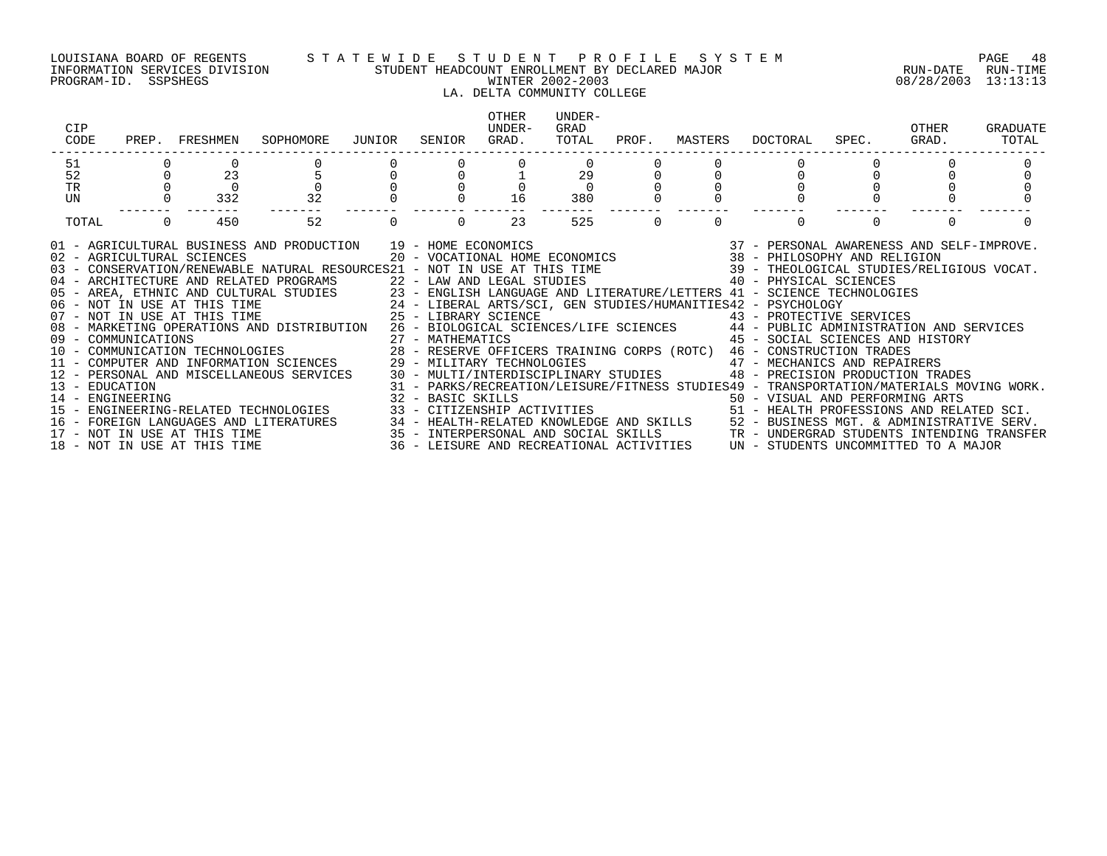PROGRAM-ID. SSPSHEGS WINTER 2002-2003 08/28/2003 13:13:13

### LOUISIANA BOARD OF REGENTS S T A T E W I D E S T U D E N T P R O F I L E S Y S T E M PAGE 48 INFORMATION SERVICES DIVISION STUDENT HEADCOUNT ENROLLMENT BY DECLARED MAJOR RUN-DATE RUN-TIME

### LA. DELTA COMMUNITY COLLEGE

| CIP<br>CODE                                                                                                                                                                                                                                                                                                                                                                                                                                                                                                                                                                                                                                                                                                                                                                                                                                                                                                                                                                                                                                                                                                                                  | PREP. FRESHMEN  | SOPHOMORE      | JUNIOR | SENIOR | OTHER<br>IJNDER-<br>GRAD. | UNDER-<br>GRAD<br>TOTAL | PROF.    | MASTERS  | DOCTORAL                                                                                                                                                                                                                                                                                     | SPEC. | OTHER<br>GRAD. | GRADUATE<br>TOTAL |
|----------------------------------------------------------------------------------------------------------------------------------------------------------------------------------------------------------------------------------------------------------------------------------------------------------------------------------------------------------------------------------------------------------------------------------------------------------------------------------------------------------------------------------------------------------------------------------------------------------------------------------------------------------------------------------------------------------------------------------------------------------------------------------------------------------------------------------------------------------------------------------------------------------------------------------------------------------------------------------------------------------------------------------------------------------------------------------------------------------------------------------------------|-----------------|----------------|--------|--------|---------------------------|-------------------------|----------|----------|----------------------------------------------------------------------------------------------------------------------------------------------------------------------------------------------------------------------------------------------------------------------------------------------|-------|----------------|-------------------|
| 51                                                                                                                                                                                                                                                                                                                                                                                                                                                                                                                                                                                                                                                                                                                                                                                                                                                                                                                                                                                                                                                                                                                                           |                 |                |        |        |                           |                         |          |          |                                                                                                                                                                                                                                                                                              |       |                |                   |
| 52                                                                                                                                                                                                                                                                                                                                                                                                                                                                                                                                                                                                                                                                                                                                                                                                                                                                                                                                                                                                                                                                                                                                           | 23              | $\overline{5}$ |        |        |                           | 29                      |          |          |                                                                                                                                                                                                                                                                                              |       |                |                   |
| <b>TR</b>                                                                                                                                                                                                                                                                                                                                                                                                                                                                                                                                                                                                                                                                                                                                                                                                                                                                                                                                                                                                                                                                                                                                    | $\overline{0}$  |                |        |        |                           | $\Omega$                |          |          |                                                                                                                                                                                                                                                                                              |       |                |                   |
| UN                                                                                                                                                                                                                                                                                                                                                                                                                                                                                                                                                                                                                                                                                                                                                                                                                                                                                                                                                                                                                                                                                                                                           | 332             | 32             |        |        | 16                        | 380                     |          |          |                                                                                                                                                                                                                                                                                              |       |                |                   |
| TOTAL                                                                                                                                                                                                                                                                                                                                                                                                                                                                                                                                                                                                                                                                                                                                                                                                                                                                                                                                                                                                                                                                                                                                        | $\Omega$<br>450 | 52             |        |        | 23                        | 525                     | $\Omega$ | $\Omega$ | $\Omega$                                                                                                                                                                                                                                                                                     |       | $\Omega$       |                   |
| 01 - AGRICULTURAL BUSINESS AND PRODUCTION 19 - HOME ECONOMICS 37 - PERSONAL AWARENESS AND SELF-IMPROVE.<br>20 - VOCATIONAL HOME ECONOMICS 38 - PHILOSOPHY AND RELIGION 39 - CONSERVATION/RENEWABLE NATURAL RESOURCES 21 - NOT IN<br>05 - AREA, ETHNIC AND CULTURAL STUDIES 23 - ENGLISH LANGUAGE AND LITERATURE/LETTERS 41 - SCIENCE TECHNOLOGIES<br>06 - NOT IN USE AT THIS TIME 24 - LIBERAL ARTS/SCI, GEN STUDIES/HUMANITIES42 - PSYCHOLOGY<br>07 - NOT IN USE AT THI<br>08 - MARKETING OPERATIONS AND DISTRIBUTION 26 - BIOLOGICAL SCIENCES/LIFE SCIENCES 44 - PUBLIC ADMINISTRATION AND SERVICES<br>- MARKETING OPERAILONS AND DISINIPATION (27 - MATHEMATICS (28 - SOULAL DUING CORPS) (28 - SOULAL DUING CORPS) (28 - SOULAL DUING CORPS) (28 - COMMUNICATION TRADES (29 - RESERVE OFFICERS TRAINING CORPS) (ROTC) 46 - CONSTRUC<br>14 - ENGINEERING<br>15 - ENGINEERING-RELATED TECHNOLOGIES<br>16 - FOREIGN LANGUAGES AND LITERATURES 34 - HEALTH-RELATED KNOWLEDGE AND SKILLS 52 - BUSINESS MGT. & ADMINISTRATIVE SERV.<br>17 - NOT IN USE AT THIS TIME 3ERV.<br>18 - NOT IN USE AT THIS TIME 35 - LEISURE AND RECREATIONAL ACTIVI |                 |                |        |        |                           |                         |          |          | 45 - SOCIAL SCIENCES AND HISTORY<br>48 - PRECISION PRODUCTION TRADES<br>31 - PARKS/RECREATION/LEISURE/FITNESS STUDIES49 - TRANSPORTATION/MATERIALS MOVING WORK.<br>32 - BASIC SKILLS<br>33 - CITIZENSHIP ACTIVITIES                                 50 - HEALTH PROFESSIONS AND RELATED SCI. |       |                |                   |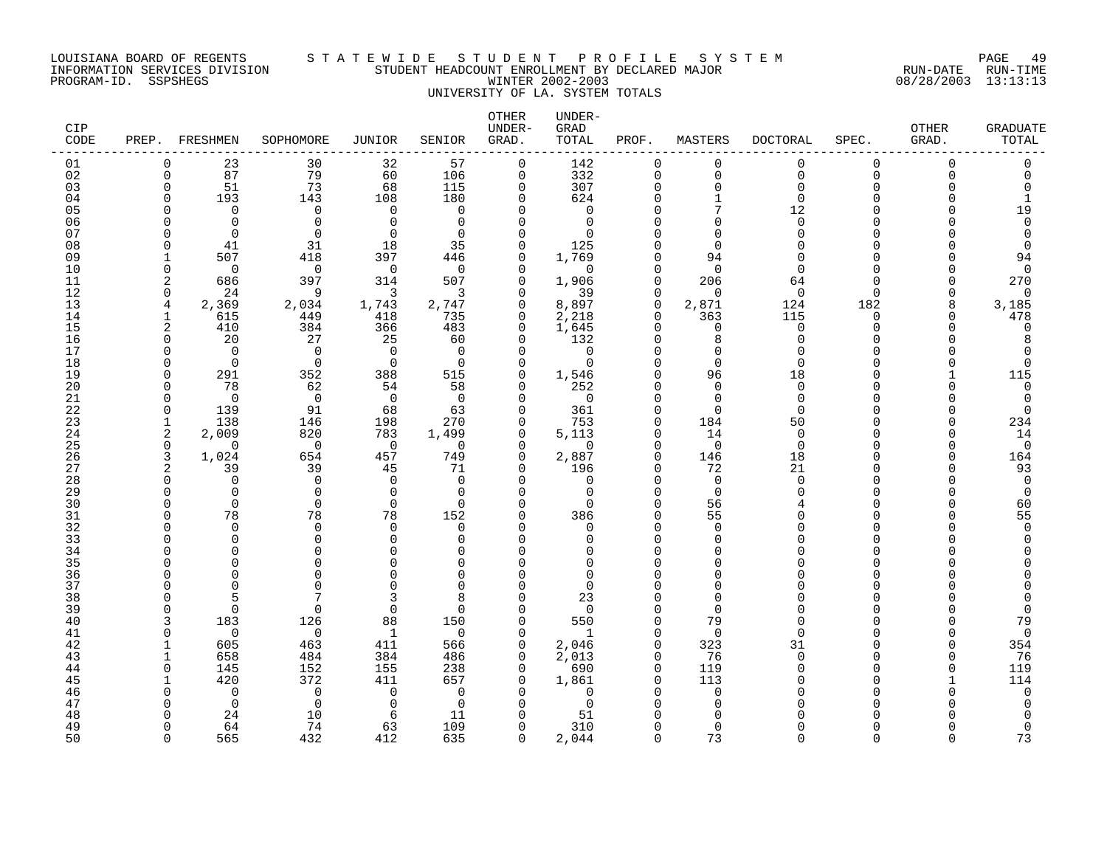### LOUISIANA BOARD OF REGENTS S T A T E W I D E S T U D E N T P R O F I L E S Y S T E M PAGE 49 INFORMATION SERVICES DIVISION STUDENT HEADCOUNT ENROLLMENT BY DECLARED MAJOR RUN-DATE RUN-TIME PROGRAM-ID. SSPSHEGS WINTER 2002-2003 08/28/2003 13:13:13 UNIVERSITY OF LA. SYSTEM TOTALS

| CIP<br>CODE | PREP.                | FRESHMEN        | SOPHOMORE         | <b>JUNIOR</b>        | SENIOR                   | OTHER<br>UNDER-<br>GRAD. | UNDER-<br>GRAD<br>TOTAL | PROF.                      | MASTERS              | <b>DOCTORAL</b>         | SPEC.                | <b>OTHER</b><br>GRAD. | GRADUATE<br>TOTAL    |
|-------------|----------------------|-----------------|-------------------|----------------------|--------------------------|--------------------------|-------------------------|----------------------------|----------------------|-------------------------|----------------------|-----------------------|----------------------|
| 01          | $\Omega$             | 23              | 30                | 32                   | 57                       | 0                        | 142                     | $\mathbf 0$                | $\mathbf 0$          | $\Omega$                | 0                    | $\Omega$              | $\Omega$             |
| 02          | $\mathbf 0$          | 87              | 79                | 60                   | 106                      | $\mathbf 0$              | 332                     | $\mathbf 0$                | $\mathbf 0$          | $\overline{0}$          | 0                    | $\Omega$              | $\Omega$             |
| 03          | $\Omega$<br>$\Omega$ | 51              | 73                | 68                   | 115                      | $\Omega$                 | 307                     | 0                          | $\Omega$<br>1        | $\mathbf 0$<br>$\Omega$ | $\Omega$<br>O        |                       | $\Omega$             |
| 04<br>05    | O                    | 193<br>$\Omega$ | 143<br>0          | 108<br>$\Omega$      | 180<br>0                 | $\Omega$<br>$\Omega$     | 624<br>$\overline{0}$   | $\mathbf 0$<br>$\mathbf 0$ | 7                    | 12                      | $\Omega$             |                       | 1<br>19              |
| 06          | ∩                    | $\Omega$        | $\Omega$          | $\Omega$             | $\Omega$                 | $\Omega$                 | $\Omega$                | $\Omega$                   | $\Omega$             | $\Omega$                | $\Omega$             |                       | $\Omega$             |
| 07          | $\cap$               | $\Omega$        | $\Omega$          | $\Omega$             | $\Omega$                 | ∩                        | $\Omega$                | $\Omega$                   | $\Omega$             | U                       | $\cap$               |                       | $\Omega$             |
| 08          | $\Omega$             | 41              | 31                | 18                   | 35                       | $\Omega$                 | 125                     | $\Omega$                   | $\Omega$             | U                       | O                    |                       | O                    |
| 09          |                      | 507             | 418               | 397                  | 446                      | 0                        | 1,769                   | $\mathbf 0$                | 94                   | O                       | O                    |                       | 94                   |
| 10          | $\Omega$             | $\Omega$        | $\mathbf 0$       | $\overline{0}$       | $\Omega$                 | $\Omega$                 | $\Omega$                | $\Omega$                   | $\Omega$             | $\Omega$                | $\Omega$             |                       | $\Omega$             |
| 11          | 2                    | 686             | 397               | 314                  | 507                      | $\Omega$                 | 1,906                   | $\mathbf 0$                | 206                  | 64                      | $\Omega$             |                       | 270                  |
| 12          | $\Omega$             | 24              | 9                 | 3                    | 3                        | $\Omega$                 | 39                      | $\Omega$                   | $\Omega$             | $\Omega$                | $\Omega$             |                       | <sup>n</sup>         |
| 13<br>14    | 4<br>-1              | 2,369<br>615    | 2,034<br>449      | 1,743<br>418         | 2,747<br>735             | 0<br>0                   | 8,897<br>2,218          | $\mathbf 0$<br>$\mathbf 0$ | 2,871<br>363         | 124<br>115              | 182<br>$\Omega$      | 8<br>$\cap$           | 3,185<br>478         |
| 15          | 2                    | 410             | 384               | 366                  | 483                      | $\Omega$                 | 1,645                   | $\Omega$                   | $\Omega$             | $\Omega$                | $\Omega$             |                       | $\Omega$             |
| 16          | $\Omega$             | 20              | 27                | 25                   | 60                       | $\Omega$                 | 132                     | $\mathbf 0$                | 8                    | $\Omega$                | U                    |                       | 8                    |
| 17          | $\Omega$             | $\Omega$        | $\Omega$          | $\Omega$             | $\Omega$                 | $\Omega$                 | $\Omega$                | $\Omega$                   | $\Omega$             | $\Omega$                | U                    |                       |                      |
| 18          | $\Omega$             | $\overline{0}$  | $\mathbf 0$       | $\overline{0}$       | $\Omega$                 | 0                        | $\mathbf 0$             | $\mathbf 0$                | $\mathbf 0$          | $\Omega$                | 0                    |                       | $\Omega$             |
| 19          | $\Omega$             | 291             | 352               | 388                  | 515                      | 0                        | 1,546                   | $\mathbf 0$                | 96                   | 18                      | O                    |                       | 115                  |
| 20          | ∩                    | 78              | 62                | 54                   | 58                       | $\Omega$                 | 252                     | $\Omega$                   | $\Omega$             | $\Omega$                | O                    |                       | 0                    |
| 21<br>22    | $\Omega$<br>$\Omega$ | $\Omega$<br>139 | $\mathbf 0$<br>91 | $\overline{0}$<br>68 | $\Omega$<br>63           | $\Omega$<br>$\Omega$     | $\Omega$<br>361         | $\Omega$<br>$\Omega$       | $\Omega$<br>$\Omega$ | $\Omega$<br>$\Omega$    | $\Omega$<br>O        |                       | $\Omega$<br>$\Omega$ |
| 23          | $\mathbf{1}$         | 138             | 146               | 198                  | 270                      | $\Omega$                 | 753                     | $\Omega$                   | 184                  | 50                      | $\Omega$             |                       | 234                  |
| 24          | 2                    | 2,009           | 820               | 783                  | 1,499                    | 0                        | 5,113                   | 0                          | 14                   | $\Omega$                | O                    |                       | 14                   |
| 25          | $\mathbf 0$          | $\Omega$        | 0                 | $\overline{0}$       | 0                        | $\Omega$                 | $\Omega$                | $\mathbf 0$                | $\mathbf 0$          | $\Omega$                | O                    |                       | $\mathbf 0$          |
| 26          | 3                    | 1,024           | 654               | 457                  | 749                      | $\Omega$                 | 2,887                   | $\Omega$                   | 146                  | 18                      | $\Omega$             | $\cap$                | 164                  |
| 27          | $\overline{c}$       | 39              | 39                | 45                   | 71                       | $\Omega$                 | 196                     | $\mathbf 0$                | 72                   | 21                      | O                    | ∩                     | 93                   |
| 28          | $\Omega$             | $\Omega$        | $\Omega$          | $\Omega$             | $\Omega$                 | $\cap$                   | $\Omega$                | $\Omega$                   | $\Omega$             | $\Omega$                | $\Omega$             |                       | $\Omega$             |
| 29          | $\Omega$             | 0               | $\mathbf 0$       | $\mathbf 0$          | $\mathbf 0$              | $\Omega$                 | 0                       | $\mathbf 0$                | $\mathbf 0$          | U                       | $\Omega$             |                       | $\mathbf 0$          |
| 30<br>31    | $\Omega$<br>O        | $\Omega$<br>78  | $\Omega$<br>78    | $\Omega$<br>78       | $\Omega$<br>152          | $\Omega$<br>$\Omega$     | $\Omega$<br>386         | $\Omega$<br>$\Omega$       | 56<br>55             | U                       | $\Omega$<br>O        |                       | 60<br>55             |
| 32          |                      | $\Omega$        | $\Omega$          | $\Omega$             | $\Omega$                 | $\Omega$                 | $\Omega$                | $\Omega$                   | $\Omega$             | U                       | $\Omega$             |                       | $\Omega$             |
| 33          |                      | $\Omega$        | $\Omega$          | $\cap$               | $\Omega$                 | $\Omega$                 | $\Omega$                | $\Omega$                   | $\Omega$             | U                       | $\Omega$             |                       |                      |
| 34          |                      | $\Omega$        | $\mathbf 0$       | $\cap$               | $\Omega$                 | $\Omega$                 | U                       | $\mathbf 0$                | $\Omega$             | U                       | $\Omega$             |                       |                      |
| 35          |                      | ∩               | $\Omega$          | C                    | $\Omega$                 | $\Omega$                 | <sup>n</sup>            | $\Omega$                   | ∩                    |                         | O                    |                       |                      |
| 36          |                      | O               | 0                 | C                    | $\Omega$                 | O                        | 0                       | 0                          | $\Omega$             | U                       | O                    |                       |                      |
| 37          |                      |                 | $\Omega$          | U                    | $\Omega$                 | $\Omega$                 | $\Omega$                | 0                          | $\Omega$             | U                       | $\Omega$             |                       |                      |
| 38<br>39    | ∩<br>$\Omega$        | 5<br>$\Omega$   | 7<br>$\Omega$     | $\Omega$             | $\mathsf{R}$<br>$\Omega$ | $\Omega$<br>$\Omega$     | 23<br>$\Omega$          | 0<br>$\Omega$              | $\Omega$<br>$\Omega$ | U<br>U                  | $\Omega$<br>$\Omega$ |                       | <sup>n</sup>         |
| 40          | 3                    | 183             | 126               | 88                   | 150                      | 0                        | 550                     | $\mathbf 0$                | 79                   | $\Omega$                | $\Omega$             |                       | 79                   |
| 41          | $\Omega$             | $\Omega$        | 0                 | 1                    | $\Omega$                 | $\Omega$                 | 1                       | $\mathbf 0$                | $\mathbf 0$          | $\Omega$                | $\Omega$             |                       | $\overline{0}$       |
| 42          | $\mathbf{1}$         | 605             | 463               | 411                  | 566                      | 0                        | 2,046                   | $\mathbf 0$                | 323                  | 31                      | O                    |                       | 354                  |
| 43          |                      | 658             | 484               | 384                  | 486                      | 0                        | 2,013                   | $\mathbf 0$                | 76                   | $\Omega$                | $\Omega$             |                       | 76                   |
| 44          | $\Omega$             | 145             | 152               | 155                  | 238                      | $\Omega$                 | 690                     | $\Omega$                   | 119                  | U                       | $\Omega$             | $\cap$                | 119                  |
| 45          |                      | 420             | 372               | 411                  | 657                      | 0                        | 1,861                   | $\mathbf 0$                | 113                  |                         | O                    |                       | 114                  |
| 46          | $\Omega$             | $\Omega$        | 0                 | 0                    | $\Omega$                 | $\Omega$                 | $\mathbf 0$             | $\Omega$                   | $\Omega$             | U                       | O                    |                       | $\Omega$             |
| 47<br>48    |                      | 0<br>24         | 0<br>10           | $\Omega$<br>6        | 0<br>11                  | $\Omega$                 | $\Omega$<br>51          | 0<br>U                     | $\Omega$<br>∩        |                         | U<br>∩               |                       |                      |
| 49          | ∩                    | 64              | 74                | 63                   | 109                      | $\Omega$                 | 310                     | $\Omega$                   | $\Omega$             |                         | O                    |                       | $\Omega$             |
| 50          | $\Omega$             | 565             | 432               | 412                  | 635                      | $\Omega$                 | 2,044                   | $\Omega$                   | 73                   | <sup>n</sup>            | $\Omega$             | $\cap$                | 73                   |
|             |                      |                 |                   |                      |                          |                          |                         |                            |                      |                         |                      |                       |                      |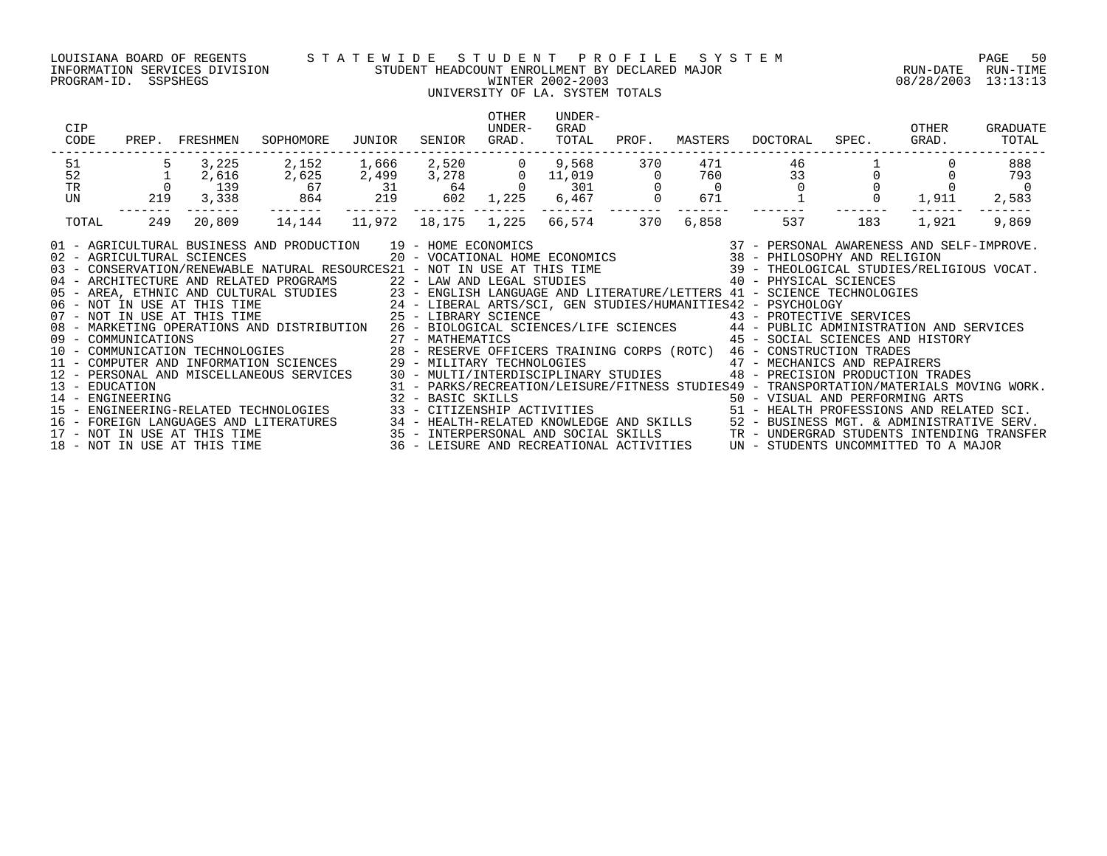### LOUISIANA BOARD OF REGENTS S T A T E W I D E S T U D E N T P R O F I L E S Y S T E M PAGE 50 INFORMATION SERVICES DIVISION STUDENT HEADCOUNT ENROLLMENT BY DECLARED MAJOR RUN-DATE RUN-TIME PROGRAM-ID. SSPSHEGS WINTER 2002-2003 08/28/2003 13:13:13

### UNIVERSITY OF LA. SYSTEM TOTALS

| CIP<br>CODE                                                                                                                                                                                                                                                                                                                                                                                                 | PREP. FRESHMEN | SOPHOMORE                                                                                                                              | JUNIOR | SENIOR | OTHER<br>UNDER-<br>GRAD. | UNDER-<br>GRAD<br>TOTAL       | PROF.                                | MASTERS        | DOCTORAL | SPEC.                                                                                                                                                                                             | OTHER<br>GRAD. | GRADUATE<br>TOTAL                                                                                                                                                                                                                                                                                                               |
|-------------------------------------------------------------------------------------------------------------------------------------------------------------------------------------------------------------------------------------------------------------------------------------------------------------------------------------------------------------------------------------------------------------|----------------|----------------------------------------------------------------------------------------------------------------------------------------|--------|--------|--------------------------|-------------------------------|--------------------------------------|----------------|----------|---------------------------------------------------------------------------------------------------------------------------------------------------------------------------------------------------|----------------|---------------------------------------------------------------------------------------------------------------------------------------------------------------------------------------------------------------------------------------------------------------------------------------------------------------------------------|
| 51<br>52                                                                                                                                                                                                                                                                                                                                                                                                    | 3,225<br>2,616 | $2,152$ $1,666$ $2,520$ 0 $9,568$<br>$2,625$ $2,499$ $3,278$ 0 $11,019$<br>$67$ $31$ $64$ 0 $301$<br>$864$ $219$ $602$ $1,225$ $6,467$ |        |        |                          |                               | 370                                  | 471<br>760     | 46<br>33 |                                                                                                                                                                                                   |                | 888<br>793                                                                                                                                                                                                                                                                                                                      |
| $\frac{1}{0}$<br>$\operatorname{TR}$                                                                                                                                                                                                                                                                                                                                                                        | 139            |                                                                                                                                        |        |        |                          |                               | $\begin{matrix} 0 \\ 0 \end{matrix}$ | $\overline{0}$ | $\Omega$ |                                                                                                                                                                                                   |                |                                                                                                                                                                                                                                                                                                                                 |
| UN                                                                                                                                                                                                                                                                                                                                                                                                          | 219<br>3,338   |                                                                                                                                        |        |        |                          | --------                      | ________                             | 671            |          |                                                                                                                                                                                                   | $0 \t 1,911$   | 2,583                                                                                                                                                                                                                                                                                                                           |
| TOTAL                                                                                                                                                                                                                                                                                                                                                                                                       | 249<br>20,809  | 14,144                                                                                                                                 |        |        |                          | 11,972  18,175  1,225  66,574 | 370                                  | 6,858          | 537      | 183                                                                                                                                                                                               | 1,921          | 9,869                                                                                                                                                                                                                                                                                                                           |
| 08 - MARKETING OPERAILONS AND DISINIPACION (27 - MATHEMATICS (28 - SOULAL DUING 2009)<br>10 - COMMUNICATION TECHNOLOGIES 28 - RESERVE OFFICERS TRAINING CORPS (ROTC) 46 - CONSTRUCTION TRADES<br>11 - COMPUTER AND INFORMATION SCIEN<br>14 - ENGINEERING<br>15 - ENGINEERING-RELATED TECHNOLOGIES<br>16 - FOREIGN LANGUAGES AND LITERATURES<br>17 - NOT IN USE AT THIS TIME<br>18 - NOT IN USE AT THIS TIME |                |                                                                                                                                        |        |        |                          |                               |                                      |                |          | 45 - SOCIAL SCIENCES AND HISTORY<br>48 - PRECISION PRODUCTION TRADES<br>32 - BASIC SKILLS<br>33 - CITIZENSHIP ACTIVITIES                                 50 - HEALTH PROFESSIONS AND RELATED SCI. |                | 31 - PARKS/RECREATION/LEISURE/FITNESS STUDIES49 - TRANSPORTATION/MATERIALS MOVING WORK.<br>1991 - CONSERVATURES AND RELATED SCI.<br>1991 - HEALTH-RELATED KNOWLEDGE AND SKILLS (Search Monder Serv. 25 - INTERPERSONAL AND SOCIAL SKILLS (SEARCH T<br>1991 - INTERPERSONAL AND SOCIAL SKILLS (Search Transformation of the Comp |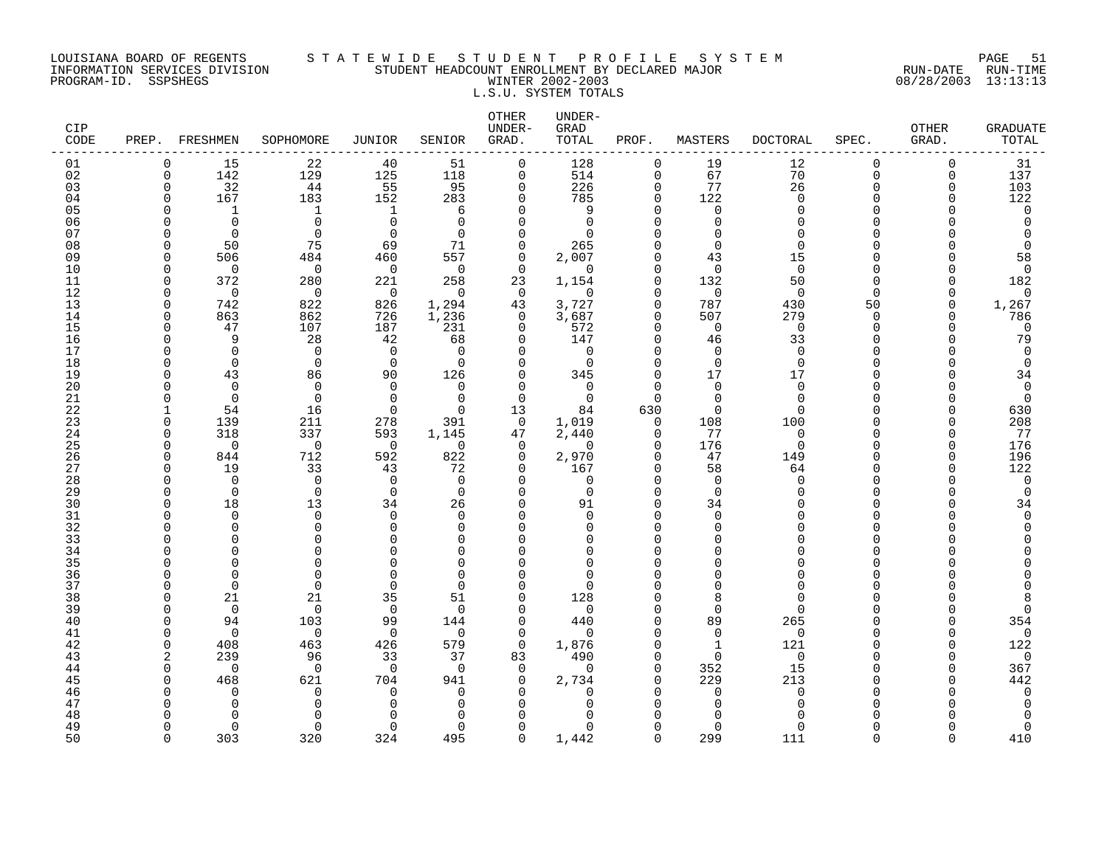### LOUISIANA BOARD OF REGENTS S T A T E W I D E S T U D E N T P R O F I L E S Y S T E M PAGE 51 INFORMATION SERVICES DIVISION STUDENT HEADCOUNT ENROLLMENT BY DECLARED MAJOR RUN-DATE RUN-TIME PROGRAM-ID. SSPSHEGS WINTER 2002-2003 08/28/2003 13:13:13 L.S.U. SYSTEM TOTALS

| <b>CIP</b><br>CODE | PREP.            | FRESHMEN           | SOPHOMORE            | <b>JUNIOR</b>        | SENIOR               | OTHER<br>UNDER-<br>GRAD. | UNDER-<br>GRAD<br>TOTAL | PROF.                   | MASTERS              | <b>DOCTORAL</b>      | SPEC.          | <b>OTHER</b><br>GRAD.    | <b>GRADUATE</b><br>TOTAL |
|--------------------|------------------|--------------------|----------------------|----------------------|----------------------|--------------------------|-------------------------|-------------------------|----------------------|----------------------|----------------|--------------------------|--------------------------|
| 01                 | $\Omega$         | 15                 | 22                   | 40                   | 51                   | $\mathbf 0$              | 128                     | $\Omega$                | 19                   | 12                   | $\Omega$       | $\Omega$                 | 31                       |
| 02                 | 0                | 142                | 129                  | 125                  | 118                  | $\mathsf{O}$             | 514                     | $\mathbf 0$             | 67                   | 70                   | 0              | 0                        | 137                      |
| 03                 | $\mathbf 0$<br>U | 32                 | 44                   | 55<br>152            | 95                   | 0                        | 226                     | $\mathbf 0$<br>$\Omega$ | 77<br>122            | 26<br>$\Omega$       | $\Omega$<br>∩  | $\Omega$<br><sup>n</sup> | 103                      |
| 04<br>05           |                  | 167<br>$\mathbf 1$ | 183<br>1             | 1                    | 283<br>6             | $\mathbf 0$<br>$\Omega$  | 785<br>9                | $\Omega$                | $\mathbf 0$          | $\Omega$             | $\cap$         |                          | 122<br>$\mathbf 0$       |
| 06                 |                  | $\Omega$           | $\Omega$             | $\Omega$             | $\Omega$             | $\Omega$                 | $\Omega$                | $\cap$                  | $\Omega$             | ∩                    | $\cap$         |                          | $\Omega$                 |
| 07                 |                  | $\Omega$           | $\Omega$             | $\Omega$             | $\Omega$             | $\mathbf 0$              | $\Omega$                |                         | $\mathbf 0$          | $\Omega$             | ∩              |                          | $\mathbf 0$              |
| 08                 | ∩                | 50                 | 75                   | 69                   | 71                   | $\mathbf 0$              | 265                     | $\Omega$                | $\Omega$             | $\Omega$             | ∩              |                          | 0                        |
| 09                 | U                | 506                | 484                  | 460                  | 557                  | $\mathbf 0$              | 2,007                   | $\Omega$                | 43                   | 15                   | ∩              |                          | 58                       |
| 10                 | O                | $\Omega$           | $\mathbf 0$          | $\Omega$             | $\Omega$             | $\Omega$                 | $\Omega$                | $\Omega$                | $\mathbf 0$          | $\Omega$             | $\Omega$       |                          | 0                        |
| 11                 | $\Omega$         | 372                | 280                  | 221                  | 258                  | 23                       | 1,154                   | $\Omega$                | 132                  | 50                   | $\Omega$       | U                        | 182                      |
| 12                 | $\Omega$         | $\Omega$           | $\Omega$             | $\Omega$             | $\Omega$             | $\Omega$                 | $\Omega$                | $\cap$<br>$\Omega$      | $\mathbf 0$          | $\Omega$             | $\cap$         | <sup>n</sup><br>$\Omega$ | $\Omega$                 |
| 13<br>14           | $\Omega$<br>U    | 742<br>863         | 822<br>862           | 826<br>726           | 1,294<br>1,236       | 43<br>0                  | 3,727<br>3,687          | $\Omega$                | 787<br>507           | 430<br>279           | 50<br>$\Omega$ | U                        | 1,267<br>786             |
| 15                 | O                | 47                 | 107                  | 187                  | 231                  | $\Omega$                 | 572                     | $\Omega$                | $\mathbf 0$          | $\Omega$             | $\Omega$       |                          | $\mathbf 0$              |
| 16                 | ∩                | 9                  | 28                   | 42                   | 68                   | $\mathbf 0$              | 147                     | $\Omega$                | 46                   | 33                   | $\Omega$       |                          | 79                       |
| 17                 |                  | $\Omega$           | $\Omega$             | $\Omega$             | $\Omega$             | $\Omega$                 | $\Omega$                | $\Omega$                | $\Omega$             | $\Omega$             | $\Omega$       |                          | $\Omega$                 |
| 18                 | ∩                | $\mathbf 0$        | $\mathbf 0$          | $\mathbf 0$          | $\Omega$             | 0                        | 0                       | $\Omega$                | $\mathbf 0$          | $\mathbf 0$          | $\Omega$       |                          | $\mathbf 0$              |
| 19                 |                  | 43                 | 86                   | 90                   | 126                  | 0                        | 345                     | $\Omega$                | 17                   | 17                   | ∩              |                          | 34                       |
| 20                 |                  | $\Omega$           | $\mathbf 0$          | $\Omega$             | $\Omega$             | $\Omega$                 | $\Omega$                | $\Omega$                | $\mathbf 0$          | $\Omega$             | ∩              |                          | $\mathbf 0$              |
| 21<br>22           | ∩                | $\Omega$<br>54     | $\Omega$<br>16       | $\Omega$<br>$\Omega$ | $\Omega$<br>$\Omega$ | $\mathbf 0$<br>13        | $\mathbf 0$<br>84       | $\Omega$<br>630         | $\Omega$<br>$\Omega$ | $\Omega$<br>$\Omega$ | ∩<br>∩         | ∩                        | $\mathbf 0$<br>630       |
| 23                 | <sup>n</sup>     | 139                | 211                  | 278                  | 391                  | $\Omega$                 | 1,019                   | $\Omega$                | 108                  | 100                  | $\cap$         | $\cap$                   | 208                      |
| 24                 | O                | 318                | 337                  | 593                  | 1,145                | 47                       | 2,440                   | 0                       | 77                   | $\mathbf 0$          | ∩              | U                        | 77                       |
| 25                 | ∩                | $\Omega$           | $\mathbf 0$          | $\overline{0}$       | $\Omega$             | $\mathbf 0$              | $\Omega$                | $\Omega$                | 176                  | $\Omega$             | ∩              | $\cap$                   | 176                      |
| 26                 | $\Omega$         | 844                | 712                  | 592                  | 822                  | $\mathbf 0$              | 2,970                   | $\Omega$                | 47                   | 149                  | $\Omega$       | <sup>n</sup>             | 196                      |
| 27                 | ∩                | 19                 | 33                   | 43                   | 72                   | $\mathbf 0$              | 167                     | $\Omega$                | 58                   | 64                   | ∩              | <sup>n</sup>             | 122                      |
| 28                 |                  | $\Omega$           | $\Omega$             | $\Omega$             | $\Omega$             | $\Omega$                 | $\Omega$                | $\Omega$                | $\mathbf 0$          | $\Omega$             | $\cap$         |                          | $\mathbf 0$              |
| 29                 | <sup>n</sup>     | $\mathbf 0$        | $\mathbf 0$          | $\mathbf 0$          | $\mathbf 0$          | $\mathbf 0$              | 0                       | $\Omega$<br>$\Omega$    | $\mathbf 0$          | ∩                    | $\Omega$<br>∩  |                          | $\mathbf 0$              |
| 30<br>31           | ∩<br>∩           | 18<br>$\Omega$     | 13<br>$\mathbf 0$    | 34<br>$\Omega$       | 26<br>$\Omega$       | $\Omega$<br>$\Omega$     | 91<br>$\Omega$          | $\Omega$                | 34<br>$\mathbf 0$    |                      | $\Omega$       |                          | 34<br>$\mathbf 0$        |
| 32                 |                  | ∩                  | $\Omega$             | 0                    | $\Omega$             | $\Omega$                 | $\Omega$                | $\Omega$                | $\Omega$             |                      | $\cap$         |                          | $\Omega$                 |
| 33                 |                  | $\Omega$           | $\Omega$             | $\cap$               | $\Omega$             | $\Omega$                 | U                       |                         | $\Omega$             |                      | $\cap$         |                          |                          |
| 34                 |                  | ∩                  | $\Omega$             | ∩                    | $\Omega$             | 0                        | U                       | $\cap$                  | $\Omega$             |                      | ∩              |                          |                          |
| 35                 |                  | ∩                  | $\Omega$             |                      | $\Omega$             | $\Omega$                 | U                       |                         | $\Omega$             |                      | ∩              |                          |                          |
| 36                 |                  | $\Omega$           | 0                    | ∩                    | $\cap$               | $\Omega$                 | $\Omega$                |                         | 0                    |                      | ∩              |                          |                          |
| 37                 |                  | $\Omega$           | $\Omega$             | $\Omega$             | $\cap$               | 0                        | $\Omega$                | O                       | $\Omega$             | ∩                    | ∩              |                          |                          |
| 38<br>39           | U<br>O           | 21<br>$\Omega$     | 21<br>$\Omega$       | 35<br>$\mathbf 0$    | 51<br>$\Omega$       | $\Omega$<br>$\Omega$     | 128<br>$\Omega$         | ∩<br>$\Omega$           | 8<br>$\Omega$        | ∩<br>$\Omega$        | ∩<br>$\cap$    |                          | 8<br>$\Omega$            |
| 40                 | U                | 94                 | 103                  | 99                   | 144                  | $\mathbf 0$              | 440                     | $\Omega$                | 89                   | 265                  | $\Omega$       | <sup>0</sup>             | 354                      |
| 41                 | ∩                | $\Omega$           | $\Omega$             | $\Omega$             | $\Omega$             | 0                        | $\Omega$                | $\Omega$                | $\mathbf 0$          | $\mathbf 0$          | ∩              | n                        | $\mathbf 0$              |
| 42                 | <sup>n</sup>     | 408                | 463                  | 426                  | 579                  | $\mathbf 0$              | 1,876                   | $\Omega$                | $\mathbf{1}$         | 121                  | $\cap$         | $\Omega$                 | 122                      |
| 43                 | 2                | 239                | 96                   | 33                   | 37                   | 83                       | 490                     | $\Omega$                | $\Omega$             | $\Omega$             |                | n                        | $\mathbf 0$              |
| 44                 | $\Omega$         | $\Omega$           | $\Omega$             | $\Omega$             | $\Omega$             | $\Omega$                 | $\Omega$                | $\Omega$                | 352                  | 15                   | ∩              | <sup>n</sup>             | 367                      |
| 45                 | ∩                | 468                | 621                  | 704                  | 941                  | $\mathbf 0$              | 2,734                   | $\Omega$                | 229                  | 213                  | ∩              |                          | 442                      |
| 46<br>47           |                  | ∩<br>∩             | $\Omega$<br>$\Omega$ | 0                    | $\Omega$<br>$\Omega$ | $\Omega$                 | $\Omega$<br>U           | O                       | 0                    | $\Omega$<br>∩        | ∩              |                          | 0<br>$\Omega$            |
| 48                 |                  |                    |                      |                      |                      | $\Omega$<br>U            |                         |                         | $\Omega$<br>$\cap$   |                      |                |                          |                          |
| 49                 | ∩                | $\Omega$           | $\Omega$             | $\Omega$             | $\Omega$             | $\Omega$                 | $\Omega$                | ∩                       | $\Omega$             | ∩                    | ∩              |                          | 0                        |
| 50                 | $\cap$           | 303                | 320                  | 324                  | 495                  | $\Omega$                 | 1,442                   | $\Omega$                | 299                  | 111                  | $\Omega$       | $\cap$                   | 410                      |
|                    |                  |                    |                      |                      |                      |                          |                         |                         |                      |                      |                |                          |                          |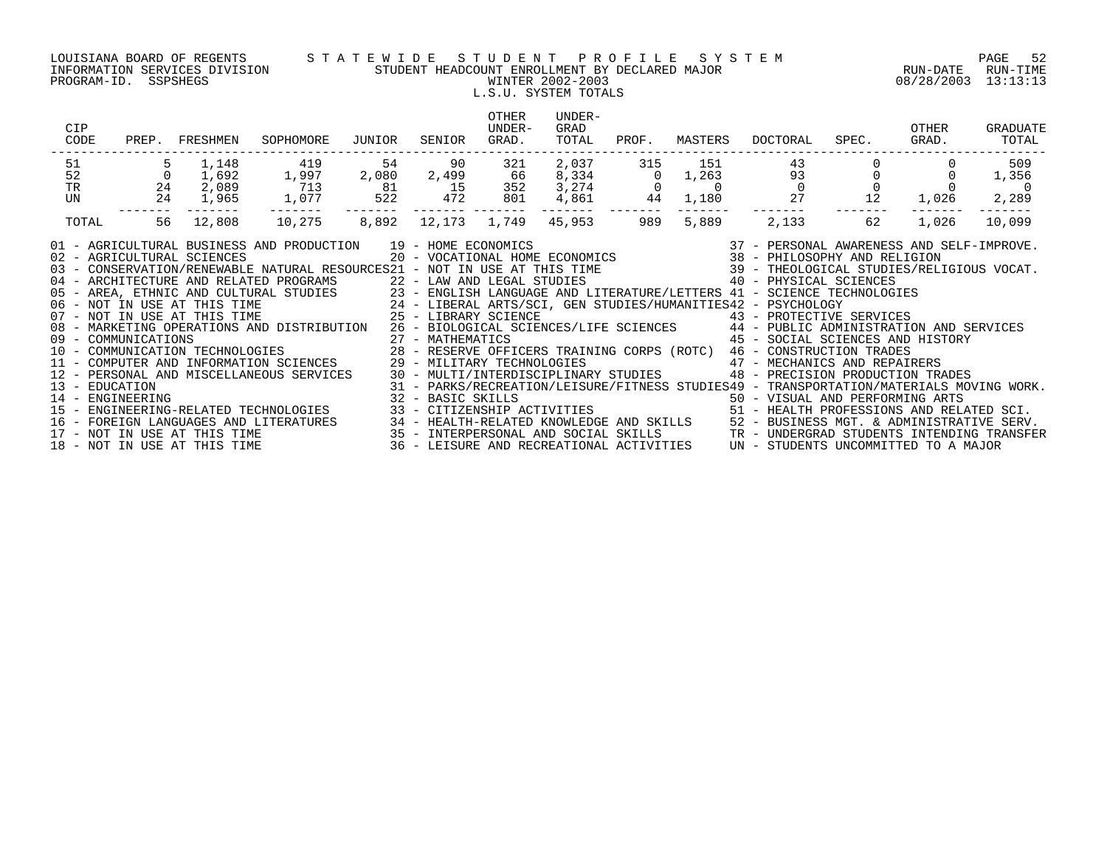### LOUISIANA BOARD OF REGENTS S T A T E W I D E S T U D E N T P R O F I L E S Y S T E M PAGE 52 INFORMATION SERVICES DIVISION STUDENT HEADCOUNT ENROLLMENT BY DECLARED MAJOR RUN-DATE RUN-TIME PROGRAM-ID. SSPSHEGS WINTER 2002-2003 08/28/2003 13:13:13 L.S.U. SYSTEM TOTALS

| CIP<br>CODE         |          | PREP. FRESHMEN               | SOPHOMORE                                                                                                                                                                                                                                                                                                                                                                                                                     | JUNIOR                                   | SENIOR                     | <b>OTHER</b><br>UNDER-<br>GRAD. | UNDER-<br>GRAD<br>TOTAL                  | PROF.          | MASTERS        | DOCTORAL | SPEC.                                                                                                                                                                                                                                                                                                                                                                                                                                                                                                                                                           | OTHER<br>GRAD. | <b>GRADUATE</b><br>TOTAL |
|---------------------|----------|------------------------------|-------------------------------------------------------------------------------------------------------------------------------------------------------------------------------------------------------------------------------------------------------------------------------------------------------------------------------------------------------------------------------------------------------------------------------|------------------------------------------|----------------------------|---------------------------------|------------------------------------------|----------------|----------------|----------|-----------------------------------------------------------------------------------------------------------------------------------------------------------------------------------------------------------------------------------------------------------------------------------------------------------------------------------------------------------------------------------------------------------------------------------------------------------------------------------------------------------------------------------------------------------------|----------------|--------------------------|
| 51                  |          | 1,148                        | 419                                                                                                                                                                                                                                                                                                                                                                                                                           | 54                                       | 90                         | 321                             | 2,037                                    | 315            | 151            | 43       |                                                                                                                                                                                                                                                                                                                                                                                                                                                                                                                                                                 |                | 509                      |
| 52                  | $\Omega$ | 1,692                        | 1,997                                                                                                                                                                                                                                                                                                                                                                                                                         | 2,080                                    | 2,499                      | 66                              | 8,334                                    | $\Omega$       | 1,263          | 93       |                                                                                                                                                                                                                                                                                                                                                                                                                                                                                                                                                                 |                | 1,356                    |
| $\operatorname{TR}$ | 24       | 2,089                        | 713                                                                                                                                                                                                                                                                                                                                                                                                                           | $\begin{array}{c} 81 \\ 522 \end{array}$ | 15                         | 352                             | 3,274                                    | $\overline{0}$ | $\overline{0}$ |          | $\overline{0}$                                                                                                                                                                                                                                                                                                                                                                                                                                                                                                                                                  |                | $\overline{0}$           |
| UN                  | 24       | 1,965                        | 1,077                                                                                                                                                                                                                                                                                                                                                                                                                         |                                          | 472                        | 801                             | 4,861                                    | 44             | 1,180          | 27       | 12                                                                                                                                                                                                                                                                                                                                                                                                                                                                                                                                                              | 1,026          | 2,289                    |
| TOTAL               | 56       | 12,808                       | 10,275                                                                                                                                                                                                                                                                                                                                                                                                                        | 8,892                                    |                            | 12,173 1,749                    | 45,953                                   | 989            | 5,889          | 2,133    | 62                                                                                                                                                                                                                                                                                                                                                                                                                                                                                                                                                              | 1,026          | 10,099                   |
|                     |          |                              | 01 - AGRICULTURAL BUSINESS AND PRODUCTION 19 - HOME ECONOMICS<br>02 - AGRICULTURAL SCIENCES<br>04 - ARCHITECTURE AND RELATED PROGRAMS<br>05 - AREA, ETHNIC AND CULTURAL STUDIES<br>06 - NOT IN USE AT THIS TIME 1. STUDIES<br>24 - LIBERAL ARTS/SCI, GEN STUDIES/HUMANITIES42 - PSYCHOLOGY<br>25 - LIBERAL ARTS/SCI, GEN STUDIES/HUMANITIES42 - PSYCHOLOGY<br>25 - LIBRARY SCIE<br>08 - MARKETING OPERATIONS AND DISTRIBUTION |                                          | 22 - LAW AND LEGAL STUDIES |                                 |                                          |                |                |          | $\begin{array}{cccccc} 19 & -& \text{HOME ECONOMICS} & & & & 37 & -& \text{PERSONAL AWARENESS AND SELF-IMPROVE.} \\ 20 & -& \text{VOCATIONAL HOME ECONOMICS} & & & 38 & -& \text{PHILOSOPHY AND RELIGION} \end{array}$<br>03 - CONSERVATION/RENEWABLE NATURAL RESOURCES21 - NOT IN USE AT THIS TIME 39 - THEOLOGICAL STUDIES/RELIGIOUS VOCAT.<br>40 - PHYSICAL SCIENCES<br>23 - ENGLISH LANGUAGE AND LITERATURE/LETTERS 41 - SCIENCE TECHNOLOGIES<br>43 - PROTECTIVE SERVICES<br>26 - BIOLOGICAL SCIENCES/LIFE SCIENCES 44 - PUBLIC ADMINISTRATION AND SERVICES |                |                          |
|                     |          |                              |                                                                                                                                                                                                                                                                                                                                                                                                                               |                                          | 27 - MATHEMATICS           |                                 |                                          |                |                |          | 45 - SOCIAL SCIENCES AND HISTORY                                                                                                                                                                                                                                                                                                                                                                                                                                                                                                                                |                |                          |
|                     |          |                              | 09 - COMMUNICATIONS<br>10 - COMMUNICATION TECHNOLOGIES<br>11 - COMPUTER AND INFORMATION SCIENCES                                                                                                                                                                                                                                                                                                                              |                                          |                            |                                 |                                          |                |                |          | 28 - RESERVE OFFICERS TRAINING CORPS (ROTC) 46 - CONSTRUCTION TRADES                                                                                                                                                                                                                                                                                                                                                                                                                                                                                            |                |                          |
|                     |          |                              |                                                                                                                                                                                                                                                                                                                                                                                                                               |                                          |                            |                                 |                                          |                |                |          | 29 - MILITARY TECHNOLOGIES<br>30 - MULTI/INTERDISCIPLINARY STUDIES<br>90 - PRECISION PRODUCTION TRA                                                                                                                                                                                                                                                                                                                                                                                                                                                             |                |                          |
|                     |          |                              | 12 - PERSONAL AND MISCELLANEOUS SERVICES                                                                                                                                                                                                                                                                                                                                                                                      |                                          |                            |                                 |                                          |                |                |          | 48 - PRECISION PRODUCTION TRADES                                                                                                                                                                                                                                                                                                                                                                                                                                                                                                                                |                |                          |
| 13 - EDUCATION      |          |                              |                                                                                                                                                                                                                                                                                                                                                                                                                               |                                          |                            |                                 |                                          |                |                |          | 31 - PARKS/RECREATION/LEISURE/FITNESS STUDIES49 - TRANSPORTATION/MATERIALS MOVING WORK.                                                                                                                                                                                                                                                                                                                                                                                                                                                                         |                |                          |
|                     |          |                              | 14 - ENGINEERING<br>15 - ENGINEERING-RELATED TECHNOLOGIES                                                                                                                                                                                                                                                                                                                                                                     |                                          |                            |                                 |                                          |                |                |          | 32 - BASIC SKILLS<br>33 - CITIZENSHIP ACTIVITIES                                   51 - HEALTH PROFESSIONS AND RELATED SCI.                                                                                                                                                                                                                                                                                                                                                                                                                                     |                |                          |
|                     |          |                              |                                                                                                                                                                                                                                                                                                                                                                                                                               |                                          |                            |                                 |                                          |                |                |          |                                                                                                                                                                                                                                                                                                                                                                                                                                                                                                                                                                 |                |                          |
|                     |          |                              |                                                                                                                                                                                                                                                                                                                                                                                                                               |                                          |                            |                                 |                                          |                |                |          | 16 - FOREIGN LANGUAGES AND LITERATURES 34 - HEALTH-RELATED KNOWLEDGE AND SKILLS 52 - BUSINESS MGT. & ADMINISTRATIVE SERV.<br>17 - NOT IN USE AT THIS TIME 3ERO 1959 - INTERPERSONAL AND SOCIAL SKILLS 17 - UNDERGRAD STUDENTS INT                                                                                                                                                                                                                                                                                                                               |                |                          |
|                     |          |                              |                                                                                                                                                                                                                                                                                                                                                                                                                               |                                          |                            |                                 |                                          |                |                |          |                                                                                                                                                                                                                                                                                                                                                                                                                                                                                                                                                                 |                |                          |
|                     |          | 18 - NOT IN USE AT THIS TIME |                                                                                                                                                                                                                                                                                                                                                                                                                               |                                          |                            |                                 | 36 - LEISURE AND RECREATIONAL ACTIVITIES |                |                |          | UN - STUDENTS UNCOMMITTED TO A MAJOR                                                                                                                                                                                                                                                                                                                                                                                                                                                                                                                            |                |                          |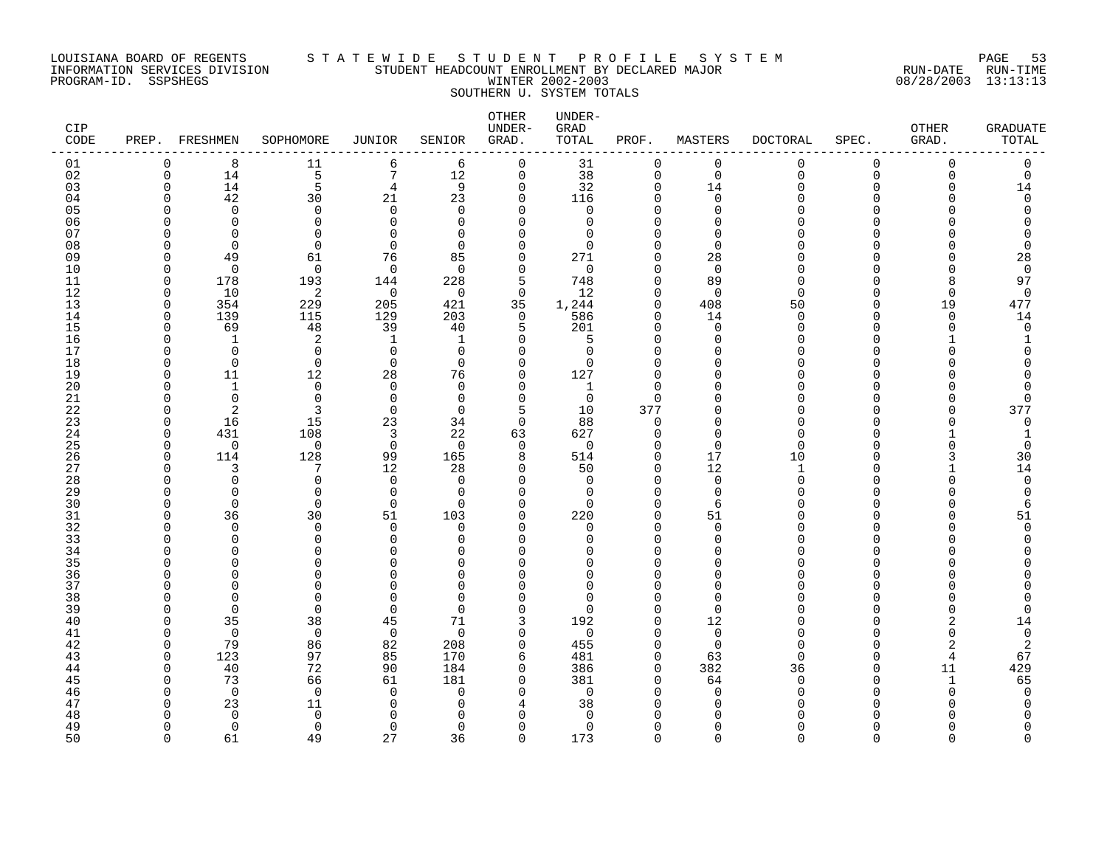### LOUISIANA BOARD OF REGENTS S T A T E W I D E S T U D E N T P R O F I L E S Y S T E M PAGE 53 INFORMATION SERVICES DIVISION STUDENT HEADCOUNT ENROLLMENT BY DECLARED MAJOR RUN-DATE RUN-TIME PROGRAM-ID. SSPSHEGS WINTER 2002-2003 08/28/2003 13:13:13 SOUTHERN U. SYSTEM TOTALS

| <b>CIP</b><br>CODE | PREP.                | FRESHMEN             | SOPHOMORE               | <b>JUNIOR</b>  | SENIOR               | OTHER<br>UNDER-<br>GRAD. | UNDER-<br>GRAD<br>TOTAL | PROF.                   | MASTERS              | <b>DOCTORAL</b>    | SPEC.         | <b>OTHER</b><br>GRAD. | GRADUATE<br>TOTAL |
|--------------------|----------------------|----------------------|-------------------------|----------------|----------------------|--------------------------|-------------------------|-------------------------|----------------------|--------------------|---------------|-----------------------|-------------------|
| 01                 | $\Omega$             | 8                    | 11                      | 6              | 6                    | $\mathbf 0$              | 31                      | $\mathbf 0$             | $\mathbf 0$          | 0                  | $\mathbf 0$   | $\Omega$              | 0                 |
| 02                 | $\mathbf 0$          | 14                   | 5                       | $\sqrt{ }$     | 12                   | $\mathbf 0$              | 38                      | $\mathsf 0$             | $\mathbf 0$          | 0                  | 0             | $\Omega$              | 0                 |
| 03                 | $\mathbf 0$          | 14                   | 5                       | 4              | 9                    | 0                        | 32                      | 0                       | 14                   | U                  | 0             |                       | 14                |
| 04                 | ∩<br>U               | 42                   | 30                      | 21<br>$\Omega$ | 23                   | $\mathbf 0$              | 116                     | $\mathbf 0$             | $\Omega$<br>$\Omega$ |                    | U<br>U        |                       | $\Omega$          |
| 05<br>06           |                      | $\Omega$<br>$\Omega$ | $\mathbf 0$<br>$\Omega$ | $\Omega$       | $\Omega$<br>$\Omega$ | $\Omega$<br>$\Omega$     | $\mathbf 0$<br>$\Omega$ | $\mathbf 0$<br>$\Omega$ | $\Omega$             |                    | N             |                       |                   |
| 07                 | U                    | $\Omega$             | $\Omega$                | $\cap$         | $\Omega$             | ∩                        | $\Omega$                | $\Omega$                | ∩                    |                    | ∩             |                       |                   |
| 08                 | U                    | $\Omega$             | $\Omega$                | $\mathbf 0$    | $\Omega$             | $\Omega$                 | $\Omega$                | $\Omega$                | $\Omega$             |                    | N             |                       |                   |
| 09                 | <sup>0</sup>         | 49                   | 61                      | 76             | 85                   | 0                        | 271                     | $\mathbf 0$             | 28                   |                    | N             |                       | 28                |
| 10                 | $\cap$               | $\Omega$             | $\Omega$                | $\mathbf 0$    | $\Omega$             | 0                        | $\mathbf 0$             | $\Omega$                | $\Omega$             |                    | U             |                       | $\Omega$          |
| 11                 | $\Omega$             | 178                  | 193                     | 144            | 228                  | 5                        | 748                     | $\mathbf 0$             | 89                   | <sup>n</sup>       | U             | 8                     | 97                |
| 12                 | $\Omega$             | 10                   | 2                       | $\Omega$       | $\Omega$             | $\Omega$                 | 12                      | $\Omega$                | $\Omega$             | U                  | U             | $\cap$                | $\Omega$          |
| 13                 | $\mathbf 0$          | 354                  | 229                     | 205            | 421                  | 35                       | 1,244                   | $\mathbf 0$             | 408                  | 50                 | $\Omega$      | 19                    | 477               |
| 14                 | $\Omega$             | 139                  | 115                     | 129            | 203                  | 0                        | 586                     | $\mathbf 0$             | 14                   | $\Omega$           | O             | $\Omega$              | 14                |
| 15                 | $\Omega$             | 69                   | 48                      | 39             | 40                   | 5                        | 201                     | $\Omega$                | $\Omega$             | <sup>n</sup>       | O             | $\cap$                | $\Omega$          |
| 16                 | ∩                    | 1                    | 2                       | -1             | 1                    | $\Omega$                 | 5                       | $\mathbf 0$             | $\Omega$             |                    | U             |                       |                   |
| 17                 | U                    | $\Omega$             | $\Omega$                | $\Omega$       | $\Omega$             | $\Omega$                 | $\Omega$                | $\Omega$                | ∩                    |                    | U             |                       |                   |
| 18<br>19           | $\Omega$<br>$\Omega$ | $\mathbf 0$          | $\mathbf 0$             | $\mathbf 0$    | $\Omega$             | 0                        | 0                       | $\mathbf 0$             | $\Omega$<br>$\Omega$ |                    | O<br>ი        |                       |                   |
| 20                 | U                    | 11<br>$\mathbf 1$    | 12<br>0                 | 28<br>$\Omega$ | 76<br>$\Omega$       | 0<br>0                   | 127<br>1                | 0<br>$\Omega$           | ∩                    | ∩                  | U             |                       |                   |
| 21                 | U                    | $\Omega$             | $\Omega$                | $\Omega$       | $\Omega$             | $\Omega$                 | $\mathbf 0$             | $\Omega$                | ∩                    |                    | U             |                       | ∩                 |
| 22                 | ∩                    | 2                    | 3                       | $\Omega$       | $\Omega$             | 5                        | 10                      | 377                     | $\Omega$             |                    | U             |                       | 377               |
| 23                 | $\cap$               | 16                   | 15                      | 23             | 34                   | $\Omega$                 | 88                      | $\mathbf 0$             | $\Omega$             |                    | $\Omega$      |                       | $\mathbf 0$       |
| 24                 | <sup>0</sup>         | 431                  | 108                     | 3              | 22                   | 63                       | 627                     | 0                       | $\Omega$             | U                  | O             |                       |                   |
| 25                 | <sup>0</sup>         | $\mathbf 0$          | 0                       | $\mathbf 0$    | $\Omega$             | 0                        | $\mathbf 0$             | $\mathbf 0$             | $\Omega$             | U                  | U             |                       | 0                 |
| 26                 | $\Omega$             | 114                  | 128                     | 99             | 165                  | 8                        | 514                     | $\mathbf 0$             | 17                   | 10                 | O             |                       | 30                |
| 27                 | ∩                    |                      | 7                       | 12             | 28                   | 0                        | 50                      | $\mathbf 0$             | 12                   | 1                  | U             |                       | 14                |
| 28                 | U                    | $\Omega$             | $\Omega$                | $\Omega$       | $\Omega$             | $\Omega$                 | $\mathbf 0$             | $\Omega$                | $\Omega$             | $\cap$             | $\Omega$      |                       | $\Omega$          |
| 29                 | U                    | $\Omega$             | $\mathbf 0$             | $\mathbf 0$    | $\Omega$             | 0                        | $\mathbf 0$             | $\mathbf 0$             | $\mathbf 0$          |                    | O             |                       | $\Omega$          |
| 30                 | U                    | $\Omega$             | $\Omega$                | 0              | $\Omega$             | $\Omega$                 | $\Omega$                | $\Omega$                | 6                    |                    | U<br>O        |                       | 6                 |
| 31<br>32           | O<br>U               | 36<br>$\Omega$       | 30<br>$\Omega$          | 51<br>$\Omega$ | 103<br>$\Omega$      | 0<br>$\Omega$            | 220<br>$\Omega$         | $\mathbf 0$<br>$\Omega$ | 51<br>$\Omega$       |                    | U             |                       | 51<br>$\Omega$    |
| 33                 |                      | $\Omega$             | $\Omega$                | $\Omega$       | $\Omega$             | $\Omega$                 | $\Omega$                | $\Omega$                | $\Omega$             |                    | $\Omega$      |                       |                   |
| 34                 | U                    | U                    | $\Omega$                | $\cap$         | $\Omega$             | ∩                        | ∩                       | $\mathbf 0$             | $\Omega$             |                    | U             |                       |                   |
| 35                 |                      | <sup>n</sup>         | ∩                       | ∩              | U                    | O                        | U                       | $\Omega$                | ∩                    |                    | N             |                       |                   |
| 36                 | n                    | ∩                    | 0                       | U              | $\Omega$             | O                        | 0                       | $\Omega$                | $\Omega$             |                    | O             |                       |                   |
| 37                 |                      |                      | $\Omega$                | $\cap$         | $\Omega$             | $\Omega$                 | $\Omega$                | $\Omega$                | $\Omega$             |                    | N             |                       |                   |
| 38                 | U                    | <sup>n</sup>         | $\Omega$                | $\cap$         | $\Omega$             | $\Omega$                 | O                       | $\Omega$                | ∩                    |                    | U             |                       |                   |
| 39                 | ∩                    | $\Omega$             | $\Omega$                | $\Omega$       | $\Omega$             | $\Omega$                 | $\Omega$                | $\Omega$                | $\Omega$             |                    | U             |                       |                   |
| 40                 | O                    | 35                   | 38                      | 45             | 71                   | 3                        | 192                     | $\mathbf 0$             | 12                   |                    | O             |                       | 14                |
| 41                 | <sup>0</sup>         | $\Omega$             | 0                       | $\mathbf 0$    | $\Omega$             | 0                        | $\mathbf 0$             | $\mathbf 0$             | $\mathbf 0$          |                    | O             |                       | $\mathbf 0$       |
| 42                 | $\Omega$             | 79                   | 86                      | 82             | 208                  | 0                        | 455                     | $\mathbf 0$             | $\Omega$             | U                  | O             | 2                     | 2                 |
| 43<br>44           | $\Omega$<br>$\cap$   | 123<br>40            | 97<br>72                | 85<br>90       | 170<br>184           | 6<br>$\Omega$            | 481<br>386              | $\mathbf 0$<br>$\Omega$ | 63<br>382            | <sup>n</sup><br>36 | U<br>$\Omega$ | $\overline{4}$        | 67                |
| 45                 | ∩                    | 73                   | 66                      | 61             | 181                  | 0                        | 381                     | $\mathbf 0$             | 64                   | $\Omega$           | O             | 11<br>$\mathbf{1}$    | 429<br>65         |
| 46                 | U                    | $\Omega$             | $\mathbf 0$             | $\Omega$       | $\Omega$             | $\Omega$                 | $\mathbf 0$             | $\Omega$                | $\Omega$             | U                  | O             |                       | $\Omega$          |
| 47                 | U                    | 23                   | 11                      | $\Omega$       | <sup>0</sup>         | 4                        | 38                      | $\Omega$                | $\Omega$             |                    | N             |                       |                   |
| 48                 | n                    | $\Omega$             | $\Omega$                | $\cap$         | n                    | ∩                        | $\Omega$                | ∩                       | ∩                    |                    |               |                       |                   |
| 49                 | ∩                    | $\Omega$             | $\Omega$                | 0              | $\Omega$             | $\Omega$                 | $\Omega$                | $\Omega$                | $\Omega$             |                    | O             |                       |                   |
| 50                 | $\cap$               | 61                   | 49                      | 27             | 36                   | $\Omega$                 | 173                     | $\Omega$                | $\Omega$             | $\cap$             | $\Omega$      | $\Omega$              | $\cap$            |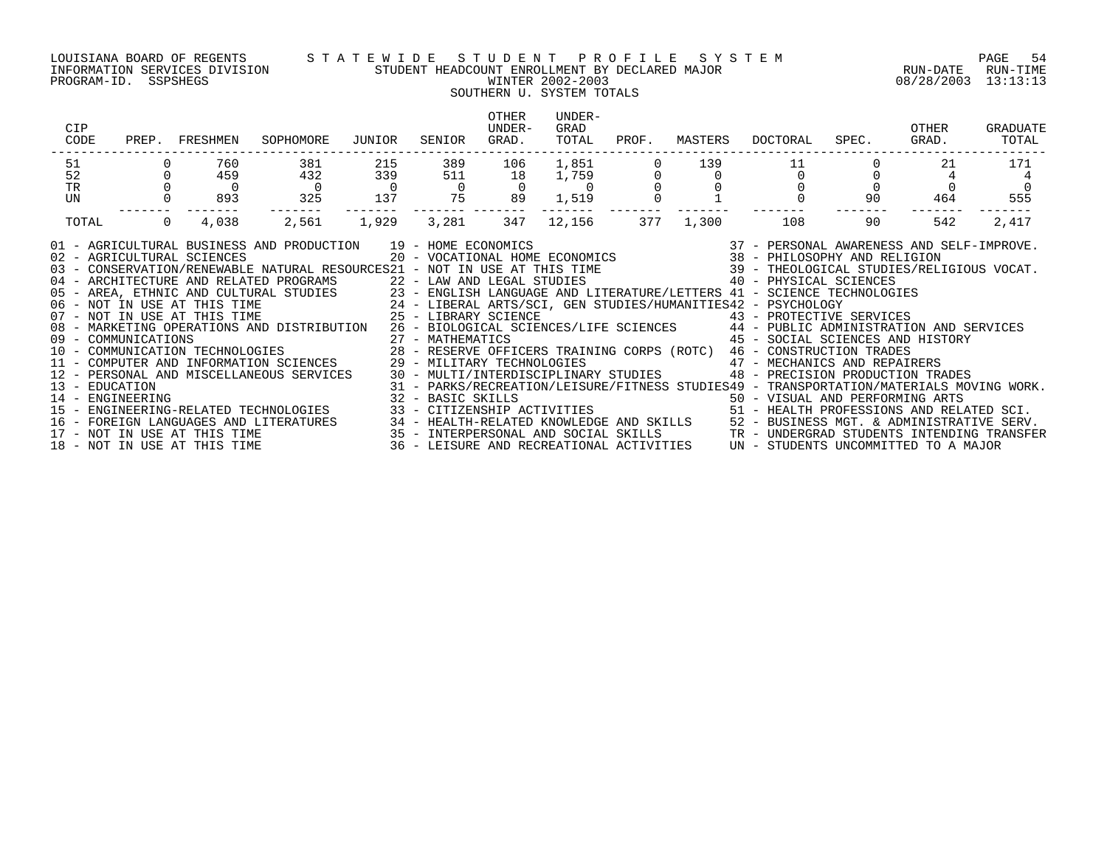### LOUISIANA BOARD OF REGENTS S T A T E W I D E S T U D E N T P R O F I L E S Y S T E M PAGE 54 INFORMATION SERVICES DIVISION STUDENT HEADCOUNT ENROLLMENT BY DECLARED MAJOR RUN-DATE RUN-TIME PROGRAM-ID. SSPSHEGS WINTER 2002-2003 08/28/2003 13:13:13

## SOUTHERN U. SYSTEM TOTALS

| CIP<br>CODE                                                                                                                                                                                                                                                                                                                                                                                                                                                                                                                                                                                                                                                                                                                                                                                                                                                                                                                                        | PREP. FRESHMEN          | SOPHOMORE             | JUNIOR                | SENIOR                     | OTHER<br>UNDER-<br>GRAD. | UNDER-<br>GRAD<br>TOTAL | PROF. | MASTERS | DOCTORAL                                                                                                                                                                                                                                                                                                                 | SPEC. | OTHER<br>GRAD. | GRADUATE<br>TOTAL |
|----------------------------------------------------------------------------------------------------------------------------------------------------------------------------------------------------------------------------------------------------------------------------------------------------------------------------------------------------------------------------------------------------------------------------------------------------------------------------------------------------------------------------------------------------------------------------------------------------------------------------------------------------------------------------------------------------------------------------------------------------------------------------------------------------------------------------------------------------------------------------------------------------------------------------------------------------|-------------------------|-----------------------|-----------------------|----------------------------|--------------------------|-------------------------|-------|---------|--------------------------------------------------------------------------------------------------------------------------------------------------------------------------------------------------------------------------------------------------------------------------------------------------------------------------|-------|----------------|-------------------|
| 51                                                                                                                                                                                                                                                                                                                                                                                                                                                                                                                                                                                                                                                                                                                                                                                                                                                                                                                                                 | 760                     | 381                   | 215                   | 389                        | 106                      | 1,851                   |       | 139     |                                                                                                                                                                                                                                                                                                                          |       | 21             | 171               |
| 52<br><b>TR</b>                                                                                                                                                                                                                                                                                                                                                                                                                                                                                                                                                                                                                                                                                                                                                                                                                                                                                                                                    | 459<br>$\overline{0}$   | 432<br>$\overline{0}$ | 339<br>$\overline{0}$ | 511<br>$\overline{0}$      | 18<br>$\Omega$           | 1,759<br>$\overline{0}$ |       |         | $\Omega$                                                                                                                                                                                                                                                                                                                 |       |                | $\Omega$          |
| UN                                                                                                                                                                                                                                                                                                                                                                                                                                                                                                                                                                                                                                                                                                                                                                                                                                                                                                                                                 | 893                     | 325                   | 137                   | 75                         | 89                       | 1,519                   |       |         |                                                                                                                                                                                                                                                                                                                          | 90    | 464            | 555               |
| TOTAL                                                                                                                                                                                                                                                                                                                                                                                                                                                                                                                                                                                                                                                                                                                                                                                                                                                                                                                                              | $\overline{0}$<br>4,038 | 2,561                 | 1,929                 | 3,281                      | 347                      | -------<br>12,156       | 377   | 1,300   | 108                                                                                                                                                                                                                                                                                                                      | 90    | 542            | 2,417             |
| 91 - AGRICULTURAL BUSINESS AND PRODUCTION 19 - HOME ECONOMICS (2007) 19 - 2007 - PERSONAL AWARENESS AND SELF-IMPROVE<br>102 - AGRICULTURAL SCIENCES (2007) 2007 - VOCATIONAL HOME ECONOMICS (2008 - 2008) 201 - AGRICULTURAL SCIE<br>04 - ARCHITECTURE AND RELATED PROGRAMS<br>05 - AREA, ETHNIC AND CULTURAL STUDIES 23 - ENGLISH LANGUAGE AND LITERATURE/LETTERS 41 - SCIENCE TECHNOLOGIES<br>06 - NOT IN USE AT THIS TIME 24 - LIBERAL ARTS/SCI, GEN STUDIES/HUMANITIES42 - PSYCHOLOGY<br>07 - NOT IN USE AT THI<br>08 - MARKETING OPERATIONS AND DISTRIBUTION 26 - BIOLOGICAL SCIENCES/LIFE SCIENCES 44 - PUBLIC ADMINISTRATION AND SERVICES<br>14 - ENGINEERING<br>15 - ENGINEERING-RELATED TECHNOLOGIES<br>16 – FOREIGN LANGUAGES AND LITERATURES 34 – HEALTH-RELATED KNOWLEDGE AND SKILLS 52 – BUSINESS MGT. & ADMINISTRATIVE SERV.<br>17 – NOT IN USE AT THIS TIME 35 – INTERPERSONAL AND SOCIAL SKILLS TRANGERGRAD STUDENTS INTENDING TRA |                         |                       |                       | 22 - LAW AND LEGAL STUDIES |                          |                         |       |         | 40 - PHYSICAL SCIENCES<br>45 - SOCIAL SCIENCES AND HISTORY<br>48 - PRECISION PRODUCTION TRADES<br>31 - PARKS/RECREATION/LEISURE/FITNESS STUDIES49 - TRANSPORTATION/MATERIALS MOVING WORK.<br>32 - BASIC SKILLS<br>33 - CITIZENSHIP ACTIVITIES                                   50 - HEALTH PROFESSIONS AND RELATED SCI. |       |                |                   |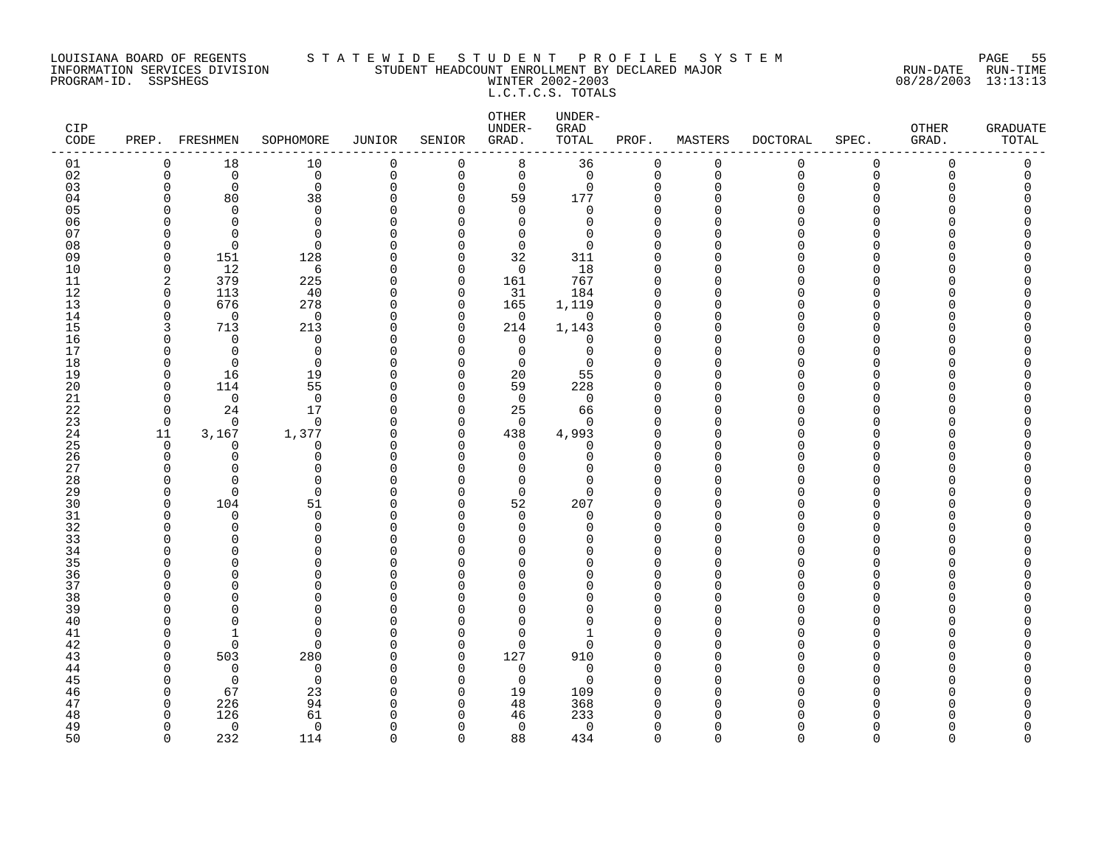### LOUISIANA BOARD OF REGENTS S T A T E W I D E S T U D E N T P R O F I L E S Y S T E M PAGE 55 INFORMATION SERVICES DIVISION STUDENT HEADCOUNT ENROLLMENT BY DECLARED MAJOR RUN-DATE RUN-TIME PROGRAM-ID. SSPSHEGS WINTER 2002-2003 08/28/2003 13:13:13 L.C.T.C.S. TOTALS

| CIP<br>CODE | PREP. FRESHMEN               |                      | SOPHOMORE         | JUNIOR               | SENIOR                   | OTHER<br>UNDER-<br>GRAD. | UNDER-<br>GRAD<br>TOTAL | PROF.                | MASTERS       | <b>DOCTORAL</b> | SPEC.        | OTHER<br>GRAD. | <b>GRADUATE</b><br>TOTAL |
|-------------|------------------------------|----------------------|-------------------|----------------------|--------------------------|--------------------------|-------------------------|----------------------|---------------|-----------------|--------------|----------------|--------------------------|
| 01          | $\mathbf 0$                  | 18                   | 10                | $\mathbf 0$          | 0                        | 8                        | 36                      | 0                    | $\mathbf 0$   | $\mathbf 0$     | $\mathbf 0$  | 0              | 0                        |
| 02          | $\mathbf 0$                  | $\Omega$             | $\mathbf 0$       | $\mathbf 0$          | $\Omega$                 | $\mathbf 0$              | $\mathbf 0$             | $\mathbf 0$          | $\Omega$      | $\Omega$        | $\Omega$     | $\Omega$       | $\Omega$                 |
| 03          | $\mathbf 0$                  | $\mathbf 0$          | $\mathbf 0$       | $\Omega$             | $\mathbf 0$              | $\mathbf 0$              | $\mathbf 0$             | $\Omega$             | $\Omega$<br>∩ |                 | $\Omega$     |                |                          |
| 04<br>05    | $\Omega$<br>$\Omega$         | 80<br>$\Omega$       | 38<br>$\mathbf 0$ | O<br>U               | $\Omega$<br>$\Omega$     | 59<br>$\mathbf 0$        | 177<br>$\mathbf 0$      | $\Omega$<br>$\Omega$ |               |                 | U<br>n       |                |                          |
| 06          | <sup>0</sup>                 | $\Omega$             | 0                 | U                    | <sup>0</sup>             | 0                        | 0                       | $\Omega$             |               |                 | n            |                |                          |
| 07          | ∩                            | ∩                    | $\Omega$          | ∩                    | U                        | $\Omega$                 | $\Omega$                | $\Omega$             |               |                 | n            |                |                          |
| 08          | $\Omega$                     | $\Omega$             | $\Omega$          | U                    | $\Omega$                 | $\mathbf 0$              | $\Omega$                | $\Omega$             |               |                 | <sup>n</sup> |                |                          |
| 09          | $\Omega$                     | 151                  | 128               | U                    | $\Omega$                 | 32                       | 311                     | $\Omega$             |               |                 | U            |                |                          |
| 10          | $\mathbf 0$                  | 12                   | 6                 | $\Omega$             | $\mathbf 0$              | $\mathbf 0$              | 18                      | $\Omega$             |               |                 | <sup>n</sup> |                |                          |
| 11          | 2                            | 379                  | 225               | O                    | 0                        | 161                      | 767                     | $\Omega$             | ∩             |                 | U            |                |                          |
| 12          | 0                            | 113                  | 40                | O                    | 0                        | 31                       | 184                     | $\Omega$             | ∩             |                 | U            |                |                          |
| 13          | $\mathbf 0$                  | 676                  | 278               | $\Omega$             | $\mathbf 0$              | 165                      | 1,119                   | $\Omega$             | ∩             |                 | $\Omega$     |                |                          |
| 14          | $\Omega$<br>3                | $\Omega$             | $\mathbf 0$       | $\Omega$<br>$\Omega$ | $\Omega$<br>$\Omega$     | $\mathbf 0$              | $\mathbf 0$             | $\Omega$<br>$\Omega$ | ∩             |                 | U<br>U       |                |                          |
| 15<br>16    | $\Omega$                     | 713<br>$\Omega$      | 213<br>$\Omega$   | $\cap$               | $\Omega$                 | 214<br>$\Omega$          | 1,143<br>$\mathbf 0$    | $\Omega$             |               |                 | U            |                |                          |
| 17          | $\Omega$                     | $\Omega$             | 0                 | U                    | $\Omega$                 | $\mathbf 0$              | 0                       | $\Omega$             |               |                 | <sup>n</sup> |                |                          |
| 18          | 0                            | $\Omega$             | 0                 | C                    | <sup>0</sup>             | $\mathbf 0$              | $\mathbf 0$             | $\Omega$             |               |                 | U            |                |                          |
| 19          | $\Omega$                     | 16                   | 19                | O                    | $\Omega$                 | 20                       | 55                      | $\Omega$             |               |                 | <sup>n</sup> |                |                          |
| 20          | $\Omega$                     | 114                  | 55                | U                    | $\Omega$                 | 59                       | 228                     | $\Omega$             |               |                 |              |                |                          |
| 21          | $\Omega$                     | $\Omega$             | $\Omega$          | U                    | $\Omega$                 | $\Omega$                 | $\mathbf 0$             | $\Omega$             |               |                 | <sup>n</sup> |                |                          |
| 22          | $\Omega$                     | 24                   | 17                | O                    | $\Omega$                 | 25                       | 66                      | $\Omega$             |               |                 | <sup>n</sup> |                |                          |
| 23          | $\Omega$                     | $\Omega$             | $\Omega$          | $\cap$               | $\Omega$                 | $\Omega$                 | $\Omega$                | $\Omega$             |               |                 | U            |                |                          |
| 24          | 11                           | 3,167                | 1,377             | 0                    | 0<br>$\Omega$            | 438                      | 4,993                   | $\Omega$<br>$\Omega$ |               |                 | U<br>n       |                |                          |
| 25<br>26    | $\Omega$<br>$\Omega$         | $\Omega$<br>$\Omega$ | 0<br>0            | O<br>O               | $\Omega$                 | 0<br>$\Omega$            | 0<br>0                  | $\Omega$             |               |                 | $\Omega$     |                |                          |
| 27          | ∩                            | ∩                    | $\Omega$          | ∩                    | U                        | ∩                        | O                       | $\Omega$             |               |                 | U            |                |                          |
| 28          | $\Omega$                     | ∩                    | $\Omega$          | C                    | <sup>n</sup>             | $\Omega$                 | O                       | $\Omega$             |               |                 | U            |                |                          |
| 29          | $\Omega$                     | $\Omega$             | $\Omega$          | U                    | $\Omega$                 | $\Omega$                 | 0                       | $\Omega$             |               |                 | U            |                |                          |
| 30          | $\Omega$                     | 104                  | 51                | $\cap$               | $\Omega$                 | 52                       | 207                     | $\Omega$             |               |                 | U            |                |                          |
| 31          | 0                            | 0                    | 0                 | U                    | $\Omega$                 | 0                        | 0                       | $\Omega$             | ∩             |                 | <sup>0</sup> |                |                          |
| 32          | ∩                            | ∩                    | $\Omega$          | U                    | <sup>n</sup>             | 0                        | 0                       | $\Omega$             |               |                 | U            |                |                          |
| 33          | ∩                            | U                    | $\Omega$          | U                    | <sup>n</sup>             | $\Omega$                 | O                       | $\Omega$             |               |                 | <sup>n</sup> |                |                          |
| 34<br>35    | ∩                            | U                    | $\Omega$<br>U     | U                    | U<br>U                   | $\Omega$<br>$\Omega$     | O<br>O                  | $\Omega$<br>$\Omega$ |               |                 | U<br>U       |                |                          |
| 36          | ∩                            | ∩                    | $\Omega$          | ſ                    | U                        | $\Omega$                 | 0                       | $\Omega$             |               |                 | <sup>n</sup> |                |                          |
| 37          | $\Omega$                     |                      | 0                 | C                    | $\Omega$                 | $\mathbf 0$              | 0                       | $\Omega$             |               |                 | <sup>n</sup> |                |                          |
| 38          | <sup>0</sup>                 |                      | O                 | U                    | U                        | O                        | 0                       | <sup>0</sup>         |               |                 | ∩            |                |                          |
| 39          | ∩                            |                      | $\Omega$          | C                    | U                        | $\Omega$                 | O                       | $\Omega$             |               |                 | U            |                |                          |
| 40          | ∩                            |                      | $\Omega$          | C                    | $\Omega$                 | $\Omega$                 | O                       | $\Omega$             |               |                 | <sup>n</sup> |                |                          |
| 41          | ∩                            |                      | $\Omega$          | C                    | $\Omega$                 | $\Omega$                 | -1                      | $\Omega$             |               |                 | n            |                |                          |
| 42          | $\Omega$                     | $\Omega$             | $\Omega$          | $\Omega$             | $\Omega$                 | $\mathbf 0$              | 0                       | $\Omega$             |               |                 | <sup>n</sup> |                |                          |
| 43          | $\Omega$                     | 503                  | 280               | $\cap$               | $\Omega$                 | 127                      | 910                     | $\Omega$             |               |                 |              |                |                          |
| 44          | $\Omega$                     | $\mathbf 0$          | 0                 | $\Omega$             | $\Omega$                 | $\mathbf 0$              | $\mathbf 0$             | $\Omega$             | ∩             |                 | <sup>n</sup> |                |                          |
| 45<br>46    | <sup>0</sup><br><sup>0</sup> | $\Omega$<br>67       | 0<br>23           | O<br>C               | <sup>0</sup><br>$\Omega$ | 0<br>19                  | 0<br>109                | $\Omega$<br>$\Omega$ |               |                 | U<br>n       |                |                          |
| 47          | 0                            | 226                  | 94                | U                    | $\Omega$                 | 48                       | 368                     | $\Omega$             | ∩             |                 |              |                |                          |
| 48          | ∩                            | 126                  | 61                | C                    | n                        | 46                       | 233                     | $\Omega$             |               |                 |              |                |                          |
| 49          | $\Omega$                     | $\Omega$             | $\mathbf 0$       | ∩                    | $\Omega$                 | $\mathbf 0$              | $\mathbf 0$             | $\Omega$             |               |                 | <sup>n</sup> |                | Λ                        |
| 50          | $\Omega$                     | 232                  | 114               | $\cap$               | $\cap$                   | 88                       | 434                     | $\Omega$             | $\Omega$      | $\cap$          | $\Omega$     | ∩              | $\cap$                   |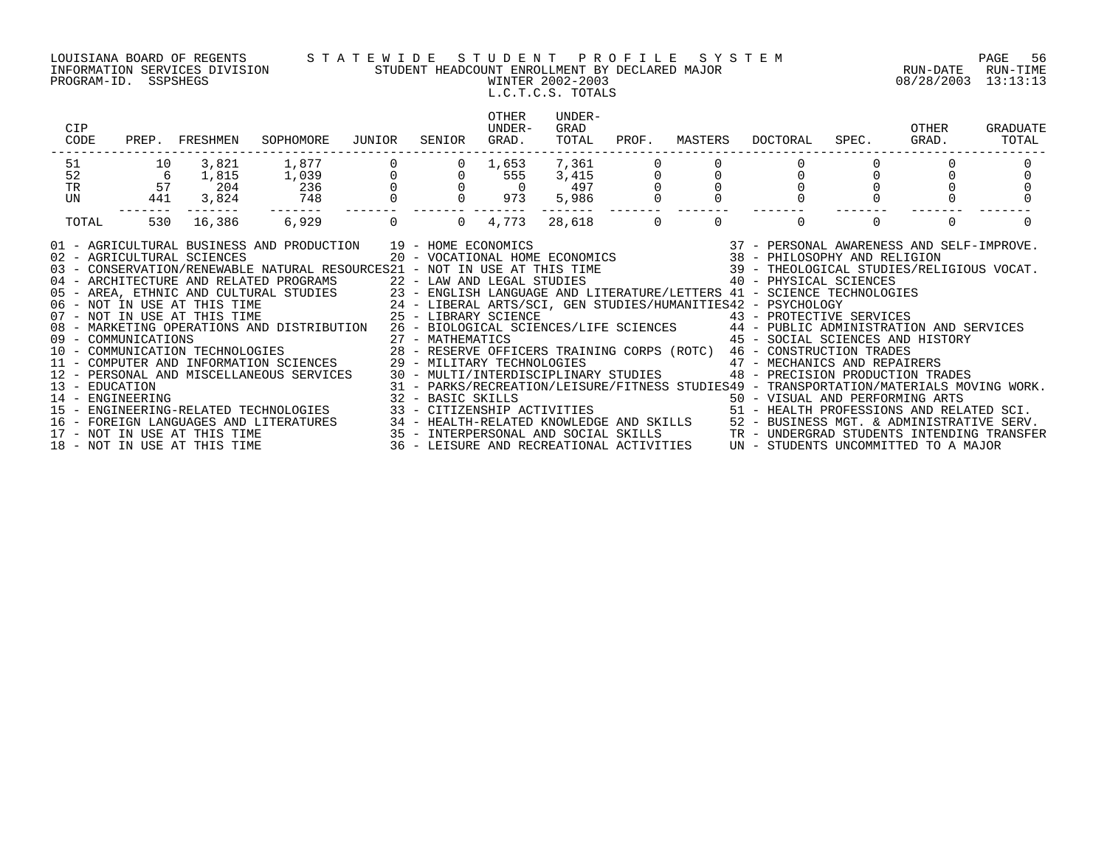### LOUISIANA BOARD OF REGENTS S T A T E W I D E S T U D E N T P R O F I L E S Y S T E M PAGE 56 INFORMATION SERVICES DIVISION STUDENT HEADCOUNT ENROLLMENT BY DECLARED MAJOR RUN-DATE RUN-TIME PROGRAM-ID. SSPSHEGS WINTER 2002-2003 08/28/2003 13:13:13 L.C.T.C.S. TOTALS

| CIP<br>CODE |     | PREP. FRESHMEN     | SOPHOMORE                                                                                                                                                                                                                                                                                                                                                                                                                                                                                                                                                                                                                                                                                                                                                                                                                                                              | JUNIOR                                          | SENIOR                     | OTHER<br>UNDER-<br>GRAD.                     | UNDER-<br>GRAD<br>TOTAL | PROF.    | MASTERS  | DOCTORAL | SPEC.                                                                                                                                                                                                                                                                                                                                                                                                      | OTHER<br>GRAD. | GRADUATE<br>TOTAL |
|-------------|-----|--------------------|------------------------------------------------------------------------------------------------------------------------------------------------------------------------------------------------------------------------------------------------------------------------------------------------------------------------------------------------------------------------------------------------------------------------------------------------------------------------------------------------------------------------------------------------------------------------------------------------------------------------------------------------------------------------------------------------------------------------------------------------------------------------------------------------------------------------------------------------------------------------|-------------------------------------------------|----------------------------|----------------------------------------------|-------------------------|----------|----------|----------|------------------------------------------------------------------------------------------------------------------------------------------------------------------------------------------------------------------------------------------------------------------------------------------------------------------------------------------------------------------------------------------------------------|----------------|-------------------|
| 51          | 10  | 3,821              | 1,877                                                                                                                                                                                                                                                                                                                                                                                                                                                                                                                                                                                                                                                                                                                                                                                                                                                                  | $\begin{array}{c} 0 \\ 0 \\ 0 \\ 0 \end{array}$ |                            | 1,653                                        | 7,361                   |          |          |          |                                                                                                                                                                                                                                                                                                                                                                                                            |                |                   |
| 52          | 6   | 1,815              | 1,039                                                                                                                                                                                                                                                                                                                                                                                                                                                                                                                                                                                                                                                                                                                                                                                                                                                                  |                                                 |                            | 555                                          | 3,415                   |          |          |          |                                                                                                                                                                                                                                                                                                                                                                                                            |                |                   |
| TR          | 57  | 204                | 236                                                                                                                                                                                                                                                                                                                                                                                                                                                                                                                                                                                                                                                                                                                                                                                                                                                                    |                                                 |                            | $\begin{matrix} 0 & 0 \\ 0 & 0 \end{matrix}$ | 497                     |          |          |          |                                                                                                                                                                                                                                                                                                                                                                                                            |                |                   |
| UN          | 441 | 3,824              | 748                                                                                                                                                                                                                                                                                                                                                                                                                                                                                                                                                                                                                                                                                                                                                                                                                                                                    |                                                 |                            | 973                                          | 5,986                   |          |          |          |                                                                                                                                                                                                                                                                                                                                                                                                            |                |                   |
| TOTAL       | 530 | --------<br>16,386 | --------<br>6,929                                                                                                                                                                                                                                                                                                                                                                                                                                                                                                                                                                                                                                                                                                                                                                                                                                                      | $\Omega$                                        | $\overline{0}$             | 4,773                                        | --------<br>28,618      | $\Omega$ | $\Omega$ | $\Omega$ | $\Omega$                                                                                                                                                                                                                                                                                                                                                                                                   | $\Omega$       |                   |
|             |     |                    | 01 - AGRICULTURAL BUSINESS AND PRODUCTION 19 - HOME ECONOMICS (2007) 19 - 2007 - PERSONAL AWARENESS AND SELF-IMPROVE<br>102 - AGRICULTURAL SCIENCES (2007) 2007 - VOCATIONAL HOME ECONOMICS (2007) 2010 - PHILOSOPHY AND RELIGION<br>04 - ARCHITECTURE AND RELATED PROGRAMS<br>05 - AREA, ETHNIC AND CULTURAL STUDIES 23 - ENGLISH LANGUAGE AND LITERATURE/LETTERS 41 - SCIENCE TECHNOLOGIES<br>06 - NOT IN USE AT THIS TIME 24 - LIBERAL ARTS/SCI, GEN STUDIES/HUMANITIES42 - PSYCHOLOGY<br>07 - NOT IN USE AT THI<br>08 - MARKETING OPERATIONS AND DISTRIBUTION<br>14 - ENGINEERING<br>15 - ENGINEERING-RELATED TECHNOLOGIES<br>16 - FOREIGN LANGUAGES AND LITERATURES 34 - HEALTH-RELATED KNOWLEDGE AND SKILLS 52 - BUSINESS MGT. & ADMINISTRATIVE SERV.<br>17 - NOT IN USE AT THIS TIME 3ERV.<br>18 - NOT IN USE AT THIS TIME 36 - LEISURE AND RECREATIONAL ACTIVI |                                                 | 22 - LAW AND LEGAL STUDIES |                                              |                         |          |          |          | 40 - PHYSICAL SCIENCES<br>26 - BIOLOGICAL SCIENCES/LIFE SCIENCES 44 - PUBLIC ADMINISTRATION AND SERVICES<br>45 - SOCIAL SCIENCES AND HISTORY<br>48 - PRECISION PRODUCTION TRADES<br>31 - PARKS/RECREATION/LEISURE/FITNESS STUDIES49 - TRANSPORTATION/MATERIALS MOVING WORK.<br>32 - BASIC SKILLS<br>33 - CITIZENSHIP ACTIVITIES                                   50 - HEALTH PROFESSIONS AND RELATED SCI. |                |                   |
|             |     |                    |                                                                                                                                                                                                                                                                                                                                                                                                                                                                                                                                                                                                                                                                                                                                                                                                                                                                        |                                                 |                            |                                              |                         |          |          |          |                                                                                                                                                                                                                                                                                                                                                                                                            |                |                   |
|             |     |                    |                                                                                                                                                                                                                                                                                                                                                                                                                                                                                                                                                                                                                                                                                                                                                                                                                                                                        |                                                 |                            |                                              |                         |          |          |          |                                                                                                                                                                                                                                                                                                                                                                                                            |                |                   |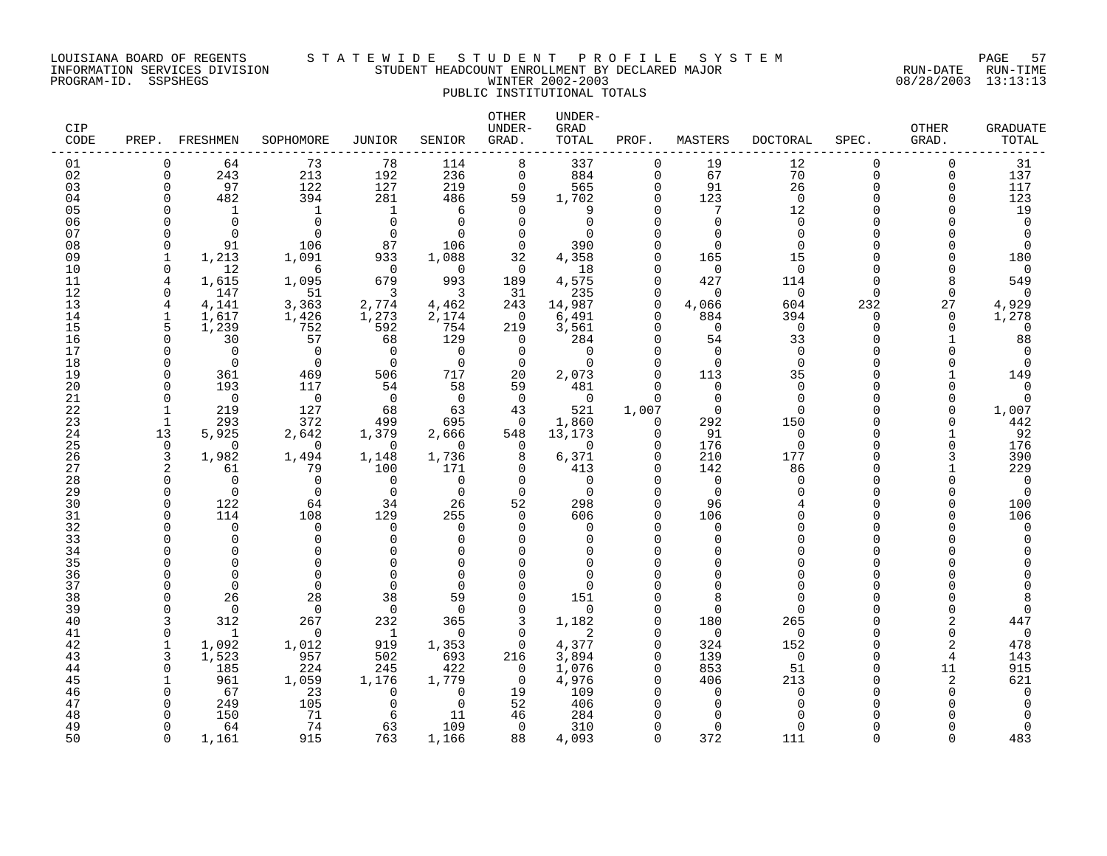#### LOUISIANA BOARD OF REGENTS S T A T E W I D E S T U D E N T P R O F I L E S Y S T E M PAGE 57 INFORMATION SERVICES DIVISION STUDENT HEADCOUNT ENROLLMENT BY DECLARED MAJOR RUN-DATE RUN-TIME PROGRAM-ID. SSPSHEGS WINTER 2002-2003 08/28/2003 13:13:13 PUBLIC INSTITUTIONAL TOTALS

| CIP<br>CODE |              | PREP. FRESHMEN           | SOPHOMORE            | <b>JUNIOR</b>            | SENIOR        | OTHER<br>UNDER-<br>GRAD. | UNDER-<br>GRAD<br>TOTAL | PROF.                | MASTERS            | <b>DOCTORAL</b> | SPEC.        | <b>OTHER</b><br>GRAD. | <b>GRADUATE</b><br>TOTAL |
|-------------|--------------|--------------------------|----------------------|--------------------------|---------------|--------------------------|-------------------------|----------------------|--------------------|-----------------|--------------|-----------------------|--------------------------|
| 01          | O            | 64                       | 73                   | 78                       | 114           | 8                        | 337                     | $\Omega$             | 19                 | 12              | $\Omega$     | $\Omega$              | 31                       |
| 02          | $\Omega$     | 243                      | 213                  | 192                      | 236           | $\Omega$                 | 884                     | $\Omega$             | 67                 | 70              | $\Omega$     | $\Omega$              | 137                      |
| 03          | $\Omega$     | 97                       | 122                  | 127                      | 219           | $\Omega$                 | 565                     | $\Omega$             | 91                 | 26              | $\Omega$     | $\Omega$              | 117                      |
| 04          | ∩            | 482                      | 394                  | 281                      | 486           | 59<br>$\Omega$           | 1,702                   | 0<br>$\Omega$        | 123<br>7           | $\mathbf 0$     | U            | U                     | 123                      |
| 05<br>06    |              | $\mathbf{1}$<br>$\Omega$ | 1<br>$\Omega$        | 1<br>$\Omega$            | 6<br>$\Omega$ | $\Omega$                 | 9<br>$\Omega$           | $\Omega$             | $\cap$             | 12<br>$\Omega$  |              |                       | 19<br>$\mathbf 0$        |
| 07          |              | $\Omega$                 | $\cap$               | $\Omega$                 | ∩             | $\Omega$                 | U                       |                      | $\cap$             | $\cap$          |              |                       | $\Omega$                 |
| 08          | U            | 91                       | 106                  | 87                       | 106           | $\Omega$                 | 390                     | $\Omega$             | $\Omega$           | ∩               | $\cap$       |                       | $\Omega$                 |
| 09          |              | 1,213                    | 1,091                | 933                      | 1,088         | 32                       | 4,358                   | $\Omega$             | 165                | 15              |              |                       | 180                      |
| 10          | $\Omega$     | 12                       | 6                    | $\Omega$                 | $\Omega$      | $\Omega$                 | 18                      | $\Omega$             | $\Omega$           | $\Omega$        |              |                       | $\mathbf 0$              |
| 11          | 4            | 1,615                    | 1,095                | 679                      | 993           | 189                      | 4,575                   | $\Omega$             | 427                | 114             | U            |                       | 549                      |
| 12          | $\Omega$     | 147                      | 51                   | 3                        | 3             | 31                       | 235                     | $\Omega$             | $\Omega$           | $\Omega$        | $\Omega$     | $\Omega$              | $\Omega$                 |
| 13          | 4            | 4,141                    | 3,363                | 2,774                    | 4,462         | 243                      | 14,987                  | $\Omega$             | 4,066              | 604             | 232          | 27                    | 4,929                    |
| 14          | $\mathbf{1}$ | 1,617                    | 1,426                | 1,273                    | 2,174         | $\Omega$                 | 6,491                   | $\Omega$             | 884                | 394             | $\Omega$     | $\Omega$              | 1,278                    |
| 15<br>16    | 5<br>$\cap$  | 1,239<br>30              | 752<br>57            | 592<br>68                | 754<br>129    | 219<br>$\Omega$          | 3,561<br>284            | $\Omega$<br>$\Omega$ | $\Omega$<br>54     | 0<br>33         | <sup>n</sup> | <sup>n</sup>          | 0<br>88                  |
| 17          |              | $\Omega$                 | $\Omega$             | $\Omega$                 | $\Omega$      | $\Omega$                 | $\Omega$                | $\Omega$             | $\Omega$           | $\Omega$        |              |                       | $\Omega$                 |
| 18          | O            | $\Omega$                 | $\Omega$             | $\Omega$                 | $\Omega$      | $\Omega$                 | $\Omega$                | $\Omega$             | $\Omega$           | $\Omega$        |              |                       | $\Omega$                 |
| 19          | O            | 361                      | 469                  | 506                      | 717           | 20                       | 2,073                   | $\Omega$             | 113                | 35              | $\cap$       |                       | 149                      |
| 20          | ∩            | 193                      | 117                  | 54                       | 58            | 59                       | 481                     | $\Omega$             | $\Omega$           | ∩               |              |                       | $\Omega$                 |
| 21          | $\cap$       | $\Omega$                 | $\overline{0}$       | $\overline{0}$           | $\Omega$      | $\Omega$                 | 0                       | $\Omega$             | $\Omega$           | ∩               | U            | ∩                     | $\Omega$                 |
| 22          |              | 219                      | 127                  | 68                       | 63            | 43                       | 521                     | 1,007                | $\Omega$           | ∩               |              | ∩                     | 1,007                    |
| 23          |              | 293                      | 372                  | 499                      | 695           | $\Omega$                 | 1,860                   | $\Omega$             | 292                | 150             | $\cap$       |                       | 442                      |
| 24          | 13           | 5,925                    | 2,642                | 1,379                    | 2,666         | 548                      | 13,173                  | $\Omega$             | 91                 | $\Omega$        | $\cap$       |                       | 92                       |
| 25<br>26    | $\cap$<br>3  | $\Omega$<br>1,982        | $\Omega$             | $\Omega$<br>1,148        | ∩<br>1,736    | $\Omega$<br>8            | $\Omega$                | $\Omega$             | 176<br>210         | $\Omega$<br>177 | $\cap$       |                       | 176<br>390               |
| 27          |              | 61                       | 1,494<br>79          | 100                      | 171           | 0                        | 6,371<br>413            | $\Omega$             | 142                | 86              | U            |                       | 229                      |
| 28          | O            | $\Omega$                 | $\Omega$             | $\Omega$                 | 0             | $\Omega$                 | $\Omega$                | $\Omega$             | $\Omega$           | ∩               | $\cap$       |                       | 0                        |
| 29          | $\cap$       | $\Omega$                 | $\Omega$             | $\Omega$                 | $\Omega$      | $\Omega$                 | $\Omega$                | $\Omega$             | $\Omega$           |                 | U            |                       | $\mathbf 0$              |
| 30          | $\cap$       | 122                      | 64                   | 34                       | 26            | 52                       | 298                     | $\Omega$             | 96                 |                 | $\cap$       |                       | 100                      |
| 31          | O            | 114                      | 108                  | 129                      | 255           | $\Omega$                 | 606                     | $\Omega$             | 106                |                 | $\Omega$     |                       | 106                      |
| 32          |              | $\Omega$                 | $\Omega$             | $\Omega$                 | $\Omega$      | $\Omega$                 | $\Omega$                | $\Omega$             | $\Omega$           |                 | $\cap$       |                       | $\Omega$                 |
| 33          |              | $\Omega$                 | $\Omega$             | $\Omega$                 | $\Omega$      | $\Omega$                 | $\Omega$                | $\Omega$             | $\Omega$           |                 |              |                       | O                        |
| 34          |              | $\Omega$                 | $\Omega$             | ∩                        | ∩             | $\Omega$                 | U                       | $\Omega$             | ∩                  |                 |              |                       |                          |
| 35          |              |                          | $\Omega$             |                          | ∩             | $\Omega$                 |                         |                      |                    |                 |              |                       |                          |
| 36<br>37    |              | $\Omega$<br>$\Omega$     | $\Omega$<br>$\Omega$ | $\Omega$                 | ∩             | $\Omega$                 |                         |                      | ∩                  |                 |              |                       |                          |
| 38          |              | 26                       | 28                   | 38                       | 59            | $\Omega$                 | 151                     | $\Omega$             |                    |                 |              |                       |                          |
| 39          |              | $\Omega$                 | $\Omega$             | 0                        | $\Omega$      | $\Omega$                 | $\Omega$                | $\Omega$             | $\Omega$           |                 |              |                       | 0                        |
| 40          |              | 312                      | 267                  | 232                      | 365           | 3                        | 1,182                   | $\Omega$             | 180                | 265             |              | 2                     | 447                      |
| 41          | $\Omega$     | 1                        | $\Omega$             | 1                        | 0             | $\Omega$                 | 2                       | $\Omega$             | $\Omega$           | $\Omega$        | U            | $\Omega$              | $\mathbf 0$              |
| 42          | $\mathbf{1}$ | 1,092                    | 1,012                | 919                      | 1,353         | $\mathbf 0$              | 4,377                   | $\Omega$             | 324                | 152             | $\cap$       | 2                     | 478                      |
| 43          | 3            | 1,523                    | 957                  | 502                      | 693           | 216                      | 3,894                   | $\Omega$             | 139                | $\Omega$        | ∩            | 4                     | 143                      |
| 44          | $\cap$       | 185                      | 224                  | 245                      | 422           | $\Omega$                 | 1,076                   | $\Omega$             | 853                | 51              | $\cap$       | 11                    | 915                      |
| 45          |              | 961                      | 1,059                | 1,176                    | 1,779         | 0                        | 4,976                   | $\Omega$             | 406                | 213             |              | 2                     | 621                      |
| 46<br>47    |              | 67                       | 23<br>105            | $\Omega$<br><sup>0</sup> | 0<br>$\Omega$ | 19<br>52                 | 109                     | $\Omega$             | $\Omega$<br>$\cap$ | $\Omega$        |              |                       | 0                        |
| 48          |              | 249<br>150               | 71                   | 6                        | 11            | 46                       | 406<br>284              |                      |                    |                 |              |                       |                          |
| 49          |              | 64                       | 74                   | 63                       | 109           | $\Omega$                 | 310                     | $\Omega$             | $\Omega$           |                 |              |                       | $\Omega$                 |
| 50          | $\Omega$     | 1,161                    | 915                  | 763                      | 1,166         | 88                       | 4,093                   | $\cap$               | 372                | 111             | $\cap$       |                       | 483                      |
|             |              |                          |                      |                          |               |                          |                         |                      |                    |                 |              |                       |                          |